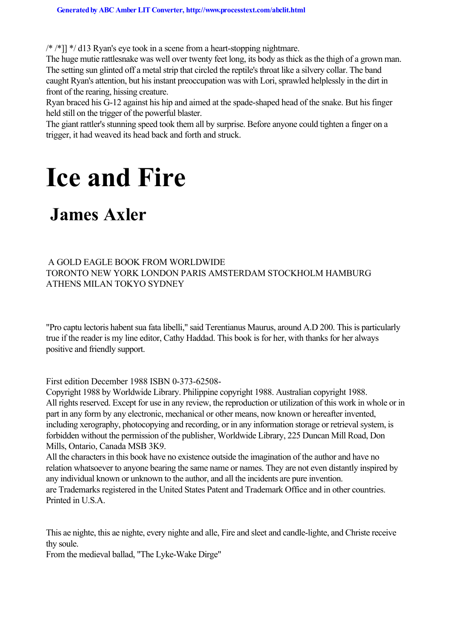$/*$   $*$ ]  $*$  d13 Ryan's eve took in a scene from a heart-stopping nightmare.

The huge mutie rattlesnake was well over twenty feet long, its body as thick as the thigh of a grown man. The setting sun glinted off a metal strip that circled the reptile's throat like a silvery collar. The band caught Ryan's attention, but his instant preoccupation was with Lori, sprawled helplessly in the dirt in front of the rearing, hissing creature.

Ryan braced his G-12 against his hip and aimed at the spade-shaped head of the snake. But his finger held still on the trigger of the powerful blaster.

The giant rattler's stunning speed took them all by surprise. Before anyone could tighten a finger on a trigger, it had weaved its head back and forth and struck.

# **Ice and Fire**

#### **James Axler**

#### A GOLD EAGLE BOOK FROM WORLDWIDE TORONTO NEW YORK LONDON PARIS AMSTERDAM STOCKHOLM HAMBURG ATHENS MILAN TOKYO SYDNEY

"Pro captu lectoris habent sua fata libelli," said Terentianus Maurus, around A.D 200. This is particularly true if the reader is my line editor, Cathy Haddad. This book is for her, with thanks for her always positive and friendly support.

First edition December 1988 ISBN 0-373-62508-

Copyright 1988 by Worldwide Library. Philippine copyright 1988. Australian copyright 1988. All rights reserved. Except for use in any review, the reproduction or utilization of this work in whole or in part in any form by any electronic, mechanical or other means, now known or hereafter invented, including xerography, photocopying and recording, or in any information storage or retrieval system, is forbidden without the permission of the publisher, Worldwide Library, 225 Duncan Mill Road, Don Mills, Ontario, Canada MSB 3K9.

All the characters in this book have no existence outside the imagination of the author and have no relation whatsoever to anyone bearing the same name or names. They are not even distantly inspired by any individual known or unknown to the author, and all the incidents are pure invention. are Trademarks registered in the United States Patent and Trademark Office and in other countries. Printed in U.S.A.

This ae nighte, this ae nighte, every nighte and alle, Fire and sleet and candle-lighte, and Christe receive thy soule.

From the medieval ballad, "The Lyke-Wake Dirge"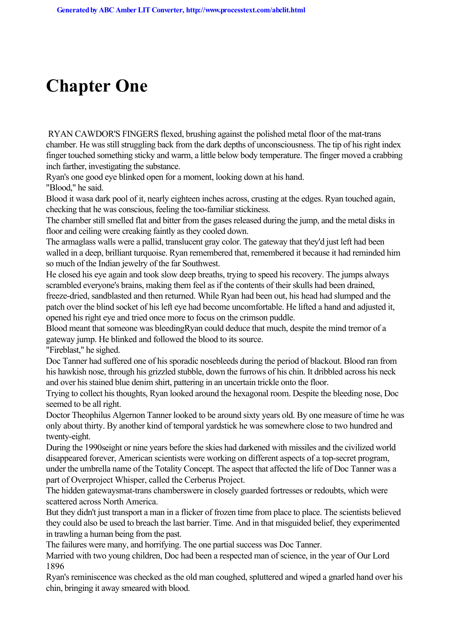#### **Chapter One**

 RYAN CAWDOR'S FINGERS flexed, brushing against the polished metal floor of the mat-trans chamber. He was still struggling back from the dark depths of unconsciousness. The tip of his right index finger touched something sticky and warm, a little below body temperature. The finger moved a crabbing inch farther, investigating the substance.

Ryan's one good eye blinked open for a moment, looking down at his hand.

"Blood," he said.

Blood it wasa dark pool of it, nearly eighteen inches across, crusting at the edges. Ryan touched again, checking that he was conscious, feeling the too-familiar stickiness.

The chamber still smelled flat and bitter from the gases released during the jump, and the metal disks in floor and ceiling were creaking faintly as they cooled down.

The armaglass walls were a pallid, translucent gray color. The gateway that they'd just left had been walled in a deep, brilliant turquoise. Ryan remembered that, remembered it because it had reminded him so much of the Indian jewelry of the far Southwest.

He closed his eye again and took slow deep breaths, trying to speed his recovery. The jumps always scrambled everyone's brains, making them feel as if the contents of their skulls had been drained, freeze-dried, sandblasted and then returned. While Ryan had been out, his head had slumped and the patch over the blind socket of his left eye had become uncomfortable. He lifted a hand and adjusted it, opened his right eye and tried once more to focus on the crimson puddle.

Blood meant that someone was bleedingRyan could deduce that much, despite the mind tremor of a gateway jump. He blinked and followed the blood to its source.

"Fireblast," he sighed.

Doc Tanner had suffered one of his sporadic nosebleeds during the period of blackout. Blood ran from his hawkish nose, through his grizzled stubble, down the furrows of his chin. It dribbled across his neck and over his stained blue denim shirt, pattering in an uncertain trickle onto the floor.

Trying to collect his thoughts, Ryan looked around the hexagonal room. Despite the bleeding nose, Doc seemed to be all right.

Doctor Theophilus Algernon Tanner looked to be around sixty years old. By one measure of time he was only about thirty. By another kind of temporal yardstick he was somewhere close to two hundred and twenty-eight.

During the 1990seight or nine years before the skies had darkened with missiles and the civilized world disappeared forever, American scientists were working on different aspects of a top-secret program, under the umbrella name of the Totality Concept. The aspect that affected the life of Doc Tanner was a part of Overproject Whisper, called the Cerberus Project.

The hidden gatewaysmat-trans chamberswere in closely guarded fortresses or redoubts, which were scattered across North America.

But they didn't just transport a man in a flicker of frozen time from place to place. The scientists believed they could also be used to breach the last barrier. Time. And in that misguided belief, they experimented in trawling a human being from the past.

The failures were many, and horrifying. The one partial success was Doc Tanner.

Married with two young children, Doc had been a respected man of science, in the year of Our Lord 1896

Ryan's reminiscence was checked as the old man coughed, spluttered and wiped a gnarled hand over his chin, bringing it away smeared with blood.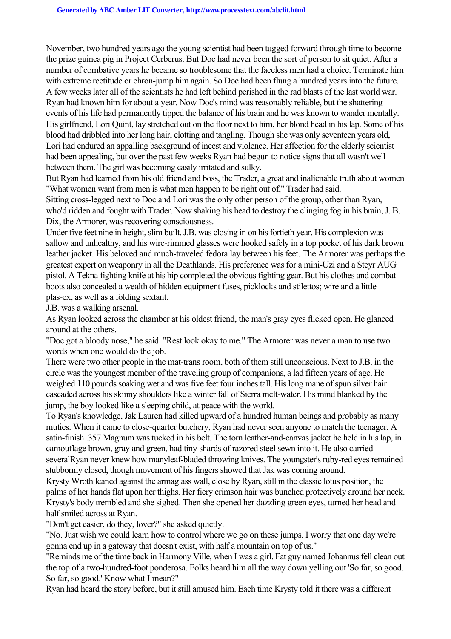November, two hundred years ago the young scientist had been tugged forward through time to become the prize guinea pig in Project Cerberus. But Doc had never been the sort of person to sit quiet. After a number of combative years he became so troublesome that the faceless men had a choice. Terminate him with extreme rectitude or chron-jump him again. So Doc had been flung a hundred years into the future. A few weeks later all of the scientists he had left behind perished in the rad blasts of the last world war. Ryan had known him for about a year. Now Doc's mind was reasonably reliable, but the shattering events of his life had permanently tipped the balance of his brain and he was known to wander mentally. His girlfriend, Lori Quint, lay stretched out on the floor next to him, her blond head in his lap. Some of his blood had dribbled into her long hair, clotting and tangling. Though she was only seventeen years old, Lori had endured an appalling background of incest and violence. Her affection for the elderly scientist had been appealing, but over the past few weeks Ryan had begun to notice signs that all wasn't well between them. The girl was becoming easily irritated and sulky.

But Ryan had learned from his old friend and boss, the Trader, a great and inalienable truth about women "What women want from men is what men happen to be right out of," Trader had said.

Sitting cross-legged next to Doc and Lori was the only other person of the group, other than Ryan, who'd ridden and fought with Trader. Now shaking his head to destroy the clinging fog in his brain, J. B. Dix, the Armorer, was recovering consciousness.

Under five feet nine in height, slim built, J.B. was closing in on his fortieth year. His complexion was sallow and unhealthy, and his wire-rimmed glasses were hooked safely in a top pocket of his dark brown leather jacket. His beloved and much-traveled fedora lay between his feet. The Armorer was perhaps the greatest expert on weaponry in all the Deathlands. His preference was for a mini-Uzi and a Steyr AUG pistol. A Tekna fighting knife at his hip completed the obvious fighting gear. But his clothes and combat boots also concealed a wealth of hidden equipment fuses, picklocks and stilettos; wire and a little plas-ex, as well as a folding sextant.

J.B. was a walking arsenal.

As Ryan looked across the chamber at his oldest friend, the man's gray eyes flicked open. He glanced around at the others.

"Doc got a bloody nose," he said. "Rest look okay to me." The Armorer was never a man to use two words when one would do the job.

There were two other people in the mat-trans room, both of them still unconscious. Next to J.B. in the circle was the youngest member of the traveling group of companions, a lad fifteen years of age. He weighed 110 pounds soaking wet and was five feet four inches tall. His long mane of spun silver hair cascaded across his skinny shoulders like a winter fall of Sierra melt-water. His mind blanked by the jump, the boy looked like a sleeping child, at peace with the world.

To Ryan's knowledge, Jak Lauren had killed upward of a hundred human beings and probably as many muties. When it came to close-quarter butchery, Ryan had never seen anyone to match the teenager. A satin-finish .357 Magnum was tucked in his belt. The torn leather-and-canvas jacket he held in his lap, in camouflage brown, gray and green, had tiny shards of razored steel sewn into it. He also carried severalRyan never knew how manyleaf-bladed throwing knives. The youngster's ruby-red eyes remained stubbornly closed, though movement of his fingers showed that Jak was coming around.

Krysty Wroth leaned against the armaglass wall, close by Ryan, still in the classic lotus position, the palms of her hands flat upon her thighs. Her fiery crimson hair was bunched protectively around her neck. Krysty's body trembled and she sighed. Then she opened her dazzling green eyes, turned her head and half smiled across at Ryan.

"Don't get easier, do they, lover?" she asked quietly.

"No. Just wish we could learn how to control where we go on these jumps. I worry that one day we're gonna end up in a gateway that doesn't exist, with half a mountain on top of us."

"Reminds me of the time back in Harmony Ville, when I was a girl. Fat guy named Johannus fell clean out the top of a two-hundred-foot ponderosa. Folks heard him all the way down yelling out 'So far, so good. So far, so good.' Know what I mean?"

Ryan had heard the story before, but it still amused him. Each time Krysty told it there was a different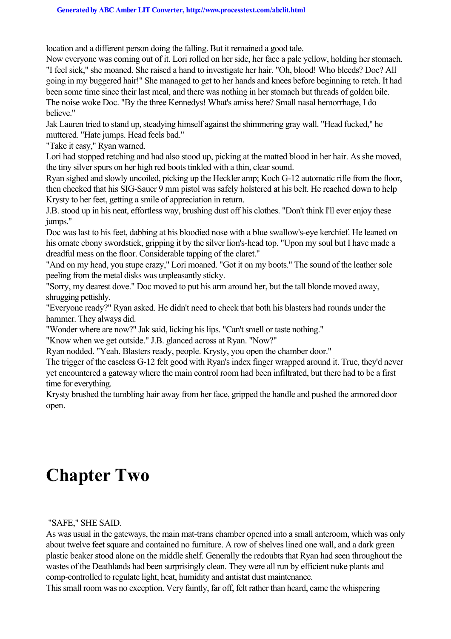location and a different person doing the falling. But it remained a good tale.

Now everyone was coming out of it. Lori rolled on her side, her face a pale yellow, holding her stomach. "I feel sick," she moaned. She raised a hand to investigate her hair. "Oh, blood! Who bleeds? Doc? All going in my buggered hair!" She managed to get to her hands and knees before beginning to retch. It had been some time since their last meal, and there was nothing in her stomach but threads of golden bile. The noise woke Doc. "By the three Kennedys! What's amiss here? Small nasal hemorrhage, I do believe."

Jak Lauren tried to stand up, steadying himself against the shimmering gray wall. "Head fucked," he muttered. "Hate jumps. Head feels bad."

"Take it easy," Ryan warned.

Lori had stopped retching and had also stood up, picking at the matted blood in her hair. As she moved, the tiny silver spurs on her high red boots tinkled with a thin, clear sound.

Ryan sighed and slowly uncoiled, picking up the Heckler amp; Koch G-12 automatic rifle from the floor, then checked that his SIG-Sauer 9 mm pistol was safely holstered at his belt. He reached down to help Krysty to her feet, getting a smile of appreciation in return.

J.B. stood up in his neat, effortless way, brushing dust off his clothes. "Don't think I'll ever enjoy these jumps."

Doc was last to his feet, dabbing at his bloodied nose with a blue swallow's-eye kerchief. He leaned on his ornate ebony swordstick, gripping it by the silver lion's-head top. "Upon my soul but I have made a dreadful mess on the floor. Considerable tapping of the claret."

"And on my head, you stupe crazy," Lori moaned. "Got it on my boots." The sound of the leather sole peeling from the metal disks was unpleasantly sticky.

"Sorry, my dearest dove." Doc moved to put his arm around her, but the tall blonde moved away, shrugging pettishly.

"Everyone ready?" Ryan asked. He didn't need to check that both his blasters had rounds under the hammer. They always did.

"Wonder where are now?" Jak said, licking his lips. "Can't smell or taste nothing."

"Know when we get outside." J.B. glanced across at Ryan. "Now?"

Ryan nodded. "Yeah. Blasters ready, people. Krysty, you open the chamber door."

The trigger of the caseless G-12 felt good with Ryan's index finger wrapped around it. True, they'd never yet encountered a gateway where the main control room had been infiltrated, but there had to be a first time for everything.

Krysty brushed the tumbling hair away from her face, gripped the handle and pushed the armored door open.

#### **Chapter Two**

#### "SAFE," SHE SAID.

As was usual in the gateways, the main mat-trans chamber opened into a small anteroom, which was only about twelve feet square and contained no furniture. A row of shelves lined one wall, and a dark green plastic beaker stood alone on the middle shelf. Generally the redoubts that Ryan had seen throughout the wastes of the Deathlands had been surprisingly clean. They were all run by efficient nuke plants and comp-controlled to regulate light, heat, humidity and antistat dust maintenance.

This small room was no exception. Very faintly, far off, felt rather than heard, came the whispering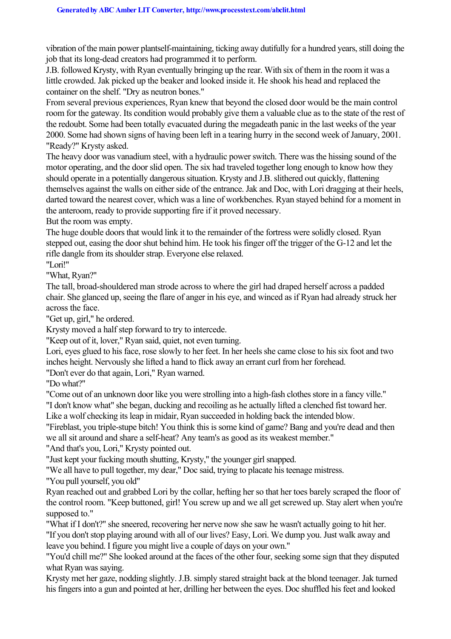vibration of the main power plantself-maintaining, ticking away dutifully for a hundred years, still doing the job that its long-dead creators had programmed it to perform.

J.B. followed Krysty, with Ryan eventually bringing up the rear. With six of them in the room it was a little crowded. Jak picked up the beaker and looked inside it. He shook his head and replaced the container on the shelf. "Dry as neutron bones."

From several previous experiences, Ryan knew that beyond the closed door would be the main control room for the gateway. Its condition would probably give them a valuable clue as to the state of the rest of the redoubt. Some had been totally evacuated during the megadeath panic in the last weeks of the year 2000. Some had shown signs of having been left in a tearing hurry in the second week of January, 2001. "Ready?" Krysty asked.

The heavy door was vanadium steel, with a hydraulic power switch. There was the hissing sound of the motor operating, and the door slid open. The six had traveled together long enough to know how they should operate in a potentially dangerous situation. Krysty and J.B. slithered out quickly, flattening themselves against the walls on either side of the entrance. Jak and Doc, with Lori dragging at their heels, darted toward the nearest cover, which was a line of workbenches. Ryan stayed behind for a moment in the anteroom, ready to provide supporting fire if it proved necessary.

But the room was empty.

The huge double doors that would link it to the remainder of the fortress were solidly closed. Ryan stepped out, easing the door shut behind him. He took his finger off the trigger of the G-12 and let the rifle dangle from its shoulder strap. Everyone else relaxed.

"Lori!"

"What, Ryan?"

The tall, broad-shouldered man strode across to where the girl had draped herself across a padded chair. She glanced up, seeing the flare of anger in his eye, and winced as if Ryan had already struck her across the face.

"Get up, girl," he ordered.

Krysty moved a half step forward to try to intercede.

"Keep out of it, lover," Ryan said, quiet, not even turning.

Lori, eyes glued to his face, rose slowly to her feet. In her heels she came close to his six foot and two inches height. Nervously she lifted a hand to flick away an errant curl from her forehead.

"Don't ever do that again, Lori," Ryan warned.

"Do what?"

"Come out of an unknown door like you were strolling into a high-fash clothes store in a fancy ville."

"I don't know what" she began, ducking and recoiling as he actually lifted a clenched fist toward her.

Like a wolf checking its leap in midair, Ryan succeeded in holding back the intended blow.

"Fireblast, you triple-stupe bitch! You think this is some kind of game? Bang and you're dead and then we all sit around and share a self-heat? Any team's as good as its weakest member."

"And that's you, Lori," Krysty pointed out.

"Just kept your fucking mouth shutting, Krysty," the younger girl snapped.

"We all have to pull together, my dear," Doc said, trying to placate his teenage mistress.

"You pull yourself, you old"

Ryan reached out and grabbed Lori by the collar, hefting her so that her toes barely scraped the floor of the control room. "Keep buttoned, girl! You screw up and we all get screwed up. Stay alert when you're supposed to."

"What if I don't?" she sneered, recovering her nerve now she saw he wasn't actually going to hit her.

"If you don't stop playing around with all of our lives? Easy, Lori. We dump you. Just walk away and leave you behind. I figure you might live a couple of days on your own."

"You'd chill me?" She looked around at the faces of the other four, seeking some sign that they disputed what Ryan was saying.

Krysty met her gaze, nodding slightly. J.B. simply stared straight back at the blond teenager. Jak turned his fingers into a gun and pointed at her, drilling her between the eyes. Doc shuffled his feet and looked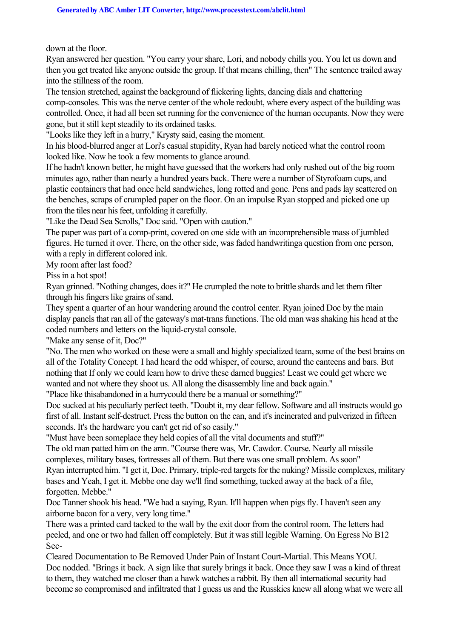down at the floor.

Ryan answered her question. "You carry your share, Lori, and nobody chills you. You let us down and then you get treated like anyone outside the group. If that means chilling, then" The sentence trailed away into the stillness of the room.

The tension stretched, against the background of flickering lights, dancing dials and chattering comp-consoles. This was the nerve center of the whole redoubt, where every aspect of the building was controlled. Once, it had all been set running for the convenience of the human occupants. Now they were gone, but it still kept steadily to its ordained tasks.

"Looks like they left in a hurry," Krysty said, easing the moment.

In his blood-blurred anger at Lori's casual stupidity, Ryan had barely noticed what the control room looked like. Now he took a few moments to glance around.

If he hadn't known better, he might have guessed that the workers had only rushed out of the big room minutes ago, rather than nearly a hundred years back. There were a number of Styrofoam cups, and plastic containers that had once held sandwiches, long rotted and gone. Pens and pads lay scattered on the benches, scraps of crumpled paper on the floor. On an impulse Ryan stopped and picked one up from the tiles near his feet, unfolding it carefully.

"Like the Dead Sea Scrolls," Doc said. "Open with caution."

The paper was part of a comp-print, covered on one side with an incomprehensible mass of jumbled figures. He turned it over. There, on the other side, was faded handwritinga question from one person, with a reply in different colored ink.

My room after last food?

Piss in a hot spot!

Ryan grinned. "Nothing changes, does it?" He crumpled the note to brittle shards and let them filter through his fingers like grains of sand.

They spent a quarter of an hour wandering around the control center. Ryan joined Doc by the main display panels that ran all of the gateway's mat-trans functions. The old man was shaking his head at the coded numbers and letters on the liquid-crystal console.

"Make any sense of it, Doc?"

"No. The men who worked on these were a small and highly specialized team, some of the best brains on all of the Totality Concept. I had heard the odd whisper, of course, around the canteens and bars. But nothing that If only we could learn how to drive these darned buggies! Least we could get where we wanted and not where they shoot us. All along the disassembly line and back again."

"Place like thisabandoned in a hurrycould there be a manual or something?"

Doc sucked at his peculiarly perfect teeth. "Doubt it, my dear fellow. Software and all instructs would go first of all. Instant self-destruct. Press the button on the can, and it's incinerated and pulverized in fifteen seconds. It's the hardware you can't get rid of so easily."

"Must have been someplace they held copies of all the vital documents and stuff?"

The old man patted him on the arm. "Course there was, Mr. Cawdor. Course. Nearly all missile complexes, military bases, fortresses all of them. But there was one small problem. As soon" Ryan interrupted him. "I get it, Doc. Primary, triple-red targets for the nuking? Missile complexes, military

bases and Yeah, I get it. Mebbe one day we'll find something, tucked away at the back of a file, forgotten. Mebbe."

Doc Tanner shook his head. "We had a saying, Ryan. It'll happen when pigs fly. I haven't seen any airborne bacon for a very, very long time."

There was a printed card tacked to the wall by the exit door from the control room. The letters had peeled, and one or two had fallen off completely. But it was still legible Warning. On Egress No B12 Sec-

Cleared Documentation to Be Removed Under Pain of Instant Court-Martial. This Means YOU. Doc nodded. "Brings it back. A sign like that surely brings it back. Once they saw I was a kind of threat to them, they watched me closer than a hawk watches a rabbit. By then all international security had become so compromised and infiltrated that I guess us and the Russkies knew all along what we were all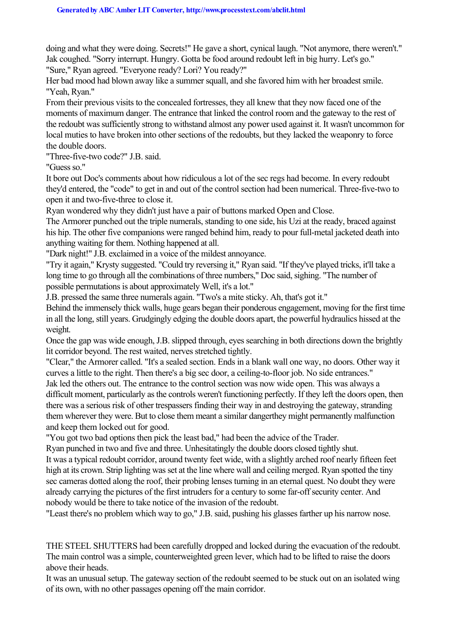doing and what they were doing. Secrets!" He gave a short, cynical laugh. "Not anymore, there weren't." Jak coughed. "Sorry interrupt. Hungry. Gotta be food around redoubt left in big hurry. Let's go." "Sure," Ryan agreed. "Everyone ready? Lori? You ready?"

Her bad mood had blown away like a summer squall, and she favored him with her broadest smile. "Yeah, Ryan."

From their previous visits to the concealed fortresses, they all knew that they now faced one of the moments of maximum danger. The entrance that linked the control room and the gateway to the rest of the redoubt was sufficiently strong to withstand almost any power used against it. It wasn't uncommon for local muties to have broken into other sections of the redoubts, but they lacked the weaponry to force the double doors.

"Three-five-two code?" J.B. said.

"Guess so."

It bore out Doc's comments about how ridiculous a lot of the sec regs had become. In every redoubt they'd entered, the "code" to get in and out of the control section had been numerical. Three-five-two to open it and two-five-three to close it.

Ryan wondered why they didn't just have a pair of buttons marked Open and Close.

The Armorer punched out the triple numerals, standing to one side, his Uzi at the ready, braced against his hip. The other five companions were ranged behind him, ready to pour full-metal jacketed death into anything waiting for them. Nothing happened at all.

"Dark night!" J.B. exclaimed in a voice of the mildest annoyance.

"Try it again," Krysty suggested. "Could try reversing it," Ryan said. "If they've played tricks, it'll take a long time to go through all the combinations of three numbers," Doc said, sighing. "The number of possible permutations is about approximately Well, it's a lot."

J.B. pressed the same three numerals again. "Two's a mite sticky. Ah, that's got it."

Behind the immensely thick walls, huge gears began their ponderous engagement, moving for the first time in all the long, still years. Grudgingly edging the double doors apart, the powerful hydraulics hissed at the weight.

Once the gap was wide enough, J.B. slipped through, eyes searching in both directions down the brightly lit corridor beyond. The rest waited, nerves stretched tightly.

"Clear," the Armorer called. "It's a sealed section. Ends in a blank wall one way, no doors. Other way it curves a little to the right. Then there's a big sec door, a ceiling-to-floor job. No side entrances."

Jak led the others out. The entrance to the control section was now wide open. This was always a difficult moment, particularly as the controls weren't functioning perfectly. If they left the doors open, then there was a serious risk of other trespassers finding their way in and destroying the gateway, stranding them wherever they were. But to close them meant a similar dangerthey might permanently malfunction and keep them locked out for good.

"You got two bad options then pick the least bad," had been the advice of the Trader.

Ryan punched in two and five and three. Unhesitatingly the double doors closed tightly shut.

It was a typical redoubt corridor, around twenty feet wide, with a slightly arched roof nearly fifteen feet high at its crown. Strip lighting was set at the line where wall and ceiling merged. Ryan spotted the tiny sec cameras dotted along the roof, their probing lenses turning in an eternal quest. No doubt they were already carrying the pictures of the first intruders for a century to some far-off security center. And nobody would be there to take notice of the invasion of the redoubt.

"Least there's no problem which way to go," J.B. said, pushing his glasses farther up his narrow nose.

THE STEEL SHUTTERS had been carefully dropped and locked during the evacuation of the redoubt. The main control was a simple, counterweighted green lever, which had to be lifted to raise the doors above their heads.

It was an unusual setup. The gateway section of the redoubt seemed to be stuck out on an isolated wing of its own, with no other passages opening off the main corridor.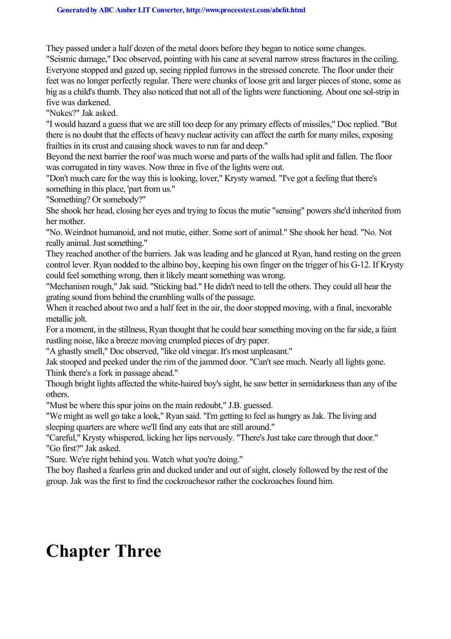They passed under a half dozen of the metal doors before they began to notice some changes. "Seismic damage," Doc observed, pointing with his cane at several narrow stress fractures in the ceiling. Everyone stopped and gazed up, seeing rippled furrows in the stressed concrete. The floor under their feet was no longer perfectly regular. There were chunks of loose grit and larger pieces of stone, some as big as a child's thumb. They also noticed that not all of the lights were functioning. About one sol-strip in five was darkened.

"Nukes?" Jak asked.

"I would hazard a guess that we are still too deep for any primary effects of missiles," Doc replied. "But there is no doubt that the effects of heavy nuclear activity can affect the earth for many miles, exposing frailties in its crust and causing shock waves to run far and deep."

Beyond the next barrier the roof was much worse and parts of the walls had split and fallen. The floor was corrugated in tiny waves. Now three in five of the lights were out.

"Don't much care for the way this is looking, lover," Krysty warned. "I've got a feeling that there's something in this place, 'part from us."

"Something? Or somebody?"

She shook her head, closing her eyes and trying to focus the mutie "sensing" powers she'd inherited from her mother.

"No. Weirdnot humanoid, and not mutie, either. Some sort of animal." She shook her head. "No. Not really animal. Just something."

They reached another of the barriers. Jak was leading and he glanced at Ryan, hand resting on the green control lever. Ryan nodded to the albino boy, keeping his own finger on the trigger of his G-12. If Krysty could feel something wrong, then it likely meant something was wrong.

"Mechanism rough," Jak said. "Sticking bad." He didn't need to tell the others. They could all hear the grating sound from behind the crumbling walls of the passage.

When it reached about two and a half feet in the air, the door stopped moving, with a final, inexorable metallic jolt.

For a moment, in the stillness, Ryan thought that he could hear something moving on the far side, a faint rustling noise, like a breeze moving crumpled pieces of dry paper.

"A ghastly smell," Doc observed, "like old vinegar. It's most unpleasant."

Jak stooped and peeked under the rim of the jammed door. "Can't see much. Nearly all lights gone. Think there's a fork in passage ahead."

Though bright lights affected the white-haired boy's sight, he saw better in semidarkness than any of the others.

"Must be where this spur joins on the main redoubt," J.B. guessed.

"We might as well go take a look," Ryan said. "I'm getting to feel as hungry as Jak. The living and sleeping quarters are where we'll find any eats that are still around."

"Careful," Krysty whispered, licking her lips nervously. "There's Just take care through that door." "Go first?" Jak asked.

"Sure. We're right behind you. Watch what you're doing."

The boy flashed a fearless grin and ducked under and out of sight, closely followed by the rest of the group. Jak was the first to find the cockroachesor rather the cockroaches found him.

#### **Chapter Three**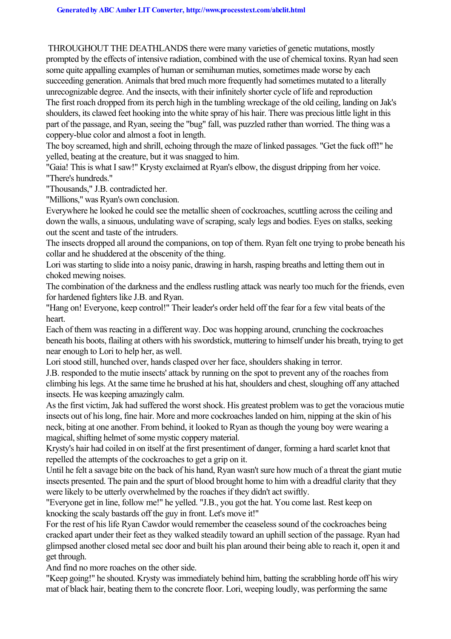THROUGHOUT THE DEATHLANDS there were many varieties of genetic mutations, mostly prompted by the effects of intensive radiation, combined with the use of chemical toxins. Ryan had seen some quite appalling examples of human or semihuman muties, sometimes made worse by each succeeding generation. Animals that bred much more frequently had sometimes mutated to a literally unrecognizable degree. And the insects, with their infinitely shorter cycle of life and reproduction The first roach dropped from its perch high in the tumbling wreckage of the old ceiling, landing on Jak's shoulders, its clawed feet hooking into the white spray of his hair. There was precious little light in this part of the passage, and Ryan, seeing the "bug" fall, was puzzled rather than worried. The thing was a coppery-blue color and almost a foot in length.

The boy screamed, high and shrill, echoing through the maze of linked passages. "Get the fuck off!" he yelled, beating at the creature, but it was snagged to him.

"Gaia! This is what I saw!" Krysty exclaimed at Ryan's elbow, the disgust dripping from her voice. "There's hundreds."

"Thousands," J.B. contradicted her.

"Millions," was Ryan's own conclusion.

Everywhere he looked he could see the metallic sheen of cockroaches, scuttling across the ceiling and down the walls, a sinuous, undulating wave of scraping, scaly legs and bodies. Eyes on stalks, seeking out the scent and taste of the intruders.

The insects dropped all around the companions, on top of them. Ryan felt one trying to probe beneath his collar and he shuddered at the obscenity of the thing.

Lori was starting to slide into a noisy panic, drawing in harsh, rasping breaths and letting them out in choked mewing noises.

The combination of the darkness and the endless rustling attack was nearly too much for the friends, even for hardened fighters like J.B. and Ryan.

"Hang on! Everyone, keep control!" Their leader's order held off the fear for a few vital beats of the heart.

Each of them was reacting in a different way. Doc was hopping around, crunching the cockroaches beneath his boots, flailing at others with his swordstick, muttering to himself under his breath, trying to get near enough to Lori to help her, as well.

Lori stood still, hunched over, hands clasped over her face, shoulders shaking in terror.

J.B. responded to the mutie insects' attack by running on the spot to prevent any of the roaches from climbing his legs. At the same time he brushed at his hat, shoulders and chest, sloughing off any attached insects. He was keeping amazingly calm.

As the first victim, Jak had suffered the worst shock. His greatest problem was to get the voracious mutie insects out of his long, fine hair. More and more cockroaches landed on him, nipping at the skin of his neck, biting at one another. From behind, it looked to Ryan as though the young boy were wearing a magical, shifting helmet of some mystic coppery material.

Krysty's hair had coiled in on itself at the first presentiment of danger, forming a hard scarlet knot that repelled the attempts of the cockroaches to get a grip on it.

Until he felt a savage bite on the back of his hand, Ryan wasn't sure how much of a threat the giant mutie insects presented. The pain and the spurt of blood brought home to him with a dreadful clarity that they were likely to be utterly overwhelmed by the roaches if they didn't act swiftly.

"Everyone get in line, follow me!" he yelled. "J.B., you got the hat. You come last. Rest keep on knocking the scaly bastards off the guy in front. Let's move it!"

For the rest of his life Ryan Cawdor would remember the ceaseless sound of the cockroaches being cracked apart under their feet as they walked steadily toward an uphill section of the passage. Ryan had glimpsed another closed metal sec door and built his plan around their being able to reach it, open it and get through.

And find no more roaches on the other side.

"Keep going!" he shouted. Krysty was immediately behind him, batting the scrabbling horde off his wiry mat of black hair, beating them to the concrete floor. Lori, weeping loudly, was performing the same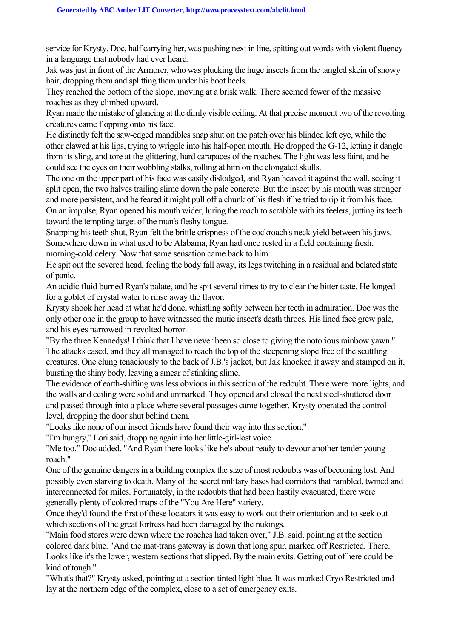service for Krysty. Doc, half carrying her, was pushing next in line, spitting out words with violent fluency in a language that nobody had ever heard.

Jak was just in front of the Armorer, who was plucking the huge insects from the tangled skein of snowy hair, dropping them and splitting them under his boot heels.

They reached the bottom of the slope, moving at a brisk walk. There seemed fewer of the massive roaches as they climbed upward.

Ryan made the mistake of glancing at the dimly visible ceiling. At that precise moment two of the revolting creatures came flopping onto his face.

He distinctly felt the saw-edged mandibles snap shut on the patch over his blinded left eye, while the other clawed at his lips, trying to wriggle into his half-open mouth. He dropped the G-12, letting it dangle from its sling, and tore at the glittering, hard carapaces of the roaches. The light was less faint, and he could see the eyes on their wobbling stalks, rolling at him on the elongated skulls.

The one on the upper part of his face was easily dislodged, and Ryan heaved it against the wall, seeing it split open, the two halves trailing slime down the pale concrete. But the insect by his mouth was stronger and more persistent, and he feared it might pull off a chunk of his flesh if he tried to rip it from his face. On an impulse, Ryan opened his mouth wider, luring the roach to scrabble with its feelers, jutting its teeth toward the tempting target of the man's fleshy tongue.

Snapping his teeth shut, Ryan felt the brittle crispness of the cockroach's neck yield between his jaws. Somewhere down in what used to be Alabama, Ryan had once rested in a field containing fresh, morning-cold celery. Now that same sensation came back to him.

He spit out the severed head, feeling the body fall away, its legs twitching in a residual and belated state of panic.

An acidic fluid burned Ryan's palate, and he spit several times to try to clear the bitter taste. He longed for a goblet of crystal water to rinse away the flavor.

Krysty shook her head at what he'd done, whistling softly between her teeth in admiration. Doc was the only other one in the group to have witnessed the mutie insect's death throes. His lined face grew pale, and his eyes narrowed in revolted horror.

"By the three Kennedys! I think that I have never been so close to giving the notorious rainbow yawn." The attacks eased, and they all managed to reach the top of the steepening slope free of the scuttling creatures. One clung tenaciously to the back of J.B.'s jacket, but Jak knocked it away and stamped on it, bursting the shiny body, leaving a smear of stinking slime.

The evidence of earth-shifting was less obvious in this section of the redoubt. There were more lights, and the walls and ceiling were solid and unmarked. They opened and closed the next steel-shuttered door and passed through into a place where several passages came together. Krysty operated the control level, dropping the door shut behind them.

"Looks like none of our insect friends have found their way into this section."

"I'm hungry," Lori said, dropping again into her little-girl-lost voice.

"Me too," Doc added. "And Ryan there looks like he's about ready to devour another tender young roach."

One of the genuine dangers in a building complex the size of most redoubts was of becoming lost. And possibly even starving to death. Many of the secret military bases had corridors that rambled, twined and interconnected for miles. Fortunately, in the redoubts that had been hastily evacuated, there were generally plenty of colored maps of the "You Are Here" variety.

Once they'd found the first of these locators it was easy to work out their orientation and to seek out which sections of the great fortress had been damaged by the nukings.

"Main food stores were down where the roaches had taken over," J.B. said, pointing at the section colored dark blue. "And the mat-trans gateway is down that long spur, marked off Restricted. There. Looks like it's the lower, western sections that slipped. By the main exits. Getting out of here could be kind of tough."

"What's that?" Krysty asked, pointing at a section tinted light blue. It was marked Cryo Restricted and lay at the northern edge of the complex, close to a set of emergency exits.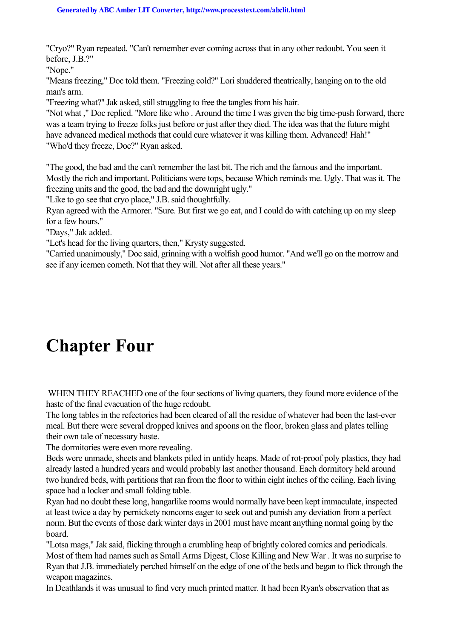"Cryo?" Ryan repeated. "Can't remember ever coming across that in any other redoubt. You seen it before, J.B.?"

"Nope."

"Means freezing," Doc told them. "Freezing cold?" Lori shuddered theatrically, hanging on to the old man's arm.

"Freezing what?" Jak asked, still struggling to free the tangles from his hair.

"Not what ," Doc replied. "More like who . Around the time I was given the big time-push forward, there was a team trying to freeze folks just before or just after they died. The idea was that the future might have advanced medical methods that could cure whatever it was killing them. Advanced! Hah!" "Who'd they freeze, Doc?" Ryan asked.

"The good, the bad and the can't remember the last bit. The rich and the famous and the important. Mostly the rich and important. Politicians were tops, because Which reminds me. Ugly. That was it. The freezing units and the good, the bad and the downright ugly."

"Like to go see that cryo place," J.B. said thoughtfully.

Ryan agreed with the Armorer. "Sure. But first we go eat, and I could do with catching up on my sleep for a few hours."

"Days," Jak added.

"Let's head for the living quarters, then," Krysty suggested.

"Carried unanimously," Doc said, grinning with a wolfish good humor. "And we'll go on the morrow and see if any icemen cometh. Not that they will. Not after all these years."

# **Chapter Four**

 WHEN THEY REACHED one of the four sections of living quarters, they found more evidence of the haste of the final evacuation of the huge redoubt.

The long tables in the refectories had been cleared of all the residue of whatever had been the last-ever meal. But there were several dropped knives and spoons on the floor, broken glass and plates telling their own tale of necessary haste.

The dormitories were even more revealing.

Beds were unmade, sheets and blankets piled in untidy heaps. Made of rot-proof poly plastics, they had already lasted a hundred years and would probably last another thousand. Each dormitory held around two hundred beds, with partitions that ran from the floor to within eight inches of the ceiling. Each living space had a locker and small folding table.

Ryan had no doubt these long, hangarlike rooms would normally have been kept immaculate, inspected at least twice a day by pernickety noncoms eager to seek out and punish any deviation from a perfect norm. But the events of those dark winter days in 2001 must have meant anything normal going by the board.

"Lotsa mags," Jak said, flicking through a crumbling heap of brightly colored comics and periodicals. Most of them had names such as Small Arms Digest, Close Killing and New War . It was no surprise to Ryan that J.B. immediately perched himself on the edge of one of the beds and began to flick through the weapon magazines.

In Deathlands it was unusual to find very much printed matter. It had been Ryan's observation that as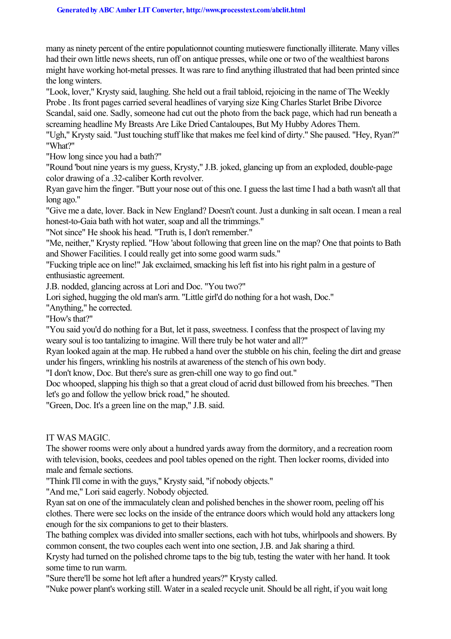many as ninety percent of the entire populationnot counting mutieswere functionally illiterate. Many villes had their own little news sheets, run off on antique presses, while one or two of the wealthiest barons might have working hot-metal presses. It was rare to find anything illustrated that had been printed since the long winters.

"Look, lover," Krysty said, laughing. She held out a frail tabloid, rejoicing in the name of The Weekly Probe . Its front pages carried several headlines of varying size King Charles Starlet Bribe Divorce Scandal, said one. Sadly, someone had cut out the photo from the back page, which had run beneath a screaming headline My Breasts Are Like Dried Cantaloupes, But My Hubby Adores Them.

"Ugh," Krysty said. "Just touching stuff like that makes me feel kind of dirty." She paused. "Hey, Ryan?" "What?"

"How long since you had a bath?"

"Round 'bout nine years is my guess, Krysty," J.B. joked, glancing up from an exploded, double-page color drawing of a .32-caliber Korth revolver.

Ryan gave him the finger. "Butt your nose out of this one. I guess the last time I had a bath wasn't all that long ago."

"Give me a date, lover. Back in New England? Doesn't count. Just a dunking in salt ocean. I mean a real honest-to-Gaia bath with hot water, soap and all the trimmings."

"Not since" He shook his head. "Truth is, I don't remember."

"Me, neither," Krysty replied. "How 'about following that green line on the map? One that points to Bath and Shower Facilities. I could really get into some good warm suds."

"Fucking triple ace on line!" Jak exclaimed, smacking his left fist into his right palm in a gesture of enthusiastic agreement.

J.B. nodded, glancing across at Lori and Doc. "You two?"

Lori sighed, hugging the old man's arm. "Little girl'd do nothing for a hot wash, Doc."

"Anything," he corrected.

"How's that?"

"You said you'd do nothing for a But, let it pass, sweetness. I confess that the prospect of laving my weary soul is too tantalizing to imagine. Will there truly be hot water and all?"

Ryan looked again at the map. He rubbed a hand over the stubble on his chin, feeling the dirt and grease under his fingers, wrinkling his nostrils at awareness of the stench of his own body.

"I don't know, Doc. But there's sure as gren-chill one way to go find out."

Doc whooped, slapping his thigh so that a great cloud of acrid dust billowed from his breeches. "Then let's go and follow the yellow brick road," he shouted.

"Green, Doc. It's a green line on the map," J.B. said.

#### IT WAS MAGIC.

The shower rooms were only about a hundred yards away from the dormitory, and a recreation room with television, books, ceedees and pool tables opened on the right. Then locker rooms, divided into male and female sections.

"Think I'll come in with the guys," Krysty said, "if nobody objects."

"And me," Lori said eagerly. Nobody objected.

Ryan sat on one of the immaculately clean and polished benches in the shower room, peeling off his clothes. There were sec locks on the inside of the entrance doors which would hold any attackers long enough for the six companions to get to their blasters.

The bathing complex was divided into smaller sections, each with hot tubs, whirlpools and showers. By common consent, the two couples each went into one section, J.B. and Jak sharing a third.

Krysty had turned on the polished chrome taps to the big tub, testing the water with her hand. It took some time to run warm.

"Sure there'll be some hot left after a hundred years?" Krysty called.

"Nuke power plant's working still. Water in a sealed recycle unit. Should be all right, if you wait long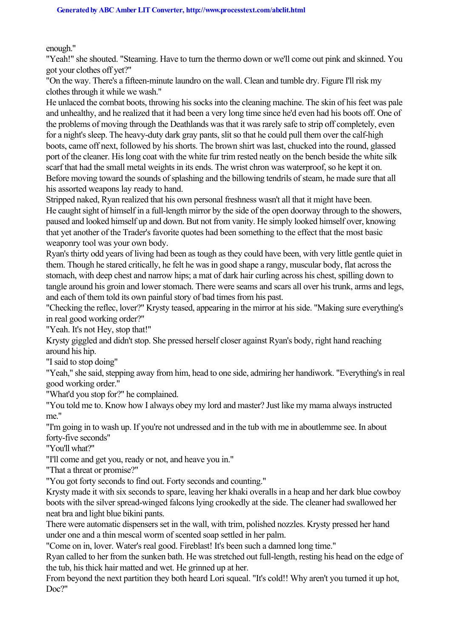enough."

"Yeah!" she shouted. "Steaming. Have to turn the thermo down or we'll come out pink and skinned. You got your clothes off yet?"

"On the way. There's a fifteen-minute laundro on the wall. Clean and tumble dry. Figure I'll risk my clothes through it while we wash."

He unlaced the combat boots, throwing his socks into the cleaning machine. The skin of his feet was pale and unhealthy, and he realized that it had been a very long time since he'd even had his boots off. One of the problems of moving through the Deathlands was that it was rarely safe to strip off completely, even for a night's sleep. The heavy-duty dark gray pants, slit so that he could pull them over the calf-high boots, came off next, followed by his shorts. The brown shirt was last, chucked into the round, glassed port of the cleaner. His long coat with the white fur trim rested neatly on the bench beside the white silk scarf that had the small metal weights in its ends. The wrist chron was waterproof, so he kept it on. Before moving toward the sounds of splashing and the billowing tendrils of steam, he made sure that all his assorted weapons lay ready to hand.

Stripped naked, Ryan realized that his own personal freshness wasn't all that it might have been. He caught sight of himself in a full-length mirror by the side of the open doorway through to the showers, paused and looked himself up and down. But not from vanity. He simply looked himself over, knowing that yet another of the Trader's favorite quotes had been something to the effect that the most basic weaponry tool was your own body.

Ryan's thirty odd years of living had been as tough as they could have been, with very little gentle quiet in them. Though he stared critically, he felt he was in good shape a rangy, muscular body, flat across the stomach, with deep chest and narrow hips; a mat of dark hair curling across his chest, spilling down to tangle around his groin and lower stomach. There were seams and scars all over his trunk, arms and legs, and each of them told its own painful story of bad times from his past.

"Checking the reflec, lover?" Krysty teased, appearing in the mirror at his side. "Making sure everything's in real good working order?"

"Yeah. It's not Hey, stop that!"

Krysty giggled and didn't stop. She pressed herself closer against Ryan's body, right hand reaching around his hip.

"I said to stop doing"

"Yeah," she said, stepping away from him, head to one side, admiring her handiwork. "Everything's in real good working order."

"What'd you stop for?" he complained.

"You told me to. Know how I always obey my lord and master? Just like my mama always instructed me"

"I'm going in to wash up. If you're not undressed and in the tub with me in aboutlemme see. In about forty-five seconds"

"You'll what?"

"I'll come and get you, ready or not, and heave you in."

"That a threat or promise?"

"You got forty seconds to find out. Forty seconds and counting."

Krysty made it with six seconds to spare, leaving her khaki overalls in a heap and her dark blue cowboy boots with the silver spread-winged falcons lying crookedly at the side. The cleaner had swallowed her neat bra and light blue bikini pants.

There were automatic dispensers set in the wall, with trim, polished nozzles. Krysty pressed her hand under one and a thin mescal worm of scented soap settled in her palm.

"Come on in, lover. Water's real good. Fireblast! It's been such a damned long time."

Ryan called to her from the sunken bath. He was stretched out full-length, resting his head on the edge of the tub, his thick hair matted and wet. He grinned up at her.

From beyond the next partition they both heard Lori squeal. "It's cold!! Why aren't you turned it up hot, Doc?"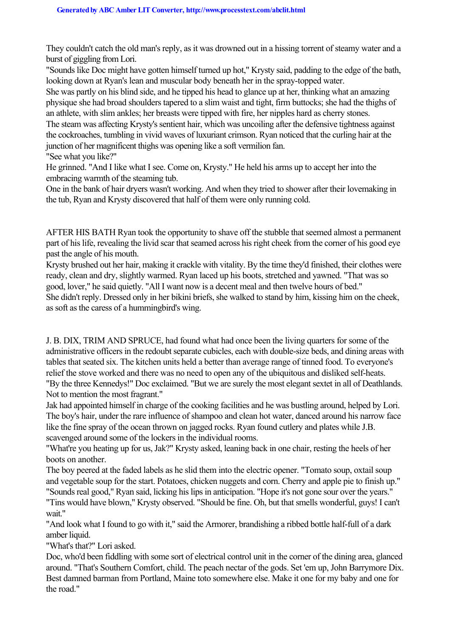They couldn't catch the old man's reply, as it was drowned out in a hissing torrent of steamy water and a burst of giggling from Lori.

"Sounds like Doc might have gotten himself turned up hot," Krysty said, padding to the edge of the bath, looking down at Ryan's lean and muscular body beneath her in the spray-topped water.

She was partly on his blind side, and he tipped his head to glance up at her, thinking what an amazing physique she had broad shoulders tapered to a slim waist and tight, firm buttocks; she had the thighs of an athlete, with slim ankles; her breasts were tipped with fire, her nipples hard as cherry stones.

The steam was affecting Krysty's sentient hair, which was uncoiling after the defensive tightness against the cockroaches, tumbling in vivid waves of luxuriant crimson. Ryan noticed that the curling hair at the junction of her magnificent thighs was opening like a soft vermilion fan.

"See what you like?"

He grinned. "And I like what I see. Come on, Krysty." He held his arms up to accept her into the embracing warmth of the steaming tub.

One in the bank of hair dryers wasn't working. And when they tried to shower after their lovemaking in the tub, Ryan and Krysty discovered that half of them were only running cold.

AFTER HIS BATH Ryan took the opportunity to shave off the stubble that seemed almost a permanent part of his life, revealing the livid scar that seamed across his right cheek from the corner of his good eye past the angle of his mouth.

Krysty brushed out her hair, making it crackle with vitality. By the time they'd finished, their clothes were ready, clean and dry, slightly warmed. Ryan laced up his boots, stretched and yawned. "That was so good, lover," he said quietly. "All I want now is a decent meal and then twelve hours of bed." She didn't reply. Dressed only in her bikini briefs, she walked to stand by him, kissing him on the cheek, as soft as the caress of a hummingbird's wing.

J. B. DIX, TRIM AND SPRUCE, had found what had once been the living quarters for some of the administrative officers in the redoubt separate cubicles, each with double-size beds, and dining areas with tables that seated six. The kitchen units held a better than average range of tinned food. To everyone's relief the stove worked and there was no need to open any of the ubiquitous and disliked self-heats. "By the three Kennedys!" Doc exclaimed. "But we are surely the most elegant sextet in all of Deathlands. Not to mention the most fragrant."

Jak had appointed himself in charge of the cooking facilities and he was bustling around, helped by Lori. The boy's hair, under the rare influence of shampoo and clean hot water, danced around his narrow face like the fine spray of the ocean thrown on jagged rocks. Ryan found cutlery and plates while J.B. scavenged around some of the lockers in the individual rooms.

"What're you heating up for us, Jak?" Krysty asked, leaning back in one chair, resting the heels of her boots on another.

The boy peered at the faded labels as he slid them into the electric opener. "Tomato soup, oxtail soup and vegetable soup for the start. Potatoes, chicken nuggets and corn. Cherry and apple pie to finish up." "Sounds real good," Ryan said, licking his lips in anticipation. "Hope it's not gone sour over the years." "Tins would have blown," Krysty observed. "Should be fine. Oh, but that smells wonderful, guys! I can't

wait."

"And look what I found to go with it," said the Armorer, brandishing a ribbed bottle half-full of a dark amber liquid.

"What's that?" Lori asked.

Doc, who'd been fiddling with some sort of electrical control unit in the corner of the dining area, glanced around. "That's Southern Comfort, child. The peach nectar of the gods. Set 'em up, John Barrymore Dix. Best damned barman from Portland, Maine toto somewhere else. Make it one for my baby and one for the road."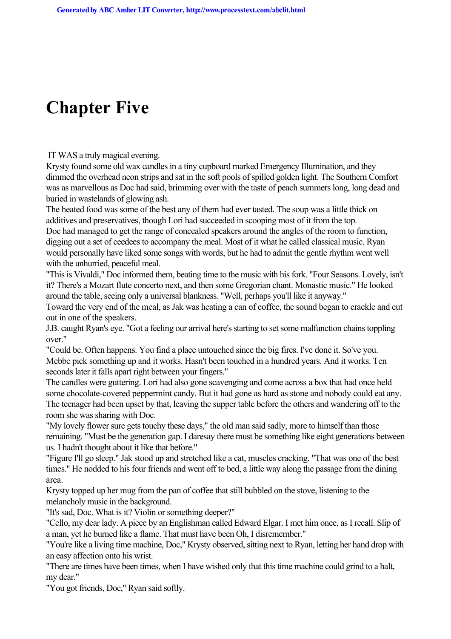#### **Chapter Five**

IT WAS a truly magical evening.

Krysty found some old wax candles in a tiny cupboard marked Emergency Illumination, and they dimmed the overhead neon strips and sat in the soft pools of spilled golden light. The Southern Comfort was as marvellous as Doc had said, brimming over with the taste of peach summers long, long dead and buried in wastelands of glowing ash.

The heated food was some of the best any of them had ever tasted. The soup was a little thick on additives and preservatives, though Lori had succeeded in scooping most of it from the top.

Doc had managed to get the range of concealed speakers around the angles of the room to function, digging out a set of ceedees to accompany the meal. Most of it what he called classical music. Ryan would personally have liked some songs with words, but he had to admit the gentle rhythm went well with the unhurried, peaceful meal.

"This is Vivaldi," Doc informed them, beating time to the music with his fork. "Four Seasons. Lovely, isn't it? There's a Mozart flute concerto next, and then some Gregorian chant. Monastic music." He looked around the table, seeing only a universal blankness. "Well, perhaps you'll like it anyway."

Toward the very end of the meal, as Jak was heating a can of coffee, the sound began to crackle and cut out in one of the speakers.

J.B. caught Ryan's eye. "Got a feeling our arrival here's starting to set some malfunction chains toppling over."

"Could be. Often happens. You find a place untouched since the big fires. I've done it. So've you. Mebbe pick something up and it works. Hasn't been touched in a hundred years. And it works. Ten seconds later it falls apart right between your fingers."

The candles were guttering. Lori had also gone scavenging and come across a box that had once held some chocolate-covered peppermint candy. But it had gone as hard as stone and nobody could eat any. The teenager had been upset by that, leaving the supper table before the others and wandering off to the room she was sharing with Doc.

"My lovely flower sure gets touchy these days," the old man said sadly, more to himself than those remaining. "Must be the generation gap. I daresay there must be something like eight generations between us. I hadn't thought about it like that before."

"Figure I'll go sleep." Jak stood up and stretched like a cat, muscles cracking. "That was one of the best times." He nodded to his four friends and went off to bed, a little way along the passage from the dining area.

Krysty topped up her mug from the pan of coffee that still bubbled on the stove, listening to the melancholy music in the background.

"It's sad, Doc. What is it? Violin or something deeper?"

"Cello, my dear lady. A piece by an Englishman called Edward Elgar. I met him once, as I recall. Slip of a man, yet he burned like a flame. That must have been Oh, I disremember."

"You're like a living time machine, Doc," Krysty observed, sitting next to Ryan, letting her hand drop with an easy affection onto his wrist.

"There are times have been times, when I have wished only that this time machine could grind to a halt, my dear."

"You got friends, Doc," Ryan said softly.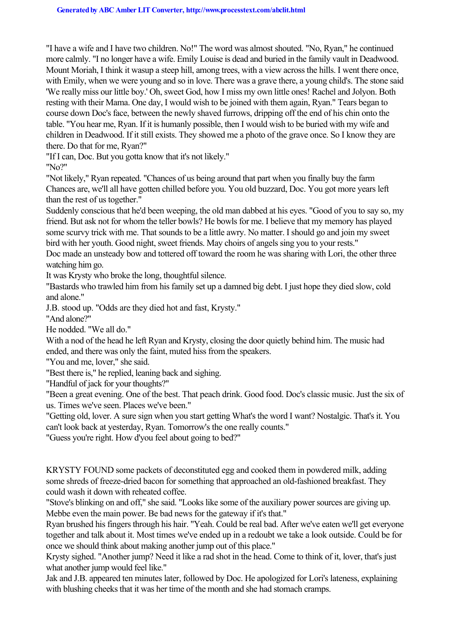"I have a wife and I have two children. No!" The word was almost shouted. "No, Ryan," he continued more calmly. "I no longer have a wife. Emily Louise is dead and buried in the family vault in Deadwood. Mount Moriah, I think it wasup a steep hill, among trees, with a view across the hills. I went there once, with Emily, when we were young and so in love. There was a grave there, a young child's. The stone said 'We really miss our little boy.' Oh, sweet God, how I miss my own little ones! Rachel and Jolyon. Both resting with their Mama. One day, I would wish to be joined with them again, Ryan." Tears began to course down Doc's face, between the newly shaved furrows, dripping off the end of his chin onto the table. "You hear me, Ryan. If it is humanly possible, then I would wish to be buried with my wife and children in Deadwood. If it still exists. They showed me a photo of the grave once. So I know they are there. Do that for me, Ryan?"

"If I can, Doc. But you gotta know that it's not likely."

"No?"

"Not likely," Ryan repeated. "Chances of us being around that part when you finally buy the farm Chances are, we'll all have gotten chilled before you. You old buzzard, Doc. You got more years left than the rest of us together."

Suddenly conscious that he'd been weeping, the old man dabbed at his eyes. "Good of you to say so, my friend. But ask not for whom the teller bowls? He bowls for me. I believe that my memory has played some scurvy trick with me. That sounds to be a little awry. No matter. I should go and join my sweet bird with her youth. Good night, sweet friends. May choirs of angels sing you to your rests."

Doc made an unsteady bow and tottered off toward the room he was sharing with Lori, the other three watching him go.

It was Krysty who broke the long, thoughtful silence.

"Bastards who trawled him from his family set up a damned big debt. I just hope they died slow, cold and alone."

J.B. stood up. "Odds are they died hot and fast, Krysty."

"And alone?"

He nodded "We all do"

With a nod of the head he left Ryan and Krysty, closing the door quietly behind him. The music had ended, and there was only the faint, muted hiss from the speakers.

"You and me, lover," she said.

"Best there is," he replied, leaning back and sighing.

"Handful of jack for your thoughts?"

"Been a great evening. One of the best. That peach drink. Good food. Doc's classic music. Just the six of us. Times we've seen. Places we've been."

"Getting old, lover. A sure sign when you start getting What's the word I want? Nostalgic. That's it. You can't look back at yesterday, Ryan. Tomorrow's the one really counts."

"Guess you're right. How d'you feel about going to bed?"

KRYSTY FOUND some packets of deconstituted egg and cooked them in powdered milk, adding some shreds of freeze-dried bacon for something that approached an old-fashioned breakfast. They could wash it down with reheated coffee.

"Stove's blinking on and off," she said. "Looks like some of the auxiliary power sources are giving up. Mebbe even the main power. Be bad news for the gateway if it's that."

Ryan brushed his fingers through his hair. "Yeah. Could be real bad. After we've eaten we'll get everyone together and talk about it. Most times we've ended up in a redoubt we take a look outside. Could be for once we should think about making another jump out of this place."

Krysty sighed. "Another jump? Need it like a rad shot in the head. Come to think of it, lover, that's just what another jump would feel like."

Jak and J.B. appeared ten minutes later, followed by Doc. He apologized for Lori's lateness, explaining with blushing cheeks that it was her time of the month and she had stomach cramps.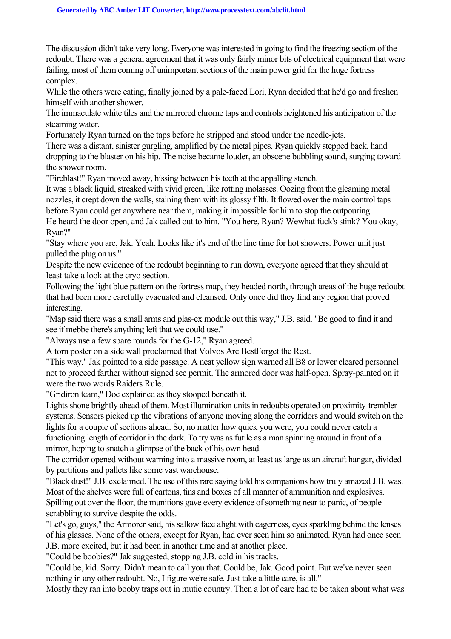The discussion didn't take very long. Everyone was interested in going to find the freezing section of the redoubt. There was a general agreement that it was only fairly minor bits of electrical equipment that were failing, most of them coming off unimportant sections of the main power grid for the huge fortress complex.

While the others were eating, finally joined by a pale-faced Lori, Ryan decided that he'd go and freshen himself with another shower.

The immaculate white tiles and the mirrored chrome taps and controls heightened his anticipation of the steaming water.

Fortunately Ryan turned on the taps before he stripped and stood under the needle-jets.

There was a distant, sinister gurgling, amplified by the metal pipes. Ryan quickly stepped back, hand dropping to the blaster on his hip. The noise became louder, an obscene bubbling sound, surging toward the shower room.

"Fireblast!" Ryan moved away, hissing between his teeth at the appalling stench.

It was a black liquid, streaked with vivid green, like rotting molasses. Oozing from the gleaming metal nozzles, it crept down the walls, staining them with its glossy filth. It flowed over the main control taps before Ryan could get anywhere near them, making it impossible for him to stop the outpouring. He heard the door open, and Jak called out to him. "You here, Ryan? Wewhat fuck's stink? You okay, Ryan?"

"Stay where you are, Jak. Yeah. Looks like it's end of the line time for hot showers. Power unit just pulled the plug on us."

Despite the new evidence of the redoubt beginning to run down, everyone agreed that they should at least take a look at the cryo section.

Following the light blue pattern on the fortress map, they headed north, through areas of the huge redoubt that had been more carefully evacuated and cleansed. Only once did they find any region that proved interesting.

"Map said there was a small arms and plas-ex module out this way," J.B. said. "Be good to find it and see if mebbe there's anything left that we could use."

"Always use a few spare rounds for the G-12," Ryan agreed.

A torn poster on a side wall proclaimed that Volvos Are BestForget the Rest.

"This way." Jak pointed to a side passage. A neat yellow sign warned all B8 or lower cleared personnel not to proceed farther without signed sec permit. The armored door was half-open. Spray-painted on it were the two words Raiders Rule.

"Gridiron team," Doc explained as they stooped beneath it.

Lights shone brightly ahead of them. Most illumination units in redoubts operated on proximity-trembler systems. Sensors picked up the vibrations of anyone moving along the corridors and would switch on the lights for a couple of sections ahead. So, no matter how quick you were, you could never catch a functioning length of corridor in the dark. To try was as futile as a man spinning around in front of a mirror, hoping to snatch a glimpse of the back of his own head.

The corridor opened without warning into a massive room, at least as large as an aircraft hangar, divided by partitions and pallets like some vast warehouse.

"Black dust!" J.B. exclaimed. The use of this rare saying told his companions how truly amazed J.B. was. Most of the shelves were full of cartons, tins and boxes of all manner of ammunition and explosives. Spilling out over the floor, the munitions gave every evidence of something near to panic, of people scrabbling to survive despite the odds.

"Let's go, guys," the Armorer said, his sallow face alight with eagerness, eyes sparkling behind the lenses of his glasses. None of the others, except for Ryan, had ever seen him so animated. Ryan had once seen J.B. more excited, but it had been in another time and at another place.

"Could be boobies?" Jak suggested, stopping J.B. cold in his tracks.

"Could be, kid. Sorry. Didn't mean to call you that. Could be, Jak. Good point. But we've never seen nothing in any other redoubt. No, I figure we're safe. Just take a little care, is all."

Mostly they ran into booby traps out in mutie country. Then a lot of care had to be taken about what was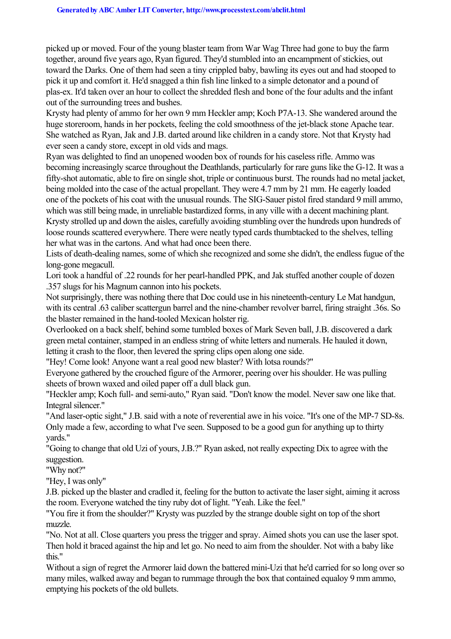picked up or moved. Four of the young blaster team from War Wag Three had gone to buy the farm together, around five years ago, Ryan figured. They'd stumbled into an encampment of stickies, out toward the Darks. One of them had seen a tiny crippled baby, bawling its eyes out and had stooped to pick it up and comfort it. He'd snagged a thin fish line linked to a simple detonator and a pound of plas-ex. It'd taken over an hour to collect the shredded flesh and bone of the four adults and the infant out of the surrounding trees and bushes.

Krysty had plenty of ammo for her own 9 mm Heckler amp; Koch P7A-13. She wandered around the huge storeroom, hands in her pockets, feeling the cold smoothness of the jet-black stone Apache tear. She watched as Ryan, Jak and J.B. darted around like children in a candy store. Not that Krysty had ever seen a candy store, except in old vids and mags.

Ryan was delighted to find an unopened wooden box of rounds for his caseless rifle. Ammo was becoming increasingly scarce throughout the Deathlands, particularly for rare guns like the G-12. It was a fifty-shot automatic, able to fire on single shot, triple or continuous burst. The rounds had no metal jacket, being molded into the case of the actual propellant. They were 4.7 mm by 21 mm. He eagerly loaded one of the pockets of his coat with the unusual rounds. The SIG-Sauer pistol fired standard 9 mill ammo, which was still being made, in unreliable bastardized forms, in any ville with a decent machining plant. Krysty strolled up and down the aisles, carefully avoiding stumbling over the hundreds upon hundreds of loose rounds scattered everywhere. There were neatly typed cards thumbtacked to the shelves, telling her what was in the cartons. And what had once been there.

Lists of death-dealing names, some of which she recognized and some she didn't, the endless fugue of the long-gone megacull.

Lori took a handful of .22 rounds for her pearl-handled PPK, and Jak stuffed another couple of dozen .357 slugs for his Magnum cannon into his pockets.

Not surprisingly, there was nothing there that Doc could use in his nineteenth-century Le Mat handgun, with its central .63 caliber scattergun barrel and the nine-chamber revolver barrel, firing straight .36s. So the blaster remained in the hand-tooled Mexican holster rig.

Overlooked on a back shelf, behind some tumbled boxes of Mark Seven ball, J.B. discovered a dark green metal container, stamped in an endless string of white letters and numerals. He hauled it down, letting it crash to the floor, then levered the spring clips open along one side.

"Hey! Come look! Anyone want a real good new blaster? With lotsa rounds?"

Everyone gathered by the crouched figure of the Armorer, peering over his shoulder. He was pulling sheets of brown waxed and oiled paper off a dull black gun.

"Heckler amp; Koch full- and semi-auto," Ryan said. "Don't know the model. Never saw one like that. Integral silencer."

"And laser-optic sight," J.B. said with a note of reverential awe in his voice. "It's one of the MP-7 SD-8s. Only made a few, according to what I've seen. Supposed to be a good gun for anything up to thirty yards."

"Going to change that old Uzi of yours, J.B.?" Ryan asked, not really expecting Dix to agree with the suggestion.

"Why not?"

"Hey, I was only"

J.B. picked up the blaster and cradled it, feeling for the button to activate the laser sight, aiming it across the room. Everyone watched the tiny ruby dot of light. "Yeah. Like the feel."

"You fire it from the shoulder?" Krysty was puzzled by the strange double sight on top of the short muzzle.

"No. Not at all. Close quarters you press the trigger and spray. Aimed shots you can use the laser spot. Then hold it braced against the hip and let go. No need to aim from the shoulder. Not with a baby like this."

Without a sign of regret the Armorer laid down the battered mini-Uzi that he'd carried for so long over so many miles, walked away and began to rummage through the box that contained equaloy 9 mm ammo, emptying his pockets of the old bullets.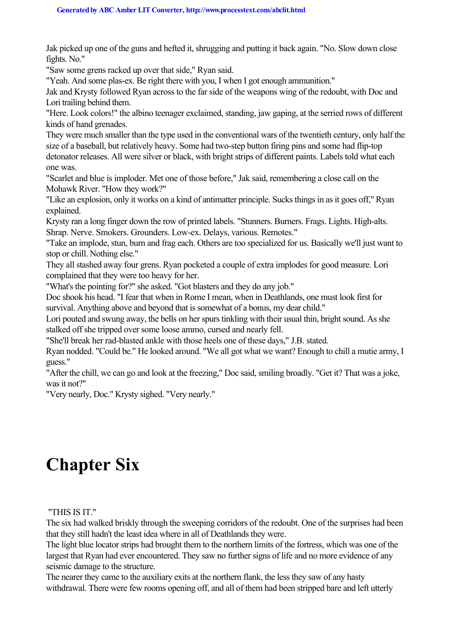Jak picked up one of the guns and hefted it, shrugging and putting it back again. "No. Slow down close fights. No."

"Saw some grens racked up over that side," Ryan said.

"Yeah. And some plas-ex. Be right there with you, I when I got enough ammunition."

Jak and Krysty followed Ryan across to the far side of the weapons wing of the redoubt, with Doc and Lori trailing behind them.

"Here. Look colors!" the albino teenager exclaimed, standing, jaw gaping, at the serried rows of different kinds of hand grenades.

They were much smaller than the type used in the conventional wars of the twentieth century, only half the size of a baseball, but relatively heavy. Some had two-step button firing pins and some had flip-top detonator releases. All were silver or black, with bright strips of different paints. Labels told what each one was.

"Scarlet and blue is imploder. Met one of those before," Jak said, remembering a close call on the Mohawk River. "How they work?"

"Like an explosion, only it works on a kind of antimatter principle. Sucks things in as it goes off," Ryan explained.

Krysty ran a long finger down the row of printed labels. "Stunners. Burners. Frags. Lights. High-alts. Shrap. Nerve. Smokers. Grounders. Low-ex. Delays, various. Remotes."

"Take an implode, stun, burn and frag each. Others are too specialized for us. Basically we'll just want to stop or chill. Nothing else."

They all stashed away four grens. Ryan pocketed a couple of extra implodes for good measure. Lori complained that they were too heavy for her.

"What's the pointing for?" she asked. "Got blasters and they do any job."

Doc shook his head. "I fear that when in Rome I mean, when in Deathlands, one must look first for survival. Anything above and beyond that is somewhat of a bonus, my dear child."

Lori pouted and swung away, the bells on her spurs tinkling with their usual thin, bright sound. As she stalked off she tripped over some loose ammo, cursed and nearly fell.

"She'll break her rad-blasted ankle with those heels one of these days," J.B. stated.

Ryan nodded. "Could be." He looked around. "We all got what we want? Enough to chill a mutie army, I guess."

"After the chill, we can go and look at the freezing," Doc said, smiling broadly. "Get it? That was a joke, was it not?"

"Very nearly, Doc." Krysty sighed. "Very nearly."

# **Chapter Six**

"THIS IS IT."

The six had walked briskly through the sweeping corridors of the redoubt. One of the surprises had been that they still hadn't the least idea where in all of Deathlands they were.

The light blue locator strips had brought them to the northern limits of the fortress, which was one of the largest that Ryan had ever encountered. They saw no further signs of life and no more evidence of any seismic damage to the structure.

The nearer they came to the auxiliary exits at the northern flank, the less they saw of any hasty withdrawal. There were few rooms opening off, and all of them had been stripped bare and left utterly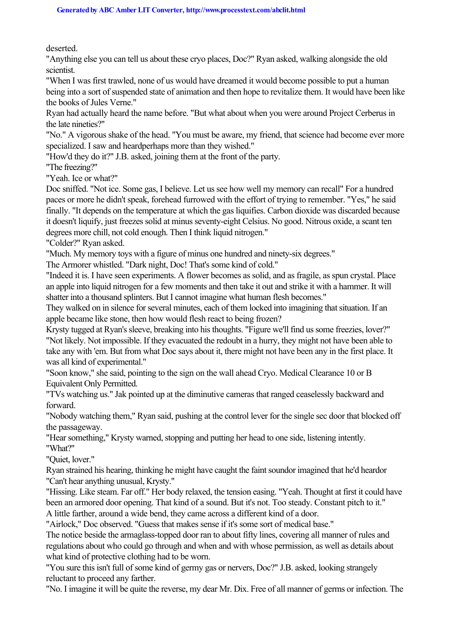deserted.

"Anything else you can tell us about these cryo places, Doc?" Ryan asked, walking alongside the old scientist.

"When I was first trawled, none of us would have dreamed it would become possible to put a human being into a sort of suspended state of animation and then hope to revitalize them. It would have been like the books of Jules Verne."

Ryan had actually heard the name before. "But what about when you were around Project Cerberus in the late nineties?"

"No." A vigorous shake of the head. "You must be aware, my friend, that science had become ever more specialized. I saw and heardperhaps more than they wished."

"How'd they do it?" J.B. asked, joining them at the front of the party.

"The freezing?"

"Yeah. Ice or what?"

Doc sniffed. "Not ice. Some gas, I believe. Let us see how well my memory can recall" For a hundred paces or more he didn't speak, forehead furrowed with the effort of trying to remember. "Yes," he said finally. "It depends on the temperature at which the gas liquifies. Carbon dioxide was discarded because it doesn't liquify, just freezes solid at minus seventy-eight Celsius. No good. Nitrous oxide, a scant ten degrees more chill, not cold enough. Then I think liquid nitrogen."

"Colder?" Ryan asked.

"Much. My memory toys with a figure of minus one hundred and ninety-six degrees."

The Armorer whistled. "Dark night, Doc! That's some kind of cold."

"Indeed it is. I have seen experiments. A flower becomes as solid, and as fragile, as spun crystal. Place an apple into liquid nitrogen for a few moments and then take it out and strike it with a hammer. It will shatter into a thousand splinters. But I cannot imagine what human flesh becomes."

They walked on in silence for several minutes, each of them locked into imagining that situation. If an apple became like stone, then how would flesh react to being frozen?

Krysty tugged at Ryan's sleeve, breaking into his thoughts. "Figure we'll find us some freezies, lover?" "Not likely. Not impossible. If they evacuated the redoubt in a hurry, they might not have been able to take any with 'em. But from what Doc says about it, there might not have been any in the first place. It was all kind of experimental."

"Soon know," she said, pointing to the sign on the wall ahead Cryo. Medical Clearance 10 or B Equivalent Only Permitted.

"TVs watching us." Jak pointed up at the diminutive cameras that ranged ceaselessly backward and forward.

"Nobody watching them," Ryan said, pushing at the control lever for the single sec door that blocked off the passageway.

"Hear something," Krysty warned, stopping and putting her head to one side, listening intently. "What?"

"Quiet, lover."

Ryan strained his hearing, thinking he might have caught the faint soundor imagined that he'd heardor "Can't hear anything unusual, Krysty."

"Hissing. Like steam. Far off." Her body relaxed, the tension easing. "Yeah. Thought at first it could have been an armored door opening. That kind of a sound. But it's not. Too steady. Constant pitch to it." A little farther, around a wide bend, they came across a different kind of a door.

"Airlock," Doc observed. "Guess that makes sense if it's some sort of medical base."

The notice beside the armaglass-topped door ran to about fifty lines, covering all manner of rules and regulations about who could go through and when and with whose permission, as well as details about what kind of protective clothing had to be worn.

"You sure this isn't full of some kind of germy gas or nervers, Doc?" J.B. asked, looking strangely reluctant to proceed any farther.

"No. I imagine it will be quite the reverse, my dear Mr. Dix. Free of all manner of germs or infection. The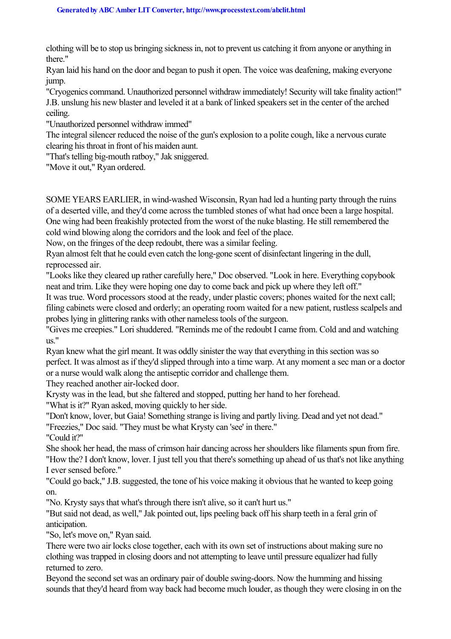clothing will be to stop us bringing sickness in, not to prevent us catching it from anyone or anything in there."

Ryan laid his hand on the door and began to push it open. The voice was deafening, making everyone jump.

"Cryogenics command. Unauthorized personnel withdraw immediately! Security will take finality action!" J.B. unslung his new blaster and leveled it at a bank of linked speakers set in the center of the arched ceiling.

"Unauthorized personnel withdraw immed"

The integral silencer reduced the noise of the gun's explosion to a polite cough, like a nervous curate clearing his throat in front of his maiden aunt.

"That's telling big-mouth ratboy," Jak sniggered.

"Move it out," Ryan ordered.

SOME YEARS EARLIER, in wind-washed Wisconsin, Ryan had led a hunting party through the ruins of a deserted ville, and they'd come across the tumbled stones of what had once been a large hospital. One wing had been freakishly protected from the worst of the nuke blasting. He still remembered the cold wind blowing along the corridors and the look and feel of the place.

Now, on the fringes of the deep redoubt, there was a similar feeling.

Ryan almost felt that he could even catch the long-gone scent of disinfectant lingering in the dull, reprocessed air.

"Looks like they cleared up rather carefully here," Doc observed. "Look in here. Everything copybook neat and trim. Like they were hoping one day to come back and pick up where they left off."

It was true. Word processors stood at the ready, under plastic covers; phones waited for the next call; filing cabinets were closed and orderly; an operating room waited for a new patient, rustless scalpels and probes lying in glittering ranks with other nameless tools of the surgeon.

"Gives me creepies." Lori shuddered. "Reminds me of the redoubt I came from. Cold and and watching us."

Ryan knew what the girl meant. It was oddly sinister the way that everything in this section was so perfect. It was almost as if they'd slipped through into a time warp. At any moment a sec man or a doctor or a nurse would walk along the antiseptic corridor and challenge them.

They reached another air-locked door.

Krysty was in the lead, but she faltered and stopped, putting her hand to her forehead.

"What is it?" Ryan asked, moving quickly to her side.

"Don't know, lover, but Gaia! Something strange is living and partly living. Dead and yet not dead." "Freezies," Doc said. "They must be what Krysty can 'see' in there."

"Could it?"

She shook her head, the mass of crimson hair dancing across her shoulders like filaments spun from fire. "How the? I don't know, lover. I just tell you that there's something up ahead of us that's not like anything I ever sensed before."

"Could go back," J.B. suggested, the tone of his voice making it obvious that he wanted to keep going on.

"No. Krysty says that what's through there isn't alive, so it can't hurt us."

"But said not dead, as well," Jak pointed out, lips peeling back off his sharp teeth in a feral grin of anticipation.

"So, let's move on," Ryan said.

There were two air locks close together, each with its own set of instructions about making sure no clothing was trapped in closing doors and not attempting to leave until pressure equalizer had fully returned to zero.

Beyond the second set was an ordinary pair of double swing-doors. Now the humming and hissing sounds that they'd heard from way back had become much louder, as though they were closing in on the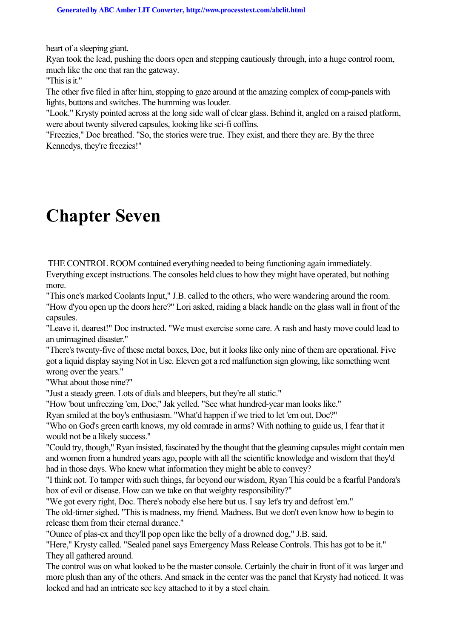heart of a sleeping giant.

Ryan took the lead, pushing the doors open and stepping cautiously through, into a huge control room, much like the one that ran the gateway.

"This is it."

The other five filed in after him, stopping to gaze around at the amazing complex of comp-panels with lights, buttons and switches. The humming was louder.

"Look." Krysty pointed across at the long side wall of clear glass. Behind it, angled on a raised platform, were about twenty silvered capsules, looking like sci-fi coffins.

"Freezies," Doc breathed. "So, the stories were true. They exist, and there they are. By the three Kennedys, they're freezies!"

# **Chapter Seven**

 THE CONTROL ROOM contained everything needed to being functioning again immediately. Everything except instructions. The consoles held clues to how they might have operated, but nothing more.

"This one's marked Coolants Input," J.B. called to the others, who were wandering around the room. "How d'you open up the doors here?" Lori asked, raiding a black handle on the glass wall in front of the capsules.

"Leave it, dearest!" Doc instructed. "We must exercise some care. A rash and hasty move could lead to an unimagined disaster."

"There's twenty-five of these metal boxes, Doc, but it looks like only nine of them are operational. Five got a liquid display saying Not in Use. Eleven got a red malfunction sign glowing, like something went wrong over the years."

"What about those nine?"

"Just a steady green. Lots of dials and bleepers, but they're all static."

"How 'bout unfreezing 'em, Doc," Jak yelled. "See what hundred-year man looks like."

Ryan smiled at the boy's enthusiasm. "What'd happen if we tried to let 'em out, Doc?"

"Who on God's green earth knows, my old comrade in arms? With nothing to guide us, I fear that it would not be a likely success."

"Could try, though," Ryan insisted, fascinated by the thought that the gleaming capsules might contain men and women from a hundred years ago, people with all the scientific knowledge and wisdom that they'd had in those days. Who knew what information they might be able to convey?

"I think not. To tamper with such things, far beyond our wisdom, Ryan This could be a fearful Pandora's box of evil or disease. How can we take on that weighty responsibility?"

"We got every right, Doc. There's nobody else here but us. I say let's try and defrost 'em."

The old-timer sighed. "This is madness, my friend. Madness. But we don't even know how to begin to release them from their eternal durance."

"Ounce of plas-ex and they'll pop open like the belly of a drowned dog," J.B. said.

"Here," Krysty called. "Sealed panel says Emergency Mass Release Controls. This has got to be it." They all gathered around.

The control was on what looked to be the master console. Certainly the chair in front of it was larger and more plush than any of the others. And smack in the center was the panel that Krysty had noticed. It was locked and had an intricate sec key attached to it by a steel chain.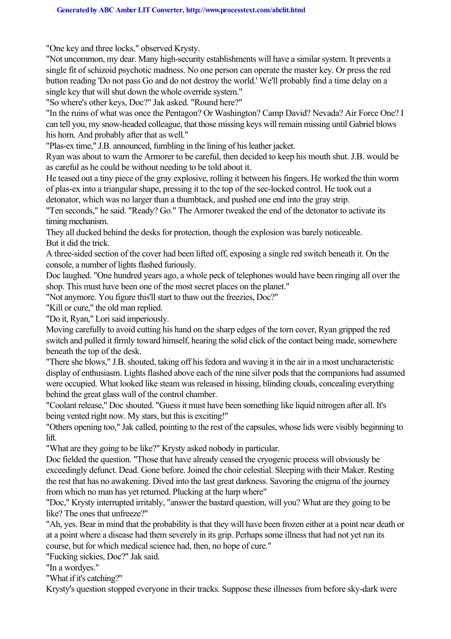"One key and three locks," observed Krysty.

"Not uncommon, my dear. Many high-security establishments will have a similar system. It prevents a single fit of schizoid psychotic madness. No one person can operate the master key. Or press the red button reading 'Do not pass Go and do not destroy the world.' We'll probably find a time delay on a single key that will shut down the whole override system."

"So where's other keys, Doc?" Jak asked. "Round here?"

"In the ruins of what was once the Pentagon? Or Washington? Camp David? Nevada? Air Force One? I can tell you, my snow-headed colleague, that those missing keys will remain missing until Gabriel blows his horn. And probably after that as well."

"Plas-ex time," J.B. announced, fumbling in the lining of his leather jacket.

Ryan was about to warn the Armorer to be careful, then decided to keep his mouth shut. J.B. would be as careful as he could be without needing to be told about it.

He teased out a tiny piece of the gray explosive, rolling it between his fingers. He worked the thin worm of plas-ex into a triangular shape, pressing it to the top of the sec-locked control. He took out a detonator, which was no larger than a thumbtack, and pushed one end into the gray strip.

"Ten seconds," he said. "Ready? Go." The Armorer tweaked the end of the detonator to activate its timing mechanism.

They all ducked behind the desks for protection, though the explosion was barely noticeable. But it did the trick.

A three-sided section of the cover had been lifted off, exposing a single red switch beneath it. On the console, a number of lights flashed furiously.

Doc laughed. "One hundred years ago, a whole peck of telephones would have been ringing all over the shop. This must have been one of the most secret places on the planet."

"Not anymore. You figure this'll start to thaw out the freezies, Doc?"

"Kill or cure," the old man replied.

"Do it, Ryan," Lori said imperiously.

Moving carefully to avoid cutting his hand on the sharp edges of the torn cover, Ryan gripped the red switch and pulled it firmly toward himself, hearing the solid click of the contact being made, somewhere beneath the top of the desk.

"There she blows," J.B. shouted, taking off his fedora and waving it in the air in a most uncharacteristic display of enthusiasm. Lights flashed above each of the nine silver pods that the companions had assumed were occupied. What looked like steam was released in hissing, blinding clouds, concealing everything behind the great glass wall of the control chamber.

"Coolant release," Doc shouted. "Guess it must have been something like liquid nitrogen after all. It's being vented right now. My stars, but this is exciting!"

"Others opening too," Jak called, pointing to the rest of the capsules, whose lids were visibly beginning to lift.

"What are they going to be like?" Krysty asked nobody in particular.

Doc fielded the question. "Those that have already ceased the cryogenic process will obviously be exceedingly defunct. Dead. Gone before. Joined the choir celestial. Sleeping with their Maker. Resting the rest that has no awakening. Dived into the last great darkness. Savoring the enigma of the journey from which no man has yet returned. Plucking at the harp where"

"Doc," Krysty interrupted irritably, "answer the bastard question, will you? What are they going to be like? The ones that unfreeze?"

"Ah, yes. Bear in mind that the probability is that they will have been frozen either at a point near death or at a point where a disease had them severely in its grip. Perhaps some illness that had not yet run its course, but for which medical science had, then, no hope of cure."

"Fucking sickies, Doc?" Jak said.

"In a wordyes."

"What if it's catching?"

Krysty's question stopped everyone in their tracks. Suppose these illnesses from before sky-dark were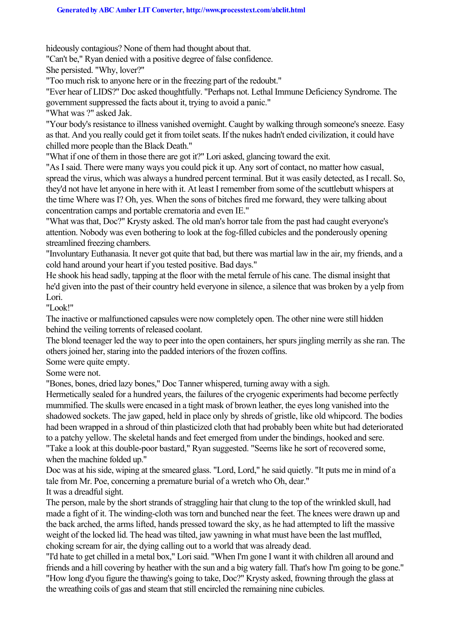hideously contagious? None of them had thought about that.

"Can't be," Ryan denied with a positive degree of false confidence.

She persisted. "Why, lover?"

"Too much risk to anyone here or in the freezing part of the redoubt."

"Ever hear of LIDS?" Doc asked thoughtfully. "Perhaps not. Lethal Immune Deficiency Syndrome. The government suppressed the facts about it, trying to avoid a panic."

"What was ?" asked Jak.

"Your body's resistance to illness vanished overnight. Caught by walking through someone's sneeze. Easy as that. And you really could get it from toilet seats. If the nukes hadn't ended civilization, it could have chilled more people than the Black Death."

"What if one of them in those there are got it?" Lori asked, glancing toward the exit.

"As I said. There were many ways you could pick it up. Any sort of contact, no matter how casual, spread the virus, which was always a hundred percent terminal. But it was easily detected, as I recall. So, they'd not have let anyone in here with it. At least I remember from some of the scuttlebutt whispers at the time Where was I? Oh, yes. When the sons of bitches fired me forward, they were talking about concentration camps and portable crematoria and even IE."

"What was that, Doc?" Krysty asked. The old man's horror tale from the past had caught everyone's attention. Nobody was even bothering to look at the fog-filled cubicles and the ponderously opening streamlined freezing chambers.

"Involuntary Euthanasia. It never got quite that bad, but there was martial law in the air, my friends, and a cold hand around your heart if you tested positive. Bad days."

He shook his head sadly, tapping at the floor with the metal ferrule of his cane. The dismal insight that he'd given into the past of their country held everyone in silence, a silence that was broken by a yelp from Lori<sup>.</sup>

"Look!"

The inactive or malfunctioned capsules were now completely open. The other nine were still hidden behind the veiling torrents of released coolant.

The blond teenager led the way to peer into the open containers, her spurs jingling merrily as she ran. The others joined her, staring into the padded interiors of the frozen coffins.

Some were quite empty.

Some were not.

"Bones, bones, dried lazy bones," Doc Tanner whispered, turning away with a sigh.

Hermetically sealed for a hundred years, the failures of the cryogenic experiments had become perfectly mummified. The skulls were encased in a tight mask of brown leather, the eyes long vanished into the shadowed sockets. The jaw gaped, held in place only by shreds of gristle, like old whipcord. The bodies had been wrapped in a shroud of thin plasticized cloth that had probably been white but had deteriorated to a patchy yellow. The skeletal hands and feet emerged from under the bindings, hooked and sere. "Take a look at this double-poor bastard," Ryan suggested. "Seems like he sort of recovered some, when the machine folded up."

Doc was at his side, wiping at the smeared glass. "Lord, Lord," he said quietly. "It puts me in mind of a tale from Mr. Poe, concerning a premature burial of a wretch who Oh, dear." It was a dreadful sight.

The person, male by the short strands of straggling hair that clung to the top of the wrinkled skull, had made a fight of it. The winding-cloth was torn and bunched near the feet. The knees were drawn up and the back arched, the arms lifted, hands pressed toward the sky, as he had attempted to lift the massive weight of the locked lid. The head was tilted, jaw yawning in what must have been the last muffled, choking scream for air, the dying calling out to a world that was already dead.

"I'd hate to get chilled in a metal box," Lori said. "When I'm gone I want it with children all around and friends and a hill covering by heather with the sun and a big watery fall. That's how I'm going to be gone." "How long d'you figure the thawing's going to take, Doc?" Krysty asked, frowning through the glass at the wreathing coils of gas and steam that still encircled the remaining nine cubicles.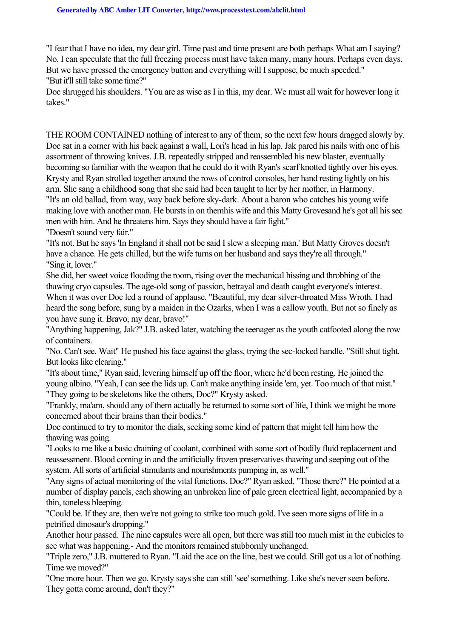#### **Generated by ABC Amber LIT Converter, <http://www.processtext.com/abclit.html>**

"I fear that I have no idea, my dear girl. Time past and time present are both perhaps What am I saying? No. I can speculate that the full freezing process must have taken many, many hours. Perhaps even days. But we have pressed the emergency button and everything will I suppose, be much speeded." "But it'll still take some time?"

Doc shrugged his shoulders. "You are as wise as I in this, my dear. We must all wait for however long it takes."

THE ROOM CONTAINED nothing of interest to any of them, so the next few hours dragged slowly by. Doc sat in a corner with his back against a wall, Lori's head in his lap. Jak pared his nails with one of his assortment of throwing knives. J.B. repeatedly stripped and reassembled his new blaster, eventually becoming so familiar with the weapon that he could do it with Ryan's scarf knotted tightly over his eyes. Krysty and Ryan strolled together around the rows of control consoles, her hand resting lightly on his arm. She sang a childhood song that she said had been taught to her by her mother, in Harmony. "It's an old ballad, from way, way back before sky-dark. About a baron who catches his young wife

making love with another man. He bursts in on themhis wife and this Matty Grovesand he's got all his sec men with him. And he threatens him. Says they should have a fair fight."

"Doesn't sound very fair."

"It's not. But he says 'In England it shall not be said I slew a sleeping man.' But Matty Groves doesn't have a chance. He gets chilled, but the wife turns on her husband and says they're all through." "Sing it, lover."

She did, her sweet voice flooding the room, rising over the mechanical hissing and throbbing of the thawing cryo capsules. The age-old song of passion, betrayal and death caught everyone's interest. When it was over Doc led a round of applause. "Beautiful, my dear silver-throated Miss Wroth. I had heard the song before, sung by a maiden in the Ozarks, when I was a callow youth. But not so finely as you have sung it. Bravo, my dear, bravo!"

"Anything happening, Jak?" J.B. asked later, watching the teenager as the youth catfooted along the row of containers.

"No. Can't see. Wait" He pushed his face against the glass, trying the sec-locked handle. "Still shut tight. But looks like clearing."

"It's about time," Ryan said, levering himself up off the floor, where he'd been resting. He joined the young albino. "Yeah, I can see the lids up. Can't make anything inside 'em, yet. Too much of that mist." "They going to be skeletons like the others, Doc?" Krysty asked.

"Frankly, ma'am, should any of them actually be returned to some sort of life, I think we might be more concerned about their brains than their bodies."

Doc continued to try to monitor the dials, seeking some kind of pattern that might tell him how the thawing was going.

"Looks to me like a basic draining of coolant, combined with some sort of bodily fluid replacement and reassessment. Blood coming in and the artificially frozen preservatives thawing and seeping out of the system. All sorts of artificial stimulants and nourishments pumping in, as well."

"Any signs of actual monitoring of the vital functions, Doc?" Ryan asked. "Those there?" He pointed at a number of display panels, each showing an unbroken line of pale green electrical light, accompanied by a thin, toneless bleeping.

"Could be. If they are, then we're not going to strike too much gold. I've seen more signs of life in a petrified dinosaur's dropping."

Another hour passed. The nine capsules were all open, but there was still too much mist in the cubicles to see what was happening.- And the monitors remained stubbornly unchanged.

"Triple zero," J.B. muttered to Ryan. "Laid the ace on the line, best we could. Still got us a lot of nothing. Time we moved?"

"One more hour. Then we go. Krysty says she can still 'see' something. Like she's never seen before. They gotta come around, don't they?"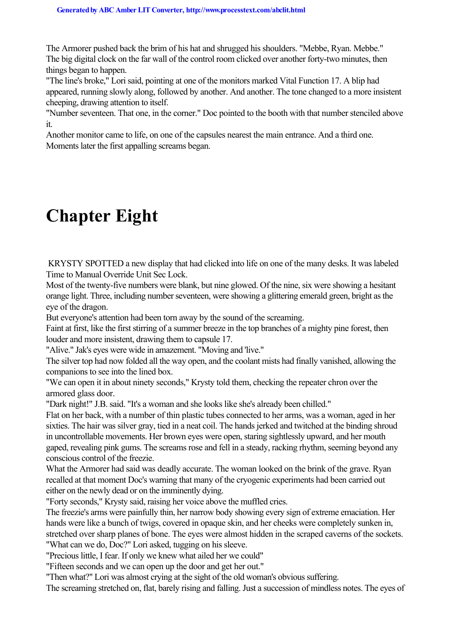The Armorer pushed back the brim of his hat and shrugged his shoulders. "Mebbe, Ryan. Mebbe." The big digital clock on the far wall of the control room clicked over another forty-two minutes, then things began to happen.

"The line's broke," Lori said, pointing at one of the monitors marked Vital Function 17. A blip had appeared, running slowly along, followed by another. And another. The tone changed to a more insistent cheeping, drawing attention to itself.

"Number seventeen. That one, in the corner." Doc pointed to the booth with that number stenciled above it.

Another monitor came to life, on one of the capsules nearest the main entrance. And a third one. Moments later the first appalling screams began.

# **Chapter Eight**

 KRYSTY SPOTTED a new display that had clicked into life on one of the many desks. It was labeled Time to Manual Override Unit Sec Lock.

Most of the twenty-five numbers were blank, but nine glowed. Of the nine, six were showing a hesitant orange light. Three, including number seventeen, were showing a glittering emerald green, bright as the eye of the dragon.

But everyone's attention had been torn away by the sound of the screaming.

Faint at first, like the first stirring of a summer breeze in the top branches of a mighty pine forest, then louder and more insistent, drawing them to capsule 17.

"Alive." Jak's eyes were wide in amazement. "Moving and 'live."

The silver top had now folded all the way open, and the coolant mists had finally vanished, allowing the companions to see into the lined box.

"We can open it in about ninety seconds," Krysty told them, checking the repeater chron over the armored glass door.

"Dark night!" J.B. said. "It's a woman and she looks like she's already been chilled."

Flat on her back, with a number of thin plastic tubes connected to her arms, was a woman, aged in her sixties. The hair was silver gray, tied in a neat coil. The hands jerked and twitched at the binding shroud in uncontrollable movements. Her brown eyes were open, staring sightlessly upward, and her mouth gaped, revealing pink gums. The screams rose and fell in a steady, racking rhythm, seeming beyond any conscious control of the freezie.

What the Armorer had said was deadly accurate. The woman looked on the brink of the grave. Ryan recalled at that moment Doc's warning that many of the cryogenic experiments had been carried out either on the newly dead or on the imminently dying.

"Forty seconds," Krysty said, raising her voice above the muffled cries.

The freezie's arms were painfully thin, her narrow body showing every sign of extreme emaciation. Her hands were like a bunch of twigs, covered in opaque skin, and her cheeks were completely sunken in, stretched over sharp planes of bone. The eyes were almost hidden in the scraped caverns of the sockets. "What can we do, Doc?" Lori asked, tugging on his sleeve.

"Precious little, I fear. If only we knew what ailed her we could"

"Fifteen seconds and we can open up the door and get her out."

"Then what?" Lori was almost crying at the sight of the old woman's obvious suffering.

The screaming stretched on, flat, barely rising and falling. Just a succession of mindless notes. The eyes of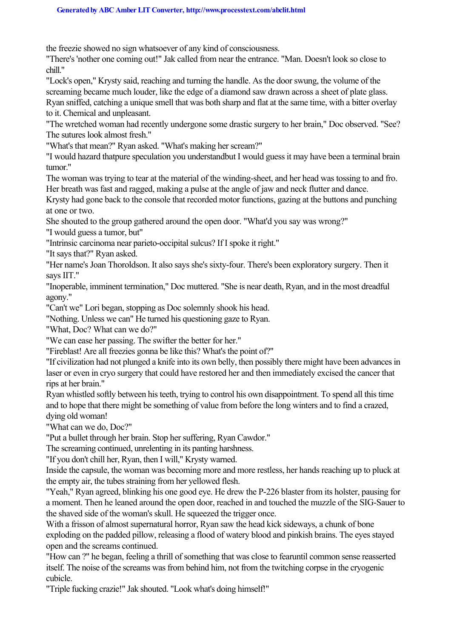the freezie showed no sign whatsoever of any kind of consciousness.

"There's 'nother one coming out!" Jak called from near the entrance. "Man. Doesn't look so close to chill"

"Lock's open," Krysty said, reaching and turning the handle. As the door swung, the volume of the screaming became much louder, like the edge of a diamond saw drawn across a sheet of plate glass. Ryan sniffed, catching a unique smell that was both sharp and flat at the same time, with a bitter overlay to it. Chemical and unpleasant.

"The wretched woman had recently undergone some drastic surgery to her brain," Doc observed. "See? The sutures look almost fresh."

"What's that mean?" Ryan asked. "What's making her scream?"

"I would hazard thatpure speculation you understandbut I would guess it may have been a terminal brain tumor"

The woman was trying to tear at the material of the winding-sheet, and her head was tossing to and fro. Her breath was fast and ragged, making a pulse at the angle of jaw and neck flutter and dance.

Krysty had gone back to the console that recorded motor functions, gazing at the buttons and punching at one or two.

She shouted to the group gathered around the open door. "What'd you say was wrong?"

"I would guess a tumor, but"

"Intrinsic carcinoma near parieto-occipital sulcus? If I spoke it right."

"It says that?" Ryan asked.

"Her name's Joan Thoroldson. It also says she's sixty-four. There's been exploratory surgery. Then it says IIT."

"Inoperable, imminent termination," Doc muttered. "She is near death, Ryan, and in the most dreadful agony."

"Can't we" Lori began, stopping as Doc solemnly shook his head.

"Nothing. Unless we can" He turned his questioning gaze to Ryan.

"What, Doc? What can we do?"

"We can ease her passing. The swifter the better for her."

"Fireblast! Are all freezies gonna be like this? What's the point of?"

"If civilization had not plunged a knife into its own belly, then possibly there might have been advances in laser or even in cryo surgery that could have restored her and then immediately excised the cancer that rips at her brain."

Ryan whistled softly between his teeth, trying to control his own disappointment. To spend all this time and to hope that there might be something of value from before the long winters and to find a crazed, dying old woman!

"What can we do, Doc?"

"Put a bullet through her brain. Stop her suffering, Ryan Cawdor."

The screaming continued, unrelenting in its panting harshness.

"If you don't chill her, Ryan, then I will," Krysty warned.

Inside the capsule, the woman was becoming more and more restless, her hands reaching up to pluck at the empty air, the tubes straining from her yellowed flesh.

"Yeah," Ryan agreed, blinking his one good eye. He drew the P-226 blaster from its holster, pausing for a moment. Then he leaned around the open door, reached in and touched the muzzle of the SIG-Sauer to the shaved side of the woman's skull. He squeezed the trigger once.

With a frisson of almost supernatural horror, Ryan saw the head kick sideways, a chunk of bone exploding on the padded pillow, releasing a flood of watery blood and pinkish brains. The eyes stayed open and the screams continued.

"How can ?" he began, feeling a thrill of something that was close to fearuntil common sense reasserted itself. The noise of the screams was from behind him, not from the twitching corpse in the cryogenic cubicle.

"Triple fucking crazie!" Jak shouted. "Look what's doing himself!"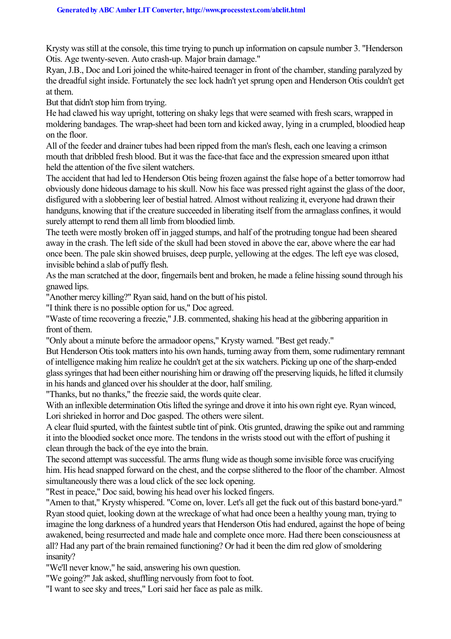Krysty was still at the console, this time trying to punch up information on capsule number 3. "Henderson Otis. Age twenty-seven. Auto crash-up. Major brain damage."

Ryan, J.B., Doc and Lori joined the white-haired teenager in front of the chamber, standing paralyzed by the dreadful sight inside. Fortunately the sec lock hadn't yet sprung open and Henderson Otis couldn't get at them.

But that didn't stop him from trying.

He had clawed his way upright, tottering on shaky legs that were seamed with fresh scars, wrapped in moldering bandages. The wrap-sheet had been torn and kicked away, lying in a crumpled, bloodied heap on the floor.

All of the feeder and drainer tubes had been ripped from the man's flesh, each one leaving a crimson mouth that dribbled fresh blood. But it was the face-that face and the expression smeared upon itthat held the attention of the five silent watchers.

The accident that had led to Henderson Otis being frozen against the false hope of a better tomorrow had obviously done hideous damage to his skull. Now his face was pressed right against the glass of the door, disfigured with a slobbering leer of bestial hatred. Almost without realizing it, everyone had drawn their handguns, knowing that if the creature succeeded in liberating itself from the armaglass confines, it would surely attempt to rend them all limb from bloodied limb.

The teeth were mostly broken off in jagged stumps, and half of the protruding tongue had been sheared away in the crash. The left side of the skull had been stoved in above the ear, above where the ear had once been. The pale skin showed bruises, deep purple, yellowing at the edges. The left eye was closed, invisible behind a slab of puffy flesh.

As the man scratched at the door, fingernails bent and broken, he made a feline hissing sound through his gnawed lips.

"Another mercy killing?" Ryan said, hand on the butt of his pistol.

"I think there is no possible option for us," Doc agreed.

"Waste of time recovering a freezie," J.B. commented, shaking his head at the gibbering apparition in front of them.

"Only about a minute before the armadoor opens," Krysty warned. "Best get ready."

But Henderson Otis took matters into his own hands, turning away from them, some rudimentary remnant of intelligence making him realize he couldn't get at the six watchers. Picking up one of the sharp-ended glass syringes that had been either nourishing him or drawing off the preserving liquids, he lifted it clumsily in his hands and glanced over his shoulder at the door, half smiling.

"Thanks, but no thanks," the freezie said, the words quite clear.

With an inflexible determination Otis lifted the syringe and drove it into his own right eye. Ryan winced, Lori shrieked in horror and Doc gasped. The others were silent.

A clear fluid spurted, with the faintest subtle tint of pink. Otis grunted, drawing the spike out and ramming it into the bloodied socket once more. The tendons in the wrists stood out with the effort of pushing it clean through the back of the eye into the brain.

The second attempt was successful. The arms flung wide as though some invisible force was crucifying him. His head snapped forward on the chest, and the corpse slithered to the floor of the chamber. Almost simultaneously there was a loud click of the sec lock opening.

"Rest in peace," Doc said, bowing his head over his locked fingers.

"Amen to that," Krysty whispered. "Come on, lover. Let's all get the fuck out of this bastard bone-yard." Ryan stood quiet, looking down at the wreckage of what had once been a healthy young man, trying to imagine the long darkness of a hundred years that Henderson Otis had endured, against the hope of being awakened, being resurrected and made hale and complete once more. Had there been consciousness at all? Had any part of the brain remained functioning? Or had it been the dim red glow of smoldering insanity?

"We'll never know," he said, answering his own question.

"We going?" Jak asked, shuffling nervously from foot to foot.

"I want to see sky and trees," Lori said her face as pale as milk.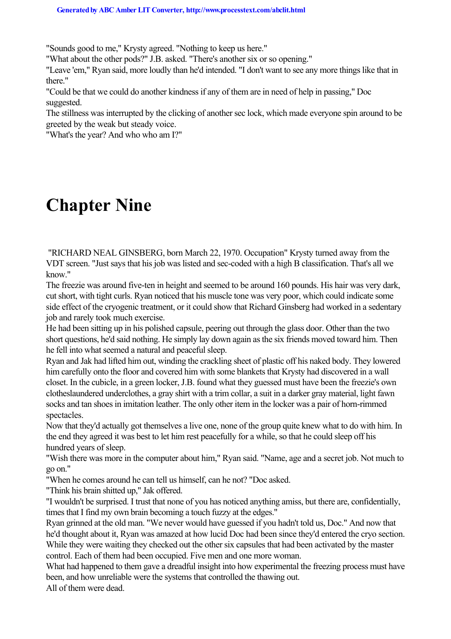#### **Generated by ABC Amber LIT Converter, <http://www.processtext.com/abclit.html>**

"Sounds good to me," Krysty agreed. "Nothing to keep us here."

"What about the other pods?" J.B. asked. "There's another six or so opening."

"Leave 'em," Ryan said, more loudly than he'd intended. "I don't want to see any more things like that in there."

"Could be that we could do another kindness if any of them are in need of help in passing," Doc suggested.

The stillness was interrupted by the clicking of another sec lock, which made everyone spin around to be greeted by the weak but steady voice.

"What's the year? And who who am I?"

#### **Chapter Nine**

 "RICHARD NEAL GINSBERG, born March 22, 1970. Occupation" Krysty turned away from the VDT screen. "Just says that his job was listed and sec-coded with a high B classification. That's all we know."

The freezie was around five-ten in height and seemed to be around 160 pounds. His hair was very dark, cut short, with tight curls. Ryan noticed that his muscle tone was very poor, which could indicate some side effect of the cryogenic treatment, or it could show that Richard Ginsberg had worked in a sedentary job and rarely took much exercise.

He had been sitting up in his polished capsule, peering out through the glass door. Other than the two short questions, he'd said nothing. He simply lay down again as the six friends moved toward him. Then he fell into what seemed a natural and peaceful sleep.

Ryan and Jak had lifted him out, winding the crackling sheet of plastic off his naked body. They lowered him carefully onto the floor and covered him with some blankets that Krysty had discovered in a wall closet. In the cubicle, in a green locker, J.B. found what they guessed must have been the freezie's own clotheslaundered underclothes, a gray shirt with a trim collar, a suit in a darker gray material, light fawn socks and tan shoes in imitation leather. The only other item in the locker was a pair of horn-rimmed spectacles.

Now that they'd actually got themselves a live one, none of the group quite knew what to do with him. In the end they agreed it was best to let him rest peacefully for a while, so that he could sleep off his hundred years of sleep.

"Wish there was more in the computer about him," Ryan said. "Name, age and a secret job. Not much to go on."

"When he comes around he can tell us himself, can he not? "Doc asked.

"Think his brain shitted up," Jak offered.

"I wouldn't be surprised. I trust that none of you has noticed anything amiss, but there are, confidentially, times that I find my own brain becoming a touch fuzzy at the edges."

Ryan grinned at the old man. "We never would have guessed if you hadn't told us, Doc." And now that he'd thought about it, Ryan was amazed at how lucid Doc had been since they'd entered the cryo section. While they were waiting they checked out the other six capsules that had been activated by the master control. Each of them had been occupied. Five men and one more woman.

What had happened to them gave a dreadful insight into how experimental the freezing process must have been, and how unreliable were the systems that controlled the thawing out. All of them were dead.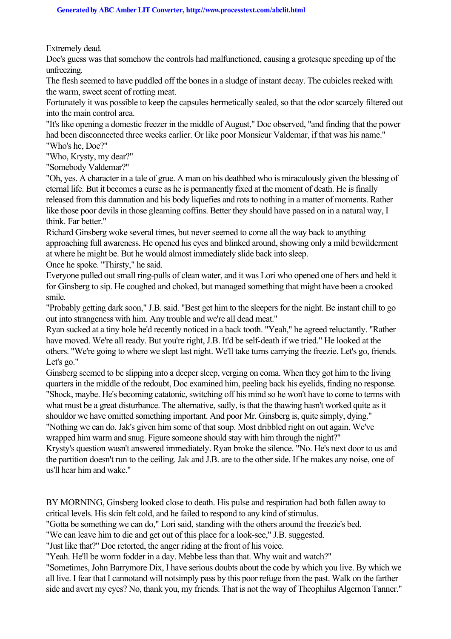Extremely dead.

Doc's guess was that somehow the controls had malfunctioned, causing a grotesque speeding up of the unfreezing.

The flesh seemed to have puddled off the bones in a sludge of instant decay. The cubicles reeked with the warm, sweet scent of rotting meat.

Fortunately it was possible to keep the capsules hermetically sealed, so that the odor scarcely filtered out into the main control area.

"It's like opening a domestic freezer in the middle of August," Doc observed, "and finding that the power had been disconnected three weeks earlier. Or like poor Monsieur Valdemar, if that was his name." "Who's he, Doc?"

"Who, Krysty, my dear?"

"Somebody Valdemar?"

"Oh, yes. A character in a tale of grue. A man on his deathbed who is miraculously given the blessing of eternal life. But it becomes a curse as he is permanently fixed at the moment of death. He is finally released from this damnation and his body liquefies and rots to nothing in a matter of moments. Rather like those poor devils in those gleaming coffins. Better they should have passed on in a natural way, I think. Far better."

Richard Ginsberg woke several times, but never seemed to come all the way back to anything approaching full awareness. He opened his eyes and blinked around, showing only a mild bewilderment at where he might be. But he would almost immediately slide back into sleep.

Once he spoke. "Thirsty," he said.

Everyone pulled out small ring-pulls of clean water, and it was Lori who opened one of hers and held it for Ginsberg to sip. He coughed and choked, but managed something that might have been a crooked smile.

"Probably getting dark soon," J.B. said. "Best get him to the sleepers for the night. Be instant chill to go out into strangeness with him. Any trouble and we're all dead meat."

Ryan sucked at a tiny hole he'd recently noticed in a back tooth. "Yeah," he agreed reluctantly. "Rather have moved. We're all ready. But you're right, J.B. It'd be self-death if we tried." He looked at the others. "We're going to where we slept last night. We'll take turns carrying the freezie. Let's go, friends. Let's go."

Ginsberg seemed to be slipping into a deeper sleep, verging on coma. When they got him to the living quarters in the middle of the redoubt, Doc examined him, peeling back his eyelids, finding no response. "Shock, maybe. He's becoming catatonic, switching off his mind so he won't have to come to terms with what must be a great disturbance. The alternative, sadly, is that the thawing hasn't worked quite as it shouldor we have omitted something important. And poor Mr. Ginsberg is, quite simply, dying."

"Nothing we can do. Jak's given him some of that soup. Most dribbled right on out again. We've wrapped him warm and snug. Figure someone should stay with him through the night?" Krysty's question wasn't answered immediately. Ryan broke the silence. "No. He's next door to us and

the partition doesn't run to the ceiling. Jak and J.B. are to the other side. If he makes any noise, one of us'll hear him and wake."

BY MORNING, Ginsberg looked close to death. His pulse and respiration had both fallen away to critical levels. His skin felt cold, and he failed to respond to any kind of stimulus.

"Gotta be something we can do," Lori said, standing with the others around the freezie's bed.

"We can leave him to die and get out of this place for a look-see," J.B. suggested.

"Just like that?" Doc retorted, the anger riding at the front of his voice.

"Yeah. He'll be worm fodder in a day. Mebbe less than that. Why wait and watch?"

"Sometimes, John Barrymore Dix, I have serious doubts about the code by which you live. By which we all live. I fear that I cannotand will notsimply pass by this poor refuge from the past. Walk on the farther side and avert my eyes? No, thank you, my friends. That is not the way of Theophilus Algernon Tanner."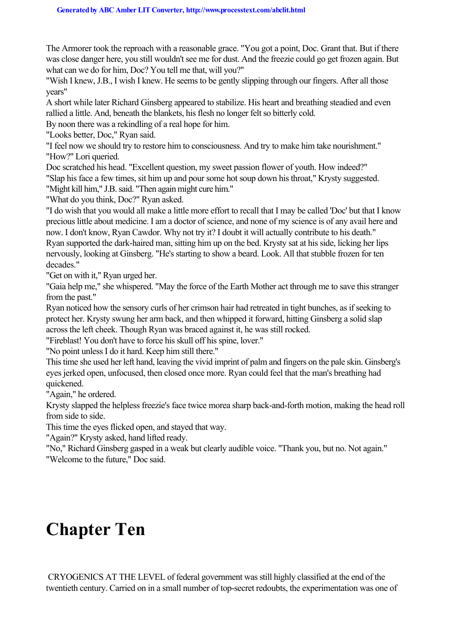The Armorer took the reproach with a reasonable grace. "You got a point, Doc. Grant that. But if there was close danger here, you still wouldn't see me for dust. And the freezie could go get frozen again. But what can we do for him, Doc? You tell me that, will you?"

"Wish I knew, J.B., I wish I knew. He seems to be gently slipping through our fingers. After all those years"

A short while later Richard Ginsberg appeared to stabilize. His heart and breathing steadied and even rallied a little. And, beneath the blankets, his flesh no longer felt so bitterly cold.

By noon there was a rekindling of a real hope for him.

"Looks better, Doc," Ryan said.

"I feel now we should try to restore him to consciousness. And try to make him take nourishment." "How?" Lori queried.

Doc scratched his head. "Excellent question, my sweet passion flower of youth. How indeed?" "Slap his face a few times, sit him up and pour some hot soup down his throat," Krysty suggested. "Might kill him," J.B. said. "Then again might cure him."

"What do you think, Doc?" Ryan asked.

"I do wish that you would all make a little more effort to recall that I may be called 'Doc' but that I know precious little about medicine. I am a doctor of science, and none of my science is of any avail here and now. I don't know, Ryan Cawdor. Why not try it? I doubt it will actually contribute to his death." Ryan supported the dark-haired man, sitting him up on the bed. Krysty sat at his side, licking her lips nervously, looking at Ginsberg. "He's starting to show a beard. Look. All that stubble frozen for ten decades<sup>"</sup>

"Get on with it," Ryan urged her.

"Gaia help me," she whispered. "May the force of the Earth Mother act through me to save this stranger from the past."

Ryan noticed how the sensory curls of her crimson hair had retreated in tight bunches, as if seeking to protect her. Krysty swung her arm back, and then whipped it forward, hitting Ginsberg a solid slap across the left cheek. Though Ryan was braced against it, he was still rocked.

"Fireblast! You don't have to force his skull off his spine, lover."

"No point unless I do it hard. Keep him still there."

This time she used her left hand, leaving the vivid imprint of palm and fingers on the pale skin. Ginsberg's eyes jerked open, unfocused, then closed once more. Ryan could feel that the man's breathing had quickened.

"Again," he ordered.

Krysty slapped the helpless freezie's face twice morea sharp back-and-forth motion, making the head roll from side to side.

This time the eyes flicked open, and stayed that way.

"Again?" Krysty asked, hand lifted ready.

"No," Richard Ginsberg gasped in a weak but clearly audible voice. "Thank you, but no. Not again." "Welcome to the future," Doc said.

# **Chapter Ten**

 CRYOGENICS AT THE LEVEL of federal government was still highly classified at the end of the twentieth century. Carried on in a small number of top-secret redoubts, the experimentation was one of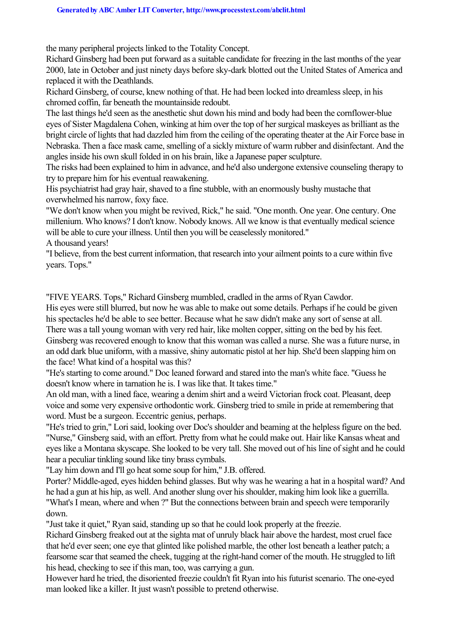the many peripheral projects linked to the Totality Concept.

Richard Ginsberg had been put forward as a suitable candidate for freezing in the last months of the year 2000, late in October and just ninety days before sky-dark blotted out the United States of America and replaced it with the Deathlands.

Richard Ginsberg, of course, knew nothing of that. He had been locked into dreamless sleep, in his chromed coffin, far beneath the mountainside redoubt.

The last things he'd seen as the anesthetic shut down his mind and body had been the cornflower-blue eyes of Sister Magdalena Cohen, winking at him over the top of her surgical maskeyes as brilliant as the bright circle of lights that had dazzled him from the ceiling of the operating theater at the Air Force base in Nebraska. Then a face mask came, smelling of a sickly mixture of warm rubber and disinfectant. And the angles inside his own skull folded in on his brain, like a Japanese paper sculpture.

The risks had been explained to him in advance, and he'd also undergone extensive counseling therapy to try to prepare him for his eventual reawakening.

His psychiatrist had gray hair, shaved to a fine stubble, with an enormously bushy mustache that overwhelmed his narrow, foxy face.

"We don't know when you might be revived, Rick," he said. "One month. One year. One century. One millenium. Who knows? I don't know. Nobody knows. All we know is that eventually medical science will be able to cure your illness. Until then you will be ceaselessly monitored."

A thousand years!

"I believe, from the best current information, that research into your ailment points to a cure within five years. Tops."

"FIVE YEARS. Tops," Richard Ginsberg mumbled, cradled in the arms of Ryan Cawdor.

His eyes were still blurred, but now he was able to make out some details. Perhaps if he could be given his spectacles he'd be able to see better. Because what he saw didn't make any sort of sense at all. There was a tall young woman with very red hair, like molten copper, sitting on the bed by his feet. Ginsberg was recovered enough to know that this woman was called a nurse. She was a future nurse, in an odd dark blue uniform, with a massive, shiny automatic pistol at her hip. She'd been slapping him on the face! What kind of a hospital was this?

"He's starting to come around." Doc leaned forward and stared into the man's white face. "Guess he doesn't know where in tarnation he is. I was like that. It takes time."

An old man, with a lined face, wearing a denim shirt and a weird Victorian frock coat. Pleasant, deep voice and some very expensive orthodontic work. Ginsberg tried to smile in pride at remembering that word. Must be a surgeon. Eccentric genius, perhaps.

"He's tried to grin," Lori said, looking over Doc's shoulder and beaming at the helpless figure on the bed. "Nurse," Ginsberg said, with an effort. Pretty from what he could make out. Hair like Kansas wheat and eyes like a Montana skyscape. She looked to be very tall. She moved out of his line of sight and he could hear a peculiar tinkling sound like tiny brass cymbals.

"Lay him down and I'll go heat some soup for him," J.B. offered.

Porter? Middle-aged, eyes hidden behind glasses. But why was he wearing a hat in a hospital ward? And he had a gun at his hip, as well. And another slung over his shoulder, making him look like a guerrilla. "What's I mean, where and when ?" But the connections between brain and speech were temporarily down.

"Just take it quiet," Ryan said, standing up so that he could look properly at the freezie.

Richard Ginsberg freaked out at the sighta mat of unruly black hair above the hardest, most cruel face that he'd ever seen; one eye that glinted like polished marble, the other lost beneath a leather patch; a fearsome scar that seamed the cheek, tugging at the right-hand corner of the mouth. He struggled to lift his head, checking to see if this man, too, was carrying a gun.

However hard he tried, the disoriented freezie couldn't fit Ryan into his futurist scenario. The one-eyed man looked like a killer. It just wasn't possible to pretend otherwise.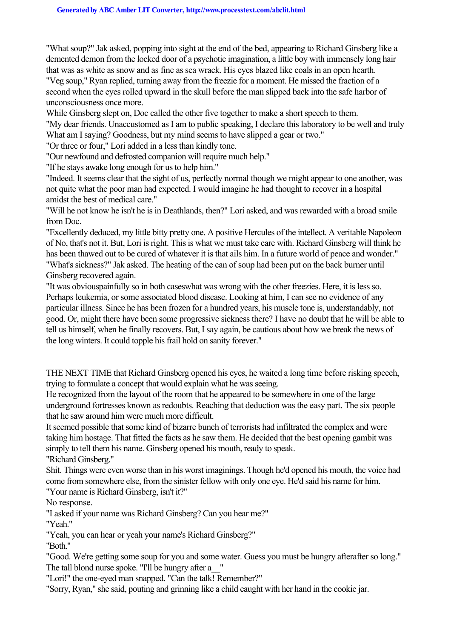"What soup?" Jak asked, popping into sight at the end of the bed, appearing to Richard Ginsberg like a demented demon from the locked door of a psychotic imagination, a little boy with immensely long hair that was as white as snow and as fine as sea wrack. His eyes blazed like coals in an open hearth.

"Veg soup," Ryan replied, turning away from the freezie for a moment. He missed the fraction of a second when the eyes rolled upward in the skull before the man slipped back into the safe harbor of unconsciousness once more.

While Ginsberg slept on, Doc called the other five together to make a short speech to them.

"My dear friends. Unaccustomed as I am to public speaking, I declare this laboratory to be well and truly What am I saying? Goodness, but my mind seems to have slipped a gear or two."

"Or three or four," Lori added in a less than kindly tone.

"Our newfound and defrosted companion will require much help."

"If he stays awake long enough for us to help him."

"Indeed. It seems clear that the sight of us, perfectly normal though we might appear to one another, was not quite what the poor man had expected. I would imagine he had thought to recover in a hospital amidst the best of medical care."

"Will he not know he isn't he is in Deathlands, then?" Lori asked, and was rewarded with a broad smile from Doc.

"Excellently deduced, my little bitty pretty one. A positive Hercules of the intellect. A veritable Napoleon of No, that's not it. But, Lori is right. This is what we must take care with. Richard Ginsberg will think he has been thawed out to be cured of whatever it is that ails him. In a future world of peace and wonder." "What's sickness?" Jak asked. The heating of the can of soup had been put on the back burner until Ginsberg recovered again.

"It was obviouspainfully so in both caseswhat was wrong with the other freezies. Here, it is less so. Perhaps leukemia, or some associated blood disease. Looking at him, I can see no evidence of any particular illness. Since he has been frozen for a hundred years, his muscle tone is, understandably, not good. Or, might there have been some progressive sickness there? I have no doubt that he will be able to tell us himself, when he finally recovers. But, I say again, be cautious about how we break the news of the long winters. It could topple his frail hold on sanity forever."

THE NEXT TIME that Richard Ginsberg opened his eyes, he waited a long time before risking speech, trying to formulate a concept that would explain what he was seeing.

He recognized from the layout of the room that he appeared to be somewhere in one of the large underground fortresses known as redoubts. Reaching that deduction was the easy part. The six people that he saw around him were much more difficult.

It seemed possible that some kind of bizarre bunch of terrorists had infiltrated the complex and were taking him hostage. That fitted the facts as he saw them. He decided that the best opening gambit was simply to tell them his name. Ginsberg opened his mouth, ready to speak.

"Richard Ginsberg."

Shit. Things were even worse than in his worst imaginings. Though he'd opened his mouth, the voice had come from somewhere else, from the sinister fellow with only one eye. He'd said his name for him. "Your name is Richard Ginsberg, isn't it?"

No response.

"I asked if your name was Richard Ginsberg? Can you hear me?"

"Yeah."

"Yeah, you can hear or yeah your name's Richard Ginsberg?"

"Both."

"Good. We're getting some soup for you and some water. Guess you must be hungry afterafter so long." The tall blond nurse spoke. "I'll be hungry after a  $\Box$ "

"Lori!" the one-eyed man snapped. "Can the talk! Remember?"

"Sorry, Ryan," she said, pouting and grinning like a child caught with her hand in the cookie jar.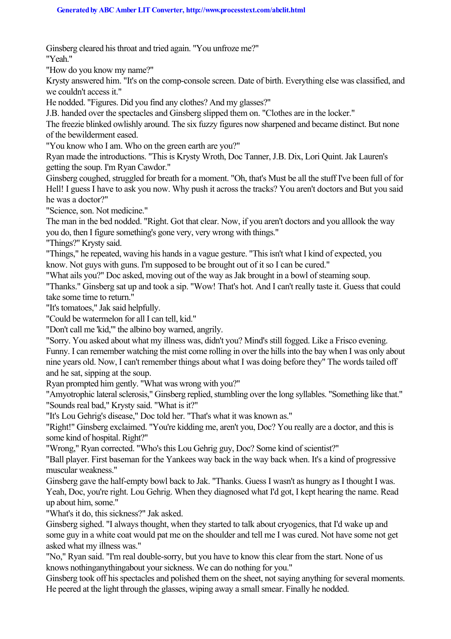Ginsberg cleared his throat and tried again. "You unfroze me?"

"Yeah."

"How do you know my name?"

Krysty answered him. "It's on the comp-console screen. Date of birth. Everything else was classified, and we couldn't access it."

He nodded. "Figures. Did you find any clothes? And my glasses?"

J.B. handed over the spectacles and Ginsberg slipped them on. "Clothes are in the locker."

The freezie blinked owlishly around. The six fuzzy figures now sharpened and became distinct. But none of the bewilderment eased.

"You know who I am. Who on the green earth are you?"

Ryan made the introductions. "This is Krysty Wroth, Doc Tanner, J.B. Dix, Lori Quint. Jak Lauren's getting the soup. I'm Ryan Cawdor."

Ginsberg coughed, struggled for breath for a moment. "Oh, that's Must be all the stuff I've been full of for Hell! I guess I have to ask you now. Why push it across the tracks? You aren't doctors and But you said he was a doctor?"

"Science, son. Not medicine."

The man in the bed nodded. "Right. Got that clear. Now, if you aren't doctors and you alllook the way you do, then I figure something's gone very, very wrong with things."

"Things?" Krysty said.

"Things," he repeated, waving his hands in a vague gesture. "This isn't what I kind of expected, you know. Not guys with guns. I'm supposed to be brought out of it so I can be cured."

"What ails you?" Doc asked, moving out of the way as Jak brought in a bowl of steaming soup.

"Thanks." Ginsberg sat up and took a sip. "Wow! That's hot. And I can't really taste it. Guess that could take some time to return."

"It's tomatoes," Jak said helpfully.

"Could be watermelon for all I can tell, kid."

"Don't call me 'kid,'" the albino boy warned, angrily.

"Sorry. You asked about what my illness was, didn't you? Mind's still fogged. Like a Frisco evening. Funny. I can remember watching the mist come rolling in over the hills into the bay when I was only about nine years old. Now, I can't remember things about what I was doing before they" The words tailed off and he sat, sipping at the soup.

Ryan prompted him gently. "What was wrong with you?"

"Amyotrophic lateral sclerosis," Ginsberg replied, stumbling over the long syllables. "Something like that." "Sounds real bad," Krysty said. "What is it?"

"It's Lou Gehrig's disease," Doc told her. "That's what it was known as."

"Right!" Ginsberg exclaimed. "You're kidding me, aren't you, Doc? You really are a doctor, and this is some kind of hospital. Right?"

"Wrong," Ryan corrected. "Who's this Lou Gehrig guy, Doc? Some kind of scientist?"

"Ball player. First baseman for the Yankees way back in the way back when. It's a kind of progressive muscular weakness."

Ginsberg gave the half-empty bowl back to Jak. "Thanks. Guess I wasn't as hungry as I thought I was. Yeah, Doc, you're right. Lou Gehrig. When they diagnosed what I'd got, I kept hearing the name. Read up about him, some."

"What's it do, this sickness?" Jak asked.

Ginsberg sighed. "I always thought, when they started to talk about cryogenics, that I'd wake up and some guy in a white coat would pat me on the shoulder and tell me I was cured. Not have some not get asked what my illness was."

"No," Ryan said. "I'm real double-sorry, but you have to know this clear from the start. None of us knows nothinganythingabout your sickness. We can do nothing for you."

Ginsberg took off his spectacles and polished them on the sheet, not saying anything for several moments. He peered at the light through the glasses, wiping away a small smear. Finally he nodded.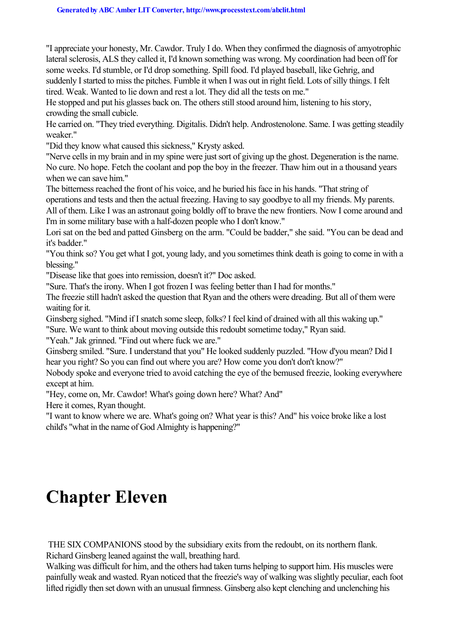"I appreciate your honesty, Mr. Cawdor. Truly I do. When they confirmed the diagnosis of amyotrophic lateral sclerosis, ALS they called it, I'd known something was wrong. My coordination had been off for some weeks. I'd stumble, or I'd drop something. Spill food. I'd played baseball, like Gehrig, and suddenly I started to miss the pitches. Fumble it when I was out in right field. Lots of silly things. I felt tired. Weak. Wanted to lie down and rest a lot. They did all the tests on me."

He stopped and put his glasses back on. The others still stood around him, listening to his story, crowding the small cubicle.

He carried on. "They tried everything. Digitalis. Didn't help. Androstenolone. Same. I was getting steadily weaker."

"Did they know what caused this sickness," Krysty asked.

"Nerve cells in my brain and in my spine were just sort of giving up the ghost. Degeneration is the name. No cure. No hope. Fetch the coolant and pop the boy in the freezer. Thaw him out in a thousand years when we can save him."

The bitterness reached the front of his voice, and he buried his face in his hands. "That string of

operations and tests and then the actual freezing. Having to say goodbye to all my friends. My parents. All of them. Like I was an astronaut going boldly off to brave the new frontiers. Now I come around and

I'm in some military base with a half-dozen people who I don't know."

Lori sat on the bed and patted Ginsberg on the arm. "Could be badder," she said. "You can be dead and it's badder."

"You think so? You get what I got, young lady, and you sometimes think death is going to come in with a blessing."

"Disease like that goes into remission, doesn't it?" Doc asked.

"Sure. That's the irony. When I got frozen I was feeling better than I had for months."

The freezie still hadn't asked the question that Ryan and the others were dreading. But all of them were waiting for it.

Ginsberg sighed. "Mind if I snatch some sleep, folks? I feel kind of drained with all this waking up."

"Sure. We want to think about moving outside this redoubt sometime today," Ryan said.

"Yeah." Jak grinned. "Find out where fuck we are."

Ginsberg smiled. "Sure. I understand that you" He looked suddenly puzzled. "How d'you mean? Did I hear you right? So you can find out where you are? How come you don't don't know?"

Nobody spoke and everyone tried to avoid catching the eye of the bemused freezie, looking everywhere except at him.

"Hey, come on, Mr. Cawdor! What's going down here? What? And"

Here it comes, Ryan thought.

"I want to know where we are. What's going on? What year is this? And" his voice broke like a lost child's "what in the name of God Almighty is happening?"

#### **Chapter Eleven**

 THE SIX COMPANIONS stood by the subsidiary exits from the redoubt, on its northern flank. Richard Ginsberg leaned against the wall, breathing hard.

Walking was difficult for him, and the others had taken turns helping to support him. His muscles were painfully weak and wasted. Ryan noticed that the freezie's way of walking was slightly peculiar, each foot lifted rigidly then set down with an unusual firmness. Ginsberg also kept clenching and unclenching his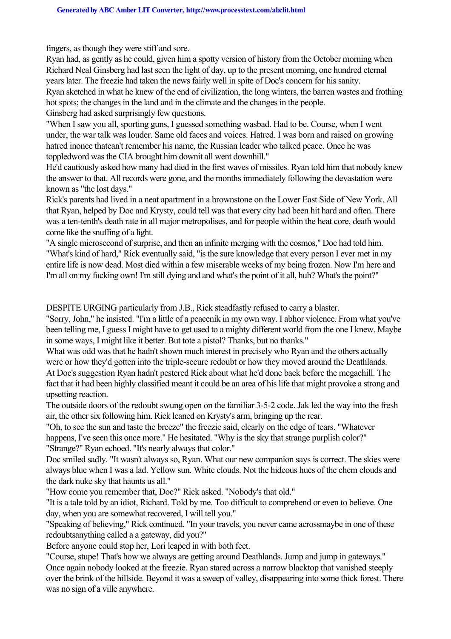fingers, as though they were stiff and sore.

Ryan had, as gently as he could, given him a spotty version of history from the October morning when Richard Neal Ginsberg had last seen the light of day, up to the present morning, one hundred eternal years later. The freezie had taken the news fairly well in spite of Doc's concern for his sanity. Ryan sketched in what he knew of the end of civilization, the long winters, the barren wastes and frothing hot spots; the changes in the land and in the climate and the changes in the people. Ginsberg had asked surprisingly few questions.

"When I saw you all, sporting guns, I guessed something wasbad. Had to be. Course, when I went under, the war talk was louder. Same old faces and voices. Hatred. I was born and raised on growing hatred inonce thatcan't remember his name, the Russian leader who talked peace. Once he was toppledword was the CIA brought him downit all went downhill."

He'd cautiously asked how many had died in the first waves of missiles. Ryan told him that nobody knew the answer to that. All records were gone, and the months immediately following the devastation were known as "the lost days."

Rick's parents had lived in a neat apartment in a brownstone on the Lower East Side of New York. All that Ryan, helped by Doc and Krysty, could tell was that every city had been hit hard and often. There was a ten-tenth's death rate in all major metropolises, and for people within the heat core, death would come like the snuffing of a light.

"A single microsecond of surprise, and then an infinite merging with the cosmos," Doc had told him. "What's kind of hard," Rick eventually said, "is the sure knowledge that every person I ever met in my entire life is now dead. Most died within a few miserable weeks of my being frozen. Now I'm here and I'm all on my fucking own! I'm still dying and and what's the point of it all, huh? What's the point?"

DESPITE URGING particularly from J.B., Rick steadfastly refused to carry a blaster.

"Sorry, John," he insisted. "I'm a little of a peacenik in my own way. I abhor violence. From what you've been telling me, I guess I might have to get used to a mighty different world from the one I knew. Maybe in some ways, I might like it better. But tote a pistol? Thanks, but no thanks."

What was odd was that he hadn't shown much interest in precisely who Ryan and the others actually were or how they'd gotten into the triple-secure redoubt or how they moved around the Deathlands. At Doc's suggestion Ryan hadn't pestered Rick about what he'd done back before the megachill. The

fact that it had been highly classified meant it could be an area of his life that might provoke a strong and upsetting reaction.

The outside doors of the redoubt swung open on the familiar 3-5-2 code. Jak led the way into the fresh air, the other six following him. Rick leaned on Krysty's arm, bringing up the rear.

"Oh, to see the sun and taste the breeze" the freezie said, clearly on the edge of tears. "Whatever happens, I've seen this once more." He hesitated. "Why is the sky that strange purplish color?" "Strange?" Ryan echoed. "It's nearly always that color."

Doc smiled sadly. "It wasn't always so, Ryan. What our new companion says is correct. The skies were always blue when I was a lad. Yellow sun. White clouds. Not the hideous hues of the chem clouds and the dark nuke sky that haunts us all."

"How come you remember that, Doc?" Rick asked. "Nobody's that old."

"It is a tale told by an idiot, Richard. Told by me. Too difficult to comprehend or even to believe. One day, when you are somewhat recovered, I will tell you."

"Speaking of believing," Rick continued. "In your travels, you never came acrossmaybe in one of these redoubtsanything called a a gateway, did you?"

Before anyone could stop her, Lori leaped in with both feet.

"Course, stupe! That's how we always are getting around Deathlands. Jump and jump in gateways." Once again nobody looked at the freezie. Ryan stared across a narrow blacktop that vanished steeply over the brink of the hillside. Beyond it was a sweep of valley, disappearing into some thick forest. There was no sign of a ville anywhere.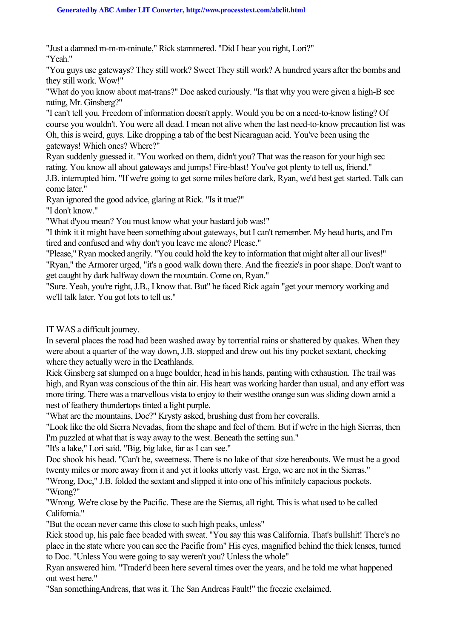"Just a damned m-m-m-minute," Rick stammered. "Did I hear you right, Lori?" "Yeah."

"You guys use gateways? They still work? Sweet They still work? A hundred years after the bombs and they still work. Wow!"

"What do you know about mat-trans?" Doc asked curiously. "Is that why you were given a high-B sec rating, Mr. Ginsberg?"

"I can't tell you. Freedom of information doesn't apply. Would you be on a need-to-know listing? Of course you wouldn't. You were all dead. I mean not alive when the last need-to-know precaution list was Oh, this is weird, guys. Like dropping a tab of the best Nicaraguan acid. You've been using the gateways! Which ones? Where?"

Ryan suddenly guessed it. "You worked on them, didn't you? That was the reason for your high sec rating. You know all about gateways and jumps! Fire-blast! You've got plenty to tell us, friend."

J.B. interrupted him. "If we're going to get some miles before dark, Ryan, we'd best get started. Talk can come later."

Ryan ignored the good advice, glaring at Rick. "Is it true?"

"I don't know."

"What d'you mean? You must know what your bastard job was!"

"I think it it might have been something about gateways, but I can't remember. My head hurts, and I'm tired and confused and why don't you leave me alone? Please."

"Please," Ryan mocked angrily. "You could hold the key to information that might alter all our lives!" "Ryan," the Armorer urged, "it's a good walk down there. And the freezie's in poor shape. Don't want to get caught by dark halfway down the mountain. Come on, Ryan."

"Sure. Yeah, you're right, J.B., I know that. But" he faced Rick again "get your memory working and we'll talk later. You got lots to tell us."

IT WAS a difficult journey.

In several places the road had been washed away by torrential rains or shattered by quakes. When they were about a quarter of the way down, J.B. stopped and drew out his tiny pocket sextant, checking where they actually were in the Deathlands.

Rick Ginsberg sat slumped on a huge boulder, head in his hands, panting with exhaustion. The trail was high, and Ryan was conscious of the thin air. His heart was working harder than usual, and any effort was more tiring. There was a marvellous vista to enjoy to their westthe orange sun was sliding down amid a nest of feathery thundertops tinted a light purple.

"What are the mountains, Doc?" Krysty asked, brushing dust from her coveralls.

"Look like the old Sierra Nevadas, from the shape and feel of them. But if we're in the high Sierras, then I'm puzzled at what that is way away to the west. Beneath the setting sun."

"It's a lake," Lori said. "Big, big lake, far as I can see."

Doc shook his head. "Can't be, sweetness. There is no lake of that size hereabouts. We must be a good twenty miles or more away from it and yet it looks utterly vast. Ergo, we are not in the Sierras."

"Wrong, Doc," J.B. folded the sextant and slipped it into one of his infinitely capacious pockets. "Wrong?"

"Wrong. We're close by the Pacific. These are the Sierras, all right. This is what used to be called California."

"But the ocean never came this close to such high peaks, unless"

Rick stood up, his pale face beaded with sweat. "You say this was California. That's bullshit! There's no place in the state where you can see the Pacific from" His eyes, magnified behind the thick lenses, turned to Doc. "Unless You were going to say weren't you? Unless the whole"

Ryan answered him. "Trader'd been here several times over the years, and he told me what happened out west here."

"San somethingAndreas, that was it. The San Andreas Fault!" the freezie exclaimed.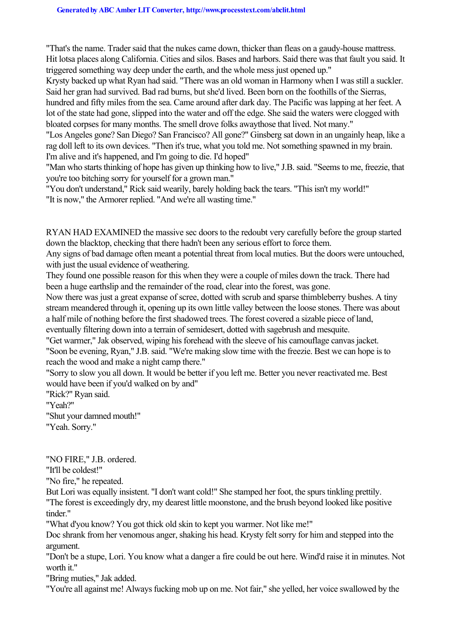"That's the name. Trader said that the nukes came down, thicker than fleas on a gaudy-house mattress. Hit lotsa places along California. Cities and silos. Bases and harbors. Said there was that fault you said. It triggered something way deep under the earth, and the whole mess just opened up."

Krysty backed up what Ryan had said. "There was an old woman in Harmony when I was still a suckler. Said her gran had survived. Bad rad burns, but she'd lived. Been born on the foothills of the Sierras,

hundred and fifty miles from the sea. Came around after dark day. The Pacific was lapping at her feet. A lot of the state had gone, slipped into the water and off the edge. She said the waters were clogged with bloated corpses for many months. The smell drove folks awaythose that lived. Not many."

"Los Angeles gone? San Diego? San Francisco? All gone?" Ginsberg sat down in an ungainly heap, like a rag doll left to its own devices. "Then it's true, what you told me. Not something spawned in my brain. I'm alive and it's happened, and I'm going to die. I'd hoped"

"Man who starts thinking of hope has given up thinking how to live," J.B. said. "Seems to me, freezie, that you're too bitching sorry for yourself for a grown man."

"You don't understand," Rick said wearily, barely holding back the tears. "This isn't my world!" "It is now," the Armorer replied. "And we're all wasting time."

RYAN HAD EXAMINED the massive sec doors to the redoubt very carefully before the group started down the blacktop, checking that there hadn't been any serious effort to force them.

Any signs of bad damage often meant a potential threat from local muties. But the doors were untouched, with just the usual evidence of weathering.

They found one possible reason for this when they were a couple of miles down the track. There had been a huge earthslip and the remainder of the road, clear into the forest, was gone.

Now there was just a great expanse of scree, dotted with scrub and sparse thimbleberry bushes. A tiny stream meandered through it, opening up its own little valley between the loose stones. There was about a half mile of nothing before the first shadowed trees. The forest covered a sizable piece of land, eventually filtering down into a terrain of semidesert, dotted with sagebrush and mesquite.

"Get warmer," Jak observed, wiping his forehead with the sleeve of his camouflage canvas jacket. "Soon be evening, Ryan," J.B. said. "We're making slow time with the freezie. Best we can hope is to reach the wood and make a night camp there."

"Sorry to slow you all down. It would be better if you left me. Better you never reactivated me. Best would have been if you'd walked on by and"

"Rick?" Ryan said.

"Yeah?"

"Shut your damned mouth!"

"Yeah. Sorry."

"NO FIRE," J.B. ordered.

"It'll be coldest!"

"No fire," he repeated.

But Lori was equally insistent. "I don't want cold!" She stamped her foot, the spurs tinkling prettily. "The forest is exceedingly dry, my dearest little moonstone, and the brush beyond looked like positive tinder."

"What d'you know? You got thick old skin to kept you warmer. Not like me!"

Doc shrank from her venomous anger, shaking his head. Krysty felt sorry for him and stepped into the argument.

"Don't be a stupe, Lori. You know what a danger a fire could be out here. Wind'd raise it in minutes. Not worth it."

"Bring muties," Jak added.

"You're all against me! Always fucking mob up on me. Not fair," she yelled, her voice swallowed by the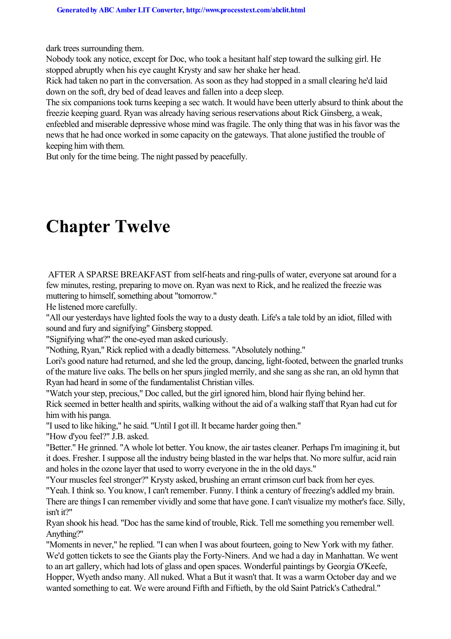dark trees surrounding them.

Nobody took any notice, except for Doc, who took a hesitant half step toward the sulking girl. He stopped abruptly when his eye caught Krysty and saw her shake her head.

Rick had taken no part in the conversation. As soon as they had stopped in a small clearing he'd laid down on the soft, dry bed of dead leaves and fallen into a deep sleep.

The six companions took turns keeping a sec watch. It would have been utterly absurd to think about the freezie keeping guard. Ryan was already having serious reservations about Rick Ginsberg, a weak, enfeebled and miserable depressive whose mind was fragile. The only thing that was in his favor was the news that he had once worked in some capacity on the gateways. That alone justified the trouble of keeping him with them.

But only for the time being. The night passed by peacefully.

## **Chapter Twelve**

 AFTER A SPARSE BREAKFAST from self-heats and ring-pulls of water, everyone sat around for a few minutes, resting, preparing to move on. Ryan was next to Rick, and he realized the freezie was muttering to himself, something about "tomorrow."

He listened more carefully.

"All our yesterdays have lighted fools the way to a dusty death. Life's a tale told by an idiot, filled with sound and fury and signifying" Ginsberg stopped.

"Signifying what?" the one-eyed man asked curiously.

"Nothing, Ryan," Rick replied with a deadly bitterness. "Absolutely nothing."

Lori's good nature had returned, and she led the group, dancing, light-footed, between the gnarled trunks of the mature live oaks. The bells on her spurs jingled merrily, and she sang as she ran, an old hymn that Ryan had heard in some of the fundamentalist Christian villes.

"Watch your step, precious," Doc called, but the girl ignored him, blond hair flying behind her. Rick seemed in better health and spirits, walking without the aid of a walking staff that Ryan had cut for him with his panga.

"I used to like hiking," he said. "Until I got ill. It became harder going then."

"How d'you feel?" J.B. asked.

"Better." He grinned. "A whole lot better. You know, the air tastes cleaner. Perhaps I'm imagining it, but it does. Fresher. I suppose all the industry being blasted in the war helps that. No more sulfur, acid rain and holes in the ozone layer that used to worry everyone in the in the old days."

"Your muscles feel stronger?" Krysty asked, brushing an errant crimson curl back from her eyes. "Yeah. I think so. You know, I can't remember. Funny. I think a century of freezing's addled my brain. There are things I can remember vividly and some that have gone. I can't visualize my mother's face. Silly, isn't it?"

Ryan shook his head. "Doc has the same kind of trouble, Rick. Tell me something you remember well. Anything?"

"Moments in never," he replied. "I can when I was about fourteen, going to New York with my father. We'd gotten tickets to see the Giants play the Forty-Niners. And we had a day in Manhattan. We went to an art gallery, which had lots of glass and open spaces. Wonderful paintings by Georgia O'Keefe, Hopper, Wyeth andso many. All nuked. What a But it wasn't that. It was a warm October day and we wanted something to eat. We were around Fifth and Fiftieth, by the old Saint Patrick's Cathedral."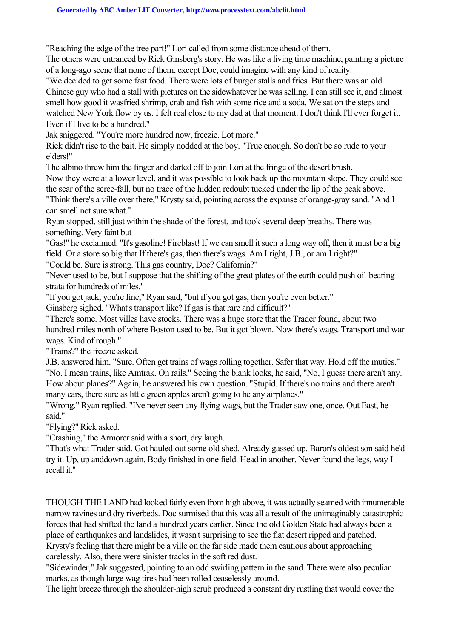"Reaching the edge of the tree part!" Lori called from some distance ahead of them.

The others were entranced by Rick Ginsberg's story. He was like a living time machine, painting a picture of a long-ago scene that none of them, except Doc, could imagine with any kind of reality.

"We decided to get some fast food. There were lots of burger stalls and fries. But there was an old Chinese guy who had a stall with pictures on the sidewhatever he was selling. I can still see it, and almost smell how good it wasfried shrimp, crab and fish with some rice and a soda. We sat on the steps and watched New York flow by us. I felt real close to my dad at that moment. I don't think I'll ever forget it. Even if I live to be a hundred."

Jak sniggered. "You're more hundred now, freezie. Lot more."

Rick didn't rise to the bait. He simply nodded at the boy. "True enough. So don't be so rude to your elders!"

The albino threw him the finger and darted off to join Lori at the fringe of the desert brush.

Now they were at a lower level, and it was possible to look back up the mountain slope. They could see the scar of the scree-fall, but no trace of the hidden redoubt tucked under the lip of the peak above.

"Think there's a ville over there," Krysty said, pointing across the expanse of orange-gray sand. "And I can smell not sure what."

Ryan stopped, still just within the shade of the forest, and took several deep breaths. There was something. Very faint but

"Gas!" he exclaimed. "It's gasoline! Fireblast! If we can smell it such a long way off, then it must be a big field. Or a store so big that If there's gas, then there's wags. Am I right, J.B., or am I right?"

"Could be. Sure is strong. This gas country, Doc? California?"

"Never used to be, but I suppose that the shifting of the great plates of the earth could push oil-bearing strata for hundreds of miles."

"If you got jack, you're fine," Ryan said, "but if you got gas, then you're even better."

Ginsberg sighed. "What's transport like? If gas is that rare and difficult?"

"There's some. Most villes have stocks. There was a huge store that the Trader found, about two hundred miles north of where Boston used to be. But it got blown. Now there's wags. Transport and war wags. Kind of rough."

"Trains?" the freezie asked.

J.B. answered him. "Sure. Often get trains of wags rolling together. Safer that way. Hold off the muties." "No. I mean trains, like Amtrak. On rails." Seeing the blank looks, he said, "No, I guess there aren't any. How about planes?" Again, he answered his own question. "Stupid. If there's no trains and there aren't many cars, there sure as little green apples aren't going to be any airplanes."

"Wrong," Ryan replied. "I've never seen any flying wags, but the Trader saw one, once. Out East, he said."

"Flying?" Rick asked.

"Crashing," the Armorer said with a short, dry laugh.

"That's what Trader said. Got hauled out some old shed. Already gassed up. Baron's oldest son said he'd try it. Up, up anddown again. Body finished in one field. Head in another. Never found the legs, way I recall it."

THOUGH THE LAND had looked fairly even from high above, it was actually seamed with innumerable narrow ravines and dry riverbeds. Doc surmised that this was all a result of the unimaginably catastrophic forces that had shifted the land a hundred years earlier. Since the old Golden State had always been a place of earthquakes and landslides, it wasn't surprising to see the flat desert ripped and patched. Krysty's feeling that there might be a ville on the far side made them cautious about approaching carelessly. Also, there were sinister tracks in the soft red dust.

"Sidewinder," Jak suggested, pointing to an odd swirling pattern in the sand. There were also peculiar marks, as though large wag tires had been rolled ceaselessly around.

The light breeze through the shoulder-high scrub produced a constant dry rustling that would cover the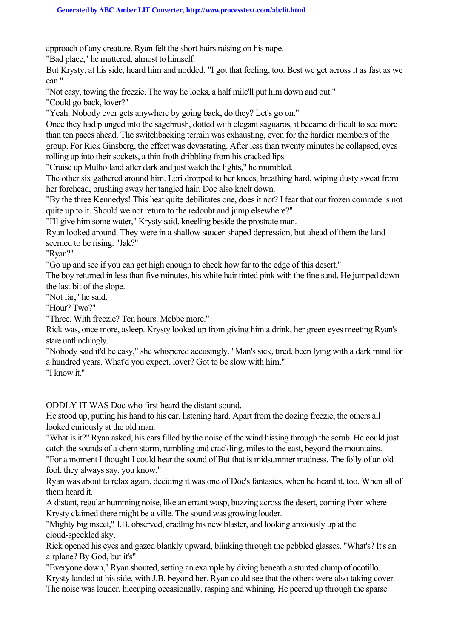approach of any creature. Ryan felt the short hairs raising on his nape.

"Bad place," he muttered, almost to himself.

But Krysty, at his side, heard him and nodded. "I got that feeling, too. Best we get across it as fast as we can."

"Not easy, towing the freezie. The way he looks, a half mile'll put him down and out."

"Could go back, lover?"

"Yeah. Nobody ever gets anywhere by going back, do they? Let's go on."

Once they had plunged into the sagebrush, dotted with elegant saguaros, it became difficult to see more than ten paces ahead. The switchbacking terrain was exhausting, even for the hardier members of the group. For Rick Ginsberg, the effect was devastating. After less than twenty minutes he collapsed, eyes rolling up into their sockets, a thin froth dribbling from his cracked lips.

"Cruise up Mulholland after dark and just watch the lights," he mumbled.

The other six gathered around him. Lori dropped to her knees, breathing hard, wiping dusty sweat from her forehead, brushing away her tangled hair. Doc also knelt down.

"By the three Kennedys! This heat quite debilitates one, does it not? I fear that our frozen comrade is not quite up to it. Should we not return to the redoubt and jump elsewhere?"

"I'll give him some water," Krysty said, kneeling beside the prostrate man.

Ryan looked around. They were in a shallow saucer-shaped depression, but ahead of them the land seemed to be rising. "Jak?"

"Ryan?"

"Go up and see if you can get high enough to check how far to the edge of this desert."

The boy returned in less than five minutes, his white hair tinted pink with the fine sand. He jumped down the last bit of the slope.

"Not far," he said.

"Hour? Two?"

"Three. With freezie? Ten hours. Mebbe more."

Rick was, once more, asleep. Krysty looked up from giving him a drink, her green eyes meeting Ryan's stare unflinchingly.

"Nobody said it'd be easy," she whispered accusingly. "Man's sick, tired, been lying with a dark mind for a hundred years. What'd you expect, lover? Got to be slow with him." "I know it."

ODDLY IT WAS Doc who first heard the distant sound.

He stood up, putting his hand to his ear, listening hard. Apart from the dozing freezie, the others all looked curiously at the old man.

"What is it?" Ryan asked, his ears filled by the noise of the wind hissing through the scrub. He could just catch the sounds of a chem storm, rumbling and crackling, miles to the east, beyond the mountains. "For a moment I thought I could hear the sound of But that is midsummer madness. The folly of an old fool, they always say, you know."

Ryan was about to relax again, deciding it was one of Doc's fantasies, when he heard it, too. When all of them heard it.

A distant, regular humming noise, like an errant wasp, buzzing across the desert, coming from where Krysty claimed there might be a ville. The sound was growing louder.

"Mighty big insect," J.B. observed, cradling his new blaster, and looking anxiously up at the cloud-speckled sky.

Rick opened his eyes and gazed blankly upward, blinking through the pebbled glasses. "What's? It's an airplane? By God, but it's"

"Everyone down," Ryan shouted, setting an example by diving beneath a stunted clump of ocotillo. Krysty landed at his side, with J.B. beyond her. Ryan could see that the others were also taking cover. The noise was louder, hiccuping occasionally, rasping and whining. He peered up through the sparse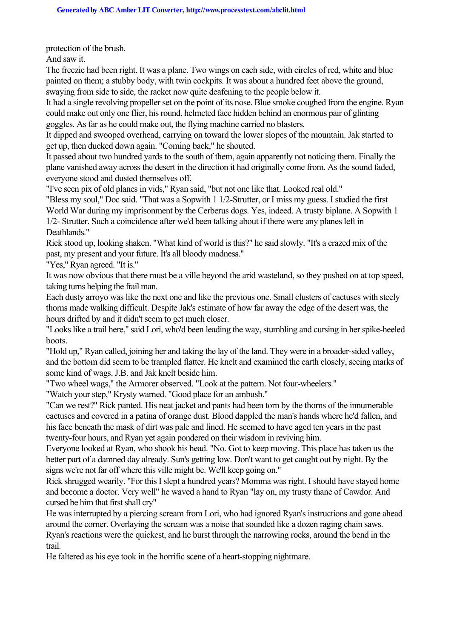protection of the brush.

And saw it.

The freezie had been right. It was a plane. Two wings on each side, with circles of red, white and blue painted on them; a stubby body, with twin cockpits. It was about a hundred feet above the ground, swaying from side to side, the racket now quite deafening to the people below it.

It had a single revolving propeller set on the point of its nose. Blue smoke coughed from the engine. Ryan could make out only one flier, his round, helmeted face hidden behind an enormous pair of glinting goggles. As far as he could make out, the flying machine carried no blasters.

It dipped and swooped overhead, carrying on toward the lower slopes of the mountain. Jak started to get up, then ducked down again. "Coming back," he shouted.

It passed about two hundred yards to the south of them, again apparently not noticing them. Finally the plane vanished away across the desert in the direction it had originally come from. As the sound faded, everyone stood and dusted themselves off.

"I've seen pix of old planes in vids," Ryan said, "but not one like that. Looked real old."

"Bless my soul," Doc said. "That was a Sopwith 1 1/2-Strutter, or I miss my guess. I studied the first World War during my imprisonment by the Cerberus dogs. Yes, indeed. A trusty biplane. A Sopwith 1 1/2- Strutter. Such a coincidence after we'd been talking about if there were any planes left in Deathlands."

Rick stood up, looking shaken. "What kind of world is this?" he said slowly. "It's a crazed mix of the past, my present and your future. It's all bloody madness."

"Yes," Ryan agreed. "It is."

It was now obvious that there must be a ville beyond the arid wasteland, so they pushed on at top speed, taking turns helping the frail man.

Each dusty arroyo was like the next one and like the previous one. Small clusters of cactuses with steely thorns made walking difficult. Despite Jak's estimate of how far away the edge of the desert was, the hours drifted by and it didn't seem to get much closer.

"Looks like a trail here," said Lori, who'd been leading the way, stumbling and cursing in her spike-heeled boots.

"Hold up," Ryan called, joining her and taking the lay of the land. They were in a broader-sided valley, and the bottom did seem to be trampled flatter. He knelt and examined the earth closely, seeing marks of some kind of wags. J.B. and Jak knelt beside him.

"Two wheel wags," the Armorer observed. "Look at the pattern. Not four-wheelers."

"Watch your step," Krysty warned. "Good place for an ambush."

"Can we rest?" Rick panted. His neat jacket and pants had been torn by the thorns of the innumerable cactuses and covered in a patina of orange dust. Blood dappled the man's hands where he'd fallen, and his face beneath the mask of dirt was pale and lined. He seemed to have aged ten years in the past twenty-four hours, and Ryan yet again pondered on their wisdom in reviving him.

Everyone looked at Ryan, who shook his head. "No. Got to keep moving. This place has taken us the better part of a damned day already. Sun's getting low. Don't want to get caught out by night. By the signs we're not far off where this ville might be. We'll keep going on."

Rick shrugged wearily. "For this I slept a hundred years? Momma was right. I should have stayed home and become a doctor. Very well" he waved a hand to Ryan "lay on, my trusty thane of Cawdor. And cursed be him that first shall cry"

He was interrupted by a piercing scream from Lori, who had ignored Ryan's instructions and gone ahead around the corner. Overlaying the scream was a noise that sounded like a dozen raging chain saws. Ryan's reactions were the quickest, and he burst through the narrowing rocks, around the bend in the trail.

He faltered as his eye took in the horrific scene of a heart-stopping nightmare.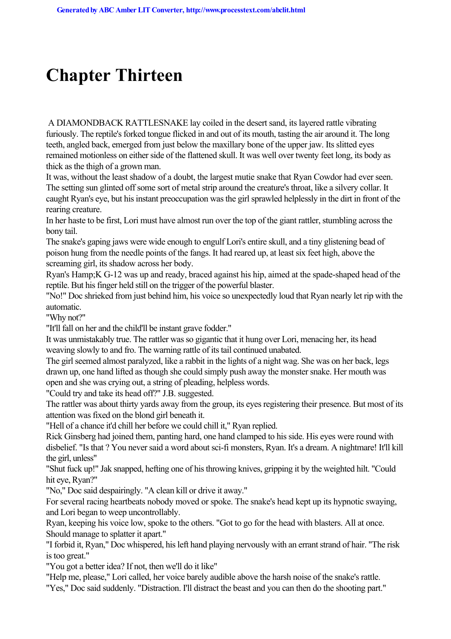## **Chapter Thirteen**

 A DIAMONDBACK RATTLESNAKE lay coiled in the desert sand, its layered rattle vibrating furiously. The reptile's forked tongue flicked in and out of its mouth, tasting the air around it. The long teeth, angled back, emerged from just below the maxillary bone of the upper jaw. Its slitted eyes remained motionless on either side of the flattened skull. It was well over twenty feet long, its body as thick as the thigh of a grown man.

It was, without the least shadow of a doubt, the largest mutie snake that Ryan Cowdor had ever seen. The setting sun glinted off some sort of metal strip around the creature's throat, like a silvery collar. It caught Ryan's eye, but his instant preoccupation was the girl sprawled helplessly in the dirt in front of the rearing creature.

In her haste to be first, Lori must have almost run over the top of the giant rattler, stumbling across the bony tail.

The snake's gaping jaws were wide enough to engulf Lori's entire skull, and a tiny glistening bead of poison hung from the needle points of the fangs. It had reared up, at least six feet high, above the screaming girl, its shadow across her body.

Ryan's Hamp;K G-12 was up and ready, braced against his hip, aimed at the spade-shaped head of the reptile. But his finger held still on the trigger of the powerful blaster.

"No!" Doc shrieked from just behind him, his voice so unexpectedly loud that Ryan nearly let rip with the automatic.

"Why not?"

"It'll fall on her and the child'll be instant grave fodder."

It was unmistakably true. The rattler was so gigantic that it hung over Lori, menacing her, its head weaving slowly to and fro. The warning rattle of its tail continued unabated.

The girl seemed almost paralyzed, like a rabbit in the lights of a night wag. She was on her back, legs drawn up, one hand lifted as though she could simply push away the monster snake. Her mouth was open and she was crying out, a string of pleading, helpless words.

"Could try and take its head off?" J.B. suggested.

The rattler was about thirty yards away from the group, its eyes registering their presence. But most of its attention was fixed on the blond girl beneath it.

"Hell of a chance it'd chill her before we could chill it," Ryan replied.

Rick Ginsberg had joined them, panting hard, one hand clamped to his side. His eyes were round with disbelief. "Is that ? You never said a word about sci-fi monsters, Ryan. It's a dream. A nightmare! It'll kill the girl, unless"

"Shut fuck up!" Jak snapped, hefting one of his throwing knives, gripping it by the weighted hilt. "Could hit eye, Ryan?"

"No," Doc said despairingly. "A clean kill or drive it away."

For several racing heartbeats nobody moved or spoke. The snake's head kept up its hypnotic swaying, and Lori began to weep uncontrollably.

Ryan, keeping his voice low, spoke to the others. "Got to go for the head with blasters. All at once. Should manage to splatter it apart."

"I forbid it, Ryan," Doc whispered, his left hand playing nervously with an errant strand of hair. "The risk is too great."

"You got a better idea? If not, then we'll do it like"

"Help me, please," Lori called, her voice barely audible above the harsh noise of the snake's rattle.

"Yes," Doc said suddenly. "Distraction. I'll distract the beast and you can then do the shooting part."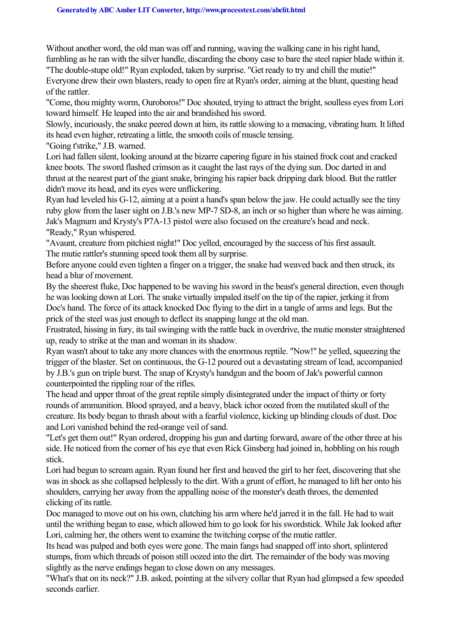Without another word, the old man was off and running, waving the walking cane in his right hand, fumbling as he ran with the silver handle, discarding the ebony case to bare the steel rapier blade within it. "The double-stupe old!" Ryan exploded, taken by surprise. "Get ready to try and chill the mutie!"

Everyone drew their own blasters, ready to open fire at Ryan's order, aiming at the blunt, questing head of the rattler.

"Come, thou mighty worm, Ouroboros!" Doc shouted, trying to attract the bright, soulless eyes from Lori toward himself. He leaped into the air and brandished his sword.

Slowly, incuriously, the snake peered down at him, its rattle slowing to a menacing, vibrating hum. It lifted its head even higher, retreating a little, the smooth coils of muscle tensing.

"Going t'strike," J.B. warned.

Lori had fallen silent, looking around at the bizarre capering figure in his stained frock coat and cracked knee boots. The sword flashed crimson as it caught the last rays of the dying sun. Doc darted in and thrust at the nearest part of the giant snake, bringing his rapier back dripping dark blood. But the rattler didn't move its head, and its eyes were unflickering.

Ryan had leveled his G-12, aiming at a point a hand's span below the jaw. He could actually see the tiny ruby glow from the laser sight on J.B.'s new MP-7 SD-8, an inch or so higher than where he was aiming. Jak's Magnum and Krysty's P7A-13 pistol were also focused on the creature's head and neck. "Ready," Ryan whispered.

"Avaunt, creature from pitchiest night!" Doc yelled, encouraged by the success of his first assault. The mutie rattler's stunning speed took them all by surprise.

Before anyone could even tighten a finger on a trigger, the snake had weaved back and then struck, its head a blur of movement.

By the sheerest fluke, Doc happened to be waving his sword in the beast's general direction, even though he was looking down at Lori. The snake virtually impaled itself on the tip of the rapier, jerking it from Doc's hand. The force of its attack knocked Doc flying to the dirt in a tangle of arms and legs. But the prick of the steel was just enough to deflect its snapping lunge at the old man.

Frustrated, hissing in fury, its tail swinging with the rattle back in overdrive, the mutie monster straightened up, ready to strike at the man and woman in its shadow.

Ryan wasn't about to take any more chances with the enormous reptile. "Now!" he yelled, squeezing the trigger of the blaster. Set on continuous, the G-12 poured out a devastating stream of lead, accompanied by J.B.'s gun on triple burst. The snap of Krysty's handgun and the boom of Jak's powerful cannon counterpointed the rippling roar of the rifles.

The head and upper throat of the great reptile simply disintegrated under the impact of thirty or forty rounds of ammunition. Blood sprayed, and a heavy, black ichor oozed from the mutilated skull of the creature. Its body began to thrash about with a fearful violence, kicking up blinding clouds of dust. Doc and Lori vanished behind the red-orange veil of sand.

"Let's get them out!" Ryan ordered, dropping his gun and darting forward, aware of the other three at his side. He noticed from the corner of his eye that even Rick Ginsberg had joined in, hobbling on his rough stick.

Lori had begun to scream again. Ryan found her first and heaved the girl to her feet, discovering that she was in shock as she collapsed helplessly to the dirt. With a grunt of effort, he managed to lift her onto his shoulders, carrying her away from the appalling noise of the monster's death throes, the demented clicking of its rattle.

Doc managed to move out on his own, clutching his arm where he'd jarred it in the fall. He had to wait until the writhing began to ease, which allowed him to go look for his swordstick. While Jak looked after Lori, calming her, the others went to examine the twitching corpse of the mutie rattler.

Its head was pulped and both eyes were gone. The main fangs had snapped off into short, splintered stumps, from which threads of poison still oozed into the dirt. The remainder of the body was moving slightly as the nerve endings began to close down on any messages.

"What's that on its neck?" J.B. asked, pointing at the silvery collar that Ryan had glimpsed a few speeded seconds earlier.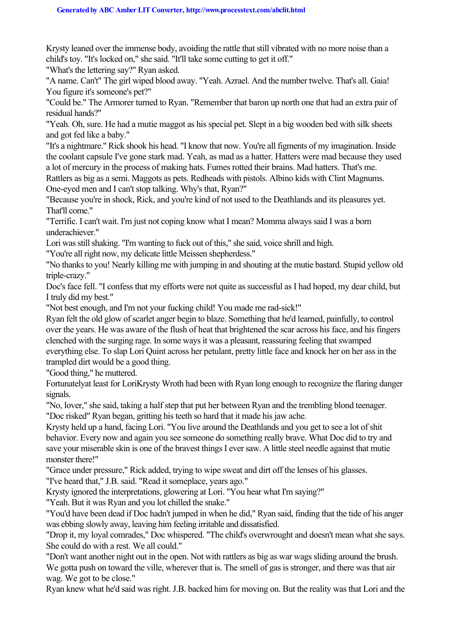Krysty leaned over the immense body, avoiding the rattle that still vibrated with no more noise than a child's toy. "It's locked on," she said. "It'll take some cutting to get it off."

"What's the lettering say?" Ryan asked.

"A name. Can't" The girl wiped blood away. "Yeah. Azrael. And the number twelve. That's all. Gaia! You figure it's someone's pet?"

"Could be." The Armorer turned to Ryan. "Remember that baron up north one that had an extra pair of residual hands?"

"Yeah. Oh, sure. He had a mutie maggot as his special pet. Slept in a big wooden bed with silk sheets and got fed like a baby."

"It's a nightmare." Rick shook his head. "I know that now. You're all figments of my imagination. Inside the coolant capsule I've gone stark mad. Yeah, as mad as a hatter. Hatters were mad because they used a lot of mercury in the process of making hats. Fumes rotted their brains. Mad hatters. That's me. Rattlers as big as a semi. Maggots as pets. Redheads with pistols. Albino kids with Clint Magnums.

One-eyed men and I can't stop talking. Why's that, Ryan?"

"Because you're in shock, Rick, and you're kind of not used to the Deathlands and its pleasures yet. That'll come."

"Terrific. I can't wait. I'm just not coping know what I mean? Momma always said I was a born underachiever."

Lori was still shaking. "I'm wanting to fuck out of this," she said, voice shrill and high.

"You're all right now, my delicate little Meissen shepherdess."

"No thanks to you! Nearly killing me with jumping in and shouting at the mutie bastard. Stupid yellow old triple-crazy."

Doc's face fell. "I confess that my efforts were not quite as successful as I had hoped, my dear child, but I truly did my best."

"Not best enough, and I'm not your fucking child! You made me rad-sick!"

Ryan felt the old glow of scarlet anger begin to blaze. Something that he'd learned, painfully, to control over the years. He was aware of the flush of heat that brightened the scar across his face, and his fingers clenched with the surging rage. In some ways it was a pleasant, reassuring feeling that swamped everything else. To slap Lori Quint across her petulant, pretty little face and knock her on her ass in the trampled dirt would be a good thing.

"Good thing," he muttered.

Fortunatelyat least for LoriKrysty Wroth had been with Ryan long enough to recognize the flaring danger signals.

"No, lover," she said, taking a half step that put her between Ryan and the trembling blond teenager. "Doc risked" Ryan began, gritting his teeth so hard that it made his jaw ache.

Krysty held up a hand, facing Lori. "You live around the Deathlands and you get to see a lot of shit behavior. Every now and again you see someone do something really brave. What Doc did to try and save your miserable skin is one of the bravest things I ever saw. A little steel needle against that mutie monster there!"

"Grace under pressure," Rick added, trying to wipe sweat and dirt off the lenses of his glasses.

"I've heard that," J.B. said. "Read it someplace, years ago."

Krysty ignored the interpretations, glowering at Lori. "You hear what I'm saying?"

"Yeah. But it was Ryan and you lot chilled the snake."

"You'd have been dead if Doc hadn't jumped in when he did," Ryan said, finding that the tide of his anger was ebbing slowly away, leaving him feeling irritable and dissatisfied.

"Drop it, my loyal comrades," Doc whispered. "The child's overwrought and doesn't mean what she says. She could do with a rest. We all could."

"Don't want another night out in the open. Not with rattlers as big as war wags sliding around the brush. We gotta push on toward the ville, wherever that is. The smell of gas is stronger, and there was that air wag. We got to be close."

Ryan knew what he'd said was right. J.B. backed him for moving on. But the reality was that Lori and the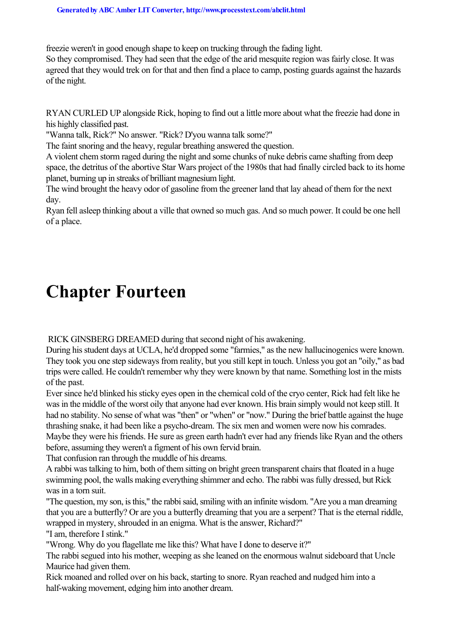freezie weren't in good enough shape to keep on trucking through the fading light.

So they compromised. They had seen that the edge of the arid mesquite region was fairly close. It was agreed that they would trek on for that and then find a place to camp, posting guards against the hazards of the night.

RYAN CURLED UP alongside Rick, hoping to find out a little more about what the freezie had done in his highly classified past.

"Wanna talk, Rick?" No answer. "Rick? D'you wanna talk some?"

The faint snoring and the heavy, regular breathing answered the question.

A violent chem storm raged during the night and some chunks of nuke debris came shafting from deep space, the detritus of the abortive Star Wars project of the 1980s that had finally circled back to its home planet, burning up in streaks of brilliant magnesium light.

The wind brought the heavy odor of gasoline from the greener land that lay ahead of them for the next day.

Ryan fell asleep thinking about a ville that owned so much gas. And so much power. It could be one hell of a place.

## **Chapter Fourteen**

RICK GINSBERG DREAMED during that second night of his awakening.

During his student days at UCLA, he'd dropped some "farmies," as the new hallucinogenics were known. They took you one step sideways from reality, but you still kept in touch. Unless you got an "oily," as bad trips were called. He couldn't remember why they were known by that name. Something lost in the mists of the past.

Ever since he'd blinked his sticky eyes open in the chemical cold of the cryo center, Rick had felt like he was in the middle of the worst oily that anyone had ever known. His brain simply would not keep still. It had no stability. No sense of what was "then" or "when" or "now." During the brief battle against the huge thrashing snake, it had been like a psycho-dream. The six men and women were now his comrades. Maybe they were his friends. He sure as green earth hadn't ever had any friends like Ryan and the others before, assuming they weren't a figment of his own fervid brain.

That confusion ran through the muddle of his dreams.

A rabbi was talking to him, both of them sitting on bright green transparent chairs that floated in a huge swimming pool, the walls making everything shimmer and echo. The rabbi was fully dressed, but Rick was in a torn suit.

"The question, my son, is this," the rabbi said, smiling with an infinite wisdom. "Are you a man dreaming that you are a butterfly? Or are you a butterfly dreaming that you are a serpent? That is the eternal riddle, wrapped in mystery, shrouded in an enigma. What is the answer, Richard?"

"I am, therefore I stink."

"Wrong. Why do you flagellate me like this? What have I done to deserve it?"

The rabbi segued into his mother, weeping as she leaned on the enormous walnut sideboard that Uncle Maurice had given them.

Rick moaned and rolled over on his back, starting to snore. Ryan reached and nudged him into a half-waking movement, edging him into another dream.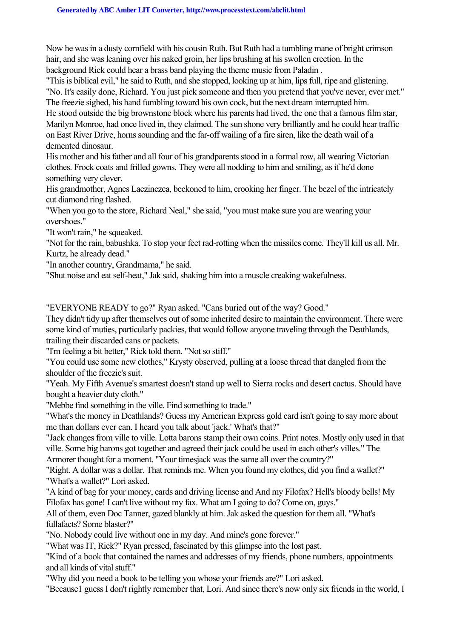Now he was in a dusty cornfield with his cousin Ruth. But Ruth had a tumbling mane of bright crimson hair, and she was leaning over his naked groin, her lips brushing at his swollen erection. In the background Rick could hear a brass band playing the theme music from Paladin .

"This is biblical evil," he said to Ruth, and she stopped, looking up at him, lips full, ripe and glistening. "No. It's easily done, Richard. You just pick someone and then you pretend that you've never, ever met." The freezie sighed, his hand fumbling toward his own cock, but the next dream interrupted him.

He stood outside the big brownstone block where his parents had lived, the one that a famous film star, Marilyn Monroe, had once lived in, they claimed. The sun shone very brilliantly and he could hear traffic on East River Drive, horns sounding and the far-off wailing of a fire siren, like the death wail of a demented dinosaur.

His mother and his father and all four of his grandparents stood in a formal row, all wearing Victorian clothes. Frock coats and frilled gowns. They were all nodding to him and smiling, as if he'd done something very clever.

His grandmother, Agnes Laczinczca, beckoned to him, crooking her finger. The bezel of the intricately cut diamond ring flashed.

"When you go to the store, Richard Neal," she said, "you must make sure you are wearing your overshoes."

"It won't rain." he squeaked.

"Not for the rain, babushka. To stop your feet rad-rotting when the missiles come. They'll kill us all. Mr. Kurtz, he already dead."

"In another country, Grandmama," he said.

"Shut noise and eat self-heat," Jak said, shaking him into a muscle creaking wakefulness.

"EVERYONE READY to go?" Ryan asked. "Cans buried out of the way? Good."

They didn't tidy up after themselves out of some inherited desire to maintain the environment. There were some kind of muties, particularly packies, that would follow anyone traveling through the Deathlands, trailing their discarded cans or packets.

"I'm feeling a bit better," Rick told them. "Not so stiff."

"You could use some new clothes," Krysty observed, pulling at a loose thread that dangled from the shoulder of the freezie's suit.

"Yeah. My Fifth Avenue's smartest doesn't stand up well to Sierra rocks and desert cactus. Should have bought a heavier duty cloth."

"Mebbe find something in the ville. Find something to trade."

"What's the money in Deathlands? Guess my American Express gold card isn't going to say more about me than dollars ever can. I heard you talk about 'jack.' What's that?"

"Jack changes from ville to ville. Lotta barons stamp their own coins. Print notes. Mostly only used in that ville. Some big barons got together and agreed their jack could be used in each other's villes." The Armorer thought for a moment. "Your timesjack was the same all over the country?"

"Right. A dollar was a dollar. That reminds me. When you found my clothes, did you find a wallet?" "What's a wallet?" Lori asked.

"A kind of bag for your money, cards and driving license and And my Filofax? Hell's bloody bells! My Filofax has gone! I can't live without my fax. What am I going to do? Come on, guys."

All of them, even Doc Tanner, gazed blankly at him. Jak asked the question for them all. "What's fullafacts? Some blaster?"

"No. Nobody could live without one in my day. And mine's gone forever."

"What was IT, Rick?" Ryan pressed, fascinated by this glimpse into the lost past.

"Kind of a book that contained the names and addresses of my friends, phone numbers, appointments and all kinds of vital stuff."

"Why did you need a book to be telling you whose your friends are?" Lori asked.

"Because1 guess I don't rightly remember that, Lori. And since there's now only six friends in the world, I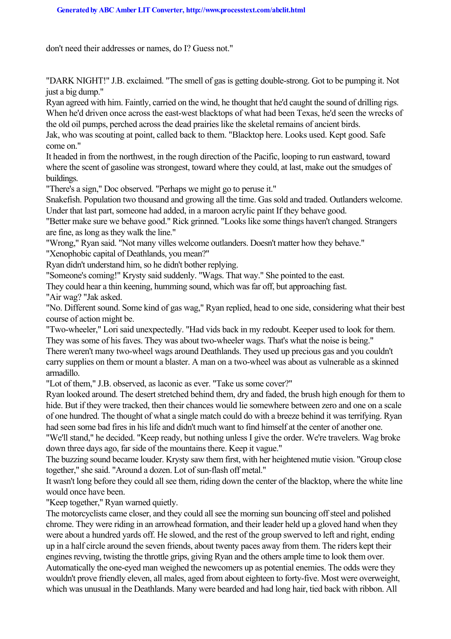don't need their addresses or names, do I? Guess not."

"DARK NIGHT!" J.B. exclaimed. "The smell of gas is getting double-strong. Got to be pumping it. Not just a big dump."

Ryan agreed with him. Faintly, carried on the wind, he thought that he'd caught the sound of drilling rigs. When he'd driven once across the east-west blacktops of what had been Texas, he'd seen the wrecks of the old oil pumps, perched across the dead prairies like the skeletal remains of ancient birds.

Jak, who was scouting at point, called back to them. "Blacktop here. Looks used. Kept good. Safe come on."

It headed in from the northwest, in the rough direction of the Pacific, looping to run eastward, toward where the scent of gasoline was strongest, toward where they could, at last, make out the smudges of buildings.

"There's a sign," Doc observed. "Perhaps we might go to peruse it."

Snakefish. Population two thousand and growing all the time. Gas sold and traded. Outlanders welcome. Under that last part, someone had added, in a maroon acrylic paint If they behave good.

"Better make sure we behave good." Rick grinned. "Looks like some things haven't changed. Strangers are fine, as long as they walk the line."

"Wrong," Ryan said. "Not many villes welcome outlanders. Doesn't matter how they behave."

"Xenophobic capital of Deathlands, you mean?"

Ryan didn't understand him, so he didn't bother replying.

"Someone's coming!" Krysty said suddenly. "Wags. That way." She pointed to the east.

They could hear a thin keening, humming sound, which was far off, but approaching fast.

"Air wag? "Jak asked.

"No. Different sound. Some kind of gas wag," Ryan replied, head to one side, considering what their best course of action might be.

"Two-wheeler," Lori said unexpectedly. "Had vids back in my redoubt. Keeper used to look for them. They was some of his faves. They was about two-wheeler wags. That's what the noise is being."

There weren't many two-wheel wags around Deathlands. They used up precious gas and you couldn't carry supplies on them or mount a blaster. A man on a two-wheel was about as vulnerable as a skinned armadillo.

"Lot of them," J.B. observed, as laconic as ever. "Take us some cover?"

Ryan looked around. The desert stretched behind them, dry and faded, the brush high enough for them to hide. But if they were tracked, then their chances would lie somewhere between zero and one on a scale of one hundred. The thought of what a single match could do with a breeze behind it was terrifying. Ryan had seen some bad fires in his life and didn't much want to find himself at the center of another one.

"We'll stand," he decided. "Keep ready, but nothing unless I give the order. We're travelers. Wag broke down three days ago, far side of the mountains there. Keep it vague."

The buzzing sound became louder. Krysty saw them first, with her heightened mutie vision. "Group close together," she said. "Around a dozen. Lot of sun-flash off metal."

It wasn't long before they could all see them, riding down the center of the blacktop, where the white line would once have been.

"Keep together," Ryan warned quietly.

The motorcyclists came closer, and they could all see the morning sun bouncing off steel and polished chrome. They were riding in an arrowhead formation, and their leader held up a gloved hand when they were about a hundred yards off. He slowed, and the rest of the group swerved to left and right, ending up in a half circle around the seven friends, about twenty paces away from them. The riders kept their engines revving, twisting the throttle grips, giving Ryan and the others ample time to look them over. Automatically the one-eyed man weighed the newcomers up as potential enemies. The odds were they wouldn't prove friendly eleven, all males, aged from about eighteen to forty-five. Most were overweight, which was unusual in the Deathlands. Many were bearded and had long hair, tied back with ribbon. All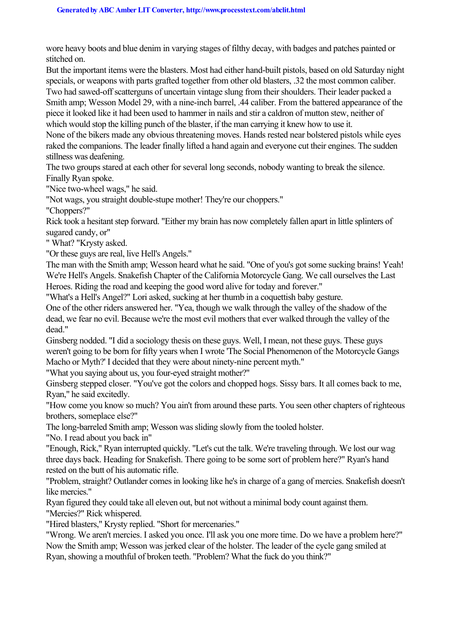wore heavy boots and blue denim in varying stages of filthy decay, with badges and patches painted or stitched on.

But the important items were the blasters. Most had either hand-built pistols, based on old Saturday night specials, or weapons with parts grafted together from other old blasters, .32 the most common caliber. Two had sawed-off scatterguns of uncertain vintage slung from their shoulders. Their leader packed a Smith amp; Wesson Model 29, with a nine-inch barrel, .44 caliber. From the battered appearance of the piece it looked like it had been used to hammer in nails and stir a caldron of mutton stew, neither of which would stop the killing punch of the blaster, if the man carrying it knew how to use it.

None of the bikers made any obvious threatening moves. Hands rested near bolstered pistols while eyes raked the companions. The leader finally lifted a hand again and everyone cut their engines. The sudden stillness was deafening.

The two groups stared at each other for several long seconds, nobody wanting to break the silence. Finally Ryan spoke.

"Nice two-wheel wags," he said.

"Not wags, you straight double-stupe mother! They're our choppers."

"Choppers?"

Rick took a hesitant step forward. "Either my brain has now completely fallen apart in little splinters of sugared candy, or"

" What? "Krysty asked.

"Or these guys are real, live Hell's Angels."

The man with the Smith amp; Wesson heard what he said. "One of you's got some sucking brains! Yeah! We're Hell's Angels. Snakefish Chapter of the California Motorcycle Gang. We call ourselves the Last Heroes. Riding the road and keeping the good word alive for today and forever."

"What's a Hell's Angel?" Lori asked, sucking at her thumb in a coquettish baby gesture.

One of the other riders answered her. "Yea, though we walk through the valley of the shadow of the dead, we fear no evil. Because we're the most evil mothers that ever walked through the valley of the dead."

Ginsberg nodded. "I did a sociology thesis on these guys. Well, I mean, not these guys. These guys weren't going to be born for fifty years when I wrote 'The Social Phenomenon of the Motorcycle Gangs Macho or Myth?' I decided that they were about ninety-nine percent myth."

"What you saying about us, you four-eyed straight mother?"

Ginsberg stepped closer. "You've got the colors and chopped hogs. Sissy bars. It all comes back to me, Ryan," he said excitedly.

"How come you know so much? You ain't from around these parts. You seen other chapters of righteous brothers, someplace else?"

The long-barreled Smith amp; Wesson was sliding slowly from the tooled holster.

"No. I read about you back in"

"Enough, Rick," Ryan interrupted quickly. "Let's cut the talk. We're traveling through. We lost our wag three days back. Heading for Snakefish. There going to be some sort of problem here?" Ryan's hand rested on the butt of his automatic rifle.

"Problem, straight? Outlander comes in looking like he's in charge of a gang of mercies. Snakefish doesn't like mercies."

Ryan figured they could take all eleven out, but not without a minimal body count against them. "Mercies?" Rick whispered.

"Hired blasters," Krysty replied. "Short for mercenaries."

"Wrong. We aren't mercies. I asked you once. I'll ask you one more time. Do we have a problem here?" Now the Smith amp; Wesson was jerked clear of the holster. The leader of the cycle gang smiled at Ryan, showing a mouthful of broken teeth. "Problem? What the fuck do you think?"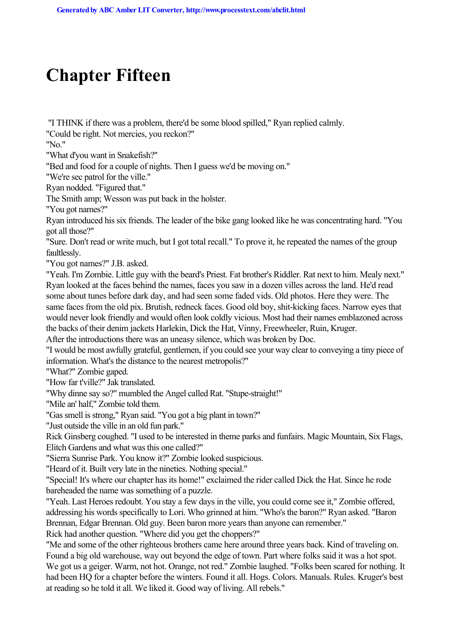# **Chapter Fifteen**

"I THINK if there was a problem, there'd be some blood spilled," Ryan replied calmly.

"Could be right. Not mercies, you reckon?"

"No."

"What d'you want in Snakefish?"

"Bed and food for a couple of nights. Then I guess we'd be moving on."

"We're sec patrol for the ville."

Ryan nodded. "Figured that."

The Smith amp; Wesson was put back in the holster.

"You got names?"

Ryan introduced his six friends. The leader of the bike gang looked like he was concentrating hard. "You got all those?"

"Sure. Don't read or write much, but I got total recall." To prove it, he repeated the names of the group faultlessly.

"You got names?" J.B. asked.

"Yeah. I'm Zombie. Little guy with the beard's Priest. Fat brother's Riddler. Rat next to him. Mealy next." Ryan looked at the faces behind the names, faces you saw in a dozen villes across the land. He'd read some about tunes before dark day, and had seen some faded vids. Old photos. Here they were. The same faces from the old pix. Brutish, redneck faces. Good old boy, shit-kicking faces. Narrow eyes that would never look friendly and would often look coldly vicious. Most had their names emblazoned across the backs of their denim jackets Harlekin, Dick the Hat, Vinny, Freewheeler, Ruin, Kruger.

After the introductions there was an uneasy silence, which was broken by Doc.

"I would be most awfully grateful, gentlemen, if you could see your way clear to conveying a tiny piece of information. What's the distance to the nearest metropolis?"

"What?" Zombie gaped.

"How far t'ville?" Jak translated.

"Why dinne say so?" mumbled the Angel called Rat. "Stupe-straight!"

"Mile an' half," Zombie told them.

"Gas smell is strong," Ryan said. "You got a big plant in town?"

"Just outside the ville in an old fun park."

Rick Ginsberg coughed. "I used to be interested in theme parks and funfairs. Magic Mountain, Six Flags, Elitch Gardens and what was this one called?"

"Sierra Sunrise Park. You know it?" Zombie looked suspicious.

"Heard of it. Built very late in the nineties. Nothing special."

"Special! It's where our chapter has its home!" exclaimed the rider called Dick the Hat. Since he rode bareheaded the name was something of a puzzle.

"Yeah. Last Heroes redoubt. You stay a few days in the ville, you could come see it," Zombie offered, addressing his words specifically to Lori. Who grinned at him. "Who's the baron?" Ryan asked. "Baron Brennan, Edgar Brennan. Old guy. Been baron more years than anyone can remember."

Rick had another question. "Where did you get the choppers?"

"Me and some of the other righteous brothers came here around three years back. Kind of traveling on. Found a big old warehouse, way out beyond the edge of town. Part where folks said it was a hot spot. We got us a geiger. Warm, not hot. Orange, not red." Zombie laughed. "Folks been scared for nothing. It had been HQ for a chapter before the winters. Found it all. Hogs. Colors. Manuals. Rules. Kruger's best at reading so he told it all. We liked it. Good way of living. All rebels."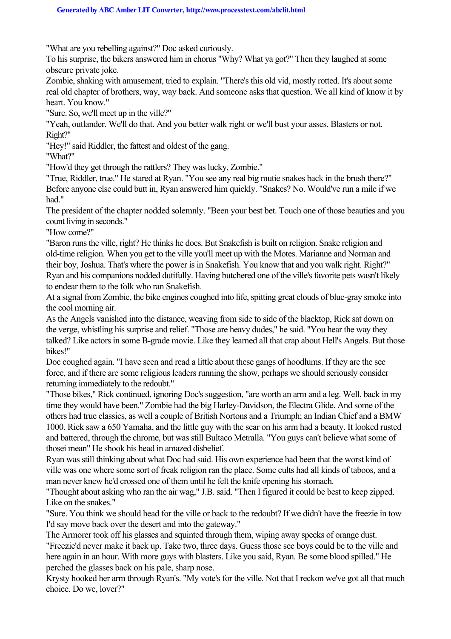"What are you rebelling against?" Doc asked curiously.

To his surprise, the bikers answered him in chorus "Why? What ya got?" Then they laughed at some obscure private joke.

Zombie, shaking with amusement, tried to explain. "There's this old vid, mostly rotted. It's about some real old chapter of brothers, way, way back. And someone asks that question. We all kind of know it by heart. You know."

"Sure. So, we'll meet up in the ville?"

"Yeah, outlander. We'll do that. And you better walk right or we'll bust your asses. Blasters or not. Right?"

"Hey!" said Riddler, the fattest and oldest of the gang.

"What?"

"How'd they get through the rattlers? They was lucky, Zombie."

"True, Riddler, true." He stared at Ryan. "You see any real big mutie snakes back in the brush there?" Before anyone else could butt in, Ryan answered him quickly. "Snakes? No. Would've run a mile if we had"

The president of the chapter nodded solemnly. "Been your best bet. Touch one of those beauties and you count living in seconds."

"How come?"

"Baron runs the ville, right? He thinks he does. But Snakefish is built on religion. Snake religion and old-time religion. When you get to the ville you'll meet up with the Motes. Marianne and Norman and their boy, Joshua. That's where the power is in Snakefish. You know that and you walk right. Right?" Ryan and his companions nodded dutifully. Having butchered one of the ville's favorite pets wasn't likely to endear them to the folk who ran Snakefish.

At a signal from Zombie, the bike engines coughed into life, spitting great clouds of blue-gray smoke into the cool morning air.

As the Angels vanished into the distance, weaving from side to side of the blacktop, Rick sat down on the verge, whistling his surprise and relief. "Those are heavy dudes," he said. "You hear the way they talked? Like actors in some B-grade movie. Like they learned all that crap about Hell's Angels. But those bikes!"

Doc coughed again. "I have seen and read a little about these gangs of hoodlums. If they are the sec force, and if there are some religious leaders running the show, perhaps we should seriously consider returning immediately to the redoubt."

"Those bikes," Rick continued, ignoring Doc's suggestion, "are worth an arm and a leg. Well, back in my time they would have been." Zombie had the big Harley-Davidson, the Electra Glide. And some of the others had true classics, as well a couple of British Nortons and a Triumph; an Indian Chief and a BMW 1000. Rick saw a 650 Yamaha, and the little guy with the scar on his arm had a beauty. It looked rusted and battered, through the chrome, but was still Bultaco Metralla. "You guys can't believe what some of thosei mean" He shook his head in amazed disbelief.

Ryan was still thinking about what Doc had said. His own experience had been that the worst kind of ville was one where some sort of freak religion ran the place. Some cults had all kinds of taboos, and a man never knew he'd crossed one of them until he felt the knife opening his stomach.

"Thought about asking who ran the air wag," J.B. said. "Then I figured it could be best to keep zipped. Like on the snakes."

"Sure. You think we should head for the ville or back to the redoubt? If we didn't have the freezie in tow I'd say move back over the desert and into the gateway."

The Armorer took off his glasses and squinted through them, wiping away specks of orange dust. "Freezie'd never make it back up. Take two, three days. Guess those sec boys could be to the ville and here again in an hour. With more guys with blasters. Like you said, Ryan. Be some blood spilled." He perched the glasses back on his pale, sharp nose.

Krysty hooked her arm through Ryan's. "My vote's for the ville. Not that I reckon we've got all that much choice. Do we, lover?"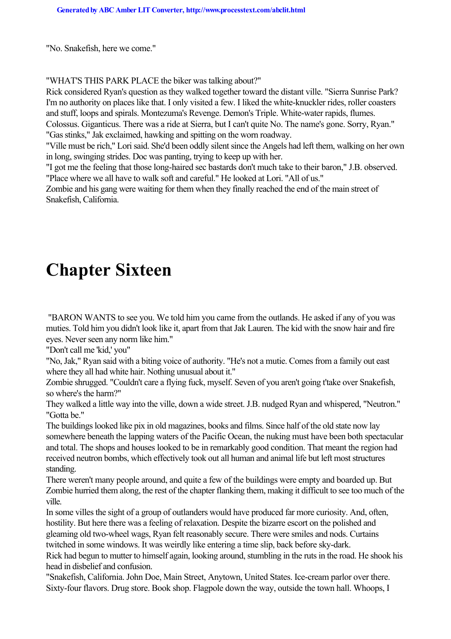"No. Snakefish, here we come."

"WHAT'S THIS PARK PLACE the biker was talking about?"

Rick considered Ryan's question as they walked together toward the distant ville. "Sierra Sunrise Park? I'm no authority on places like that. I only visited a few. I liked the white-knuckler rides, roller coasters and stuff, loops and spirals. Montezuma's Revenge. Demon's Triple. White-water rapids, flumes. Colossus. Giganticus. There was a ride at Sierra, but I can't quite No. The name's gone. Sorry, Ryan." "Gas stinks," Jak exclaimed, hawking and spitting on the worn roadway.

"Ville must be rich," Lori said. She'd been oddly silent since the Angels had left them, walking on her own in long, swinging strides. Doc was panting, trying to keep up with her.

"I got me the feeling that those long-haired sec bastards don't much take to their baron," J.B. observed. "Place where we all have to walk soft and careful." He looked at Lori. "All of us."

Zombie and his gang were waiting for them when they finally reached the end of the main street of Snakefish, California.

#### **Chapter Sixteen**

 "BARON WANTS to see you. We told him you came from the outlands. He asked if any of you was muties. Told him you didn't look like it, apart from that Jak Lauren. The kid with the snow hair and fire eyes. Never seen any norm like him."

"Don't call me 'kid,' you"

"No, Jak," Ryan said with a biting voice of authority. "He's not a mutie. Comes from a family out east where they all had white hair. Nothing unusual about it."

Zombie shrugged. "Couldn't care a flying fuck, myself. Seven of you aren't going t'take over Snakefish, so where's the harm?"

They walked a little way into the ville, down a wide street. J.B. nudged Ryan and whispered, "Neutron." "Gotta be."

The buildings looked like pix in old magazines, books and films. Since half of the old state now lay somewhere beneath the lapping waters of the Pacific Ocean, the nuking must have been both spectacular and total. The shops and houses looked to be in remarkably good condition. That meant the region had received neutron bombs, which effectively took out all human and animal life but left most structures standing.

There weren't many people around, and quite a few of the buildings were empty and boarded up. But Zombie hurried them along, the rest of the chapter flanking them, making it difficult to see too much of the ville.

In some villes the sight of a group of outlanders would have produced far more curiosity. And, often, hostility. But here there was a feeling of relaxation. Despite the bizarre escort on the polished and gleaming old two-wheel wags, Ryan felt reasonably secure. There were smiles and nods. Curtains twitched in some windows. It was weirdly like entering a time slip, back before sky-dark.

Rick had begun to mutter to himself again, looking around, stumbling in the ruts in the road. He shook his head in disbelief and confusion.

"Snakefish, California. John Doe, Main Street, Anytown, United States. Ice-cream parlor over there. Sixty-four flavors. Drug store. Book shop. Flagpole down the way, outside the town hall. Whoops, I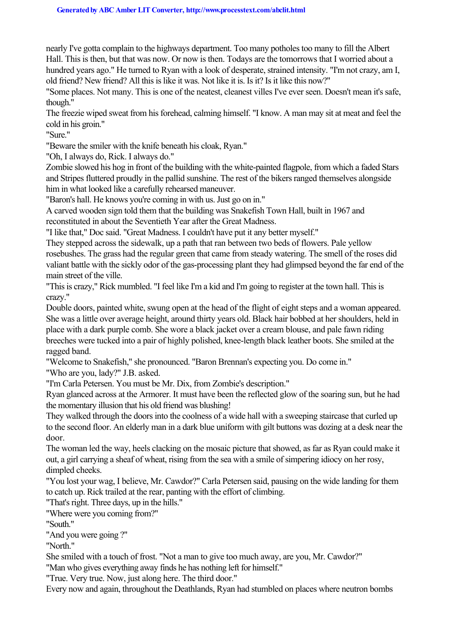nearly I've gotta complain to the highways department. Too many potholes too many to fill the Albert Hall. This is then, but that was now. Or now is then. Todays are the tomorrows that I worried about a hundred years ago." He turned to Ryan with a look of desperate, strained intensity. "I'm not crazy, am I, old friend? New friend? All this is like it was. Not like it is. Is it? Is it like this now?"

"Some places. Not many. This is one of the neatest, cleanest villes I've ever seen. Doesn't mean it's safe, though."

The freezie wiped sweat from his forehead, calming himself. "I know. A man may sit at meat and feel the cold in his groin."

"Sure."

"Beware the smiler with the knife beneath his cloak, Ryan."

"Oh, I always do, Rick. I always do."

Zombie slowed his hog in front of the building with the white-painted flagpole, from which a faded Stars and Stripes fluttered proudly in the pallid sunshine. The rest of the bikers ranged themselves alongside him in what looked like a carefully rehearsed maneuver.

"Baron's hall. He knows you're coming in with us. Just go on in."

A carved wooden sign told them that the building was Snakefish Town Hall, built in 1967 and reconstituted in about the Seventieth Year after the Great Madness.

"I like that," Doc said. "Great Madness. I couldn't have put it any better myself."

They stepped across the sidewalk, up a path that ran between two beds of flowers. Pale yellow rosebushes. The grass had the regular green that came from steady watering. The smell of the roses did valiant battle with the sickly odor of the gas-processing plant they had glimpsed beyond the far end of the main street of the ville.

"This is crazy," Rick mumbled. "I feel like I'm a kid and I'm going to register at the town hall. This is crazy."

Double doors, painted white, swung open at the head of the flight of eight steps and a woman appeared. She was a little over average height, around thirty years old. Black hair bobbed at her shoulders, held in place with a dark purple comb. She wore a black jacket over a cream blouse, and pale fawn riding breeches were tucked into a pair of highly polished, knee-length black leather boots. She smiled at the ragged band.

"Welcome to Snakefish," she pronounced. "Baron Brennan's expecting you. Do come in."

"Who are you, lady?" J.B. asked.

"I'm Carla Petersen. You must be Mr. Dix, from Zombie's description."

Ryan glanced across at the Armorer. It must have been the reflected glow of the soaring sun, but he had the momentary illusion that his old friend was blushing!

They walked through the doors into the coolness of a wide hall with a sweeping staircase that curled up to the second floor. An elderly man in a dark blue uniform with gilt buttons was dozing at a desk near the door.

The woman led the way, heels clacking on the mosaic picture that showed, as far as Ryan could make it out, a girl carrying a sheaf of wheat, rising from the sea with a smile of simpering idiocy on her rosy, dimpled cheeks.

"You lost your wag, I believe, Mr. Cawdor?" Carla Petersen said, pausing on the wide landing for them to catch up. Rick trailed at the rear, panting with the effort of climbing.

"That's right. Three days, up in the hills."

"Where were you coming from?"

"South."

"And you were going ?"

"North."

She smiled with a touch of frost. "Not a man to give too much away, are you, Mr. Cawdor?" "Man who gives everything away finds he has nothing left for himself."

"True. Very true. Now, just along here. The third door."

Every now and again, throughout the Deathlands, Ryan had stumbled on places where neutron bombs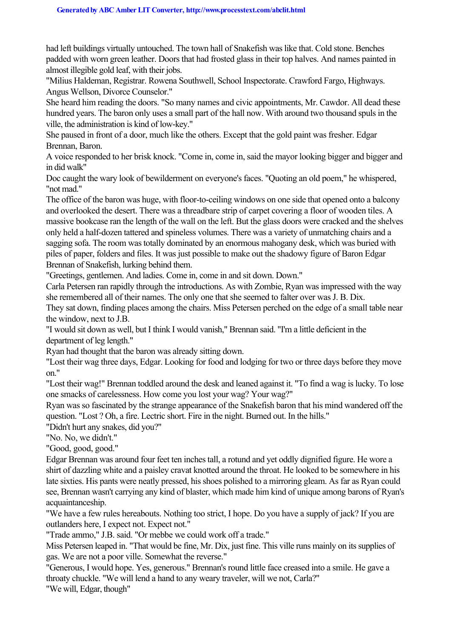had left buildings virtually untouched. The town hall of Snakefish was like that. Cold stone. Benches padded with worn green leather. Doors that had frosted glass in their top halves. And names painted in almost illegible gold leaf, with their jobs.

"Milius Haldeman, Registrar. Rowena Southwell, School Inspectorate. Crawford Fargo, Highways. Angus Wellson, Divorce Counselor."

She heard him reading the doors. "So many names and civic appointments, Mr. Cawdor. All dead these hundred years. The baron only uses a small part of the hall now. With around two thousand spuls in the ville, the administration is kind of low-key."

She paused in front of a door, much like the others. Except that the gold paint was fresher. Edgar Brennan, Baron.

A voice responded to her brisk knock. "Come in, come in, said the mayor looking bigger and bigger and in did walk"

Doc caught the wary look of bewilderment on everyone's faces. "Quoting an old poem," he whispered, "not mad."

The office of the baron was huge, with floor-to-ceiling windows on one side that opened onto a balcony and overlooked the desert. There was a threadbare strip of carpet covering a floor of wooden tiles. A massive bookcase ran the length of the wall on the left. But the glass doors were cracked and the shelves only held a half-dozen tattered and spineless volumes. There was a variety of unmatching chairs and a sagging sofa. The room was totally dominated by an enormous mahogany desk, which was buried with piles of paper, folders and files. It was just possible to make out the shadowy figure of Baron Edgar Brennan of Snakefish, lurking behind them.

"Greetings, gentlemen. And ladies. Come in, come in and sit down. Down."

Carla Petersen ran rapidly through the introductions. As with Zombie, Ryan was impressed with the way she remembered all of their names. The only one that she seemed to falter over was J. B. Dix.

They sat down, finding places among the chairs. Miss Petersen perched on the edge of a small table near the window, next to J.B.

"I would sit down as well, but I think I would vanish," Brennan said. "I'm a little deficient in the department of leg length."

Ryan had thought that the baron was already sitting down.

"Lost their wag three days, Edgar. Looking for food and lodging for two or three days before they move on."

"Lost their wag!" Brennan toddled around the desk and leaned against it. "To find a wag is lucky. To lose one smacks of carelessness. How come you lost your wag? Your wag?"

Ryan was so fascinated by the strange appearance of the Snakefish baron that his mind wandered off the question. "Lost ? Oh, a fire. Lectric short. Fire in the night. Burned out. In the hills."

"Didn't hurt any snakes, did you?"

"No. No, we didn't."

"Good, good, good."

Edgar Brennan was around four feet ten inches tall, a rotund and yet oddly dignified figure. He wore a shirt of dazzling white and a paisley cravat knotted around the throat. He looked to be somewhere in his late sixties. His pants were neatly pressed, his shoes polished to a mirroring gleam. As far as Ryan could see, Brennan wasn't carrying any kind of blaster, which made him kind of unique among barons of Ryan's acquaintanceship.

"We have a few rules hereabouts. Nothing too strict, I hope. Do you have a supply of jack? If you are outlanders here, I expect not. Expect not."

"Trade ammo," J.B. said. "Or mebbe we could work off a trade."

Miss Petersen leaped in. "That would be fine, Mr. Dix, just fine. This ville runs mainly on its supplies of gas. We are not a poor ville. Somewhat the reverse."

"Generous, I would hope. Yes, generous." Brennan's round little face creased into a smile. He gave a throaty chuckle. "We will lend a hand to any weary traveler, will we not, Carla?"

"We will, Edgar, though"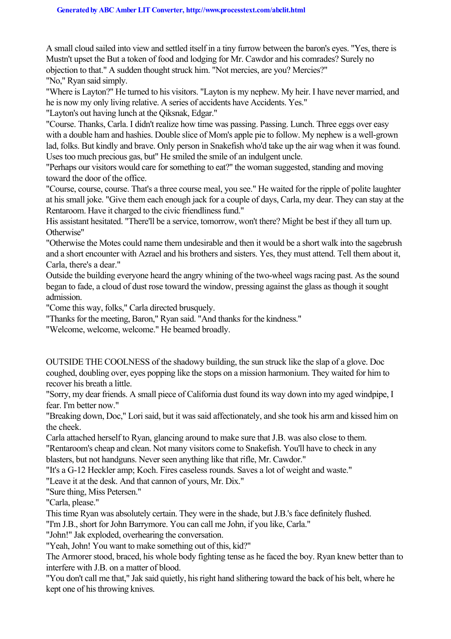A small cloud sailed into view and settled itself in a tiny furrow between the baron's eyes. "Yes, there is Mustn't upset the But a token of food and lodging for Mr. Cawdor and his comrades? Surely no objection to that." A sudden thought struck him. "Not mercies, are you? Mercies?" "No," Ryan said simply.

"Where is Layton?" He turned to his visitors. "Layton is my nephew. My heir. I have never married, and he is now my only living relative. A series of accidents have Accidents. Yes."

"Layton's out having lunch at the Qiksnak, Edgar."

"Course. Thanks, Carla. I didn't realize how time was passing. Passing. Lunch. Three eggs over easy with a double ham and hashies. Double slice of Mom's apple pie to follow. My nephew is a well-grown lad, folks. But kindly and brave. Only person in Snakefish who'd take up the air wag when it was found. Uses too much precious gas, but" He smiled the smile of an indulgent uncle.

"Perhaps our visitors would care for something to eat?" the woman suggested, standing and moving toward the door of the office.

"Course, course, course. That's a three course meal, you see." He waited for the ripple of polite laughter at his small joke. "Give them each enough jack for a couple of days, Carla, my dear. They can stay at the Rentaroom. Have it charged to the civic friendliness fund."

His assistant hesitated. "There'll be a service, tomorrow, won't there? Might be best if they all turn up. Otherwise"

"Otherwise the Motes could name them undesirable and then it would be a short walk into the sagebrush and a short encounter with Azrael and his brothers and sisters. Yes, they must attend. Tell them about it, Carla, there's a dear."

Outside the building everyone heard the angry whining of the two-wheel wags racing past. As the sound began to fade, a cloud of dust rose toward the window, pressing against the glass as though it sought admission.

"Come this way, folks," Carla directed brusquely.

"Thanks for the meeting, Baron," Ryan said. "And thanks for the kindness."

"Welcome, welcome, welcome." He beamed broadly.

OUTSIDE THE COOLNESS of the shadowy building, the sun struck like the slap of a glove. Doc coughed, doubling over, eyes popping like the stops on a mission harmonium. They waited for him to recover his breath a little.

"Sorry, my dear friends. A small piece of California dust found its way down into my aged windpipe, I fear. I'm better now."

"Breaking down, Doc," Lori said, but it was said affectionately, and she took his arm and kissed him on the cheek.

Carla attached herself to Ryan, glancing around to make sure that J.B. was also close to them. "Rentaroom's cheap and clean. Not many visitors come to Snakefish. You'll have to check in any blasters, but not handguns. Never seen anything like that rifle, Mr. Cawdor."

"It's a G-12 Heckler amp; Koch. Fires caseless rounds. Saves a lot of weight and waste."

"Leave it at the desk. And that cannon of yours, Mr. Dix."

"Sure thing, Miss Petersen."

"Carla, please."

This time Ryan was absolutely certain. They were in the shade, but J.B.'s face definitely flushed.

"I'm J.B., short for John Barrymore. You can call me John, if you like, Carla."

"John!" Jak exploded, overhearing the conversation.

"Yeah, John! You want to make something out of this, kid?"

The Armorer stood, braced, his whole body fighting tense as he faced the boy. Ryan knew better than to interfere with J.B. on a matter of blood.

"You don't call me that," Jak said quietly, his right hand slithering toward the back of his belt, where he kept one of his throwing knives.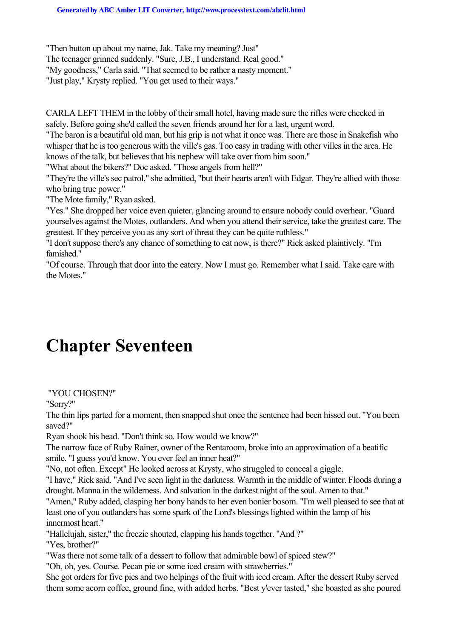"Then button up about my name, Jak. Take my meaning? Just" The teenager grinned suddenly. "Sure, J.B., I understand. Real good." "My goodness," Carla said. "That seemed to be rather a nasty moment." "Just play," Krysty replied. "You get used to their ways."

CARLA LEFT THEM in the lobby of their small hotel, having made sure the rifles were checked in safely. Before going she'd called the seven friends around her for a last, urgent word.

"The baron is a beautiful old man, but his grip is not what it once was. There are those in Snakefish who whisper that he is too generous with the ville's gas. Too easy in trading with other villes in the area. He knows of the talk, but believes that his nephew will take over from him soon."

"What about the bikers?" Doc asked. "Those angels from hell?"

"They're the ville's sec patrol," she admitted, "but their hearts aren't with Edgar. They're allied with those who bring true power."

"The Mote family," Ryan asked.

"Yes." She dropped her voice even quieter, glancing around to ensure nobody could overhear. "Guard yourselves against the Motes, outlanders. And when you attend their service, take the greatest care. The greatest. If they perceive you as any sort of threat they can be quite ruthless."

"I don't suppose there's any chance of something to eat now, is there?" Rick asked plaintively. "I'm famished."

"Of course. Through that door into the eatery. Now I must go. Remember what I said. Take care with the Motes."

#### **Chapter Seventeen**

"YOU CHOSEN?"

"Sorry?"

The thin lips parted for a moment, then snapped shut once the sentence had been hissed out. "You been saved?"

Ryan shook his head. "Don't think so. How would we know?"

The narrow face of Ruby Rainer, owner of the Rentaroom, broke into an approximation of a beatific smile. "I guess you'd know. You ever feel an inner heat?"

"No, not often. Except" He looked across at Krysty, who struggled to conceal a giggle.

"I have," Rick said. "And I've seen light in the darkness. Warmth in the middle of winter. Floods during a drought. Manna in the wilderness. And salvation in the darkest night of the soul. Amen to that."

"Amen," Ruby added, clasping her bony hands to her even bonier bosom. "I'm well pleased to see that at least one of you outlanders has some spark of the Lord's blessings lighted within the lamp of his innermost heart."

"Hallelujah, sister," the freezie shouted, clapping his hands together. "And ?" "Yes, brother?"

"Was there not some talk of a dessert to follow that admirable bowl of spiced stew?"

"Oh, oh, yes. Course. Pecan pie or some iced cream with strawberries."

She got orders for five pies and two helpings of the fruit with iced cream. After the dessert Ruby served them some acorn coffee, ground fine, with added herbs. "Best y'ever tasted," she boasted as she poured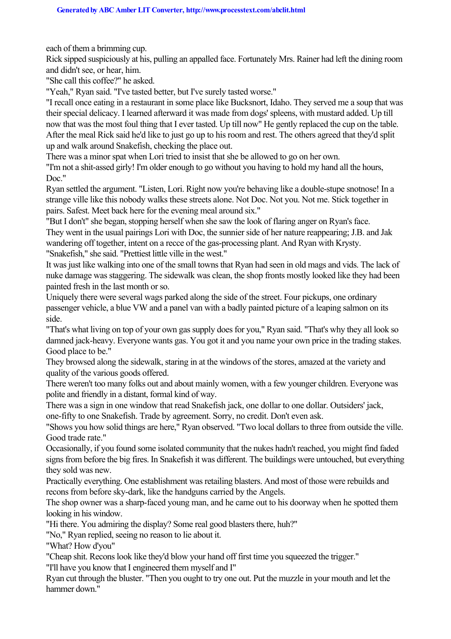each of them a brimming cup.

Rick sipped suspiciously at his, pulling an appalled face. Fortunately Mrs. Rainer had left the dining room and didn't see, or hear, him.

"She call this coffee?" he asked.

"Yeah," Ryan said. "I've tasted better, but I've surely tasted worse."

"I recall once eating in a restaurant in some place like Bucksnort, Idaho. They served me a soup that was their special delicacy. I learned afterward it was made from dogs' spleens, with mustard added. Up till now that was the most foul thing that I ever tasted. Up till now" He gently replaced the cup on the table. After the meal Rick said he'd like to just go up to his room and rest. The others agreed that they'd split up and walk around Snakefish, checking the place out.

There was a minor spat when Lori tried to insist that she be allowed to go on her own.

"I'm not a shit-assed girly! I'm older enough to go without you having to hold my hand all the hours, Doc."

Ryan settled the argument. "Listen, Lori. Right now you're behaving like a double-stupe snotnose! In a strange ville like this nobody walks these streets alone. Not Doc. Not you. Not me. Stick together in pairs. Safest. Meet back here for the evening meal around six."

"But I don't" she began, stopping herself when she saw the look of flaring anger on Ryan's face. They went in the usual pairings Lori with Doc, the sunnier side of her nature reappearing; J.B. and Jak wandering off together, intent on a recce of the gas-processing plant. And Ryan with Krysty. "Snakefish," she said. "Prettiest little ville in the west."

It was just like walking into one of the small towns that Ryan had seen in old mags and vids. The lack of nuke damage was staggering. The sidewalk was clean, the shop fronts mostly looked like they had been painted fresh in the last month or so.

Uniquely there were several wags parked along the side of the street. Four pickups, one ordinary passenger vehicle, a blue VW and a panel van with a badly painted picture of a leaping salmon on its side.

"That's what living on top of your own gas supply does for you," Ryan said. "That's why they all look so damned jack-heavy. Everyone wants gas. You got it and you name your own price in the trading stakes. Good place to be."

They browsed along the sidewalk, staring in at the windows of the stores, amazed at the variety and quality of the various goods offered.

There weren't too many folks out and about mainly women, with a few younger children. Everyone was polite and friendly in a distant, formal kind of way.

There was a sign in one window that read Snakefish jack, one dollar to one dollar. Outsiders' jack, one-fifty to one Snakefish. Trade by agreement. Sorry, no credit. Don't even ask.

"Shows you how solid things are here," Ryan observed. "Two local dollars to three from outside the ville. Good trade rate."

Occasionally, if you found some isolated community that the nukes hadn't reached, you might find faded signs from before the big fires. In Snakefish it was different. The buildings were untouched, but everything they sold was new.

Practically everything. One establishment was retailing blasters. And most of those were rebuilds and recons from before sky-dark, like the handguns carried by the Angels.

The shop owner was a sharp-faced young man, and he came out to his doorway when he spotted them looking in his window.

"Hi there. You admiring the display? Some real good blasters there, huh?"

"No," Ryan replied, seeing no reason to lie about it.

"What? How d'you"

"Cheap shit. Recons look like they'd blow your hand off first time you squeezed the trigger."

"I'll have you know that I engineered them myself and I"

Ryan cut through the bluster. "Then you ought to try one out. Put the muzzle in your mouth and let the hammer down."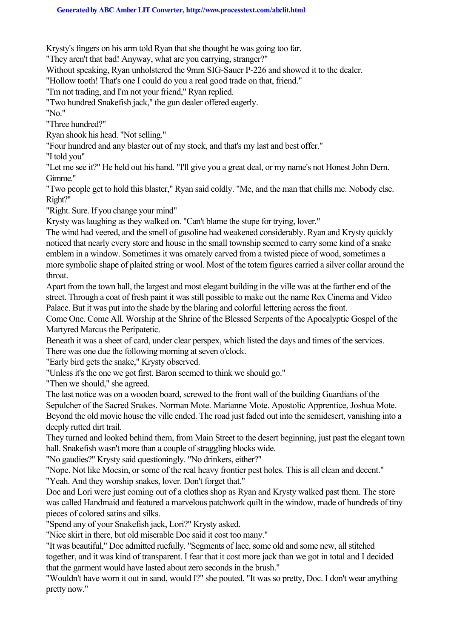Krysty's fingers on his arm told Ryan that she thought he was going too far.

"They aren't that bad! Anyway, what are you carrying, stranger?"

Without speaking, Ryan unholstered the 9mm SIG-Sauer P-226 and showed it to the dealer.

"Hollow tooth! That's one I could do you a real good trade on that, friend."

"I'm not trading, and I'm not your friend," Ryan replied.

"Two hundred Snakefish jack," the gun dealer offered eagerly.

"No."

"Three hundred?"

Ryan shook his head. "Not selling."

"Four hundred and any blaster out of my stock, and that's my last and best offer."

"I told you"

"Let me see it?" He held out his hand. "I'll give you a great deal, or my name's not Honest John Dern. Gimme."

"Two people get to hold this blaster," Ryan said coldly. "Me, and the man that chills me. Nobody else. Right?"

"Right. Sure. If you change your mind"

Krysty was laughing as they walked on. "Can't blame the stupe for trying, lover."

The wind had veered, and the smell of gasoline had weakened considerably. Ryan and Krysty quickly noticed that nearly every store and house in the small township seemed to carry some kind of a snake emblem in a window. Sometimes it was ornately carved from a twisted piece of wood, sometimes a more symbolic shape of plaited string or wool. Most of the totem figures carried a silver collar around the throat.

Apart from the town hall, the largest and most elegant building in the ville was at the farther end of the street. Through a coat of fresh paint it was still possible to make out the name Rex Cinema and Video Palace. But it was put into the shade by the blaring and colorful lettering across the front.

Come One. Come All. Worship at the Shrine of the Blessed Serpents of the Apocalyptic Gospel of the Martyred Marcus the Peripatetic.

Beneath it was a sheet of card, under clear perspex, which listed the days and times of the services. There was one due the following morning at seven o'clock.

"Early bird gets the snake," Krysty observed.

"Unless it's the one we got first. Baron seemed to think we should go."

"Then we should," she agreed.

The last notice was on a wooden board, screwed to the front wall of the building Guardians of the Sepulcher of the Sacred Snakes. Norman Mote. Marianne Mote. Apostolic Apprentice, Joshua Mote. Beyond the old movie house the ville ended. The road just faded out into the semidesert, vanishing into a deeply rutted dirt trail.

They turned and looked behind them, from Main Street to the desert beginning, just past the elegant town hall. Snakefish wasn't more than a couple of straggling blocks wide.

"No gaudies?" Krysty said questioningly. "No drinkers, either?"

"Nope. Not like Mocsin, or some of the real heavy frontier pest holes. This is all clean and decent." "Yeah. And they worship snakes, lover. Don't forget that."

Doc and Lori were just coming out of a clothes shop as Ryan and Krysty walked past them. The store was called Handmaid and featured a marvelous patchwork quilt in the window, made of hundreds of tiny pieces of colored satins and silks.

"Spend any of your Snakefish jack, Lori?" Krysty asked.

"Nice skirt in there, but old miserable Doc said it cost too many."

"It was beautiful," Doc admitted ruefully. "Segments of lace, some old and some new, all stitched together, and it was kind of transparent. I fear that it cost more jack than we got in total and I decided that the garment would have lasted about zero seconds in the brush."

"Wouldn't have worn it out in sand, would I?" she pouted. "It was so pretty, Doc. I don't wear anything pretty now."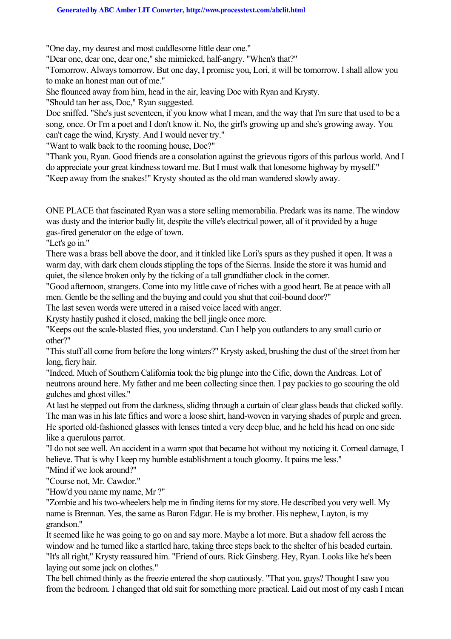"One day, my dearest and most cuddlesome little dear one."

"Dear one, dear one, dear one," she mimicked, half-angry. "When's that?"

"Tomorrow. Always tomorrow. But one day, I promise you, Lori, it will be tomorrow. I shall allow you to make an honest man out of me."

She flounced away from him, head in the air, leaving Doc with Ryan and Krysty.

"Should tan her ass, Doc," Ryan suggested.

Doc sniffed. "She's just seventeen, if you know what I mean, and the way that I'm sure that used to be a song, once. Or I'm a poet and I don't know it. No, the girl's growing up and she's growing away. You can't cage the wind, Krysty. And I would never try."

"Want to walk back to the rooming house, Doc?"

"Thank you, Ryan. Good friends are a consolation against the grievous rigors of this parlous world. And I do appreciate your great kindness toward me. But I must walk that lonesome highway by myself." "Keep away from the snakes!" Krysty shouted as the old man wandered slowly away.

ONE PLACE that fascinated Ryan was a store selling memorabilia. Predark was its name. The window was dusty and the interior badly lit, despite the ville's electrical power, all of it provided by a huge gas-fired generator on the edge of town.

"Let's go in."

There was a brass bell above the door, and it tinkled like Lori's spurs as they pushed it open. It was a warm day, with dark chem clouds stippling the tops of the Sierras. Inside the store it was humid and quiet, the silence broken only by the ticking of a tall grandfather clock in the corner.

"Good afternoon, strangers. Come into my little cave of riches with a good heart. Be at peace with all men. Gentle be the selling and the buying and could you shut that coil-bound door?"

The last seven words were uttered in a raised voice laced with anger.

Krysty hastily pushed it closed, making the bell jingle once more.

"Keeps out the scale-blasted flies, you understand. Can I help you outlanders to any small curio or other?"

"This stuff all come from before the long winters?" Krysty asked, brushing the dust of the street from her long, fiery hair.

"Indeed. Much of Southern California took the big plunge into the Cific, down the Andreas. Lot of neutrons around here. My father and me been collecting since then. I pay packies to go scouring the old gulches and ghost villes."

At last he stepped out from the darkness, sliding through a curtain of clear glass beads that clicked softly. The man was in his late fifties and wore a loose shirt, hand-woven in varying shades of purple and green. He sported old-fashioned glasses with lenses tinted a very deep blue, and he held his head on one side like a querulous parrot.

"I do not see well. An accident in a warm spot that became hot without my noticing it. Corneal damage, I believe. That is why I keep my humble establishment a touch gloomy. It pains me less."

"Mind if we look around?"

"Course not, Mr. Cawdor."

"How'd you name my name, Mr ?"

"Zombie and his two-wheelers help me in finding items for my store. He described you very well. My name is Brennan. Yes, the same as Baron Edgar. He is my brother. His nephew, Layton, is my grandson."

It seemed like he was going to go on and say more. Maybe a lot more. But a shadow fell across the window and he turned like a startled hare, taking three steps back to the shelter of his beaded curtain. "It's all right," Krysty reassured him. "Friend of ours. Rick Ginsberg. Hey, Ryan. Looks like he's been laying out some jack on clothes."

The bell chimed thinly as the freezie entered the shop cautiously. "That you, guys? Thought I saw you from the bedroom. I changed that old suit for something more practical. Laid out most of my cash I mean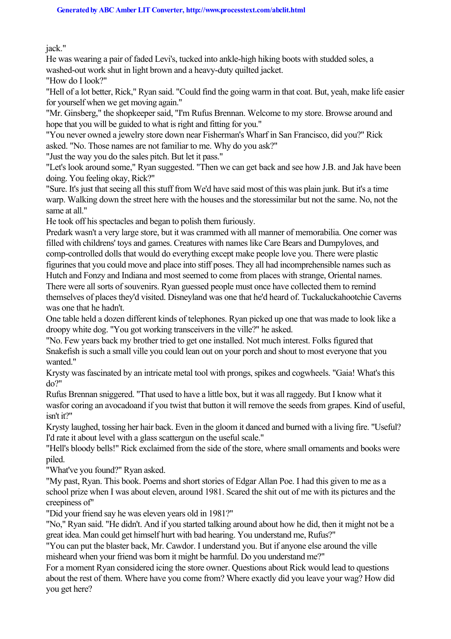jack."

He was wearing a pair of faded Levi's, tucked into ankle-high hiking boots with studded soles, a washed-out work shut in light brown and a heavy-duty quilted jacket.

"How do I look?"

"Hell of a lot better, Rick," Ryan said. "Could find the going warm in that coat. But, yeah, make life easier for yourself when we get moving again."

"Mr. Ginsberg," the shopkeeper said, "I'm Rufus Brennan. Welcome to my store. Browse around and hope that you will be guided to what is right and fitting for you."

"You never owned a jewelry store down near Fisherman's Wharf in San Francisco, did you?" Rick asked. "No. Those names are not familiar to me. Why do you ask?"

"Just the way you do the sales pitch. But let it pass."

"Let's look around some," Ryan suggested. "Then we can get back and see how J.B. and Jak have been doing. You feeling okay, Rick?"

"Sure. It's just that seeing all this stuff from We'd have said most of this was plain junk. But it's a time warp. Walking down the street here with the houses and the storessimilar but not the same. No, not the same at all."

He took off his spectacles and began to polish them furiously.

Predark wasn't a very large store, but it was crammed with all manner of memorabilia. One corner was filled with childrens' toys and games. Creatures with names like Care Bears and Dumpyloves, and comp-controlled dolls that would do everything except make people love you. There were plastic figurines that you could move and place into stiff poses. They all had incomprehensible names such as

Hutch and Fonzy and Indiana and most seemed to come from places with strange, Oriental names. There were all sorts of souvenirs. Ryan guessed people must once have collected them to remind themselves of places they'd visited. Disneyland was one that he'd heard of. Tuckaluckahootchie Caverns was one that he hadn't.

One table held a dozen different kinds of telephones. Ryan picked up one that was made to look like a droopy white dog. "You got working transceivers in the ville?" he asked.

"No. Few years back my brother tried to get one installed. Not much interest. Folks figured that Snakefish is such a small ville you could lean out on your porch and shout to most everyone that you wanted."

Krysty was fascinated by an intricate metal tool with prongs, spikes and cogwheels. "Gaia! What's this do?"

Rufus Brennan sniggered. "That used to have a little box, but it was all raggedy. But I know what it wasfor coring an avocadoand if you twist that button it will remove the seeds from grapes. Kind of useful, isn't it?"

Krysty laughed, tossing her hair back. Even in the gloom it danced and burned with a living fire. "Useful? I'd rate it about level with a glass scattergun on the useful scale."

"Hell's bloody bells!" Rick exclaimed from the side of the store, where small ornaments and books were piled.

"What've you found?" Ryan asked.

"My past, Ryan. This book. Poems and short stories of Edgar Allan Poe. I had this given to me as a school prize when I was about eleven, around 1981. Scared the shit out of me with its pictures and the creepiness of"

"Did your friend say he was eleven years old in 1981?"

"No," Ryan said. "He didn't. And if you started talking around about how he did, then it might not be a great idea. Man could get himself hurt with bad hearing. You understand me, Rufus?"

"You can put the blaster back, Mr. Cawdor. I understand you. But if anyone else around the ville misheard when your friend was born it might be harmful. Do you understand me?"

For a moment Ryan considered icing the store owner. Questions about Rick would lead to questions about the rest of them. Where have you come from? Where exactly did you leave your wag? How did you get here?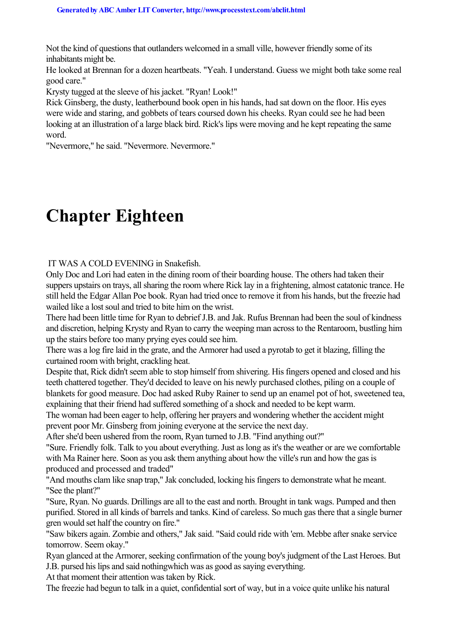Not the kind of questions that outlanders welcomed in a small ville, however friendly some of its inhabitants might be.

He looked at Brennan for a dozen heartbeats. "Yeah. I understand. Guess we might both take some real good care."

Krysty tugged at the sleeve of his jacket. "Ryan! Look!"

Rick Ginsberg, the dusty, leatherbound book open in his hands, had sat down on the floor. His eyes were wide and staring, and gobbets of tears coursed down his cheeks. Ryan could see he had been looking at an illustration of a large black bird. Rick's lips were moving and he kept repeating the same word.

"Nevermore," he said. "Nevermore. Nevermore."

## **Chapter Eighteen**

IT WAS A COLD EVENING in Snakefish.

Only Doc and Lori had eaten in the dining room of their boarding house. The others had taken their suppers upstairs on trays, all sharing the room where Rick lay in a frightening, almost catatonic trance. He still held the Edgar Allan Poe book. Ryan had tried once to remove it from his hands, but the freezie had wailed like a lost soul and tried to bite him on the wrist.

There had been little time for Ryan to debrief J.B. and Jak. Rufus Brennan had been the soul of kindness and discretion, helping Krysty and Ryan to carry the weeping man across to the Rentaroom, bustling him up the stairs before too many prying eyes could see him.

There was a log fire laid in the grate, and the Armorer had used a pyrotab to get it blazing, filling the curtained room with bright, crackling heat.

Despite that, Rick didn't seem able to stop himself from shivering. His fingers opened and closed and his teeth chattered together. They'd decided to leave on his newly purchased clothes, piling on a couple of blankets for good measure. Doc had asked Ruby Rainer to send up an enamel pot of hot, sweetened tea, explaining that their friend had suffered something of a shock and needed to be kept warm.

The woman had been eager to help, offering her prayers and wondering whether the accident might prevent poor Mr. Ginsberg from joining everyone at the service the next day.

After she'd been ushered from the room, Ryan turned to J.B. "Find anything out?"

"Sure. Friendly folk. Talk to you about everything. Just as long as it's the weather or are we comfortable with Ma Rainer here. Soon as you ask them anything about how the ville's run and how the gas is produced and processed and traded"

"And mouths clam like snap trap," Jak concluded, locking his fingers to demonstrate what he meant. "See the plant?"

"Sure, Ryan. No guards. Drillings are all to the east and north. Brought in tank wags. Pumped and then purified. Stored in all kinds of barrels and tanks. Kind of careless. So much gas there that a single burner gren would set half the country on fire."

"Saw bikers again. Zombie and others," Jak said. "Said could ride with 'em. Mebbe after snake service tomorrow. Seem okay."

Ryan glanced at the Armorer, seeking confirmation of the young boy's judgment of the Last Heroes. But J.B. pursed his lips and said nothingwhich was as good as saying everything.

At that moment their attention was taken by Rick.

The freezie had begun to talk in a quiet, confidential sort of way, but in a voice quite unlike his natural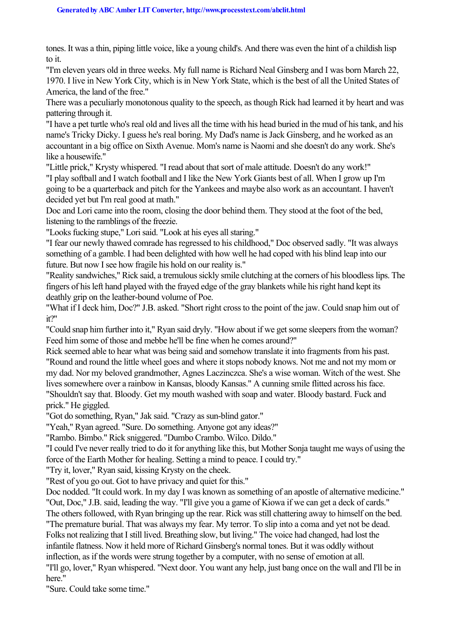tones. It was a thin, piping little voice, like a young child's. And there was even the hint of a childish lisp to it.

"I'm eleven years old in three weeks. My full name is Richard Neal Ginsberg and I was born March 22, 1970. I live in New York City, which is in New York State, which is the best of all the United States of America, the land of the free."

There was a peculiarly monotonous quality to the speech, as though Rick had learned it by heart and was pattering through it.

"I have a pet turtle who's real old and lives all the time with his head buried in the mud of his tank, and his name's Tricky Dicky. I guess he's real boring. My Dad's name is Jack Ginsberg, and he worked as an accountant in a big office on Sixth Avenue. Mom's name is Naomi and she doesn't do any work. She's like a housewife."

"Little prick," Krysty whispered. "I read about that sort of male attitude. Doesn't do any work!" "I play softball and I watch football and I like the New York Giants best of all. When I grow up I'm going to be a quarterback and pitch for the Yankees and maybe also work as an accountant. I haven't decided yet but I'm real good at math."

Doc and Lori came into the room, closing the door behind them. They stood at the foot of the bed, listening to the ramblings of the freezie.

"Looks fucking stupe," Lori said. "Look at his eyes all staring."

"I fear our newly thawed comrade has regressed to his childhood," Doc observed sadly. "It was always something of a gamble. I had been delighted with how well he had coped with his blind leap into our future. But now I see how fragile his hold on our reality is."

"Reality sandwiches," Rick said, a tremulous sickly smile clutching at the corners of his bloodless lips. The fingers of his left hand played with the frayed edge of the gray blankets while his right hand kept its deathly grip on the leather-bound volume of Poe.

"What if I deck him, Doc?" J.B. asked. "Short right cross to the point of the jaw. Could snap him out of it?"

"Could snap him further into it," Ryan said dryly. "How about if we get some sleepers from the woman? Feed him some of those and mebbe he'll be fine when he comes around?"

Rick seemed able to hear what was being said and somehow translate it into fragments from his past. "Round and round the little wheel goes and where it stops nobody knows. Not me and not my mom or my dad. Nor my beloved grandmother, Agnes Laczinczca. She's a wise woman. Witch of the west. She lives somewhere over a rainbow in Kansas, bloody Kansas." A cunning smile flitted across his face. "Shouldn't say that. Bloody. Get my mouth washed with soap and water. Bloody bastard. Fuck and prick." He giggled.

"Got do something, Ryan," Jak said. "Crazy as sun-blind gator."

"Yeah," Ryan agreed. "Sure. Do something. Anyone got any ideas?"

"Rambo. Bimbo." Rick sniggered. "Dumbo Crambo. Wilco. Dildo."

"I could I've never really tried to do it for anything like this, but Mother Sonja taught me ways of using the force of the Earth Mother for healing. Setting a mind to peace. I could try."

"Try it, lover," Ryan said, kissing Krysty on the cheek.

"Rest of you go out. Got to have privacy and quiet for this."

Doc nodded. "It could work. In my day I was known as something of an apostle of alternative medicine." "Out, Doc," J.B. said, leading the way. "I'll give you a game of Kiowa if we can get a deck of cards."

The others followed, with Ryan bringing up the rear. Rick was still chattering away to himself on the bed. "The premature burial. That was always my fear. My terror. To slip into a coma and yet not be dead.

Folks not realizing that I still lived. Breathing slow, but living." The voice had changed, had lost the infantile flatness. Now it held more of Richard Ginsberg's normal tones. But it was oddly without inflection, as if the words were strung together by a computer, with no sense of emotion at all.

"I'll go, lover," Ryan whispered. "Next door. You want any help, just bang once on the wall and I'll be in here."

"Sure. Could take some time."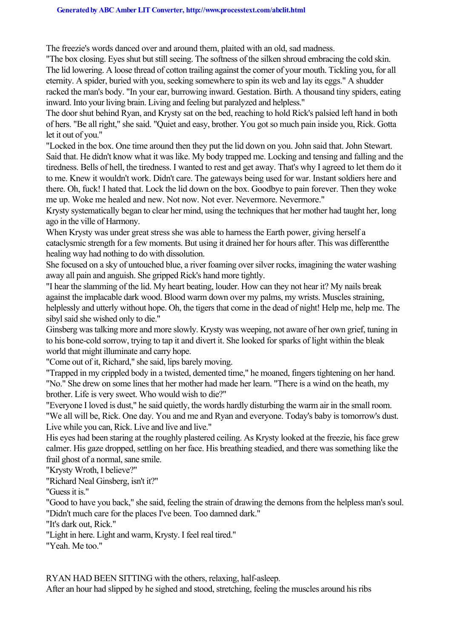The freezie's words danced over and around them, plaited with an old, sad madness.

"The box closing. Eyes shut but still seeing. The softness of the silken shroud embracing the cold skin. The lid lowering. A loose thread of cotton trailing against the corner of your mouth. Tickling you, for all eternity. A spider, buried with you, seeking somewhere to spin its web and lay its eggs." A shudder racked the man's body. "In your ear, burrowing inward. Gestation. Birth. A thousand tiny spiders, eating inward. Into your living brain. Living and feeling but paralyzed and helpless."

The door shut behind Ryan, and Krysty sat on the bed, reaching to hold Rick's palsied left hand in both of hers. "Be all right," she said. "Quiet and easy, brother. You got so much pain inside you, Rick. Gotta let it out of you."

"Locked in the box. One time around then they put the lid down on you. John said that. John Stewart. Said that. He didn't know what it was like. My body trapped me. Locking and tensing and falling and the tiredness. Bells of hell, the tiredness. I wanted to rest and get away. That's why I agreed to let them do it to me. Knew it wouldn't work. Didn't care. The gateways being used for war. Instant soldiers here and there. Oh, fuck! I hated that. Lock the lid down on the box. Goodbye to pain forever. Then they woke me up. Woke me healed and new. Not now. Not ever. Nevermore. Nevermore."

Krysty systematically began to clear her mind, using the techniques that her mother had taught her, long ago in the ville of Harmony.

When Krysty was under great stress she was able to harness the Earth power, giving herself a cataclysmic strength for a few moments. But using it drained her for hours after. This was differentthe healing way had nothing to do with dissolution.

She focused on a sky of untouched blue, a river foaming over silver rocks, imagining the water washing away all pain and anguish. She gripped Rick's hand more tightly.

"I hear the slamming of the lid. My heart beating, louder. How can they not hear it? My nails break against the implacable dark wood. Blood warm down over my palms, my wrists. Muscles straining, helplessly and utterly without hope. Oh, the tigers that come in the dead of night! Help me, help me. The sibyl said she wished only to die."

Ginsberg was talking more and more slowly. Krysty was weeping, not aware of her own grief, tuning in to his bone-cold sorrow, trying to tap it and divert it. She looked for sparks of light within the bleak world that might illuminate and carry hope.

"Come out of it, Richard," she said, lips barely moving.

"Trapped in my crippled body in a twisted, demented time," he moaned, fingers tightening on her hand. "No." She drew on some lines that her mother had made her learn. "There is a wind on the heath, my brother. Life is very sweet. Who would wish to die?"

"Everyone I loved is dust," he said quietly, the words hardly disturbing the warm air in the small room. "We all will be, Rick. One day. You and me and Ryan and everyone. Today's baby is tomorrow's dust. Live while you can, Rick. Live and live and live."

His eyes had been staring at the roughly plastered ceiling. As Krysty looked at the freezie, his face grew calmer. His gaze dropped, settling on her face. His breathing steadied, and there was something like the frail ghost of a normal, sane smile.

"Krysty Wroth, I believe?"

"Richard Neal Ginsberg, isn't it?"

"Guess it is."

"Good to have you back," she said, feeling the strain of drawing the demons from the helpless man's soul. "Didn't much care for the places I've been. Too damned dark."

"It's dark out, Rick."

"Light in here. Light and warm, Krysty. I feel real tired."

"Yeah. Me too."

RYAN HAD BEEN SITTING with the others, relaxing, half-asleep.

After an hour had slipped by he sighed and stood, stretching, feeling the muscles around his ribs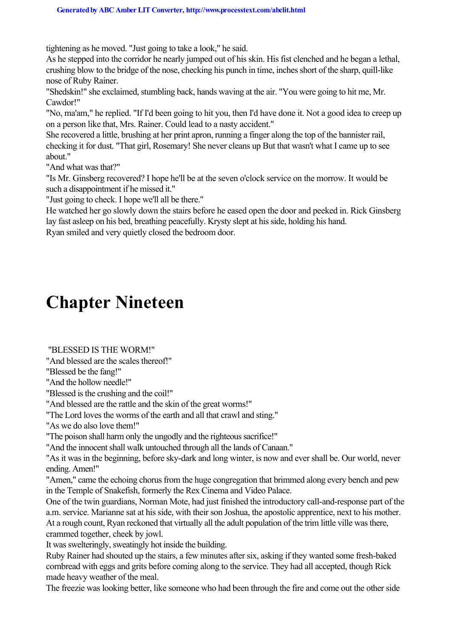tightening as he moved. "Just going to take a look," he said.

As he stepped into the corridor he nearly jumped out of his skin. His fist clenched and he began a lethal, crushing blow to the bridge of the nose, checking his punch in time, inches short of the sharp, quill-like nose of Ruby Rainer.

"Shedskin!" she exclaimed, stumbling back, hands waving at the air. "You were going to hit me, Mr. Cawdor!"

"No, ma'am," he replied. "If I'd been going to hit you, then I'd have done it. Not a good idea to creep up on a person like that, Mrs. Rainer. Could lead to a nasty accident."

She recovered a little, brushing at her print apron, running a finger along the top of the bannister rail, checking it for dust. "That girl, Rosemary! She never cleans up But that wasn't what I came up to see about."

"And what was that?"

"Is Mr. Ginsberg recovered? I hope he'll be at the seven o'clock service on the morrow. It would be such a disappointment if he missed it."

"Just going to check. I hope we'll all be there."

He watched her go slowly down the stairs before he eased open the door and peeked in. Rick Ginsberg lay fast asleep on his bed, breathing peacefully. Krysty slept at his side, holding his hand.

Ryan smiled and very quietly closed the bedroom door.

#### **Chapter Nineteen**

"BLESSED IS THE WORM!"

"And blessed are the scales thereof!"

"Blessed be the fang!"

"And the hollow needle!"

"Blessed is the crushing and the coil!"

"And blessed are the rattle and the skin of the great worms!"

"The Lord loves the worms of the earth and all that crawl and sting."

"As we do also love them!"

"The poison shall harm only the ungodly and the righteous sacrifice!"

"And the innocent shall walk untouched through all the lands of Canaan."

"As it was in the beginning, before sky-dark and long winter, is now and ever shall be. Our world, never ending. Amen!"

"Amen," came the echoing chorus from the huge congregation that brimmed along every bench and pew in the Temple of Snakefish, formerly the Rex Cinema and Video Palace.

One of the twin guardians, Norman Mote, had just finished the introductory call-and-response part of the a.m. service. Marianne sat at his side, with their son Joshua, the apostolic apprentice, next to his mother. At a rough count, Ryan reckoned that virtually all the adult population of the trim little ville was there, crammed together, cheek by jowl.

It was swelteringly, sweatingly hot inside the building.

Ruby Rainer had shouted up the stairs, a few minutes after six, asking if they wanted some fresh-baked cornbread with eggs and grits before coming along to the service. They had all accepted, though Rick made heavy weather of the meal.

The freezie was looking better, like someone who had been through the fire and come out the other side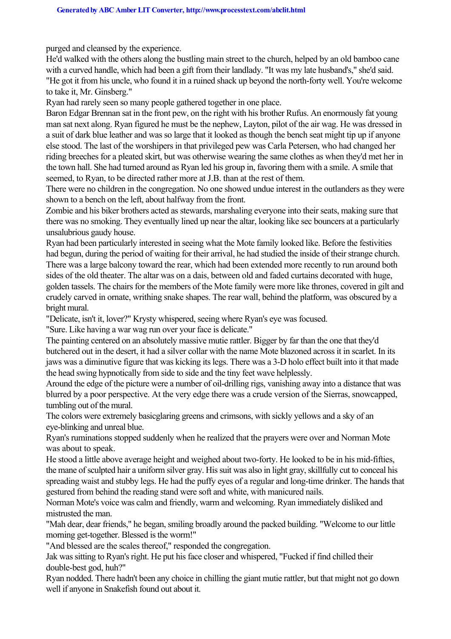purged and cleansed by the experience.

He'd walked with the others along the bustling main street to the church, helped by an old bamboo cane with a curved handle, which had been a gift from their landlady. "It was my late husband's," she'd said. "He got it from his uncle, who found it in a ruined shack up beyond the north-forty well. You're welcome to take it, Mr. Ginsberg."

Ryan had rarely seen so many people gathered together in one place.

Baron Edgar Brennan sat in the front pew, on the right with his brother Rufus. An enormously fat young man sat next along. Ryan figured he must be the nephew, Layton, pilot of the air wag. He was dressed in a suit of dark blue leather and was so large that it looked as though the bench seat might tip up if anyone else stood. The last of the worshipers in that privileged pew was Carla Petersen, who had changed her riding breeches for a pleated skirt, but was otherwise wearing the same clothes as when they'd met her in the town hall. She had turned around as Ryan led his group in, favoring them with a smile. A smile that seemed, to Ryan, to be directed rather more at J.B. than at the rest of them.

There were no children in the congregation. No one showed undue interest in the outlanders as they were shown to a bench on the left, about halfway from the front.

Zombie and his biker brothers acted as stewards, marshaling everyone into their seats, making sure that there was no smoking. They eventually lined up near the altar, looking like sec bouncers at a particularly unsalubrious gaudy house.

Ryan had been particularly interested in seeing what the Mote family looked like. Before the festivities had begun, during the period of waiting for their arrival, he had studied the inside of their strange church. There was a large balcony toward the rear, which had been extended more recently to run around both sides of the old theater. The altar was on a dais, between old and faded curtains decorated with huge, golden tassels. The chairs for the members of the Mote family were more like thrones, covered in gilt and crudely carved in ornate, writhing snake shapes. The rear wall, behind the platform, was obscured by a bright mural.

"Delicate, isn't it, lover?" Krysty whispered, seeing where Ryan's eye was focused.

"Sure. Like having a war wag run over your face is delicate."

The painting centered on an absolutely massive mutie rattler. Bigger by far than the one that they'd butchered out in the desert, it had a silver collar with the name Mote blazoned across it in scarlet. In its jaws was a diminutive figure that was kicking its legs. There was a 3-D holo effect built into it that made the head swing hypnotically from side to side and the tiny feet wave helplessly.

Around the edge of the picture were a number of oil-drilling rigs, vanishing away into a distance that was blurred by a poor perspective. At the very edge there was a crude version of the Sierras, snowcapped, tumbling out of the mural.

The colors were extremely basicglaring greens and crimsons, with sickly yellows and a sky of an eye-blinking and unreal blue.

Ryan's ruminations stopped suddenly when he realized that the prayers were over and Norman Mote was about to speak.

He stood a little above average height and weighed about two-forty. He looked to be in his mid-fifties, the mane of sculpted hair a uniform silver gray. His suit was also in light gray, skillfully cut to conceal his spreading waist and stubby legs. He had the puffy eyes of a regular and long-time drinker. The hands that gestured from behind the reading stand were soft and white, with manicured nails.

Norman Mote's voice was calm and friendly, warm and welcoming. Ryan immediately disliked and mistrusted the man.

"Mah dear, dear friends," he began, smiling broadly around the packed building. "Welcome to our little morning get-together. Blessed is the worm!"

"And blessed are the scales thereof," responded the congregation.

Jak was sitting to Ryan's right. He put his face closer and whispered, "Fucked if find chilled their double-best god, huh?"

Ryan nodded. There hadn't been any choice in chilling the giant mutie rattler, but that might not go down well if anyone in Snakefish found out about it.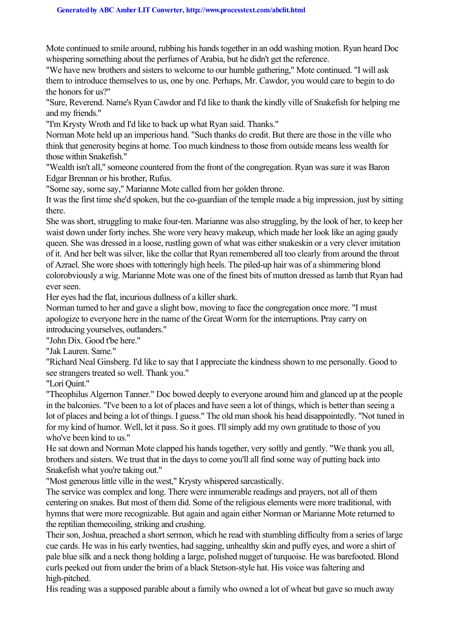Mote continued to smile around, rubbing his hands together in an odd washing motion. Ryan heard Doc whispering something about the perfumes of Arabia, but he didn't get the reference.

"We have new brothers and sisters to welcome to our humble gathering," Mote continued. "I will ask them to introduce themselves to us, one by one. Perhaps, Mr. Cawdor, you would care to begin to do the honors for us?"

"Sure, Reverend. Name's Ryan Cawdor and I'd like to thank the kindly ville of Snakefish for helping me and my friends."

"I'm Krysty Wroth and I'd like to back up what Ryan said. Thanks."

Norman Mote held up an imperious hand. "Such thanks do credit. But there are those in the ville who think that generosity begins at home. Too much kindness to those from outside means less wealth for those within Snakefish."

"Wealth isn't all," someone countered from the front of the congregation. Ryan was sure it was Baron Edgar Brennan or his brother, Rufus.

"Some say, some say," Marianne Mote called from her golden throne.

It was the first time she'd spoken, but the co-guardian of the temple made a big impression, just by sitting there.

She was short, struggling to make four-ten. Marianne was also struggling, by the look of her, to keep her waist down under forty inches. She wore very heavy makeup, which made her look like an aging gaudy queen. She was dressed in a loose, rustling gown of what was either snakeskin or a very clever imitation of it. And her belt was silver, like the collar that Ryan remembered all too clearly from around the throat of Azrael. She wore shoes with totteringly high heels. The piled-up hair was of a shimmering blond colorobviously a wig. Marianne Mote was one of the finest bits of mutton dressed as lamb that Ryan had ever seen.

Her eyes had the flat, incurious dullness of a killer shark.

Norman turned to her and gave a slight bow, moving to face the congregation once more. "I must apologize to everyone here in the name of the Great Worm for the interruptions. Pray carry on introducing yourselves, outlanders."

"John Dix. Good t'be here."

"Jak Lauren. Same."

"Richard Neal Ginsberg. I'd like to say that I appreciate the kindness shown to me personally. Good to see strangers treated so well. Thank you."

"Lori Quint."

"Theophilus Algernon Tanner." Doc bowed deeply to everyone around him and glanced up at the people in the balconies. "I've been to a lot of places and have seen a lot of things, which is better than seeing a lot of places and being a lot of things. I guess." The old man shook his head disappointedly. "Not tuned in for my kind of humor. Well, let it pass. So it goes. I'll simply add my own gratitude to those of you who've been kind to us."

He sat down and Norman Mote clapped his hands together, very softly and gently. "We thank you all, brothers and sisters. We trust that in the days to come you'll all find some way of putting back into Snakefish what you're taking out."

"Most generous little ville in the west," Krysty whispered sarcastically.

The service was complex and long. There were innumerable readings and prayers, not all of them centering on snakes. But most of them did. Some of the religious elements were more traditional, with hymns that were more recognizable. But again and again either Norman or Marianne Mote returned to the reptilian themecoiling, striking and crushing.

Their son, Joshua, preached a short sermon, which he read with stumbling difficulty from a series of large cue cards. He was in his early twenties, had sagging, unhealthy skin and puffy eyes, and wore a shirt of pale blue silk and a neck thong holding a large, polished nugget of turquoise. He was barefooted. Blond curls peeked out from under the brim of a black Stetson-style hat. His voice was faltering and high-pitched.

His reading was a supposed parable about a family who owned a lot of wheat but gave so much away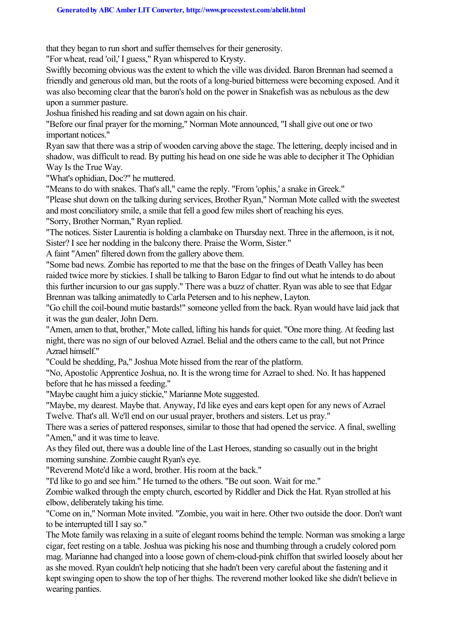that they began to run short and suffer themselves for their generosity.

"For wheat, read 'oil,' I guess," Ryan whispered to Krysty.

Swiftly becoming obvious was the extent to which the ville was divided. Baron Brennan had seemed a friendly and generous old man, but the roots of a long-buried bitterness were becoming exposed. And it was also becoming clear that the baron's hold on the power in Snakefish was as nebulous as the dew upon a summer pasture.

Joshua finished his reading and sat down again on his chair.

"Before our final prayer for the morning," Norman Mote announced, "I shall give out one or two important notices."

Ryan saw that there was a strip of wooden carving above the stage. The lettering, deeply incised and in shadow, was difficult to read. By putting his head on one side he was able to decipher it The Ophidian Way Is the True Way.

"What's ophidian, Doc?" he muttered.

"Means to do with snakes. That's all," came the reply. "From 'ophis,' a snake in Greek."

"Please shut down on the talking during services, Brother Ryan," Norman Mote called with the sweetest and most conciliatory smile, a smile that fell a good few miles short of reaching his eyes.

"Sorry, Brother Norman," Ryan replied.

"The notices. Sister Laurentia is holding a clambake on Thursday next. Three in the afternoon, is it not, Sister? I see her nodding in the balcony there. Praise the Worm, Sister."

A faint "Amen" filtered down from the gallery above them.

"Some bad news. Zombie has reported to me that the base on the fringes of Death Valley has been raided twice more by stickies. I shall be talking to Baron Edgar to find out what he intends to do about this further incursion to our gas supply." There was a buzz of chatter. Ryan was able to see that Edgar Brennan was talking animatedly to Carla Petersen and to his nephew, Layton.

"Go chill the coil-bound mutie bastards!" someone yelled from the back. Ryan would have laid jack that it was the gun dealer, John Dern.

"Amen, amen to that, brother," Mote called, lifting his hands for quiet. "One more thing. At feeding last night, there was no sign of our beloved Azrael. Belial and the others came to the call, but not Prince Azrael himself."

"Could be shedding, Pa," Joshua Mote hissed from the rear of the platform.

"No, Apostolic Apprentice Joshua, no. It is the wrong time for Azrael to shed. No. It has happened before that he has missed a feeding."

"Maybe caught him a juicy stickie," Marianne Mote suggested.

"Maybe, my dearest. Maybe that. Anyway, I'd like eyes and ears kept open for any news of Azrael Twelve. That's all. We'll end on our usual prayer, brothers and sisters. Let us pray."

There was a series of pattered responses, similar to those that had opened the service. A final, swelling "Amen," and it was time to leave.

As they filed out, there was a double line of the Last Heroes, standing so casually out in the bright morning sunshine. Zombie caught Ryan's eye.

"Reverend Mote'd like a word, brother. His room at the back."

"I'd like to go and see him." He turned to the others. "Be out soon. Wait for me."

Zombie walked through the empty church, escorted by Riddler and Dick the Hat. Ryan strolled at his elbow, deliberately taking his time.

"Come on in," Norman Mote invited. "Zombie, you wait in here. Other two outside the door. Don't want to be interrupted till I say so."

The Mote family was relaxing in a suite of elegant rooms behind the temple. Norman was smoking a large cigar, feet resting on a table. Joshua was picking his nose and thumbing through a crudely colored porn mag. Marianne had changed into a loose gown of chem-cloud-pink chiffon that swirled loosely about her as she moved. Ryan couldn't help noticing that she hadn't been very careful about the fastening and it kept swinging open to show the top of her thighs. The reverend mother looked like she didn't believe in wearing panties.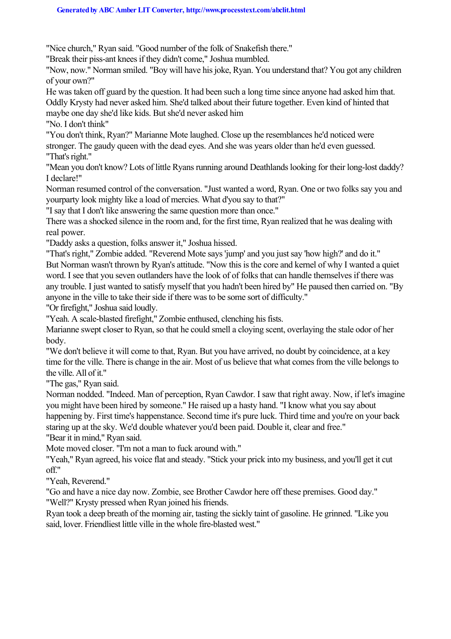"Nice church," Ryan said. "Good number of the folk of Snakefish there."

"Break their piss-ant knees if they didn't come," Joshua mumbled.

"Now, now." Norman smiled. "Boy will have his joke, Ryan. You understand that? You got any children of your own?"

He was taken off guard by the question. It had been such a long time since anyone had asked him that. Oddly Krysty had never asked him. She'd talked about their future together. Even kind of hinted that

maybe one day she'd like kids. But she'd never asked him

"No. I don't think"

"You don't think, Ryan?" Marianne Mote laughed. Close up the resemblances he'd noticed were stronger. The gaudy queen with the dead eyes. And she was years older than he'd even guessed. "That's right."

"Mean you don't know? Lots of little Ryans running around Deathlands looking for their long-lost daddy? I declare!"

Norman resumed control of the conversation. "Just wanted a word, Ryan. One or two folks say you and yourparty look mighty like a load of mercies. What d'you say to that?"

"I say that I don't like answering the same question more than once."

There was a shocked silence in the room and, for the first time, Ryan realized that he was dealing with real power.

"Daddy asks a question, folks answer it," Joshua hissed.

"That's right," Zombie added. "Reverend Mote says 'jump' and you just say 'how high?' and do it." But Norman wasn't thrown by Ryan's attitude. "Now this is the core and kernel of why I wanted a quiet word. I see that you seven outlanders have the look of of folks that can handle themselves if there was any trouble. I just wanted to satisfy myself that you hadn't been hired by" He paused then carried on. "By anyone in the ville to take their side if there was to be some sort of difficulty."

"Or firefight," Joshua said loudly.

"Yeah. A scale-blasted firefight," Zombie enthused, clenching his fists.

Marianne swept closer to Ryan, so that he could smell a cloying scent, overlaying the stale odor of her body.

"We don't believe it will come to that, Ryan. But you have arrived, no doubt by coincidence, at a key time for the ville. There is change in the air. Most of us believe that what comes from the ville belongs to the ville. All of it."

"The gas," Ryan said.

Norman nodded. "Indeed. Man of perception, Ryan Cawdor. I saw that right away. Now, if let's imagine you might have been hired by someone." He raised up a hasty hand. "I know what you say about happening by. First time's happenstance. Second time it's pure luck. Third time and you're on your back staring up at the sky. We'd double whatever you'd been paid. Double it, clear and free."

"Bear it in mind," Ryan said.

Mote moved closer. "I'm not a man to fuck around with."

"Yeah," Ryan agreed, his voice flat and steady. "Stick your prick into my business, and you'll get it cut off."

"Yeah, Reverend."

"Go and have a nice day now. Zombie, see Brother Cawdor here off these premises. Good day." "Well?" Krysty pressed when Ryan joined his friends.

Ryan took a deep breath of the morning air, tasting the sickly taint of gasoline. He grinned. "Like you said, lover. Friendliest little ville in the whole fire-blasted west."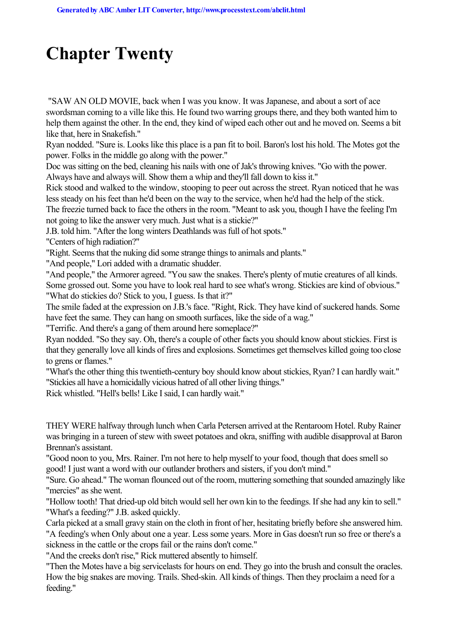# **Chapter Twenty**

 "SAW AN OLD MOVIE, back when I was you know. It was Japanese, and about a sort of ace swordsman coming to a ville like this. He found two warring groups there, and they both wanted him to help them against the other. In the end, they kind of wiped each other out and he moved on. Seems a bit like that, here in Snakefish."

Ryan nodded. "Sure is. Looks like this place is a pan fit to boil. Baron's lost his hold. The Motes got the power. Folks in the middle go along with the power."

Doc was sitting on the bed, cleaning his nails with one of Jak's throwing knives. "Go with the power. Always have and always will. Show them a whip and they'll fall down to kiss it."

Rick stood and walked to the window, stooping to peer out across the street. Ryan noticed that he was less steady on his feet than he'd been on the way to the service, when he'd had the help of the stick.

The freezie turned back to face the others in the room. "Meant to ask you, though I have the feeling I'm not going to like the answer very much. Just what is a stickie?"

J.B. told him. "After the long winters Deathlands was full of hot spots."

"Centers of high radiation?"

"Right. Seems that the nuking did some strange things to animals and plants."

"And people," Lori added with a dramatic shudder.

"And people," the Armorer agreed. "You saw the snakes. There's plenty of mutie creatures of all kinds. Some grossed out. Some you have to look real hard to see what's wrong. Stickies are kind of obvious." "What do stickies do? Stick to you, I guess. Is that it?"

The smile faded at the expression on J.B.'s face. "Right, Rick. They have kind of suckered hands. Some have feet the same. They can hang on smooth surfaces, like the side of a wag."

"Terrific. And there's a gang of them around here someplace?"

Ryan nodded. "So they say. Oh, there's a couple of other facts you should know about stickies. First is that they generally love all kinds of fires and explosions. Sometimes get themselves killed going too close to grens or flames."

"What's the other thing this twentieth-century boy should know about stickies, Ryan? I can hardly wait." "Stickies all have a homicidally vicious hatred of all other living things."

Rick whistled. "Hell's bells! Like I said, I can hardly wait."

THEY WERE halfway through lunch when Carla Petersen arrived at the Rentaroom Hotel. Ruby Rainer was bringing in a tureen of stew with sweet potatoes and okra, sniffing with audible disapproval at Baron Brennan's assistant.

"Good noon to you, Mrs. Rainer. I'm not here to help myself to your food, though that does smell so good! I just want a word with our outlander brothers and sisters, if you don't mind."

"Sure. Go ahead." The woman flounced out of the room, muttering something that sounded amazingly like "mercies" as she went.

"Hollow tooth! That dried-up old bitch would sell her own kin to the feedings. If she had any kin to sell." "What's a feeding?" J.B. asked quickly.

Carla picked at a small gravy stain on the cloth in front of her, hesitating briefly before she answered him. "A feeding's when Only about one a year. Less some years. More in Gas doesn't run so free or there's a sickness in the cattle or the crops fail or the rains don't come."

"And the creeks don't rise," Rick muttered absently to himself.

"Then the Motes have a big servicelasts for hours on end. They go into the brush and consult the oracles. How the big snakes are moving. Trails. Shed-skin. All kinds of things. Then they proclaim a need for a feeding."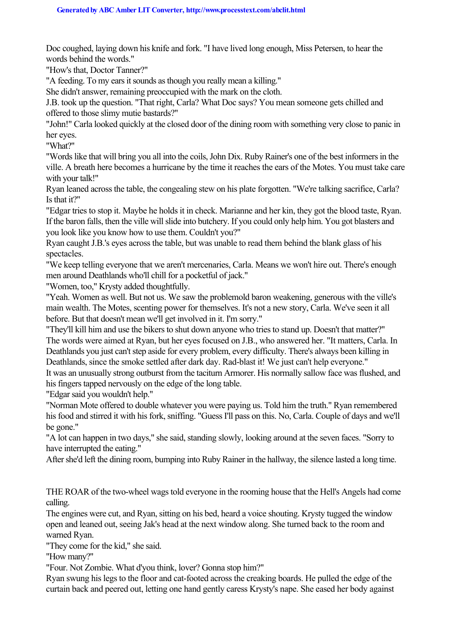Doc coughed, laying down his knife and fork. "I have lived long enough, Miss Petersen, to hear the words behind the words."

"How's that, Doctor Tanner?"

"A feeding. To my ears it sounds as though you really mean a killing."

She didn't answer, remaining preoccupied with the mark on the cloth.

J.B. took up the question. "That right, Carla? What Doc says? You mean someone gets chilled and offered to those slimy mutie bastards?"

"John!" Carla looked quickly at the closed door of the dining room with something very close to panic in her eyes.

"What?"

"Words like that will bring you all into the coils, John Dix. Ruby Rainer's one of the best informers in the ville. A breath here becomes a hurricane by the time it reaches the ears of the Motes. You must take care with your talk!"

Ryan leaned across the table, the congealing stew on his plate forgotten. "We're talking sacrifice, Carla? Is that it?"

"Edgar tries to stop it. Maybe he holds it in check. Marianne and her kin, they got the blood taste, Ryan. If the baron falls, then the ville will slide into butchery. If you could only help him. You got blasters and you look like you know how to use them. Couldn't you?"

Ryan caught J.B.'s eyes across the table, but was unable to read them behind the blank glass of his spectacles.

"We keep telling everyone that we aren't mercenaries, Carla. Means we won't hire out. There's enough men around Deathlands who'll chill for a pocketful of jack."

"Women, too," Krysty added thoughtfully.

"Yeah. Women as well. But not us. We saw the problemold baron weakening, generous with the ville's main wealth. The Motes, scenting power for themselves. It's not a new story, Carla. We've seen it all before. But that doesn't mean we'll get involved in it. I'm sorry."

"They'll kill him and use the bikers to shut down anyone who tries to stand up. Doesn't that matter?" The words were aimed at Ryan, but her eyes focused on J.B., who answered her. "It matters, Carla. In Deathlands you just can't step aside for every problem, every difficulty. There's always been killing in Deathlands, since the smoke settled after dark day. Rad-blast it! We just can't help everyone."

It was an unusually strong outburst from the taciturn Armorer. His normally sallow face was flushed, and his fingers tapped nervously on the edge of the long table.

"Edgar said you wouldn't help."

"Norman Mote offered to double whatever you were paying us. Told him the truth." Ryan remembered his food and stirred it with his fork, sniffing. "Guess I'll pass on this. No, Carla. Couple of days and we'll be gone."

"A lot can happen in two days," she said, standing slowly, looking around at the seven faces. "Sorry to have interrupted the eating."

After she'd left the dining room, bumping into Ruby Rainer in the hallway, the silence lasted a long time.

THE ROAR of the two-wheel wags told everyone in the rooming house that the Hell's Angels had come calling.

The engines were cut, and Ryan, sitting on his bed, heard a voice shouting. Krysty tugged the window open and leaned out, seeing Jak's head at the next window along. She turned back to the room and warned Ryan.

"They come for the kid," she said.

"How many?"

"Four. Not Zombie. What d'you think, lover? Gonna stop him?"

Ryan swung his legs to the floor and cat-footed across the creaking boards. He pulled the edge of the curtain back and peered out, letting one hand gently caress Krysty's nape. She eased her body against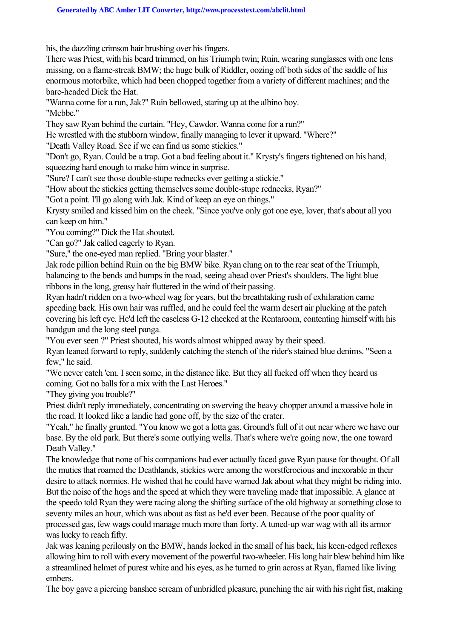his, the dazzling crimson hair brushing over his fingers.

There was Priest, with his beard trimmed, on his Triumph twin; Ruin, wearing sunglasses with one lens missing, on a flame-streak BMW; the huge bulk of Riddler, oozing off both sides of the saddle of his enormous motorbike, which had been chopped together from a variety of different machines; and the bare-headed Dick the Hat.

"Wanna come for a run, Jak?" Ruin bellowed, staring up at the albino boy.

"Mebbe."

They saw Ryan behind the curtain. "Hey, Cawdor. Wanna come for a run?"

He wrestled with the stubborn window, finally managing to lever it upward. "Where?"

"Death Valley Road. See if we can find us some stickies."

"Don't go, Ryan. Could be a trap. Got a bad feeling about it." Krysty's fingers tightened on his hand, squeezing hard enough to make him wince in surprise.

"Sure? I can't see those double-stupe rednecks ever getting a stickie."

"How about the stickies getting themselves some double-stupe rednecks, Ryan?"

"Got a point. I'll go along with Jak. Kind of keep an eye on things."

Krysty smiled and kissed him on the cheek. "Since you've only got one eye, lover, that's about all you can keep on him."

"You coming?" Dick the Hat shouted.

"Can go?" Jak called eagerly to Ryan.

"Sure," the one-eyed man replied. "Bring your blaster."

Jak rode pillion behind Ruin on the big BMW bike. Ryan clung on to the rear seat of the Triumph, balancing to the bends and bumps in the road, seeing ahead over Priest's shoulders. The light blue ribbons in the long, greasy hair fluttered in the wind of their passing.

Ryan hadn't ridden on a two-wheel wag for years, but the breathtaking rush of exhilaration came speeding back. His own hair was ruffled, and he could feel the warm desert air plucking at the patch covering his left eye. He'd left the caseless G-12 checked at the Rentaroom, contenting himself with his handgun and the long steel panga.

"You ever seen ?" Priest shouted, his words almost whipped away by their speed.

Ryan leaned forward to reply, suddenly catching the stench of the rider's stained blue denims. "Seen a few," he said.

"We never catch 'em. I seen some, in the distance like. But they all fucked off when they heard us coming. Got no balls for a mix with the Last Heroes."

"They giving you trouble?"

Priest didn't reply immediately, concentrating on swerving the heavy chopper around a massive hole in the road. It looked like a landie had gone off, by the size of the crater.

"Yeah," he finally grunted. "You know we got a lotta gas. Ground's full of it out near where we have our base. By the old park. But there's some outlying wells. That's where we're going now, the one toward Death Valley."

The knowledge that none of his companions had ever actually faced gave Ryan pause for thought. Of all the muties that roamed the Deathlands, stickies were among the worstferocious and inexorable in their desire to attack normies. He wished that he could have warned Jak about what they might be riding into. But the noise of the hogs and the speed at which they were traveling made that impossible. A glance at the speedo told Ryan they were racing along the shifting surface of the old highway at something close to seventy miles an hour, which was about as fast as he'd ever been. Because of the poor quality of processed gas, few wags could manage much more than forty. A tuned-up war wag with all its armor was lucky to reach fifty.

Jak was leaning perilously on the BMW, hands locked in the small of his back, his keen-edged reflexes allowing him to roll with every movement of the powerful two-wheeler. His long hair blew behind him like a streamlined helmet of purest white and his eyes, as he turned to grin across at Ryan, flamed like living embers.

The boy gave a piercing banshee scream of unbridled pleasure, punching the air with his right fist, making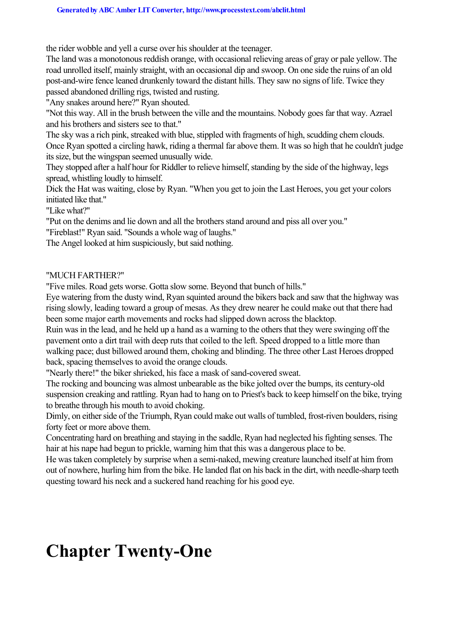the rider wobble and yell a curse over his shoulder at the teenager.

The land was a monotonous reddish orange, with occasional relieving areas of gray or pale yellow. The road unrolled itself, mainly straight, with an occasional dip and swoop. On one side the ruins of an old post-and-wire fence leaned drunkenly toward the distant hills. They saw no signs of life. Twice they passed abandoned drilling rigs, twisted and rusting.

"Any snakes around here?" Ryan shouted.

"Not this way. All in the brush between the ville and the mountains. Nobody goes far that way. Azrael and his brothers and sisters see to that."

The sky was a rich pink, streaked with blue, stippled with fragments of high, scudding chem clouds. Once Ryan spotted a circling hawk, riding a thermal far above them. It was so high that he couldn't judge its size, but the wingspan seemed unusually wide.

They stopped after a half hour for Riddler to relieve himself, standing by the side of the highway, legs spread, whistling loudly to himself.

Dick the Hat was waiting, close by Ryan. "When you get to join the Last Heroes, you get your colors initiated like that."

"Like what?"

"Put on the denims and lie down and all the brothers stand around and piss all over you."

"Fireblast!" Ryan said. "Sounds a whole wag of laughs."

The Angel looked at him suspiciously, but said nothing.

#### "MUCH FARTHER?"

"Five miles. Road gets worse. Gotta slow some. Beyond that bunch of hills."

Eye watering from the dusty wind, Ryan squinted around the bikers back and saw that the highway was rising slowly, leading toward a group of mesas. As they drew nearer he could make out that there had been some major earth movements and rocks had slipped down across the blacktop.

Ruin was in the lead, and he held up a hand as a warning to the others that they were swinging off the pavement onto a dirt trail with deep ruts that coiled to the left. Speed dropped to a little more than walking pace; dust billowed around them, choking and blinding. The three other Last Heroes dropped back, spacing themselves to avoid the orange clouds.

"Nearly there!" the biker shrieked, his face a mask of sand-covered sweat.

The rocking and bouncing was almost unbearable as the bike jolted over the bumps, its century-old suspension creaking and rattling. Ryan had to hang on to Priest's back to keep himself on the bike, trying to breathe through his mouth to avoid choking.

Dimly, on either side of the Triumph, Ryan could make out walls of tumbled, frost-riven boulders, rising forty feet or more above them.

Concentrating hard on breathing and staying in the saddle, Ryan had neglected his fighting senses. The hair at his nape had begun to prickle, warning him that this was a dangerous place to be.

He was taken completely by surprise when a semi-naked, mewing creature launched itself at him from out of nowhere, hurling him from the bike. He landed flat on his back in the dirt, with needle-sharp teeth questing toward his neck and a suckered hand reaching for his good eye.

## **Chapter Twenty-One**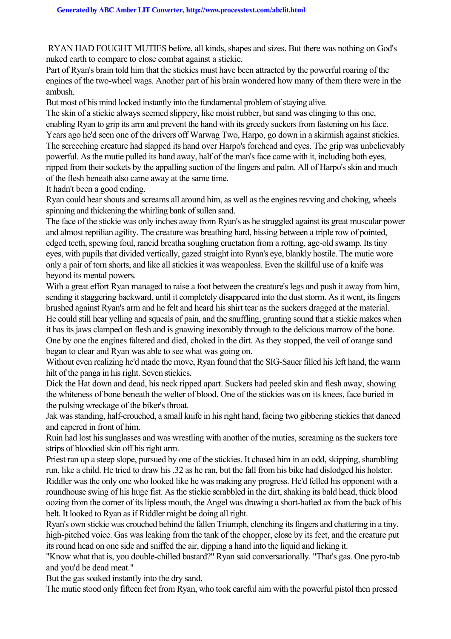RYAN HAD FOUGHT MUTIES before, all kinds, shapes and sizes. But there was nothing on God's nuked earth to compare to close combat against a stickie.

Part of Ryan's brain told him that the stickies must have been attracted by the powerful roaring of the engines of the two-wheel wags. Another part of his brain wondered how many of them there were in the ambush.

But most of his mind locked instantly into the fundamental problem of staying alive.

The skin of a stickie always seemed slippery, like moist rubber, but sand was clinging to this one, enabling Ryan to grip its arm and prevent the hand with its greedy suckers from fastening on his face. Years ago he'd seen one of the drivers off Warwag Two, Harpo, go down in a skirmish against stickies. The screeching creature had slapped its hand over Harpo's forehead and eyes. The grip was unbelievably powerful. As the mutie pulled its hand away, half of the man's face came with it, including both eyes, ripped from their sockets by the appalling suction of the fingers and palm. All of Harpo's skin and much of the flesh beneath also came away at the same time.

It hadn't been a good ending.

Ryan could hear shouts and screams all around him, as well as the engines revving and choking, wheels spinning and thickening the whirling bank of sullen sand.

The face of the stickie was only inches away from Ryan's as he struggled against its great muscular power and almost reptilian agility. The creature was breathing hard, hissing between a triple row of pointed, edged teeth, spewing foul, rancid breatha soughing eructation from a rotting, age-old swamp. Its tiny eyes, with pupils that divided vertically, gazed straight into Ryan's eye, blankly hostile. The mutie wore only a pair of torn shorts, and like all stickies it was weaponless. Even the skillful use of a knife was beyond its mental powers.

With a great effort Ryan managed to raise a foot between the creature's legs and push it away from him, sending it staggering backward, until it completely disappeared into the dust storm. As it went, its fingers brushed against Ryan's arm and he felt and heard his shirt tear as the suckers dragged at the material. He could still hear yelling and squeals of pain, and the snuffling, grunting sound that a stickie makes when it has its jaws clamped on flesh and is gnawing inexorably through to the delicious marrow of the bone. One by one the engines faltered and died, choked in the dirt. As they stopped, the veil of orange sand began to clear and Ryan was able to see what was going on.

Without even realizing he'd made the move, Ryan found that the SIG-Sauer filled his left hand, the warm hilt of the panga in his right. Seven stickies.

Dick the Hat down and dead, his neck ripped apart. Suckers had peeled skin and flesh away, showing the whiteness of bone beneath the welter of blood. One of the stickies was on its knees, face buried in the pulsing wreckage of the biker's throat.

Jak was standing, half-crouched, a small knife in his right hand, facing two gibbering stickies that danced and capered in front of him.

Ruin had lost his sunglasses and was wrestling with another of the muties, screaming as the suckers tore strips of bloodied skin off his right arm.

Priest ran up a steep slope, pursued by one of the stickies. It chased him in an odd, skipping, shambling run, like a child. He tried to draw his .32 as he ran, but the fall from his bike had dislodged his holster. Riddler was the only one who looked like he was making any progress. He'd felled his opponent with a roundhouse swing of his huge fist. As the stickie scrabbled in the dirt, shaking its bald head, thick blood oozing from the corner of its lipless mouth, the Angel was drawing a short-hafted ax from the back of his belt. It looked to Ryan as if Riddler might be doing all right.

Ryan's own stickie was crouched behind the fallen Triumph, clenching its fingers and chattering in a tiny, high-pitched voice. Gas was leaking from the tank of the chopper, close by its feet, and the creature put its round head on one side and sniffed the air, dipping a hand into the liquid and licking it.

"Know what that is, you double-chilled bastard?" Ryan said conversationally. "That's gas. One pyro-tab and you'd be dead meat."

But the gas soaked instantly into the dry sand.

The mutie stood only fifteen feet from Ryan, who took careful aim with the powerful pistol then pressed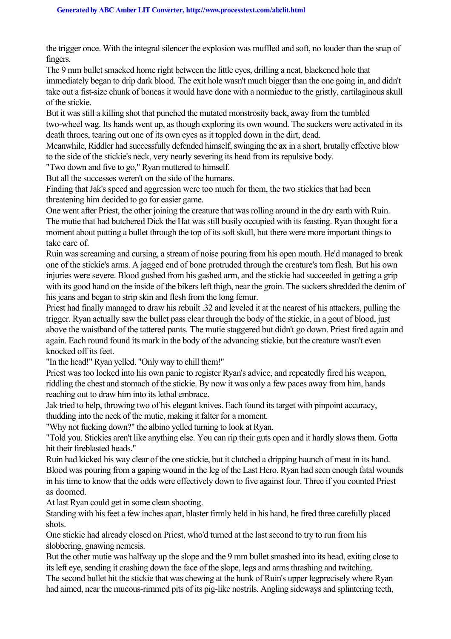the trigger once. With the integral silencer the explosion was muffled and soft, no louder than the snap of fingers.

The 9 mm bullet smacked home right between the little eyes, drilling a neat, blackened hole that immediately began to drip dark blood. The exit hole wasn't much bigger than the one going in, and didn't take out a fist-size chunk of boneas it would have done with a normiedue to the gristly, cartilaginous skull of the stickie.

But it was still a killing shot that punched the mutated monstrosity back, away from the tumbled two-wheel wag. Its hands went up, as though exploring its own wound. The suckers were activated in its death throes, tearing out one of its own eyes as it toppled down in the dirt, dead.

Meanwhile, Riddler had successfully defended himself, swinging the ax in a short, brutally effective blow to the side of the stickie's neck, very nearly severing its head from its repulsive body.

"Two down and five to go," Ryan muttered to himself.

But all the successes weren't on the side of the humans.

Finding that Jak's speed and aggression were too much for them, the two stickies that had been threatening him decided to go for easier game.

One went after Priest, the other joining the creature that was rolling around in the dry earth with Ruin. The mutie that had butchered Dick the Hat was still busily occupied with its feasting. Ryan thought for a moment about putting a bullet through the top of its soft skull, but there were more important things to take care of.

Ruin was screaming and cursing, a stream of noise pouring from his open mouth. He'd managed to break one of the stickie's arms. A jagged end of bone protruded through the creature's torn flesh. But his own injuries were severe. Blood gushed from his gashed arm, and the stickie had succeeded in getting a grip with its good hand on the inside of the bikers left thigh, near the groin. The suckers shredded the denim of his jeans and began to strip skin and flesh from the long femur.

Priest had finally managed to draw his rebuilt .32 and leveled it at the nearest of his attackers, pulling the trigger. Ryan actually saw the bullet pass clear through the body of the stickie, in a gout of blood, just above the waistband of the tattered pants. The mutie staggered but didn't go down. Priest fired again and again. Each round found its mark in the body of the advancing stickie, but the creature wasn't even knocked off its feet.

"In the head!" Ryan yelled. "Only way to chill them!"

Priest was too locked into his own panic to register Ryan's advice, and repeatedly fired his weapon, riddling the chest and stomach of the stickie. By now it was only a few paces away from him, hands reaching out to draw him into its lethal embrace.

Jak tried to help, throwing two of his elegant knives. Each found its target with pinpoint accuracy, thudding into the neck of the mutie, making it falter for a moment.

"Why not fucking down?" the albino yelled turning to look at Ryan.

"Told you. Stickies aren't like anything else. You can rip their guts open and it hardly slows them. Gotta hit their fireblasted heads."

Ruin had kicked his way clear of the one stickie, but it clutched a dripping haunch of meat in its hand. Blood was pouring from a gaping wound in the leg of the Last Hero. Ryan had seen enough fatal wounds in his time to know that the odds were effectively down to five against four. Three if you counted Priest as doomed.

At last Ryan could get in some clean shooting.

Standing with his feet a few inches apart, blaster firmly held in his hand, he fired three carefully placed shots.

One stickie had already closed on Priest, who'd turned at the last second to try to run from his slobbering, gnawing nemesis.

But the other mutie was halfway up the slope and the 9 mm bullet smashed into its head, exiting close to its left eye, sending it crashing down the face of the slope, legs and arms thrashing and twitching.

The second bullet hit the stickie that was chewing at the hunk of Ruin's upper legprecisely where Ryan had aimed, near the mucous-rimmed pits of its pig-like nostrils. Angling sideways and splintering teeth,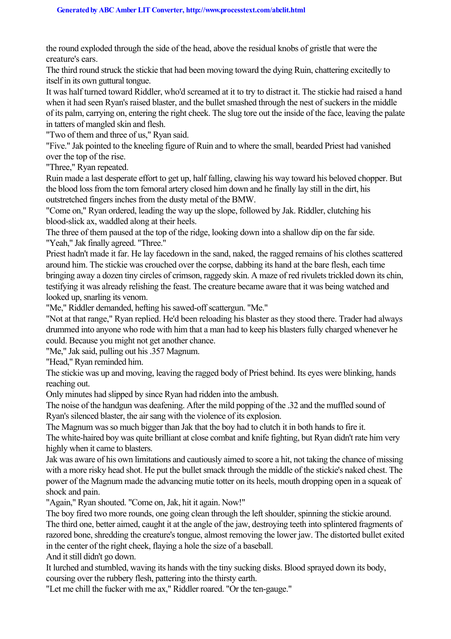the round exploded through the side of the head, above the residual knobs of gristle that were the creature's ears.

The third round struck the stickie that had been moving toward the dying Ruin, chattering excitedly to itself in its own guttural tongue.

It was half turned toward Riddler, who'd screamed at it to try to distract it. The stickie had raised a hand when it had seen Ryan's raised blaster, and the bullet smashed through the nest of suckers in the middle of its palm, carrying on, entering the right cheek. The slug tore out the inside of the face, leaving the palate in tatters of mangled skin and flesh.

"Two of them and three of us," Ryan said.

"Five." Jak pointed to the kneeling figure of Ruin and to where the small, bearded Priest had vanished over the top of the rise.

"Three," Ryan repeated.

Ruin made a last desperate effort to get up, half falling, clawing his way toward his beloved chopper. But the blood loss from the torn femoral artery closed him down and he finally lay still in the dirt, his outstretched fingers inches from the dusty metal of the BMW.

"Come on," Ryan ordered, leading the way up the slope, followed by Jak. Riddler, clutching his blood-slick ax, waddled along at their heels.

The three of them paused at the top of the ridge, looking down into a shallow dip on the far side. "Yeah," Jak finally agreed. "Three."

Priest hadn't made it far. He lay facedown in the sand, naked, the ragged remains of his clothes scattered around him. The stickie was crouched over the corpse, dabbing its hand at the bare flesh, each time bringing away a dozen tiny circles of crimson, raggedy skin. A maze of red rivulets trickled down its chin, testifying it was already relishing the feast. The creature became aware that it was being watched and looked up, snarling its venom.

"Me," Riddler demanded, hefting his sawed-off scattergun. "Me."

"Not at that range," Ryan replied. He'd been reloading his blaster as they stood there. Trader had always drummed into anyone who rode with him that a man had to keep his blasters fully charged whenever he could. Because you might not get another chance.

"Me," Jak said, pulling out his .357 Magnum.

"Head," Ryan reminded him.

The stickie was up and moving, leaving the ragged body of Priest behind. Its eyes were blinking, hands reaching out.

Only minutes had slipped by since Ryan had ridden into the ambush.

The noise of the handgun was deafening. After the mild popping of the .32 and the muffled sound of Ryan's silenced blaster, the air sang with the violence of its explosion.

The Magnum was so much bigger than Jak that the boy had to clutch it in both hands to fire it.

The white-haired boy was quite brilliant at close combat and knife fighting, but Ryan didn't rate him very highly when it came to blasters.

Jak was aware of his own limitations and cautiously aimed to score a hit, not taking the chance of missing with a more risky head shot. He put the bullet smack through the middle of the stickie's naked chest. The power of the Magnum made the advancing mutie totter on its heels, mouth dropping open in a squeak of shock and pain.

"Again," Ryan shouted. "Come on, Jak, hit it again. Now!"

The boy fired two more rounds, one going clean through the left shoulder, spinning the stickie around.

The third one, better aimed, caught it at the angle of the jaw, destroying teeth into splintered fragments of razored bone, shredding the creature's tongue, almost removing the lower jaw. The distorted bullet exited in the center of the right cheek, flaying a hole the size of a baseball.

And it still didn't go down.

It lurched and stumbled, waving its hands with the tiny sucking disks. Blood sprayed down its body, coursing over the rubbery flesh, pattering into the thirsty earth.

"Let me chill the fucker with me ax," Riddler roared. "Or the ten-gauge."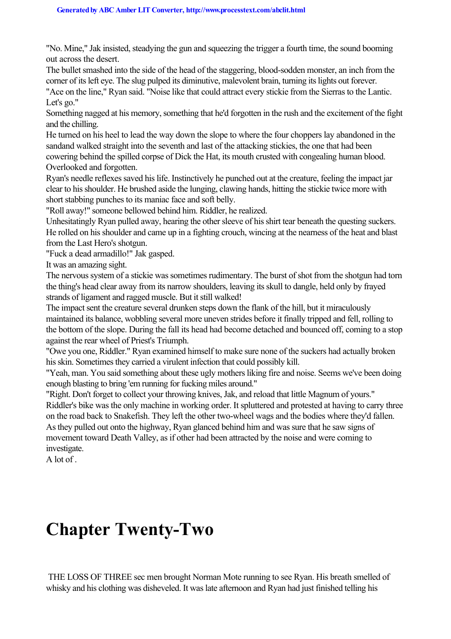"No. Mine," Jak insisted, steadying the gun and squeezing the trigger a fourth time, the sound booming out across the desert.

The bullet smashed into the side of the head of the staggering, blood-sodden monster, an inch from the corner of its left eye. The slug pulped its diminutive, malevolent brain, turning its lights out forever.

"Ace on the line," Ryan said. "Noise like that could attract every stickie from the Sierras to the Lantic. Let's go."

Something nagged at his memory, something that he'd forgotten in the rush and the excitement of the fight and the chilling.

He turned on his heel to lead the way down the slope to where the four choppers lay abandoned in the sandand walked straight into the seventh and last of the attacking stickies, the one that had been cowering behind the spilled corpse of Dick the Hat, its mouth crusted with congealing human blood. Overlooked and forgotten.

Ryan's needle reflexes saved his life. Instinctively he punched out at the creature, feeling the impact jar clear to his shoulder. He brushed aside the lunging, clawing hands, hitting the stickie twice more with short stabbing punches to its maniac face and soft belly.

"Roll away!" someone bellowed behind him. Riddler, he realized.

Unhesitatingly Ryan pulled away, hearing the other sleeve of his shirt tear beneath the questing suckers. He rolled on his shoulder and came up in a fighting crouch, wincing at the nearness of the heat and blast from the Last Hero's shotgun.

"Fuck a dead armadillo!" Jak gasped.

It was an amazing sight.

The nervous system of a stickie was sometimes rudimentary. The burst of shot from the shotgun had torn the thing's head clear away from its narrow shoulders, leaving its skull to dangle, held only by frayed strands of ligament and ragged muscle. But it still walked!

The impact sent the creature several drunken steps down the flank of the hill, but it miraculously maintained its balance, wobbling several more uneven strides before it finally tripped and fell, rolling to the bottom of the slope. During the fall its head had become detached and bounced off, coming to a stop against the rear wheel of Priest's Triumph.

"Owe you one, Riddler." Ryan examined himself to make sure none of the suckers had actually broken his skin. Sometimes they carried a virulent infection that could possibly kill.

"Yeah, man. You said something about these ugly mothers liking fire and noise. Seems we've been doing enough blasting to bring 'em running for fucking miles around."

"Right. Don't forget to collect your throwing knives, Jak, and reload that little Magnum of yours." Riddler's bike was the only machine in working order. It spluttered and protested at having to carry three on the road back to Snakefish. They left the other two-wheel wags and the bodies where they'd fallen. As they pulled out onto the highway, Ryan glanced behind him and was sure that he saw signs of movement toward Death Valley, as if other had been attracted by the noise and were coming to investigate.

A lot of .

# **Chapter Twenty-Two**

 THE LOSS OF THREE sec men brought Norman Mote running to see Ryan. His breath smelled of whisky and his clothing was disheveled. It was late afternoon and Ryan had just finished telling his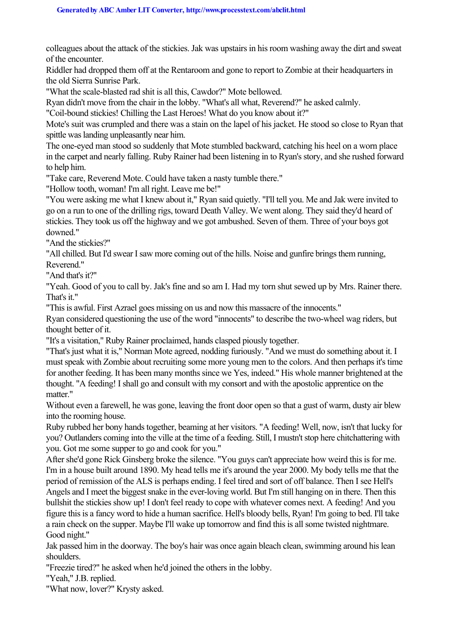colleagues about the attack of the stickies. Jak was upstairs in his room washing away the dirt and sweat of the encounter.

Riddler had dropped them off at the Rentaroom and gone to report to Zombie at their headquarters in the old Sierra Sunrise Park.

"What the scale-blasted rad shit is all this, Cawdor?" Mote bellowed.

Ryan didn't move from the chair in the lobby. "What's all what, Reverend?" he asked calmly.

"Coil-bound stickies! Chilling the Last Heroes! What do you know about it?"

Mote's suit was crumpled and there was a stain on the lapel of his jacket. He stood so close to Ryan that spittle was landing unpleasantly near him.

The one-eyed man stood so suddenly that Mote stumbled backward, catching his heel on a worn place in the carpet and nearly falling. Ruby Rainer had been listening in to Ryan's story, and she rushed forward to help him.

"Take care, Reverend Mote. Could have taken a nasty tumble there."

"Hollow tooth, woman! I'm all right. Leave me be!"

"You were asking me what I knew about it," Ryan said quietly. "I'll tell you. Me and Jak were invited to go on a run to one of the drilling rigs, toward Death Valley. We went along. They said they'd heard of stickies. They took us off the highway and we got ambushed. Seven of them. Three of your boys got downed."

"And the stickies?"

"All chilled. But I'd swear I saw more coming out of the hills. Noise and gunfire brings them running, Reverend."

"And that's it?"

"Yeah. Good of you to call by. Jak's fine and so am I. Had my torn shut sewed up by Mrs. Rainer there. That's it."

"This is awful. First Azrael goes missing on us and now this massacre of the innocents."

Ryan considered questioning the use of the word "innocents" to describe the two-wheel wag riders, but thought better of it.

"It's a visitation," Ruby Rainer proclaimed, hands clasped piously together.

"That's just what it is," Norman Mote agreed, nodding furiously. "And we must do something about it. I must speak with Zombie about recruiting some more young men to the colors. And then perhaps it's time for another feeding. It has been many months since we Yes, indeed." His whole manner brightened at the thought. "A feeding! I shall go and consult with my consort and with the apostolic apprentice on the matter."

Without even a farewell, he was gone, leaving the front door open so that a gust of warm, dusty air blew into the rooming house.

Ruby rubbed her bony hands together, beaming at her visitors. "A feeding! Well, now, isn't that lucky for you? Outlanders coming into the ville at the time of a feeding. Still, I mustn't stop here chitchattering with you. Got me some supper to go and cook for you."

After she'd gone Rick Ginsberg broke the silence. "You guys can't appreciate how weird this is for me. I'm in a house built around 1890. My head tells me it's around the year 2000. My body tells me that the period of remission of the ALS is perhaps ending. I feel tired and sort of off balance. Then I see Hell's Angels and I meet the biggest snake in the ever-loving world. But I'm still hanging on in there. Then this bullshit the stickies show up! I don't feel ready to cope with whatever comes next. A feeding! And you figure this is a fancy word to hide a human sacrifice. Hell's bloody bells, Ryan! I'm going to bed. I'll take a rain check on the supper. Maybe I'll wake up tomorrow and find this is all some twisted nightmare. Good night."

Jak passed him in the doorway. The boy's hair was once again bleach clean, swimming around his lean shoulders.

"Freezie tired?" he asked when he'd joined the others in the lobby.

"Yeah," J.B. replied.

"What now, lover?" Krysty asked.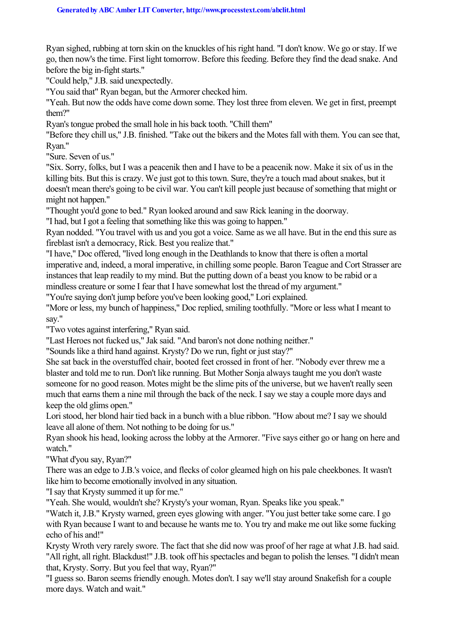Ryan sighed, rubbing at torn skin on the knuckles of his right hand. "I don't know. We go or stay. If we go, then now's the time. First light tomorrow. Before this feeding. Before they find the dead snake. And before the big in-fight starts."

"Could help," J.B. said unexpectedly.

"You said that" Ryan began, but the Armorer checked him.

"Yeah. But now the odds have come down some. They lost three from eleven. We get in first, preempt them?"

Ryan's tongue probed the small hole in his back tooth. "Chill them"

"Before they chill us," J.B. finished. "Take out the bikers and the Motes fall with them. You can see that, Ryan."

"Sure. Seven of us."

"Six. Sorry, folks, but I was a peacenik then and I have to be a peacenik now. Make it six of us in the killing bits. But this is crazy. We just got to this town. Sure, they're a touch mad about snakes, but it doesn't mean there's going to be civil war. You can't kill people just because of something that might or might not happen."

"Thought you'd gone to bed." Ryan looked around and saw Rick leaning in the doorway.

"I had, but I got a feeling that something like this was going to happen."

Ryan nodded. "You travel with us and you got a voice. Same as we all have. But in the end this sure as fireblast isn't a democracy, Rick. Best you realize that."

"I have," Doc offered, "lived long enough in the Deathlands to know that there is often a mortal imperative and, indeed, a moral imperative, in chilling some people. Baron Teague and Cort Strasser are instances that leap readily to my mind. But the putting down of a beast you know to be rabid or a mindless creature or some I fear that I have somewhat lost the thread of my argument."

"You're saying don't jump before you've been looking good," Lori explained.

"More or less, my bunch of happiness," Doc replied, smiling toothfully. "More or less what I meant to say."

"Two votes against interfering," Ryan said.

"Last Heroes not fucked us," Jak said. "And baron's not done nothing neither."

"Sounds like a third hand against. Krysty? Do we run, fight or just stay?"

She sat back in the overstuffed chair, booted feet crossed in front of her. "Nobody ever threw me a blaster and told me to run. Don't like running. But Mother Sonja always taught me you don't waste someone for no good reason. Motes might be the slime pits of the universe, but we haven't really seen much that earns them a nine mil through the back of the neck. I say we stay a couple more days and keep the old glims open."

Lori stood, her blond hair tied back in a bunch with a blue ribbon. "How about me? I say we should leave all alone of them. Not nothing to be doing for us."

Ryan shook his head, looking across the lobby at the Armorer. "Five says either go or hang on here and watch"

"What d'you say, Ryan?"

There was an edge to J.B.'s voice, and flecks of color gleamed high on his pale cheekbones. It wasn't like him to become emotionally involved in any situation.

"I say that Krysty summed it up for me."

"Yeah. She would, wouldn't she? Krysty's your woman, Ryan. Speaks like you speak."

"Watch it, J.B." Krysty warned, green eyes glowing with anger. "You just better take some care. I go with Ryan because I want to and because he wants me to. You try and make me out like some fucking echo of his and!"

Krysty Wroth very rarely swore. The fact that she did now was proof of her rage at what J.B. had said. "All right, all right. Blackdust!" J.B. took off his spectacles and began to polish the lenses. "I didn't mean that, Krysty. Sorry. But you feel that way, Ryan?"

"I guess so. Baron seems friendly enough. Motes don't. I say we'll stay around Snakefish for a couple more days. Watch and wait."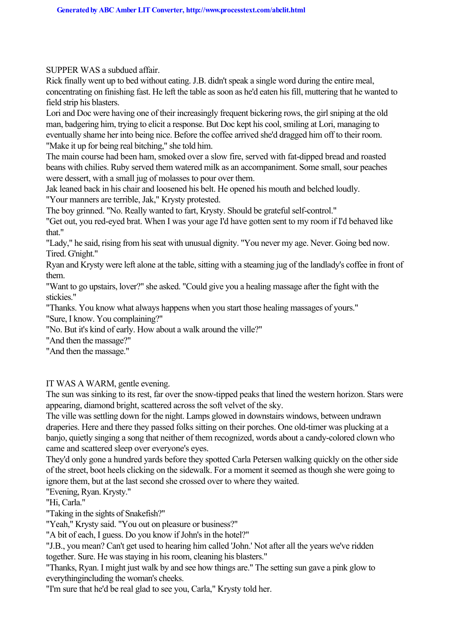SUPPER WAS a subdued affair.

Rick finally went up to bed without eating. J.B. didn't speak a single word during the entire meal, concentrating on finishing fast. He left the table as soon as he'd eaten his fill, muttering that he wanted to field strip his blasters.

Lori and Doc were having one of their increasingly frequent bickering rows, the girl sniping at the old man, badgering him, trying to elicit a response. But Doc kept his cool, smiling at Lori, managing to eventually shame her into being nice. Before the coffee arrived she'd dragged him off to their room. "Make it up for being real bitching," she told him.

The main course had been ham, smoked over a slow fire, served with fat-dipped bread and roasted beans with chilies. Ruby served them watered milk as an accompaniment. Some small, sour peaches were dessert, with a small jug of molasses to pour over them.

Jak leaned back in his chair and loosened his belt. He opened his mouth and belched loudly. "Your manners are terrible, Jak," Krysty protested.

The boy grinned. "No. Really wanted to fart, Krysty. Should be grateful self-control."

"Get out, you red-eyed brat. When I was your age I'd have gotten sent to my room if I'd behaved like that."

"Lady," he said, rising from his seat with unusual dignity. "You never my age. Never. Going bed now. Tired. G'night."

Ryan and Krysty were left alone at the table, sitting with a steaming jug of the landlady's coffee in front of them.

"Want to go upstairs, lover?" she asked. "Could give you a healing massage after the fight with the stickies."

"Thanks. You know what always happens when you start those healing massages of yours."

"Sure, I know. You complaining?"

"No. But it's kind of early. How about a walk around the ville?"

"And then the massage?"

"And then the massage."

IT WAS A WARM, gentle evening.

The sun was sinking to its rest, far over the snow-tipped peaks that lined the western horizon. Stars were appearing, diamond bright, scattered across the soft velvet of the sky.

The ville was settling down for the night. Lamps glowed in downstairs windows, between undrawn draperies. Here and there they passed folks sitting on their porches. One old-timer was plucking at a banjo, quietly singing a song that neither of them recognized, words about a candy-colored clown who came and scattered sleep over everyone's eyes.

They'd only gone a hundred yards before they spotted Carla Petersen walking quickly on the other side of the street, boot heels clicking on the sidewalk. For a moment it seemed as though she were going to ignore them, but at the last second she crossed over to where they waited.

"Evening, Ryan. Krysty."

"Hi, Carla."

"Taking in the sights of Snakefish?"

"Yeah," Krysty said. "You out on pleasure or business?"

"A bit of each, I guess. Do you know if John's in the hotel?"

"J.B., you mean? Can't get used to hearing him called 'John.' Not after all the years we've ridden together. Sure. He was staying in his room, cleaning his blasters."

"Thanks, Ryan. I might just walk by and see how things are." The setting sun gave a pink glow to everythingincluding the woman's cheeks.

"I'm sure that he'd be real glad to see you, Carla," Krysty told her.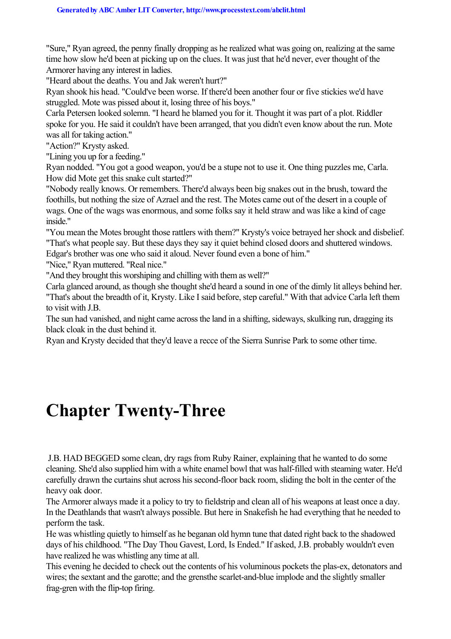"Sure," Ryan agreed, the penny finally dropping as he realized what was going on, realizing at the same time how slow he'd been at picking up on the clues. It was just that he'd never, ever thought of the Armorer having any interest in ladies.

"Heard about the deaths. You and Jak weren't hurt?"

Ryan shook his head. "Could've been worse. If there'd been another four or five stickies we'd have struggled. Mote was pissed about it, losing three of his boys."

Carla Petersen looked solemn. "I heard he blamed you for it. Thought it was part of a plot. Riddler spoke for you. He said it couldn't have been arranged, that you didn't even know about the run. Mote was all for taking action."

"Action?" Krysty asked.

"Lining you up for a feeding."

Ryan nodded. "You got a good weapon, you'd be a stupe not to use it. One thing puzzles me, Carla. How did Mote get this snake cult started?"

"Nobody really knows. Or remembers. There'd always been big snakes out in the brush, toward the foothills, but nothing the size of Azrael and the rest. The Motes came out of the desert in a couple of wags. One of the wags was enormous, and some folks say it held straw and was like a kind of cage inside."

"You mean the Motes brought those rattlers with them?" Krysty's voice betrayed her shock and disbelief. "That's what people say. But these days they say it quiet behind closed doors and shuttered windows. Edgar's brother was one who said it aloud. Never found even a bone of him."

"Nice," Ryan muttered. "Real nice."

"And they brought this worshiping and chilling with them as well?"

Carla glanced around, as though she thought she'd heard a sound in one of the dimly lit alleys behind her. "That's about the breadth of it, Krysty. Like I said before, step careful." With that advice Carla left them to visit with J.B.

The sun had vanished, and night came across the land in a shifting, sideways, skulking run, dragging its black cloak in the dust behind it.

Ryan and Krysty decided that they'd leave a recce of the Sierra Sunrise Park to some other time.

### **Chapter Twenty-Three**

 J.B. HAD BEGGED some clean, dry rags from Ruby Rainer, explaining that he wanted to do some cleaning. She'd also supplied him with a white enamel bowl that was half-filled with steaming water. He'd carefully drawn the curtains shut across his second-floor back room, sliding the bolt in the center of the heavy oak door.

The Armorer always made it a policy to try to fieldstrip and clean all of his weapons at least once a day. In the Deathlands that wasn't always possible. But here in Snakefish he had everything that he needed to perform the task.

He was whistling quietly to himself as he beganan old hymn tune that dated right back to the shadowed days of his childhood. "The Day Thou Gavest, Lord, Is Ended." If asked, J.B. probably wouldn't even have realized he was whistling any time at all.

This evening he decided to check out the contents of his voluminous pockets the plas-ex, detonators and wires; the sextant and the garotte; and the grensthe scarlet-and-blue implode and the slightly smaller frag-gren with the flip-top firing.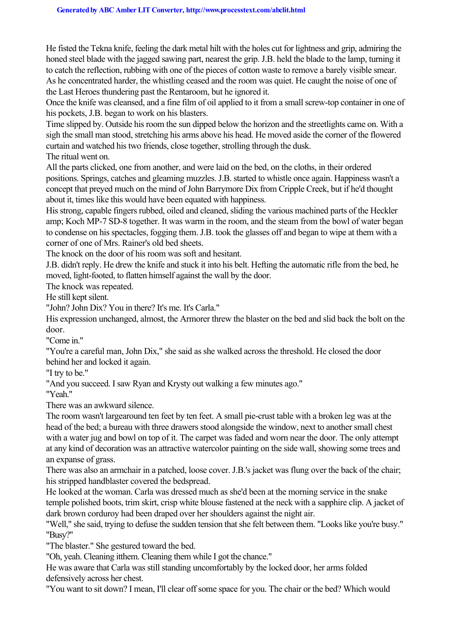He fisted the Tekna knife, feeling the dark metal hilt with the holes cut for lightness and grip, admiring the honed steel blade with the jagged sawing part, nearest the grip. J.B. held the blade to the lamp, turning it to catch the reflection, rubbing with one of the pieces of cotton waste to remove a barely visible smear. As he concentrated harder, the whistling ceased and the room was quiet. He caught the noise of one of the Last Heroes thundering past the Rentaroom, but he ignored it.

Once the knife was cleansed, and a fine film of oil applied to it from a small screw-top container in one of his pockets, J.B. began to work on his blasters.

Time slipped by. Outside his room the sun dipped below the horizon and the streetlights came on. With a sigh the small man stood, stretching his arms above his head. He moved aside the corner of the flowered curtain and watched his two friends, close together, strolling through the dusk.

The ritual went on.

All the parts clicked, one from another, and were laid on the bed, on the cloths, in their ordered positions. Springs, catches and gleaming muzzles. J.B. started to whistle once again. Happiness wasn't a concept that preyed much on the mind of John Barrymore Dix from Cripple Creek, but if he'd thought about it, times like this would have been equated with happiness.

His strong, capable fingers rubbed, oiled and cleaned, sliding the various machined parts of the Heckler amp; Koch MP-7 SD-8 together. It was warm in the room, and the steam from the bowl of water began to condense on his spectacles, fogging them. J.B. took the glasses off and began to wipe at them with a corner of one of Mrs. Rainer's old bed sheets.

The knock on the door of his room was soft and hesitant.

J.B. didn't reply. He drew the knife and stuck it into his belt. Hefting the automatic rifle from the bed, he moved, light-footed, to flatten himself against the wall by the door.

The knock was repeated.

He still kept silent.

"John? John Dix? You in there? It's me. It's Carla."

His expression unchanged, almost, the Armorer threw the blaster on the bed and slid back the bolt on the door.

"Come in."

"You're a careful man, John Dix," she said as she walked across the threshold. He closed the door behind her and locked it again.

"I try to be."

"And you succeed. I saw Ryan and Krysty out walking a few minutes ago."

"Yeah"

There was an awkward silence.

The room wasn't largearound ten feet by ten feet. A small pie-crust table with a broken leg was at the head of the bed; a bureau with three drawers stood alongside the window, next to another small chest with a water jug and bowl on top of it. The carpet was faded and worn near the door. The only attempt at any kind of decoration was an attractive watercolor painting on the side wall, showing some trees and an expanse of grass.

There was also an armchair in a patched, loose cover. J.B.'s jacket was flung over the back of the chair; his stripped handblaster covered the bedspread.

He looked at the woman. Carla was dressed much as she'd been at the morning service in the snake temple polished boots, trim skirt, crisp white blouse fastened at the neck with a sapphire clip. A jacket of dark brown corduroy had been draped over her shoulders against the night air.

"Well," she said, trying to defuse the sudden tension that she felt between them. "Looks like you're busy." "Busy?"

"The blaster." She gestured toward the bed.

"Oh, yeah. Cleaning itthem. Cleaning them while I got the chance."

He was aware that Carla was still standing uncomfortably by the locked door, her arms folded defensively across her chest.

"You want to sit down? I mean, I'll clear off some space for you. The chair or the bed? Which would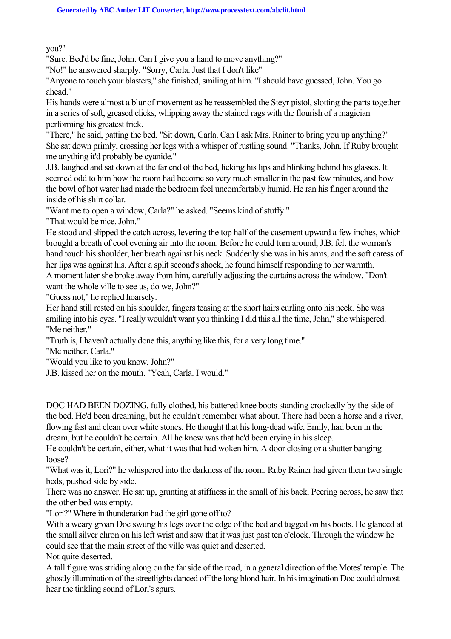you?"

"Sure. Bed'd be fine, John. Can I give you a hand to move anything?"

"No!" he answered sharply. "Sorry, Carla. Just that I don't like"

"Anyone to touch your blasters," she finished, smiling at him. "I should have guessed, John. You go ahead"

His hands were almost a blur of movement as he reassembled the Steyr pistol, slotting the parts together in a series of soft, greased clicks, whipping away the stained rags with the flourish of a magician performing his greatest trick.

"There," he said, patting the bed. "Sit down, Carla. Can I ask Mrs. Rainer to bring you up anything?" She sat down primly, crossing her legs with a whisper of rustling sound. "Thanks, John. If Ruby brought me anything it'd probably be cyanide."

J.B. laughed and sat down at the far end of the bed, licking his lips and blinking behind his glasses. It seemed odd to him how the room had become so very much smaller in the past few minutes, and how the bowl of hot water had made the bedroom feel uncomfortably humid. He ran his finger around the inside of his shirt collar.

"Want me to open a window, Carla?" he asked. "Seems kind of stuffy."

"That would be nice, John."

He stood and slipped the catch across, levering the top half of the casement upward a few inches, which brought a breath of cool evening air into the room. Before he could turn around, J.B. felt the woman's hand touch his shoulder, her breath against his neck. Suddenly she was in his arms, and the soft caress of her lips was against his. After a split second's shock, he found himself responding to her warmth. A moment later she broke away from him, carefully adjusting the curtains across the window. "Don't want the whole ville to see us, do we, John?"

"Guess not," he replied hoarsely.

Her hand still rested on his shoulder, fingers teasing at the short hairs curling onto his neck. She was smiling into his eyes. "I really wouldn't want you thinking I did this all the time, John," she whispered. "Me neither."

"Truth is, I haven't actually done this, anything like this, for a very long time."

"Me neither, Carla."

"Would you like to you know, John?"

J.B. kissed her on the mouth. "Yeah, Carla. I would."

DOC HAD BEEN DOZING, fully clothed, his battered knee boots standing crookedly by the side of the bed. He'd been dreaming, but he couldn't remember what about. There had been a horse and a river, flowing fast and clean over white stones. He thought that his long-dead wife, Emily, had been in the dream, but he couldn't be certain. All he knew was that he'd been crying in his sleep.

He couldn't be certain, either, what it was that had woken him. A door closing or a shutter banging loose?

"What was it, Lori?" he whispered into the darkness of the room. Ruby Rainer had given them two single beds, pushed side by side.

There was no answer. He sat up, grunting at stiffness in the small of his back. Peering across, he saw that the other bed was empty.

"Lori?" Where in thunderation had the girl gone off to?

With a weary groan Doc swung his legs over the edge of the bed and tugged on his boots. He glanced at the small silver chron on his left wrist and saw that it was just past ten o'clock. Through the window he could see that the main street of the ville was quiet and deserted.

Not quite deserted.

A tall figure was striding along on the far side of the road, in a general direction of the Motes' temple. The ghostly illumination of the streetlights danced off the long blond hair. In his imagination Doc could almost hear the tinkling sound of Lori's spurs.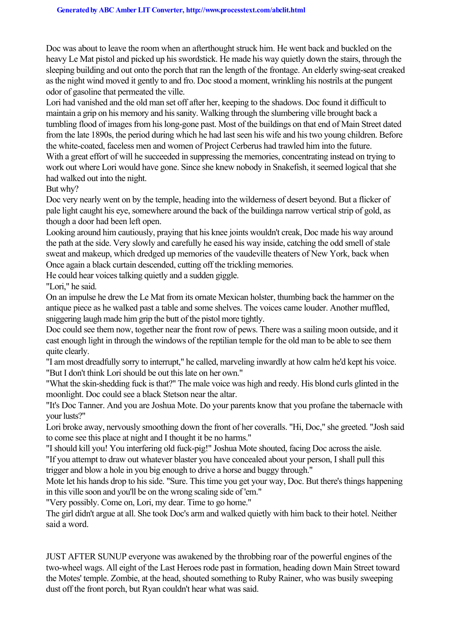Doc was about to leave the room when an afterthought struck him. He went back and buckled on the heavy Le Mat pistol and picked up his swordstick. He made his way quietly down the stairs, through the sleeping building and out onto the porch that ran the length of the frontage. An elderly swing-seat creaked as the night wind moved it gently to and fro. Doc stood a moment, wrinkling his nostrils at the pungent odor of gasoline that permeated the ville.

Lori had vanished and the old man set off after her, keeping to the shadows. Doc found it difficult to maintain a grip on his memory and his sanity. Walking through the slumbering ville brought back a tumbling flood of images from his long-gone past. Most of the buildings on that end of Main Street dated from the late 1890s, the period during which he had last seen his wife and his two young children. Before the white-coated, faceless men and women of Project Cerberus had trawled him into the future.

With a great effort of will he succeeded in suppressing the memories, concentrating instead on trying to work out where Lori would have gone. Since she knew nobody in Snakefish, it seemed logical that she had walked out into the night.

But why?

Doc very nearly went on by the temple, heading into the wilderness of desert beyond. But a flicker of pale light caught his eye, somewhere around the back of the buildinga narrow vertical strip of gold, as though a door had been left open.

Looking around him cautiously, praying that his knee joints wouldn't creak, Doc made his way around the path at the side. Very slowly and carefully he eased his way inside, catching the odd smell of stale sweat and makeup, which dredged up memories of the vaudeville theaters of New York, back when Once again a black curtain descended, cutting off the trickling memories.

He could hear voices talking quietly and a sudden giggle.

"Lori," he said.

On an impulse he drew the Le Mat from its ornate Mexican holster, thumbing back the hammer on the antique piece as he walked past a table and some shelves. The voices came louder. Another muffled, sniggering laugh made him grip the butt of the pistol more tightly.

Doc could see them now, together near the front row of pews. There was a sailing moon outside, and it cast enough light in through the windows of the reptilian temple for the old man to be able to see them quite clearly.

"I am most dreadfully sorry to interrupt," he called, marveling inwardly at how calm he'd kept his voice. "But I don't think Lori should be out this late on her own."

"What the skin-shedding fuck is that?" The male voice was high and reedy. His blond curls glinted in the moonlight. Doc could see a black Stetson near the altar.

"It's Doc Tanner. And you are Joshua Mote. Do your parents know that you profane the tabernacle with your lusts?"

Lori broke away, nervously smoothing down the front of her coveralls. "Hi, Doc," she greeted. "Josh said to come see this place at night and I thought it be no harms."

"I should kill you! You interfering old fuck-pig!" Joshua Mote shouted, facing Doc across the aisle. "If you attempt to draw out whatever blaster you have concealed about your person, I shall pull this trigger and blow a hole in you big enough to drive a horse and buggy through."

Mote let his hands drop to his side. "Sure. This time you get your way, Doc. But there's things happening in this ville soon and you'll be on the wrong scaling side of 'em."

"Very possibly. Come on, Lori, my dear. Time to go home."

The girl didn't argue at all. She took Doc's arm and walked quietly with him back to their hotel. Neither said a word.

JUST AFTER SUNUP everyone was awakened by the throbbing roar of the powerful engines of the two-wheel wags. All eight of the Last Heroes rode past in formation, heading down Main Street toward the Motes' temple. Zombie, at the head, shouted something to Ruby Rainer, who was busily sweeping dust off the front porch, but Ryan couldn't hear what was said.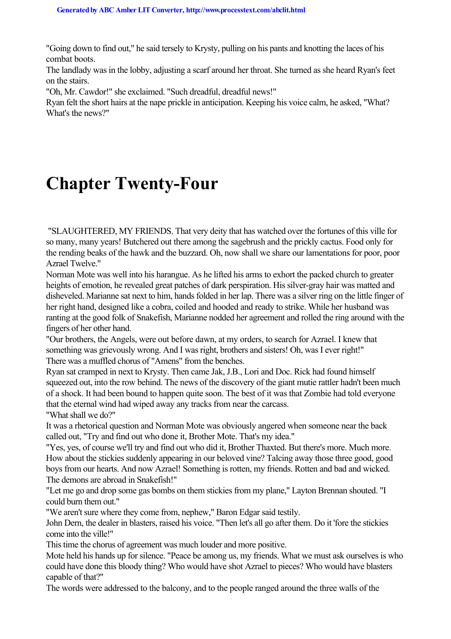"Going down to find out," he said tersely to Krysty, pulling on his pants and knotting the laces of his combat boots.

The landlady was in the lobby, adjusting a scarf around her throat. She turned as she heard Ryan's feet on the stairs.

"Oh, Mr. Cawdor!" she exclaimed. "Such dreadful, dreadful news!"

Ryan felt the short hairs at the nape prickle in anticipation. Keeping his voice calm, he asked, "What? What's the news?"

# **Chapter Twenty-Four**

 "SLAUGHTERED, MY FRIENDS. That very deity that has watched over the fortunes of this ville for so many, many years! Butchered out there among the sagebrush and the prickly cactus. Food only for the rending beaks of the hawk and the buzzard. Oh, now shall we share our lamentations for poor, poor Azrael Twelve."

Norman Mote was well into his harangue. As he lifted his arms to exhort the packed church to greater heights of emotion, he revealed great patches of dark perspiration. His silver-gray hair was matted and disheveled. Marianne sat next to him, hands folded in her lap. There was a silver ring on the little finger of her right hand, designed like a cobra, coiled and hooded and ready to strike. While her husband was ranting at the good folk of Snakefish, Marianne nodded her agreement and rolled the ring around with the fingers of her other hand.

"Our brothers, the Angels, were out before dawn, at my orders, to search for Azrael. I knew that something was grievously wrong. And I was right, brothers and sisters! Oh, was I ever right!" There was a muffled chorus of "Amens" from the benches.

Ryan sat cramped in next to Krysty. Then came Jak, J.B., Lori and Doc. Rick had found himself squeezed out, into the row behind. The news of the discovery of the giant mutie rattler hadn't been much of a shock. It had been bound to happen quite soon. The best of it was that Zombie had told everyone that the eternal wind had wiped away any tracks from near the carcass. "What shall we do?"

It was a rhetorical question and Norman Mote was obviously angered when someone near the back called out, "Try and find out who done it, Brother Mote. That's my idea."

"Yes, yes, of course we'll try and find out who did it, Brother Thaxted. But there's more. Much more. How about the stickies suddenly appearing in our beloved vine? Talcing away those three good, good boys from our hearts. And now Azrael! Something is rotten, my friends. Rotten and bad and wicked. The demons are abroad in Snakefish!"

"Let me go and drop some gas bombs on them stickies from my plane," Layton Brennan shouted. "I could burn them out."

"We aren't sure where they come from, nephew," Baron Edgar said testily.

John Dern, the dealer in blasters, raised his voice. "Then let's all go after them. Do it 'fore the stickies come into the ville!"

This time the chorus of agreement was much louder and more positive.

Mote held his hands up for silence. "Peace be among us, my friends. What we must ask ourselves is who could have done this bloody thing? Who would have shot Azrael to pieces? Who would have blasters capable of that?"

The words were addressed to the balcony, and to the people ranged around the three walls of the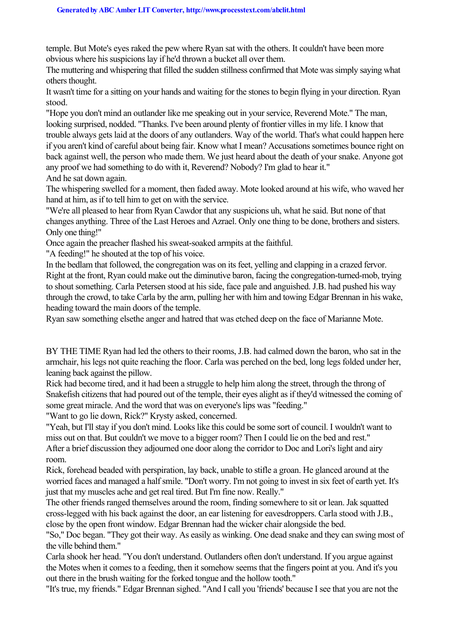temple. But Mote's eyes raked the pew where Ryan sat with the others. It couldn't have been more obvious where his suspicions lay if he'd thrown a bucket all over them.

The muttering and whispering that filled the sudden stillness confirmed that Mote was simply saying what others thought.

It wasn't time for a sitting on your hands and waiting for the stones to begin flying in your direction. Ryan stood.

"Hope you don't mind an outlander like me speaking out in your service, Reverend Mote." The man, looking surprised, nodded. "Thanks. I've been around plenty of frontier villes in my life. I know that trouble always gets laid at the doors of any outlanders. Way of the world. That's what could happen here if you aren't kind of careful about being fair. Know what I mean? Accusations sometimes bounce right on back against well, the person who made them. We just heard about the death of your snake. Anyone got any proof we had something to do with it, Reverend? Nobody? I'm glad to hear it." And he sat down again.

The whispering swelled for a moment, then faded away. Mote looked around at his wife, who waved her hand at him, as if to tell him to get on with the service.

"We're all pleased to hear from Ryan Cawdor that any suspicions uh, what he said. But none of that changes anything. Three of the Last Heroes and Azrael. Only one thing to be done, brothers and sisters. Only one thing!"

Once again the preacher flashed his sweat-soaked armpits at the faithful.

"A feeding!" he shouted at the top of his voice.

In the bedlam that followed, the congregation was on its feet, yelling and clapping in a crazed fervor. Right at the front, Ryan could make out the diminutive baron, facing the congregation-turned-mob, trying to shout something. Carla Petersen stood at his side, face pale and anguished. J.B. had pushed his way through the crowd, to take Carla by the arm, pulling her with him and towing Edgar Brennan in his wake, heading toward the main doors of the temple.

Ryan saw something elsethe anger and hatred that was etched deep on the face of Marianne Mote.

BY THE TIME Ryan had led the others to their rooms, J.B. had calmed down the baron, who sat in the armchair, his legs not quite reaching the floor. Carla was perched on the bed, long legs folded under her, leaning back against the pillow.

Rick had become tired, and it had been a struggle to help him along the street, through the throng of Snakefish citizens that had poured out of the temple, their eyes alight as if they'd witnessed the coming of some great miracle. And the word that was on everyone's lips was "feeding."

"Want to go lie down, Rick?" Krysty asked, concerned.

"Yeah, but I'll stay if you don't mind. Looks like this could be some sort of council. I wouldn't want to miss out on that. But couldn't we move to a bigger room? Then I could lie on the bed and rest." After a brief discussion they adjourned one door along the corridor to Doc and Lori's light and airy room.

Rick, forehead beaded with perspiration, lay back, unable to stifle a groan. He glanced around at the worried faces and managed a half smile. "Don't worry. I'm not going to invest in six feet of earth yet. It's just that my muscles ache and get real tired. But I'm fine now. Really."

The other friends ranged themselves around the room, finding somewhere to sit or lean. Jak squatted cross-legged with his back against the door, an ear listening for eavesdroppers. Carla stood with J.B., close by the open front window. Edgar Brennan had the wicker chair alongside the bed.

"So," Doc began. "They got their way. As easily as winking. One dead snake and they can swing most of the ville behind them."

Carla shook her head. "You don't understand. Outlanders often don't understand. If you argue against the Motes when it comes to a feeding, then it somehow seems that the fingers point at you. And it's you out there in the brush waiting for the forked tongue and the hollow tooth."

"It's true, my friends." Edgar Brennan sighed. "And I call you 'friends' because I see that you are not the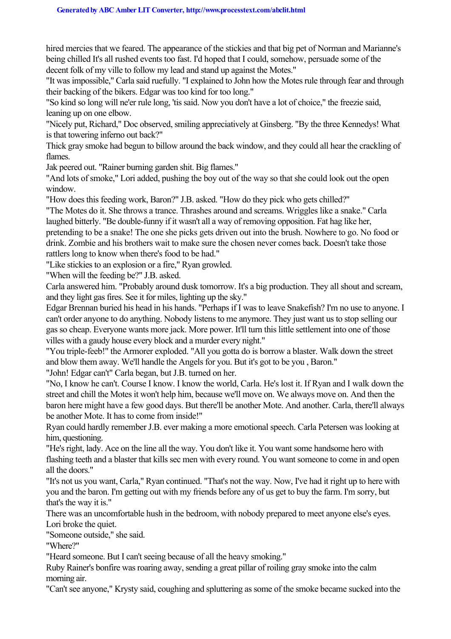hired mercies that we feared. The appearance of the stickies and that big pet of Norman and Marianne's being chilled It's all rushed events too fast. I'd hoped that I could, somehow, persuade some of the decent folk of my ville to follow my lead and stand up against the Motes."

"It was impossible," Carla said ruefully. "I explained to John how the Motes rule through fear and through their backing of the bikers. Edgar was too kind for too long."

"So kind so long will ne'er rule long, 'tis said. Now you don't have a lot of choice," the freezie said, leaning up on one elbow.

"Nicely put, Richard," Doc observed, smiling appreciatively at Ginsberg. "By the three Kennedys! What is that towering inferno out back?"

Thick gray smoke had begun to billow around the back window, and they could all hear the crackling of flames.

Jak peered out. "Rainer burning garden shit. Big flames."

"And lots of smoke," Lori added, pushing the boy out of the way so that she could look out the open window.

"How does this feeding work, Baron?" J.B. asked. "How do they pick who gets chilled?"

"The Motes do it. She throws a trance. Thrashes around and screams. Wriggles like a snake." Carla laughed bitterly. "Be double-funny if it wasn't all a way of removing opposition. Fat hag like her, pretending to be a snake! The one she picks gets driven out into the brush. Nowhere to go. No food or drink. Zombie and his brothers wait to make sure the chosen never comes back. Doesn't take those rattlers long to know when there's food to be had."

"Like stickies to an explosion or a fire," Ryan growled.

"When will the feeding be?" J.B. asked.

Carla answered him. "Probably around dusk tomorrow. It's a big production. They all shout and scream, and they light gas fires. See it for miles, lighting up the sky."

Edgar Brennan buried his head in his hands. "Perhaps if I was to leave Snakefish? I'm no use to anyone. I can't order anyone to do anything. Nobody listens to me anymore. They just want us to stop selling our gas so cheap. Everyone wants more jack. More power. It'll turn this little settlement into one of those villes with a gaudy house every block and a murder every night."

"You triple-feeb!" the Armorer exploded. "All you gotta do is borrow a blaster. Walk down the street and blow them away. We'll handle the Angels for you. But it's got to be you , Baron."

"John! Edgar can't" Carla began, but J.B. turned on her.

"No, I know he can't. Course I know. I know the world, Carla. He's lost it. If Ryan and I walk down the street and chill the Motes it won't help him, because we'll move on. We always move on. And then the baron here might have a few good days. But there'll be another Mote. And another. Carla, there'll always be another Mote. It has to come from inside!"

Ryan could hardly remember J.B. ever making a more emotional speech. Carla Petersen was looking at him, questioning.

"He's right, lady. Ace on the line all the way. You don't like it. You want some handsome hero with flashing teeth and a blaster that kills sec men with every round. You want someone to come in and open all the doors."

"It's not us you want, Carla," Ryan continued. "That's not the way. Now, I've had it right up to here with you and the baron. I'm getting out with my friends before any of us get to buy the farm. I'm sorry, but that's the way it is."

There was an uncomfortable hush in the bedroom, with nobody prepared to meet anyone else's eyes. Lori broke the quiet.

"Someone outside," she said.

"Where?"

"Heard someone. But I can't seeing because of all the heavy smoking."

Ruby Rainer's bonfire was roaring away, sending a great pillar of roiling gray smoke into the calm morning air.

"Can't see anyone," Krysty said, coughing and spluttering as some of the smoke became sucked into the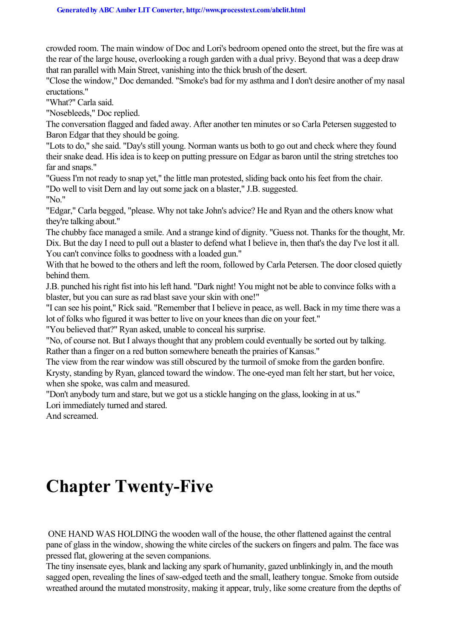crowded room. The main window of Doc and Lori's bedroom opened onto the street, but the fire was at the rear of the large house, overlooking a rough garden with a dual privy. Beyond that was a deep draw that ran parallel with Main Street, vanishing into the thick brush of the desert.

"Close the window," Doc demanded. "Smoke's bad for my asthma and I don't desire another of my nasal eructations."

"What?" Carla said.

"Nosebleeds." Doc replied.

The conversation flagged and faded away. After another ten minutes or so Carla Petersen suggested to Baron Edgar that they should be going.

"Lots to do," she said. "Day's still young. Norman wants us both to go out and check where they found their snake dead. His idea is to keep on putting pressure on Edgar as baron until the string stretches too far and snaps."

"Guess I'm not ready to snap yet," the little man protested, sliding back onto his feet from the chair. "Do well to visit Dern and lay out some jack on a blaster," J.B. suggested.

"No."

"Edgar," Carla begged, "please. Why not take John's advice? He and Ryan and the others know what they're talking about."

The chubby face managed a smile. And a strange kind of dignity. "Guess not. Thanks for the thought, Mr. Dix. But the day I need to pull out a blaster to defend what I believe in, then that's the day I've lost it all. You can't convince folks to goodness with a loaded gun."

With that he bowed to the others and left the room, followed by Carla Petersen. The door closed quietly behind them.

J.B. punched his right fist into his left hand. "Dark night! You might not be able to convince folks with a blaster, but you can sure as rad blast save your skin with one!"

"I can see his point," Rick said. "Remember that I believe in peace, as well. Back in my time there was a lot of folks who figured it was better to live on your knees than die on your feet."

"You believed that?" Ryan asked, unable to conceal his surprise.

"No, of course not. But I always thought that any problem could eventually be sorted out by talking. Rather than a finger on a red button somewhere beneath the prairies of Kansas."

The view from the rear window was still obscured by the turmoil of smoke from the garden bonfire. Krysty, standing by Ryan, glanced toward the window. The one-eyed man felt her start, but her voice, when she spoke, was calm and measured.

"Don't anybody turn and stare, but we got us a stickle hanging on the glass, looking in at us."

Lori immediately turned and stared.

And screamed.

## **Chapter Twenty-Five**

 ONE HAND WAS HOLDING the wooden wall of the house, the other flattened against the central pane of glass in the window, showing the white circles of the suckers on fingers and palm. The face was pressed flat, glowering at the seven companions.

The tiny insensate eyes, blank and lacking any spark of humanity, gazed unblinkingly in, and the mouth sagged open, revealing the lines of saw-edged teeth and the small, leathery tongue. Smoke from outside wreathed around the mutated monstrosity, making it appear, truly, like some creature from the depths of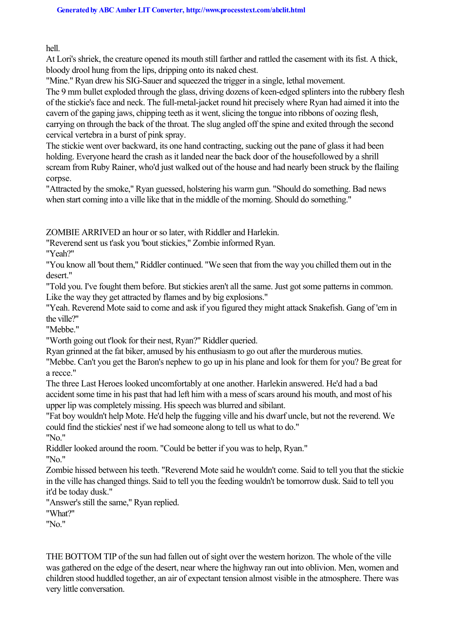hell.

At Lori's shriek, the creature opened its mouth still farther and rattled the casement with its fist. A thick, bloody drool hung from the lips, dripping onto its naked chest.

"Mine." Ryan drew his SIG-Sauer and squeezed the trigger in a single, lethal movement.

The 9 mm bullet exploded through the glass, driving dozens of keen-edged splinters into the rubbery flesh of the stickie's face and neck. The full-metal-jacket round hit precisely where Ryan had aimed it into the cavern of the gaping jaws, chipping teeth as it went, slicing the tongue into ribbons of oozing flesh, carrying on through the back of the throat. The slug angled off the spine and exited through the second cervical vertebra in a burst of pink spray.

The stickie went over backward, its one hand contracting, sucking out the pane of glass it had been holding. Everyone heard the crash as it landed near the back door of the housefollowed by a shrill scream from Ruby Rainer, who'd just walked out of the house and had nearly been struck by the flailing corpse.

"Attracted by the smoke," Ryan guessed, holstering his warm gun. "Should do something. Bad news when start coming into a ville like that in the middle of the morning. Should do something."

ZOMBIE ARRIVED an hour or so later, with Riddler and Harlekin.

"Reverend sent us t'ask you 'bout stickies," Zombie informed Ryan.

"Yeah?"

"You know all 'bout them," Riddler continued. "We seen that from the way you chilled them out in the desert."

"Told you. I've fought them before. But stickies aren't all the same. Just got some patterns in common. Like the way they get attracted by flames and by big explosions."

"Yeah. Reverend Mote said to come and ask if you figured they might attack Snakefish. Gang of 'em in the ville?"

"Mebbe."

"Worth going out t'look for their nest, Ryan?" Riddler queried.

Ryan grinned at the fat biker, amused by his enthusiasm to go out after the murderous muties.

"Mebbe. Can't you get the Baron's nephew to go up in his plane and look for them for you? Be great for a recce."

The three Last Heroes looked uncomfortably at one another. Harlekin answered. He'd had a bad accident some time in his past that had left him with a mess of scars around his mouth, and most of his upper lip was completely missing. His speech was blurred and sibilant.

"Fat boy wouldn't help Mote. He'd help the fugging ville and his dwarf uncle, but not the reverend. We could find the stickies' nest if we had someone along to tell us what to do."

"No."

Riddler looked around the room. "Could be better if you was to help, Ryan." "No."

Zombie hissed between his teeth. "Reverend Mote said he wouldn't come. Said to tell you that the stickie in the ville has changed things. Said to tell you the feeding wouldn't be tomorrow dusk. Said to tell you it'd be today dusk."

"Answer's still the same," Ryan replied.

"What?"

"No."

THE BOTTOM TIP of the sun had fallen out of sight over the western horizon. The whole of the ville was gathered on the edge of the desert, near where the highway ran out into oblivion. Men, women and children stood huddled together, an air of expectant tension almost visible in the atmosphere. There was very little conversation.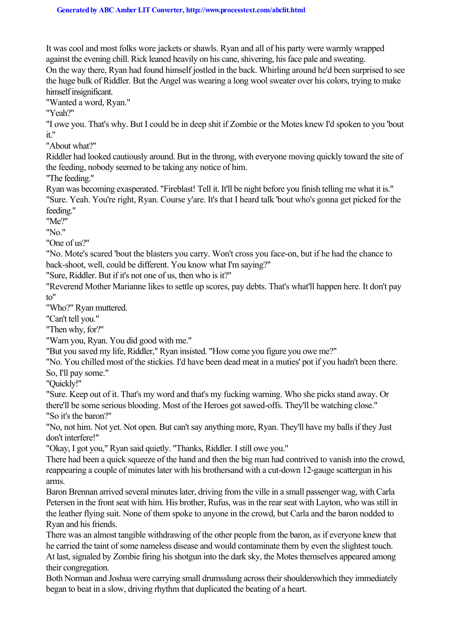#### **Generated by ABC Amber LIT Converter, <http://www.processtext.com/abclit.html>**

It was cool and most folks wore jackets or shawls. Ryan and all of his party were warmly wrapped against the evening chill. Rick leaned heavily on his cane, shivering, his face pale and sweating. On the way there, Ryan had found himself jostled in the back. Whirling around he'd been surprised to see the huge bulk of Riddler. But the Angel was wearing a long wool sweater over his colors, trying to make himself insignificant.

"Wanted a word, Ryan."

"Yeah?"

"I owe you. That's why. But I could be in deep shit if Zombie or the Motes knew I'd spoken to you 'bout it."

"About what?"

Riddler had looked cautiously around. But in the throng, with everyone moving quickly toward the site of the feeding, nobody seemed to be taking any notice of him.

"The feeding."

Ryan was becoming exasperated. "Fireblast! Tell it. It'll be night before you finish telling me what it is." "Sure. Yeah. You're right, Ryan. Course y'are. It's that I heard talk 'bout who's gonna get picked for the feeding."

"Me?"

"No."

"One of us?"

"No. Mote's scared 'bout the blasters you carry. Won't cross you face-on, but if he had the chance to back-shoot, well, could be different. You know what I'm saying?"

"Sure, Riddler. But if it's not one of us, then who is it?"

"Reverend Mother Marianne likes to settle up scores, pay debts. That's what'll happen here. It don't pay to"

"Who?" Ryan muttered.

"Can't tell you."

"Then why, for?"

"Warn you, Ryan. You did good with me."

"But you saved my life, Riddler," Ryan insisted. "How come you figure you owe me?"

"No. You chilled most of the stickies. I'd have been dead meat in a muties' pot if you hadn't been there. So, I'll pay some."

"Quickly!"

"Sure. Keep out of it. That's my word and that's my fucking warning. Who she picks stand away. Or there'll be some serious blooding. Most of the Heroes got sawed-offs. They'll be watching close." "So it's the baron?"

"No, not him. Not yet. Not open. But can't say anything more, Ryan. They'll have my balls if they Just don't interfere!"

"Okay, I got you," Ryan said quietly. "Thanks, Riddler. I still owe you."

There had been a quick squeeze of the hand and then the big man had contrived to vanish into the crowd, reappearing a couple of minutes later with his brothersand with a cut-down 12-gauge scattergun in his arms.

Baron Brennan arrived several minutes later, driving from the ville in a small passenger wag, with Carla Petersen in the front seat with him. His brother, Rufus, was in the rear seat with Layton, who was still in the leather flying suit. None of them spoke to anyone in the crowd, but Carla and the baron nodded to Ryan and his friends.

There was an almost tangible withdrawing of the other people from the baron, as if everyone knew that he carried the taint of some nameless disease and would contaminate them by even the slightest touch. At last, signaled by Zombie firing his shotgun into the dark sky, the Motes themselves appeared among their congregation.

Both Norman and Joshua were carrying small drumsslung across their shoulderswhich they immediately began to beat in a slow, driving rhythm that duplicated the beating of a heart.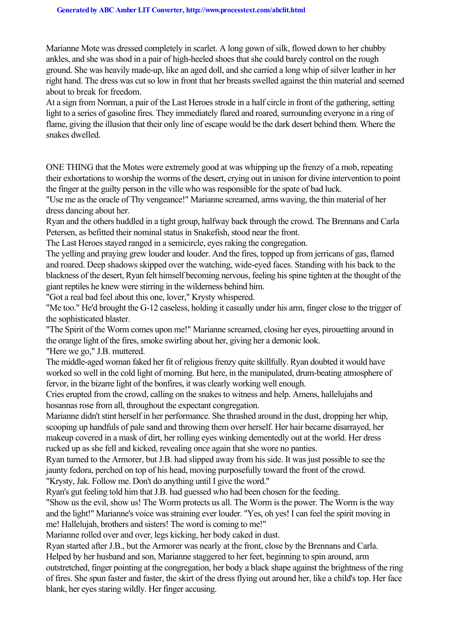Marianne Mote was dressed completely in scarlet. A long gown of silk, flowed down to her chubby ankles, and she was shod in a pair of high-heeled shoes that she could barely control on the rough ground. She was heavily made-up, like an aged doll, and she carried a long whip of silver leather in her right hand. The dress was cut so low in front that her breasts swelled against the thin material and seemed about to break for freedom.

At a sign from Norman, a pair of the Last Heroes strode in a half circle in front of the gathering, setting light to a series of gasoline fires. They immediately flared and roared, surrounding everyone in a ring of flame, giving the illusion that their only line of escape would be the dark desert behind them. Where the snakes dwelled.

ONE THING that the Motes were extremely good at was whipping up the frenzy of a mob, repeating their exhortations to worship the worms of the desert, crying out in unison for divine intervention to point the finger at the guilty person in the ville who was responsible for the spate of bad luck.

"Use me as the oracle of Thy vengeance!" Marianne screamed, arms waving, the thin material of her dress dancing about her.

Ryan and the others huddled in a tight group, halfway back through the crowd. The Brennans and Carla Petersen, as befitted their nominal status in Snakefish, stood near the front.

The Last Heroes stayed ranged in a semicircle, eyes raking the congregation.

The yelling and praying grew louder and louder. And the fires, topped up from jerricans of gas, flamed and roared. Deep shadows skipped over the watching, wide-eyed faces. Standing with his back to the blackness of the desert, Ryan felt himself becoming nervous, feeling his spine tighten at the thought of the giant reptiles he knew were stirring in the wilderness behind him.

"Got a real bad feel about this one, lover," Krysty whispered.

"Me too." He'd brought the G-12 caseless, holding it casually under his arm, finger close to the trigger of the sophisticated blaster.

"The Spirit of the Worm comes upon me!" Marianne screamed, closing her eyes, pirouetting around in the orange light of the fires, smoke swirling about her, giving her a demonic look.

"Here we go," J.B. muttered.

The middle-aged woman faked her fit of religious frenzy quite skillfully. Ryan doubted it would have worked so well in the cold light of morning. But here, in the manipulated, drum-beating atmosphere of fervor, in the bizarre light of the bonfires, it was clearly working well enough.

Cries erupted from the crowd, calling on the snakes to witness and help. Amens, hallelujahs and hosannas rose from all, throughout the expectant congregation.

Marianne didn't stint herself in her performance. She thrashed around in the dust, dropping her whip, scooping up handfuls of pale sand and throwing them over herself. Her hair became disarrayed, her makeup covered in a mask of dirt, her rolling eyes winking dementedly out at the world. Her dress rucked up as she fell and kicked, revealing once again that she wore no panties.

Ryan turned to the Armorer, but J.B. had slipped away from his side. It was just possible to see the jaunty fedora, perched on top of his head, moving purposefully toward the front of the crowd. "Krysty, Jak. Follow me. Don't do anything until I give the word."

Ryan's gut feeling told him that J.B. had guessed who had been chosen for the feeding.

"Show us the evil, show us! The Worm protects us all. The Worm is the power. The Worm is the way and the light!" Marianne's voice was straining ever louder. "Yes, oh yes! I can feel the spirit moving in me! Hallelujah, brothers and sisters! The word is coming to me!"

Marianne rolled over and over, legs kicking, her body caked in dust.

Ryan started after J.B., but the Armorer was nearly at the front, close by the Brennans and Carla. Helped by her husband and son, Marianne staggered to her feet, beginning to spin around, arm outstretched, finger pointing at the congregation, her body a black shape against the brightness of the ring of fires. She spun faster and faster, the skirt of the dress flying out around her, like a child's top. Her face blank, her eyes staring wildly. Her finger accusing.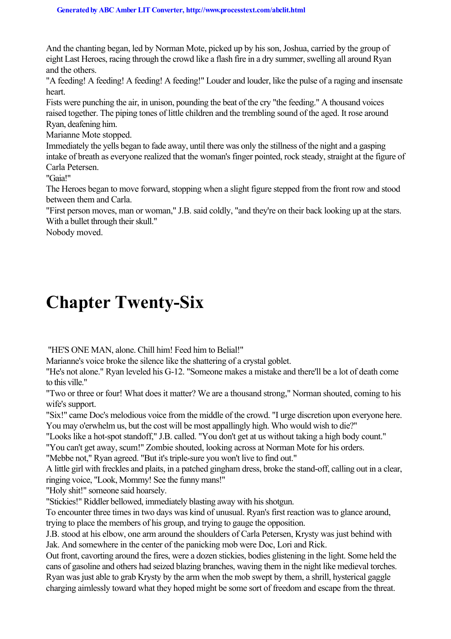And the chanting began, led by Norman Mote, picked up by his son, Joshua, carried by the group of eight Last Heroes, racing through the crowd like a flash fire in a dry summer, swelling all around Ryan and the others.

"A feeding! A feeding! A feeding! A feeding!" Louder and louder, like the pulse of a raging and insensate heart.

Fists were punching the air, in unison, pounding the beat of the cry "the feeding." A thousand voices raised together. The piping tones of little children and the trembling sound of the aged. It rose around Ryan, deafening him.

Marianne Mote stopped.

Immediately the yells began to fade away, until there was only the stillness of the night and a gasping intake of breath as everyone realized that the woman's finger pointed, rock steady, straight at the figure of Carla Petersen.

"Gaia!"

The Heroes began to move forward, stopping when a slight figure stepped from the front row and stood between them and Carla.

"First person moves, man or woman," J.B. said coldly, "and they're on their back looking up at the stars. With a bullet through their skull."

Nobody moved.

## **Chapter Twenty-Six**

"HE'S ONE MAN, alone. Chill him! Feed him to Belial!"

Marianne's voice broke the silence like the shattering of a crystal goblet.

"He's not alone." Ryan leveled his G-12. "Someone makes a mistake and there'll be a lot of death come to this ville."

"Two or three or four! What does it matter? We are a thousand strong," Norman shouted, coming to his wife's support.

"Six!" came Doc's melodious voice from the middle of the crowd. "I urge discretion upon everyone here. You may o'erwhelm us, but the cost will be most appallingly high. Who would wish to die?"

"Looks like a hot-spot standoff," J.B. called. "You don't get at us without taking a high body count."

"You can't get away, scum!" Zombie shouted, looking across at Norman Mote for his orders.

"Mebbe not," Ryan agreed. "But it's triple-sure you won't live to find out."

A little girl with freckles and plaits, in a patched gingham dress, broke the stand-off, calling out in a clear, ringing voice, "Look, Mommy! See the funny mans!"

"Holy shit!" someone said hoarsely.

"Stickies!" Riddler bellowed, immediately blasting away with his shotgun.

To encounter three times in two days was kind of unusual. Ryan's first reaction was to glance around, trying to place the members of his group, and trying to gauge the opposition.

J.B. stood at his elbow, one arm around the shoulders of Carla Petersen, Krysty was just behind with Jak. And somewhere in the center of the panicking mob were Doc, Lori and Rick.

Out front, cavorting around the fires, were a dozen stickies, bodies glistening in the light. Some held the cans of gasoline and others had seized blazing branches, waving them in the night like medieval torches. Ryan was just able to grab Krysty by the arm when the mob swept by them, a shrill, hysterical gaggle charging aimlessly toward what they hoped might be some sort of freedom and escape from the threat.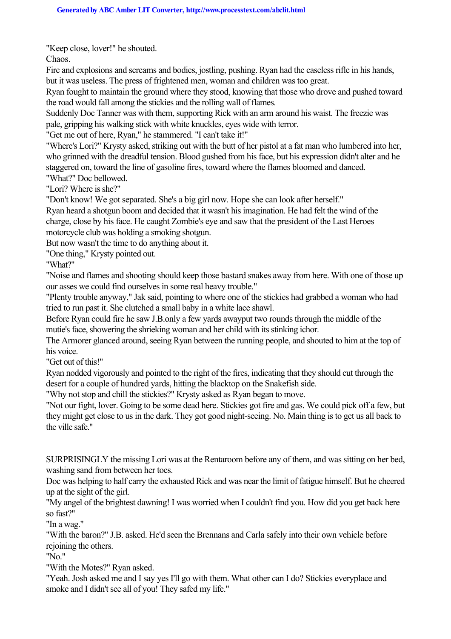"Keep close, lover!" he shouted.

Chaos.

Fire and explosions and screams and bodies, jostling, pushing. Ryan had the caseless rifle in his hands, but it was useless. The press of frightened men, woman and children was too great.

Ryan fought to maintain the ground where they stood, knowing that those who drove and pushed toward the road would fall among the stickies and the rolling wall of flames.

Suddenly Doc Tanner was with them, supporting Rick with an arm around his waist. The freezie was pale, gripping his walking stick with white knuckles, eyes wide with terror.

"Get me out of here, Ryan," he stammered. "I can't take it!"

"Where's Lori?" Krysty asked, striking out with the butt of her pistol at a fat man who lumbered into her, who grinned with the dreadful tension. Blood gushed from his face, but his expression didn't alter and he staggered on, toward the line of gasoline fires, toward where the flames bloomed and danced. "What?" Doc bellowed.

"Lori? Where is she?"

"Don't know! We got separated. She's a big girl now. Hope she can look after herself."

Ryan heard a shotgun boom and decided that it wasn't his imagination. He had felt the wind of the charge, close by his face. He caught Zombie's eye and saw that the president of the Last Heroes motorcycle club was holding a smoking shotgun.

But now wasn't the time to do anything about it.

"One thing," Krysty pointed out.

"What?"

"Noise and flames and shooting should keep those bastard snakes away from here. With one of those up our asses we could find ourselves in some real heavy trouble."

"Plenty trouble anyway," Jak said, pointing to where one of the stickies had grabbed a woman who had tried to run past it. She clutched a small baby in a white lace shawl.

Before Ryan could fire he saw J.B.only a few yards awayput two rounds through the middle of the mutie's face, showering the shrieking woman and her child with its stinking ichor.

The Armorer glanced around, seeing Ryan between the running people, and shouted to him at the top of his voice.

"Get out of this!"

Ryan nodded vigorously and pointed to the right of the fires, indicating that they should cut through the desert for a couple of hundred yards, hitting the blacktop on the Snakefish side.

"Why not stop and chill the stickies?" Krysty asked as Ryan began to move.

"Not our fight, lover. Going to be some dead here. Stickies got fire and gas. We could pick off a few, but they might get close to us in the dark. They got good night-seeing. No. Main thing is to get us all back to the ville safe."

SURPRISINGLY the missing Lori was at the Rentaroom before any of them, and was sitting on her bed, washing sand from between her toes.

Doc was helping to half carry the exhausted Rick and was near the limit of fatigue himself. But he cheered up at the sight of the girl.

"My angel of the brightest dawning! I was worried when I couldn't find you. How did you get back here so fast?"

"In a wag."

"With the baron?" J.B. asked. He'd seen the Brennans and Carla safely into their own vehicle before rejoining the others.

"No."

"With the Motes?" Ryan asked.

"Yeah. Josh asked me and I say yes I'll go with them. What other can I do? Stickies everyplace and smoke and I didn't see all of you! They safed my life."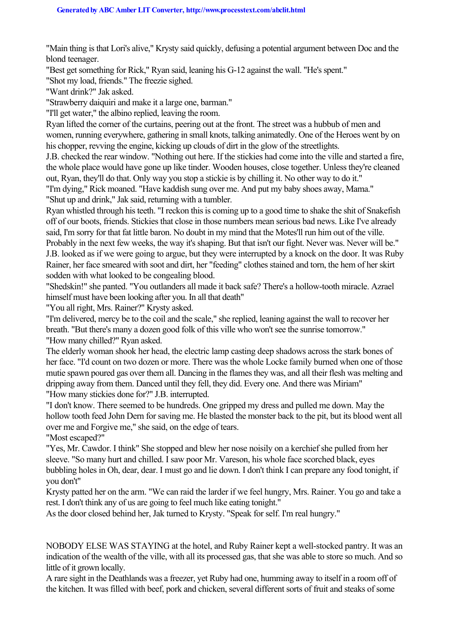"Main thing is that Lori's alive," Krysty said quickly, defusing a potential argument between Doc and the blond teenager.

"Best get something for Rick," Ryan said, leaning his G-12 against the wall. "He's spent."

"Shot my load, friends." The freezie sighed.

"Want drink?" Jak asked.

"Strawberry daiquiri and make it a large one, barman."

"I'll get water," the albino replied, leaving the room.

Ryan lifted the corner of the curtains, peering out at the front. The street was a hubbub of men and women, running everywhere, gathering in small knots, talking animatedly. One of the Heroes went by on his chopper, revving the engine, kicking up clouds of dirt in the glow of the streetlights.

J.B. checked the rear window. "Nothing out here. If the stickies had come into the ville and started a fire, the whole place would have gone up like tinder. Wooden houses, close together. Unless they're cleaned out, Ryan, they'll do that. Only way you stop a stickie is by chilling it. No other way to do it." "I'm dying," Rick moaned. "Have kaddish sung over me. And put my baby shoes away, Mama." "Shut up and drink," Jak said, returning with a tumbler.

Ryan whistled through his teeth. "I reckon this is coming up to a good time to shake the shit of Snakefish off of our boots, friends. Stickies that close in those numbers mean serious bad news. Like I've already said, I'm sorry for that fat little baron. No doubt in my mind that the Motes'll run him out of the ville. Probably in the next few weeks, the way it's shaping. But that isn't our fight. Never was. Never will be." J.B. looked as if we were going to argue, but they were interrupted by a knock on the door. It was Ruby Rainer, her face smeared with soot and dirt, her "feeding" clothes stained and torn, the hem of her skirt sodden with what looked to be congealing blood.

"Shedskin!" she panted. "You outlanders all made it back safe? There's a hollow-tooth miracle. Azrael himself must have been looking after you. In all that death"

"You all right, Mrs. Rainer?" Krysty asked.

"I'm delivered, mercy be to the coil and the scale," she replied, leaning against the wall to recover her breath. "But there's many a dozen good folk of this ville who won't see the sunrise tomorrow." "How many chilled?" Ryan asked.

The elderly woman shook her head, the electric lamp casting deep shadows across the stark bones of her face. "I'd count on two dozen or more. There was the whole Locke family burned when one of those mutie spawn poured gas over them all. Dancing in the flames they was, and all their flesh was melting and dripping away from them. Danced until they fell, they did. Every one. And there was Miriam" "How many stickies done for?" J.B. interrupted.

"I don't know. There seemed to be hundreds. One gripped my dress and pulled me down. May the hollow tooth feed John Dern for saving me. He blasted the monster back to the pit, but its blood went all over me and Forgive me," she said, on the edge of tears.

"Most escaped?"

"Yes, Mr. Cawdor. I think" She stopped and blew her nose noisily on a kerchief she pulled from her sleeve. "So many hurt and chilled. I saw poor Mr. Vareson, his whole face scorched black, eyes bubbling holes in Oh, dear, dear. I must go and lie down. I don't think I can prepare any food tonight, if you don't"

Krysty patted her on the arm. "We can raid the larder if we feel hungry, Mrs. Rainer. You go and take a rest. I don't think any of us are going to feel much like eating tonight."

As the door closed behind her, Jak turned to Krysty. "Speak for self. I'm real hungry."

NOBODY ELSE WAS STAYING at the hotel, and Ruby Rainer kept a well-stocked pantry. It was an indication of the wealth of the ville, with all its processed gas, that she was able to store so much. And so little of it grown locally.

A rare sight in the Deathlands was a freezer, yet Ruby had one, humming away to itself in a room off of the kitchen. It was filled with beef, pork and chicken, several different sorts of fruit and steaks of some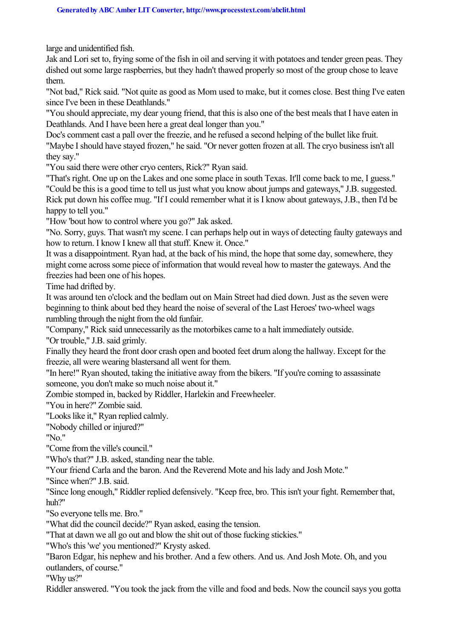large and unidentified fish.

Jak and Lori set to, frying some of the fish in oil and serving it with potatoes and tender green peas. They dished out some large raspberries, but they hadn't thawed properly so most of the group chose to leave them.

"Not bad," Rick said. "Not quite as good as Mom used to make, but it comes close. Best thing I've eaten since I've been in these Deathlands."

"You should appreciate, my dear young friend, that this is also one of the best meals that I have eaten in Deathlands. And I have been here a great deal longer than you."

Doc's comment cast a pall over the freezie, and he refused a second helping of the bullet like fruit. "Maybe I should have stayed frozen," he said. "Or never gotten frozen at all. The cryo business isn't all they say."

"You said there were other cryo centers, Rick?" Ryan said.

"That's right. One up on the Lakes and one some place in south Texas. It'll come back to me, I guess." "Could be this is a good time to tell us just what you know about jumps and gateways," J.B. suggested. Rick put down his coffee mug. "If I could remember what it is I know about gateways, J.B., then I'd be happy to tell you."

"How 'bout how to control where you go?" Jak asked.

"No. Sorry, guys. That wasn't my scene. I can perhaps help out in ways of detecting faulty gateways and how to return. I know I knew all that stuff. Knew it. Once."

It was a disappointment. Ryan had, at the back of his mind, the hope that some day, somewhere, they might come across some piece of information that would reveal how to master the gateways. And the freezies had been one of his hopes.

Time had drifted by.

It was around ten o'clock and the bedlam out on Main Street had died down. Just as the seven were beginning to think about bed they heard the noise of several of the Last Heroes' two-wheel wags rumbling through the night from the old funfair.

"Company," Rick said unnecessarily as the motorbikes came to a halt immediately outside. "Or trouble," J.B. said grimly.

Finally they heard the front door crash open and booted feet drum along the hallway. Except for the freezie, all were wearing blastersand all went for them.

"In here!" Ryan shouted, taking the initiative away from the bikers. "If you're coming to assassinate someone, you don't make so much noise about it."

Zombie stomped in, backed by Riddler, Harlekin and Freewheeler.

"You in here?" Zombie said.

"Looks like it," Ryan replied calmly.

"Nobody chilled or injured?"

"No."

"Come from the ville's council."

"Who's that?" J.B. asked, standing near the table.

"Your friend Carla and the baron. And the Reverend Mote and his lady and Josh Mote."

"Since when?" J.B. said.

"Since long enough," Riddler replied defensively. "Keep free, bro. This isn't your fight. Remember that, huh?"

"So everyone tells me. Bro."

"What did the council decide?" Ryan asked, easing the tension.

"That at dawn we all go out and blow the shit out of those fucking stickies."

"Who's this 'we' you mentioned?" Krysty asked.

"Baron Edgar, his nephew and his brother. And a few others. And us. And Josh Mote. Oh, and you outlanders, of course."

"Why us?"

Riddler answered. "You took the jack from the ville and food and beds. Now the council says you gotta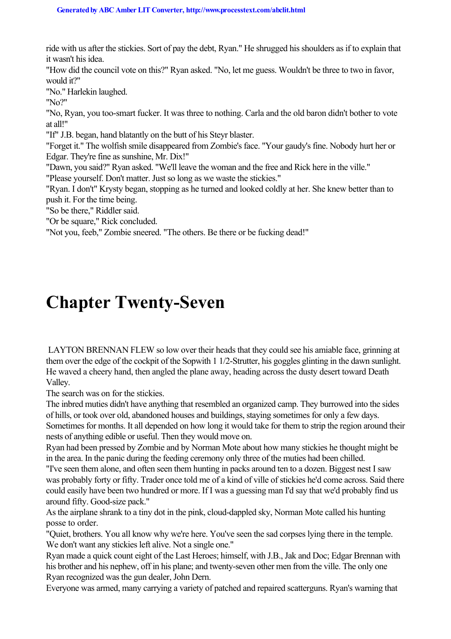ride with us after the stickies. Sort of pay the debt, Ryan." He shrugged his shoulders as if to explain that it wasn't his idea.

"How did the council vote on this?" Ryan asked. "No, let me guess. Wouldn't be three to two in favor, would it?"

"No." Harlekin laughed.

"No?"

"No, Ryan, you too-smart fucker. It was three to nothing. Carla and the old baron didn't bother to vote at all!"

"If" J.B. began, hand blatantly on the butt of his Steyr blaster.

"Forget it." The wolfish smile disappeared from Zombie's face. "Your gaudy's fine. Nobody hurt her or Edgar. They're fine as sunshine, Mr. Dix!"

"Dawn, you said?" Ryan asked. "We'll leave the woman and the free and Rick here in the ville."

"Please yourself. Don't matter. Just so long as we waste the stickies."

"Ryan. I don't" Krysty began, stopping as he turned and looked coldly at her. She knew better than to push it. For the time being.

"So be there," Riddler said.

"Or be square," Rick concluded.

"Not you, feeb," Zombie sneered. "The others. Be there or be fucking dead!"

#### **Chapter Twenty-Seven**

 LAYTON BRENNAN FLEW so low over their heads that they could see his amiable face, grinning at them over the edge of the cockpit of the Sopwith 1 1/2-Strutter, his goggles glinting in the dawn sunlight. He waved a cheery hand, then angled the plane away, heading across the dusty desert toward Death Valley.

The search was on for the stickies.

The inbred muties didn't have anything that resembled an organized camp. They burrowed into the sides of hills, or took over old, abandoned houses and buildings, staying sometimes for only a few days. Sometimes for months. It all depended on how long it would take for them to strip the region around their nests of anything edible or useful. Then they would move on.

Ryan had been pressed by Zombie and by Norman Mote about how many stickies he thought might be in the area. In the panic during the feeding ceremony only three of the muties had been chilled.

"I've seen them alone, and often seen them hunting in packs around ten to a dozen. Biggest nest I saw was probably forty or fifty. Trader once told me of a kind of ville of stickies he'd come across. Said there could easily have been two hundred or more. If I was a guessing man I'd say that we'd probably find us around fifty. Good-size pack."

As the airplane shrank to a tiny dot in the pink, cloud-dappled sky, Norman Mote called his hunting posse to order.

"Quiet, brothers. You all know why we're here. You've seen the sad corpses lying there in the temple. We don't want any stickies left alive. Not a single one."

Ryan made a quick count eight of the Last Heroes; himself, with J.B., Jak and Doc; Edgar Brennan with his brother and his nephew, off in his plane; and twenty-seven other men from the ville. The only one Ryan recognized was the gun dealer, John Dern.

Everyone was armed, many carrying a variety of patched and repaired scatterguns. Ryan's warning that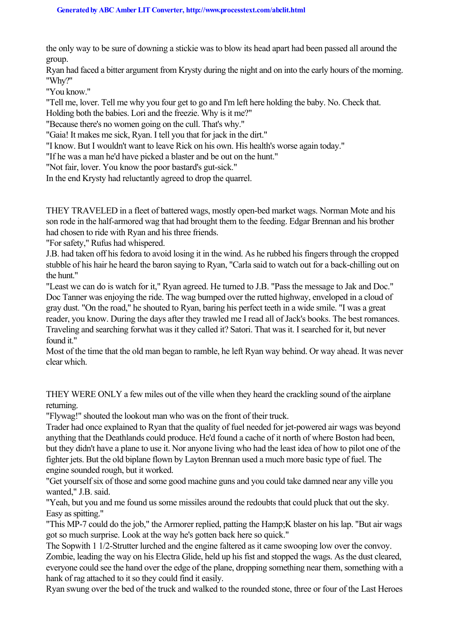the only way to be sure of downing a stickie was to blow its head apart had been passed all around the group.

Ryan had faced a bitter argument from Krysty during the night and on into the early hours of the morning. "Why?"

"You know."

"Tell me, lover. Tell me why you four get to go and I'm left here holding the baby. No. Check that.

Holding both the babies. Lori and the freezie. Why is it me?"

"Because there's no women going on the cull. That's why."

"Gaia! It makes me sick, Ryan. I tell you that for jack in the dirt."

"I know. But I wouldn't want to leave Rick on his own. His health's worse again today."

"If he was a man he'd have picked a blaster and be out on the hunt."

"Not fair, lover. You know the poor bastard's gut-sick."

In the end Krysty had reluctantly agreed to drop the quarrel.

THEY TRAVELED in a fleet of battered wags, mostly open-bed market wags. Norman Mote and his son rode in the half-armored wag that had brought them to the feeding. Edgar Brennan and his brother had chosen to ride with Ryan and his three friends.

"For safety," Rufus had whispered.

J.B. had taken off his fedora to avoid losing it in the wind. As he rubbed his fingers through the cropped stubble of his hair he heard the baron saying to Ryan, "Carla said to watch out for a back-chilling out on the hunt."

"Least we can do is watch for it," Ryan agreed. He turned to J.B. "Pass the message to Jak and Doc." Doc Tanner was enjoying the ride. The wag bumped over the rutted highway, enveloped in a cloud of gray dust. "On the road," he shouted to Ryan, baring his perfect teeth in a wide smile. "I was a great reader, you know. During the days after they trawled me I read all of Jack's books. The best romances. Traveling and searching forwhat was it they called it? Satori. That was it. I searched for it, but never found it."

Most of the time that the old man began to ramble, he left Ryan way behind. Or way ahead. It was never clear which.

THEY WERE ONLY a few miles out of the ville when they heard the crackling sound of the airplane returning.

"Flywag!" shouted the lookout man who was on the front of their truck.

Trader had once explained to Ryan that the quality of fuel needed for jet-powered air wags was beyond anything that the Deathlands could produce. He'd found a cache of it north of where Boston had been, but they didn't have a plane to use it. Nor anyone living who had the least idea of how to pilot one of the fighter jets. But the old biplane flown by Layton Brennan used a much more basic type of fuel. The engine sounded rough, but it worked.

"Get yourself six of those and some good machine guns and you could take damned near any ville you wanted," J.B. said.

"Yeah, but you and me found us some missiles around the redoubts that could pluck that out the sky. Easy as spitting."

"This MP-7 could do the job," the Armorer replied, patting the Hamp;K blaster on his lap. "But air wags got so much surprise. Look at the way he's gotten back here so quick."

The Sopwith 1 1/2-Strutter lurched and the engine faltered as it came swooping low over the convoy. Zombie, leading the way on his Electra Glide, held up his fist and stopped the wags. As the dust cleared, everyone could see the hand over the edge of the plane, dropping something near them, something with a hank of rag attached to it so they could find it easily.

Ryan swung over the bed of the truck and walked to the rounded stone, three or four of the Last Heroes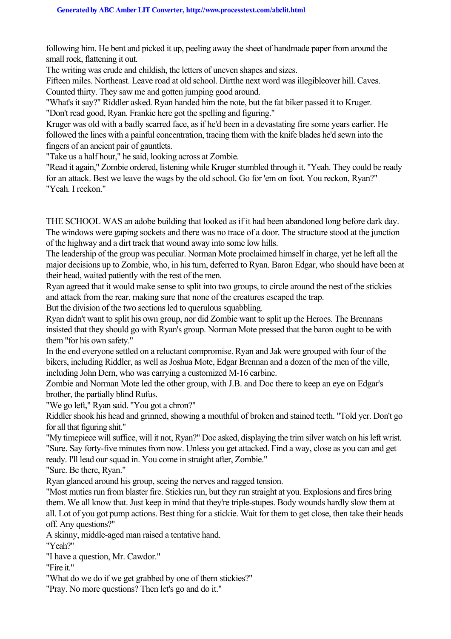following him. He bent and picked it up, peeling away the sheet of handmade paper from around the small rock, flattening it out.

The writing was crude and childish, the letters of uneven shapes and sizes.

Fifteen miles. Northeast. Leave road at old school. Dirtthe next word was illegibleover hill. Caves. Counted thirty. They saw me and gotten jumping good around.

"What's it say?" Riddler asked. Ryan handed him the note, but the fat biker passed it to Kruger. "Don't read good, Ryan. Frankie here got the spelling and figuring."

Kruger was old with a badly scarred face, as if he'd been in a devastating fire some years earlier. He followed the lines with a painful concentration, tracing them with the knife blades he'd sewn into the fingers of an ancient pair of gauntlets.

"Take us a half hour," he said, looking across at Zombie.

"Read it again," Zombie ordered, listening while Kruger stumbled through it. "Yeah. They could be ready for an attack. Best we leave the wags by the old school. Go for 'em on foot. You reckon, Ryan?" "Yeah. I reckon."

THE SCHOOL WAS an adobe building that looked as if it had been abandoned long before dark day. The windows were gaping sockets and there was no trace of a door. The structure stood at the junction of the highway and a dirt track that wound away into some low hills.

The leadership of the group was peculiar. Norman Mote proclaimed himself in charge, yet he left all the major decisions up to Zombie, who, in his turn, deferred to Ryan. Baron Edgar, who should have been at their head, waited patiently with the rest of the men.

Ryan agreed that it would make sense to split into two groups, to circle around the nest of the stickies and attack from the rear, making sure that none of the creatures escaped the trap.

But the division of the two sections led to querulous squabbling.

Ryan didn't want to split his own group, nor did Zombie want to split up the Heroes. The Brennans insisted that they should go with Ryan's group. Norman Mote pressed that the baron ought to be with them "for his own safety."

In the end everyone settled on a reluctant compromise. Ryan and Jak were grouped with four of the bikers, including Riddler, as well as Joshua Mote, Edgar Brennan and a dozen of the men of the ville, including John Dern, who was carrying a customized M-16 carbine.

Zombie and Norman Mote led the other group, with J.B. and Doc there to keep an eye on Edgar's brother, the partially blind Rufus.

"We go left," Ryan said. "You got a chron?"

Riddler shook his head and grinned, showing a mouthful of broken and stained teeth. "Told yer. Don't go for all that figuring shit."

"My timepiece will suffice, will it not, Ryan?" Doc asked, displaying the trim silver watch on his left wrist. "Sure. Say forty-five minutes from now. Unless you get attacked. Find a way, close as you can and get ready. I'll lead our squad in. You come in straight after, Zombie."

"Sure. Be there, Ryan."

Ryan glanced around his group, seeing the nerves and ragged tension.

"Most muties run from blaster fire. Stickies run, but they run straight at you. Explosions and fires bring them. We all know that. Just keep in mind that they're triple-stupes. Body wounds hardly slow them at all. Lot of you got pump actions. Best thing for a stickie. Wait for them to get close, then take their heads off. Any questions?"

A skinny, middle-aged man raised a tentative hand.

"Yeah?"

"I have a question, Mr. Cawdor."

"Fire it."

"What do we do if we get grabbed by one of them stickies?"

"Pray. No more questions? Then let's go and do it."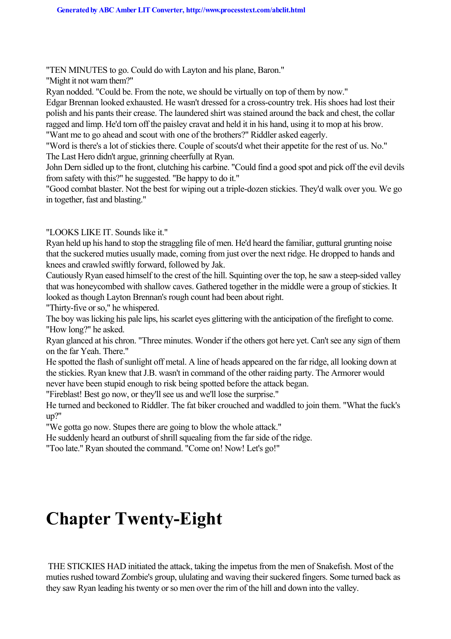"TEN MINUTES to go. Could do with Layton and his plane, Baron."

"Might it not warn them?"

Ryan nodded. "Could be. From the note, we should be virtually on top of them by now."

Edgar Brennan looked exhausted. He wasn't dressed for a cross-country trek. His shoes had lost their polish and his pants their crease. The laundered shirt was stained around the back and chest, the collar ragged and limp. He'd torn off the paisley cravat and held it in his hand, using it to mop at his brow. "Want me to go ahead and scout with one of the brothers?" Riddler asked eagerly.

"Word is there's a lot of stickies there. Couple of scouts'd whet their appetite for the rest of us. No." The Last Hero didn't argue, grinning cheerfully at Ryan.

John Dern sidled up to the front, clutching his carbine. "Could find a good spot and pick off the evil devils from safety with this?" he suggested. "Be happy to do it."

"Good combat blaster. Not the best for wiping out a triple-dozen stickies. They'd walk over you. We go in together, fast and blasting."

#### "LOOKS LIKE IT. Sounds like it."

Ryan held up his hand to stop the straggling file of men. He'd heard the familiar, guttural grunting noise that the suckered muties usually made, coming from just over the next ridge. He dropped to hands and knees and crawled swiftly forward, followed by Jak.

Cautiously Ryan eased himself to the crest of the hill. Squinting over the top, he saw a steep-sided valley that was honeycombed with shallow caves. Gathered together in the middle were a group of stickies. It looked as though Layton Brennan's rough count had been about right.

"Thirty-five or so," he whispered.

The boy was licking his pale lips, his scarlet eyes glittering with the anticipation of the firefight to come. "How long?" he asked.

Ryan glanced at his chron. "Three minutes. Wonder if the others got here yet. Can't see any sign of them on the far Yeah. There."

He spotted the flash of sunlight off metal. A line of heads appeared on the far ridge, all looking down at the stickies. Ryan knew that J.B. wasn't in command of the other raiding party. The Armorer would never have been stupid enough to risk being spotted before the attack began.

"Fireblast! Best go now, or they'll see us and we'll lose the surprise."

He turned and beckoned to Riddler. The fat biker crouched and waddled to join them. "What the fuck's up?"

"We gotta go now. Stupes there are going to blow the whole attack."

He suddenly heard an outburst of shrill squealing from the far side of the ridge.

"Too late." Ryan shouted the command. "Come on! Now! Let's go!"

## **Chapter Twenty-Eight**

 THE STICKIES HAD initiated the attack, taking the impetus from the men of Snakefish. Most of the muties rushed toward Zombie's group, ululating and waving their suckered fingers. Some turned back as they saw Ryan leading his twenty or so men over the rim of the hill and down into the valley.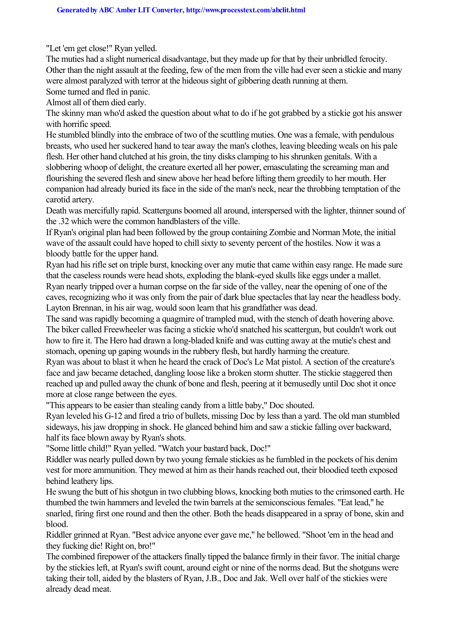"Let 'em get close!" Ryan yelled.

The muties had a slight numerical disadvantage, but they made up for that by their unbridled ferocity. Other than the night assault at the feeding, few of the men from the ville had ever seen a stickie and many were almost paralyzed with terror at the hideous sight of gibbering death running at them.

Some turned and fled in panic. Almost all of them died early.

The skinny man who'd asked the question about what to do if he got grabbed by a stickie got his answer with horrific speed.

He stumbled blindly into the embrace of two of the scuttling muties. One was a female, with pendulous breasts, who used her suckered hand to tear away the man's clothes, leaving bleeding weals on his pale flesh. Her other hand clutched at his groin, the tiny disks clamping to his shrunken genitals. With a slobbering whoop of delight, the creature exerted all her power, emasculating the screaming man and flourishing the severed flesh and sinew above her head before lifting them greedily to her mouth. Her companion had already buried its face in the side of the man's neck, near the throbbing temptation of the carotid artery.

Death was mercifully rapid. Scatterguns boomed all around, interspersed with the lighter, thinner sound of the .32 which were the common handblasters of the ville.

If Ryan's original plan had been followed by the group containing Zombie and Norman Mote, the initial wave of the assault could have hoped to chill sixty to seventy percent of the hostiles. Now it was a bloody battle for the upper hand.

Ryan had his rifle set on triple burst, knocking over any mutie that came within easy range. He made sure that the caseless rounds were head shots, exploding the blank-eyed skulls like eggs under a mallet. Ryan nearly tripped over a human corpse on the far side of the valley, near the opening of one of the caves, recognizing who it was only from the pair of dark blue spectacles that lay near the headless body. Layton Brennan, in his air wag, would soon learn that his grandfather was dead.

The sand was rapidly becoming a quagmire of trampled mud, with the stench of death hovering above. The biker called Freewheeler was facing a stickie who'd snatched his scattergun, but couldn't work out how to fire it. The Hero had drawn a long-bladed knife and was cutting away at the mutie's chest and stomach, opening up gaping wounds in the rubbery flesh, but hardly harming the creature.

Ryan was about to blast it when he heard the crack of Doc's Le Mat pistol. A section of the creature's face and jaw became detached, dangling loose like a broken storm shutter. The stickie staggered then reached up and pulled away the chunk of bone and flesh, peering at it bemusedly until Doc shot it once more at close range between the eyes.

"This appears to be easier than stealing candy from a little baby," Doc shouted.

Ryan leveled his G-12 and fired a trio of bullets, missing Doc by less than a yard. The old man stumbled sideways, his jaw dropping in shock. He glanced behind him and saw a stickie falling over backward, half its face blown away by Ryan's shots.

"Some little child!" Ryan yelled. "Watch your bastard back, Doc!"

Riddler was nearly pulled down by two young female stickies as he fumbled in the pockets of his denim vest for more ammunition. They mewed at him as their hands reached out, their bloodied teeth exposed behind leathery lips.

He swung the butt of his shotgun in two clubbing blows, knocking both muties to the crimsoned earth. He thumbed the twin hammers and leveled the twin barrels at the semiconscious females. "Eat lead," he snarled, firing first one round and then the other. Both the heads disappeared in a spray of bone, skin and blood.

Riddler grinned at Ryan. "Best advice anyone ever gave me," he bellowed. "Shoot 'em in the head and they fucking die! Right on, bro!"

The combined firepower of the attackers finally tipped the balance firmly in their favor. The initial charge by the stickies left, at Ryan's swift count, around eight or nine of the norms dead. But the shotguns were taking their toll, aided by the blasters of Ryan, J.B., Doc and Jak. Well over half of the stickies were already dead meat.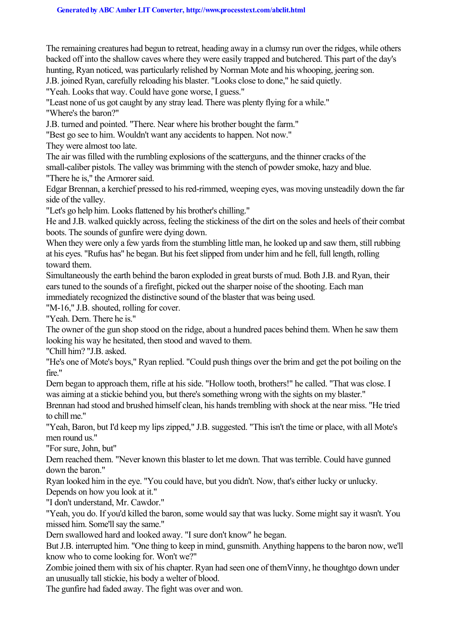The remaining creatures had begun to retreat, heading away in a clumsy run over the ridges, while others backed off into the shallow caves where they were easily trapped and butchered. This part of the day's hunting, Ryan noticed, was particularly relished by Norman Mote and his whooping, jeering son.

J.B. joined Ryan, carefully reloading his blaster. "Looks close to done," he said quietly.

"Yeah. Looks that way. Could have gone worse, I guess."

"Least none of us got caught by any stray lead. There was plenty flying for a while." "Where's the baron?"

J.B. turned and pointed. "There. Near where his brother bought the farm."

"Best go see to him. Wouldn't want any accidents to happen. Not now."

They were almost too late.

The air was filled with the rumbling explosions of the scatterguns, and the thinner cracks of the small-caliber pistols. The valley was brimming with the stench of powder smoke, hazy and blue. "There he is," the Armorer said.

Edgar Brennan, a kerchief pressed to his red-rimmed, weeping eyes, was moving unsteadily down the far side of the valley.

"Let's go help him. Looks flattened by his brother's chilling."

He and J.B. walked quickly across, feeling the stickiness of the dirt on the soles and heels of their combat boots. The sounds of gunfire were dying down.

When they were only a few vards from the stumbling little man, he looked up and saw them, still rubbing at his eyes. "Rufus has" he began. But his feet slipped from under him and he fell, full length, rolling toward them.

Simultaneously the earth behind the baron exploded in great bursts of mud. Both J.B. and Ryan, their ears tuned to the sounds of a firefight, picked out the sharper noise of the shooting. Each man immediately recognized the distinctive sound of the blaster that was being used.

"M-16," J.B. shouted, rolling for cover.

"Yeah. Dern. There he is."

The owner of the gun shop stood on the ridge, about a hundred paces behind them. When he saw them looking his way he hesitated, then stood and waved to them.

"Chill him? "J.B. asked.

"He's one of Mote's boys," Ryan replied. "Could push things over the brim and get the pot boiling on the fire."

Dern began to approach them, rifle at his side. "Hollow tooth, brothers!" he called. "That was close. I was aiming at a stickie behind you, but there's something wrong with the sights on my blaster."

Brennan had stood and brushed himself clean, his hands trembling with shock at the near miss. "He tried to chill me."

"Yeah, Baron, but I'd keep my lips zipped," J.B. suggested. "This isn't the time or place, with all Mote's men round us."

"For sure, John, but"

Dern reached them. "Never known this blaster to let me down. That was terrible. Could have gunned down the baron."

Ryan looked him in the eye. "You could have, but you didn't. Now, that's either lucky or unlucky.

Depends on how you look at it."

"I don't understand, Mr. Cawdor."

"Yeah, you do. If you'd killed the baron, some would say that was lucky. Some might say it wasn't. You missed him. Some'll say the same."

Dern swallowed hard and looked away. "I sure don't know" he began.

But J.B. interrupted him. "One thing to keep in mind, gunsmith. Anything happens to the baron now, we'll know who to come looking for. Won't we?"

Zombie joined them with six of his chapter. Ryan had seen one of themVinny, he thoughtgo down under an unusually tall stickie, his body a welter of blood.

The gunfire had faded away. The fight was over and won.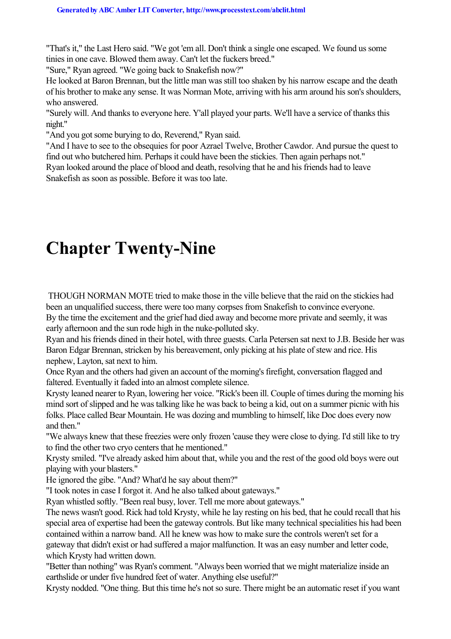"That's it," the Last Hero said. "We got 'em all. Don't think a single one escaped. We found us some tinies in one cave. Blowed them away. Can't let the fuckers breed."

"Sure," Ryan agreed. "We going back to Snakefish now?"

He looked at Baron Brennan, but the little man was still too shaken by his narrow escape and the death of his brother to make any sense. It was Norman Mote, arriving with his arm around his son's shoulders, who answered.

"Surely will. And thanks to everyone here. Y'all played your parts. We'll have a service of thanks this night."

"And you got some burying to do, Reverend," Ryan said.

"And I have to see to the obsequies for poor Azrael Twelve, Brother Cawdor. And pursue the quest to find out who butchered him. Perhaps it could have been the stickies. Then again perhaps not." Ryan looked around the place of blood and death, resolving that he and his friends had to leave Snakefish as soon as possible. Before it was too late.

## **Chapter Twenty-Nine**

 THOUGH NORMAN MOTE tried to make those in the ville believe that the raid on the stickies had been an unqualified success, there were too many corpses from Snakefish to convince everyone. By the time the excitement and the grief had died away and become more private and seemly, it was early afternoon and the sun rode high in the nuke-polluted sky.

Ryan and his friends dined in their hotel, with three guests. Carla Petersen sat next to J.B. Beside her was Baron Edgar Brennan, stricken by his bereavement, only picking at his plate of stew and rice. His nephew, Layton, sat next to him.

Once Ryan and the others had given an account of the morning's firefight, conversation flagged and faltered. Eventually it faded into an almost complete silence.

Krysty leaned nearer to Ryan, lowering her voice. "Rick's been ill. Couple of times during the morning his mind sort of slipped and he was talking like he was back to being a kid, out on a summer picnic with his folks. Place called Bear Mountain. He was dozing and mumbling to himself, like Doc does every now and then."

"We always knew that these freezies were only frozen 'cause they were close to dying. I'd still like to try to find the other two cryo centers that he mentioned."

Krysty smiled. "I've already asked him about that, while you and the rest of the good old boys were out playing with your blasters."

He ignored the gibe. "And? What'd he say about them?"

"I took notes in case I forgot it. And he also talked about gateways."

Ryan whistled softly. "Been real busy, lover. Tell me more about gateways."

The news wasn't good. Rick had told Krysty, while he lay resting on his bed, that he could recall that his special area of expertise had been the gateway controls. But like many technical specialities his had been contained within a narrow band. All he knew was how to make sure the controls weren't set for a gateway that didn't exist or had suffered a major malfunction. It was an easy number and letter code, which Krysty had written down.

"Better than nothing" was Ryan's comment. "Always been worried that we might materialize inside an earthslide or under five hundred feet of water. Anything else useful?"

Krysty nodded. "One thing. But this time he's not so sure. There might be an automatic reset if you want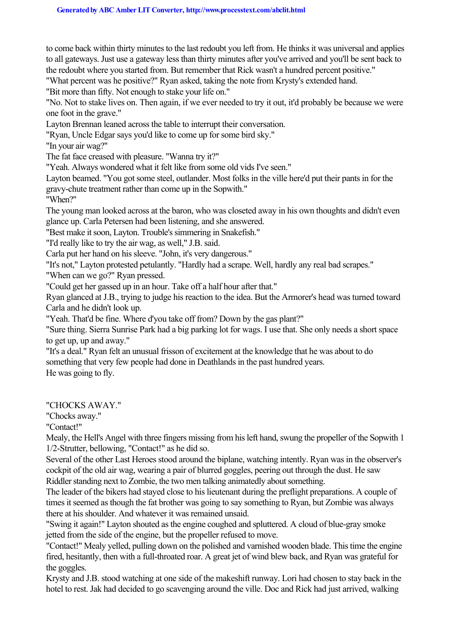to come back within thirty minutes to the last redoubt you left from. He thinks it was universal and applies to all gateways. Just use a gateway less than thirty minutes after you've arrived and you'll be sent back to the redoubt where you started from. But remember that Rick wasn't a hundred percent positive."

"What percent was he positive?" Ryan asked, taking the note from Krysty's extended hand.

"Bit more than fifty. Not enough to stake your life on."

"No. Not to stake lives on. Then again, if we ever needed to try it out, it'd probably be because we were one foot in the grave."

Layton Brennan leaned across the table to interrupt their conversation.

"Ryan, Uncle Edgar says you'd like to come up for some bird sky."

"In your air wag?"

The fat face creased with pleasure. "Wanna try it?"

"Yeah. Always wondered what it felt like from some old vids I've seen."

Layton beamed. "You got some steel, outlander. Most folks in the ville here'd put their pants in for the gravy-chute treatment rather than come up in the Sopwith."

"When?"

The young man looked across at the baron, who was closeted away in his own thoughts and didn't even glance up. Carla Petersen had been listening, and she answered.

"Best make it soon, Layton. Trouble's simmering in Snakefish."

"I'd really like to try the air wag, as well," J.B. said.

Carla put her hand on his sleeve. "John, it's very dangerous."

"It's not," Layton protested petulantly. "Hardly had a scrape. Well, hardly any real bad scrapes."

"When can we go?" Ryan pressed.

"Could get her gassed up in an hour. Take off a half hour after that."

Ryan glanced at J.B., trying to judge his reaction to the idea. But the Armorer's head was turned toward Carla and he didn't look up.

"Yeah. That'd be fine. Where d'you take off from? Down by the gas plant?"

"Sure thing. Sierra Sunrise Park had a big parking lot for wags. I use that. She only needs a short space to get up, up and away."

"It's a deal." Ryan felt an unusual frisson of excitement at the knowledge that he was about to do something that very few people had done in Deathlands in the past hundred years. He was going to fly.

"CHOCKS AWAY."

"Chocks away."

"Contact!"

Mealy, the Hell's Angel with three fingers missing from his left hand, swung the propeller of the Sopwith 1 1/2-Strutter, bellowing, "Contact!" as he did so.

Several of the other Last Heroes stood around the biplane, watching intently. Ryan was in the observer's cockpit of the old air wag, wearing a pair of blurred goggles, peering out through the dust. He saw Riddler standing next to Zombie, the two men talking animatedly about something.

The leader of the bikers had stayed close to his lieutenant during the preflight preparations. A couple of times it seemed as though the fat brother was going to say something to Ryan, but Zombie was always there at his shoulder. And whatever it was remained unsaid.

"Swing it again!" Layton shouted as the engine coughed and spluttered. A cloud of blue-gray smoke jetted from the side of the engine, but the propeller refused to move.

"Contact!" Mealy yelled, pulling down on the polished and varnished wooden blade. This time the engine fired, hesitantly, then with a full-throated roar. A great jet of wind blew back, and Ryan was grateful for the goggles.

Krysty and J.B. stood watching at one side of the makeshift runway. Lori had chosen to stay back in the hotel to rest. Jak had decided to go scavenging around the ville. Doc and Rick had just arrived, walking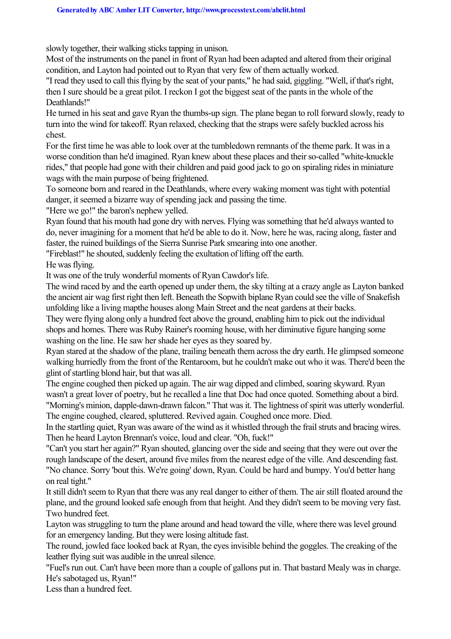slowly together, their walking sticks tapping in unison.

Most of the instruments on the panel in front of Ryan had been adapted and altered from their original condition, and Layton had pointed out to Ryan that very few of them actually worked.

"I read they used to call this flying by the seat of your pants," he had said, giggling. "Well, if that's right, then I sure should be a great pilot. I reckon I got the biggest seat of the pants in the whole of the Deathlands!"

He turned in his seat and gave Ryan the thumbs-up sign. The plane began to roll forward slowly, ready to turn into the wind for takeoff. Ryan relaxed, checking that the straps were safely buckled across his chest.

For the first time he was able to look over at the tumbledown remnants of the theme park. It was in a worse condition than he'd imagined. Ryan knew about these places and their so-called "white-knuckle rides," that people had gone with their children and paid good jack to go on spiraling rides in miniature wags with the main purpose of being frightened.

To someone born and reared in the Deathlands, where every waking moment was tight with potential danger, it seemed a bizarre way of spending jack and passing the time.

"Here we go!" the baron's nephew yelled.

Ryan found that his mouth had gone dry with nerves. Flying was something that he'd always wanted to do, never imagining for a moment that he'd be able to do it. Now, here he was, racing along, faster and faster, the ruined buildings of the Sierra Sunrise Park smearing into one another.

"Fireblast!" he shouted, suddenly feeling the exultation of lifting off the earth.

He was flying.

It was one of the truly wonderful moments of Ryan Cawdor's life.

The wind raced by and the earth opened up under them, the sky tilting at a crazy angle as Layton banked the ancient air wag first right then left. Beneath the Sopwith biplane Ryan could see the ville of Snakefish unfolding like a living mapthe houses along Main Street and the neat gardens at their backs.

They were flying along only a hundred feet above the ground, enabling him to pick out the individual shops and homes. There was Ruby Rainer's rooming house, with her diminutive figure hanging some washing on the line. He saw her shade her eyes as they soared by.

Ryan stared at the shadow of the plane, trailing beneath them across the dry earth. He glimpsed someone walking hurriedly from the front of the Rentaroom, but he couldn't make out who it was. There'd been the glint of startling blond hair, but that was all.

The engine coughed then picked up again. The air wag dipped and climbed, soaring skyward. Ryan wasn't a great lover of poetry, but he recalled a line that Doc had once quoted. Something about a bird. "Morning's minion, dapple-dawn-drawn falcon." That was it. The lightness of spirit was utterly wonderful. The engine coughed, cleared, spluttered. Revived again. Coughed once more. Died.

In the startling quiet, Ryan was aware of the wind as it whistled through the frail struts and bracing wires. Then he heard Layton Brennan's voice, loud and clear. "Oh, fuck!"

"Can't you start her again?" Ryan shouted, glancing over the side and seeing that they were out over the rough landscape of the desert, around five miles from the nearest edge of the ville. And descending fast. "No chance. Sorry 'bout this. We're going' down, Ryan. Could be hard and bumpy. You'd better hang on real tight."

It still didn't seem to Ryan that there was any real danger to either of them. The air still floated around the plane, and the ground looked safe enough from that height. And they didn't seem to be moving very fast. Two hundred feet.

Layton was struggling to turn the plane around and head toward the ville, where there was level ground for an emergency landing. But they were losing altitude fast.

The round, jowled face looked back at Ryan, the eyes invisible behind the goggles. The creaking of the leather flying suit was audible in the unreal silence.

"Fuel's run out. Can't have been more than a couple of gallons put in. That bastard Mealy was in charge. He's sabotaged us, Ryan!"

Less than a hundred feet.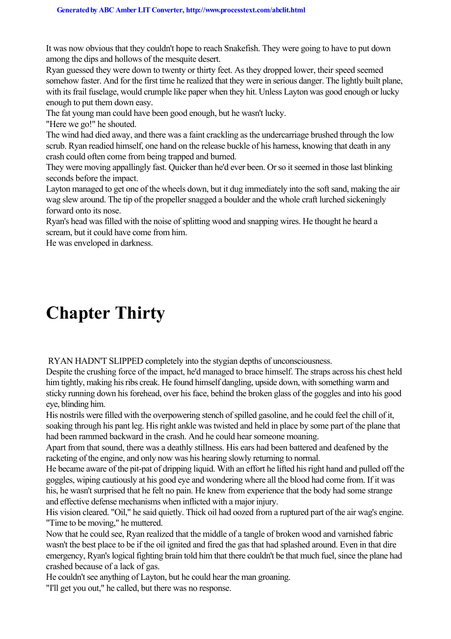It was now obvious that they couldn't hope to reach Snakefish. They were going to have to put down among the dips and hollows of the mesquite desert.

Ryan guessed they were down to twenty or thirty feet. As they dropped lower, their speed seemed somehow faster. And for the first time he realized that they were in serious danger. The lightly built plane, with its frail fuselage, would crumple like paper when they hit. Unless Layton was good enough or lucky enough to put them down easy.

The fat young man could have been good enough, but he wasn't lucky.

"Here we go!" he shouted.

The wind had died away, and there was a faint crackling as the undercarriage brushed through the low scrub. Ryan readied himself, one hand on the release buckle of his harness, knowing that death in any crash could often come from being trapped and burned.

They were moving appallingly fast. Quicker than he'd ever been. Or so it seemed in those last blinking seconds before the impact.

Layton managed to get one of the wheels down, but it dug immediately into the soft sand, making the air wag slew around. The tip of the propeller snagged a boulder and the whole craft lurched sickeningly forward onto its nose.

Ryan's head was filled with the noise of splitting wood and snapping wires. He thought he heard a scream, but it could have come from him.

He was enveloped in darkness.

## **Chapter Thirty**

RYAN HADN'T SLIPPED completely into the stygian depths of unconsciousness.

Despite the crushing force of the impact, he'd managed to brace himself. The straps across his chest held him tightly, making his ribs creak. He found himself dangling, upside down, with something warm and sticky running down his forehead, over his face, behind the broken glass of the goggles and into his good eye, blinding him.

His nostrils were filled with the overpowering stench of spilled gasoline, and he could feel the chill of it, soaking through his pant leg. His right ankle was twisted and held in place by some part of the plane that had been rammed backward in the crash. And he could hear someone moaning.

Apart from that sound, there was a deathly stillness. His ears had been battered and deafened by the racketing of the engine, and only now was his hearing slowly returning to normal.

He became aware of the pit-pat of dripping liquid. With an effort he lifted his right hand and pulled off the goggles, wiping cautiously at his good eye and wondering where all the blood had come from. If it was his, he wasn't surprised that he felt no pain. He knew from experience that the body had some strange and effective defense mechanisms when inflicted with a major injury.

His vision cleared. "Oil," he said quietly. Thick oil had oozed from a ruptured part of the air wag's engine. "Time to be moving," he muttered.

Now that he could see, Ryan realized that the middle of a tangle of broken wood and varnished fabric wasn't the best place to be if the oil ignited and fired the gas that had splashed around. Even in that dire emergency, Ryan's logical fighting brain told him that there couldn't be that much fuel, since the plane had crashed because of a lack of gas.

He couldn't see anything of Layton, but he could hear the man groaning.

"I'll get you out," he called, but there was no response.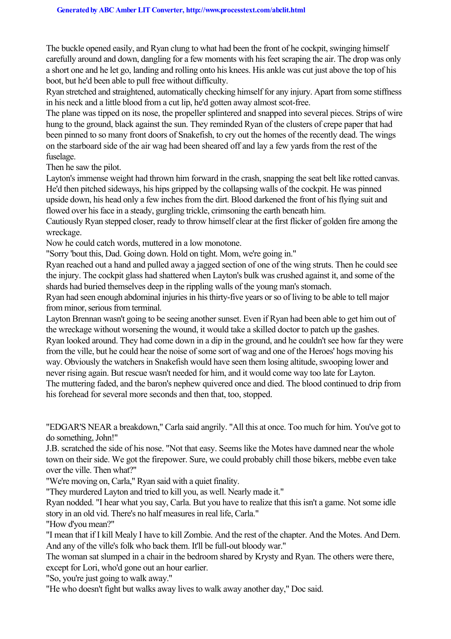The buckle opened easily, and Ryan clung to what had been the front of he cockpit, swinging himself carefully around and down, dangling for a few moments with his feet scraping the air. The drop was only a short one and he let go, landing and rolling onto his knees. His ankle was cut just above the top of his boot, but he'd been able to pull free without difficulty.

Ryan stretched and straightened, automatically checking himself for any injury. Apart from some stiffness in his neck and a little blood from a cut lip, he'd gotten away almost scot-free.

The plane was tipped on its nose, the propeller splintered and snapped into several pieces. Strips of wire hung to the ground, black against the sun. They reminded Ryan of the clusters of crepe paper that had been pinned to so many front doors of Snakefish, to cry out the homes of the recently dead. The wings on the starboard side of the air wag had been sheared off and lay a few yards from the rest of the fuselage.

Then he saw the pilot.

Layton's immense weight had thrown him forward in the crash, snapping the seat belt like rotted canvas. He'd then pitched sideways, his hips gripped by the collapsing walls of the cockpit. He was pinned upside down, his head only a few inches from the dirt. Blood darkened the front of his flying suit and flowed over his face in a steady, gurgling trickle, crimsoning the earth beneath him.

Cautiously Ryan stepped closer, ready to throw himself clear at the first flicker of golden fire among the wreckage.

Now he could catch words, muttered in a low monotone.

"Sorry 'bout this, Dad. Going down. Hold on tight. Mom, we're going in."

Ryan reached out a hand and pulled away a jagged section of one of the wing struts. Then he could see the injury. The cockpit glass had shattered when Layton's bulk was crushed against it, and some of the shards had buried themselves deep in the rippling walls of the young man's stomach.

Ryan had seen enough abdominal injuries in his thirty-five years or so of living to be able to tell major from minor, serious from terminal.

Layton Brennan wasn't going to be seeing another sunset. Even if Ryan had been able to get him out of the wreckage without worsening the wound, it would take a skilled doctor to patch up the gashes. Ryan looked around. They had come down in a dip in the ground, and he couldn't see how far they were from the ville, but he could hear the noise of some sort of wag and one of the Heroes' hogs moving his way. Obviously the watchers in Snakefish would have seen them losing altitude, swooping lower and never rising again. But rescue wasn't needed for him, and it would come way too late for Layton. The muttering faded, and the baron's nephew quivered once and died. The blood continued to drip from his forehead for several more seconds and then that, too, stopped.

"EDGAR'S NEAR a breakdown," Carla said angrily. "All this at once. Too much for him. You've got to do something, John!"

J.B. scratched the side of his nose. "Not that easy. Seems like the Motes have damned near the whole town on their side. We got the firepower. Sure, we could probably chill those bikers, mebbe even take over the ville. Then what?"

"We're moving on, Carla," Ryan said with a quiet finality.

"They murdered Layton and tried to kill you, as well. Nearly made it."

Ryan nodded. "I hear what you say, Carla. But you have to realize that this isn't a game. Not some idle story in an old vid. There's no half measures in real life, Carla."

"How d'you mean?"

"I mean that if I kill Mealy I have to kill Zombie. And the rest of the chapter. And the Motes. And Dern. And any of the ville's folk who back them. It'll be full-out bloody war."

The woman sat slumped in a chair in the bedroom shared by Krysty and Ryan. The others were there, except for Lori, who'd gone out an hour earlier.

"So, you're just going to walk away."

"He who doesn't fight but walks away lives to walk away another day," Doc said.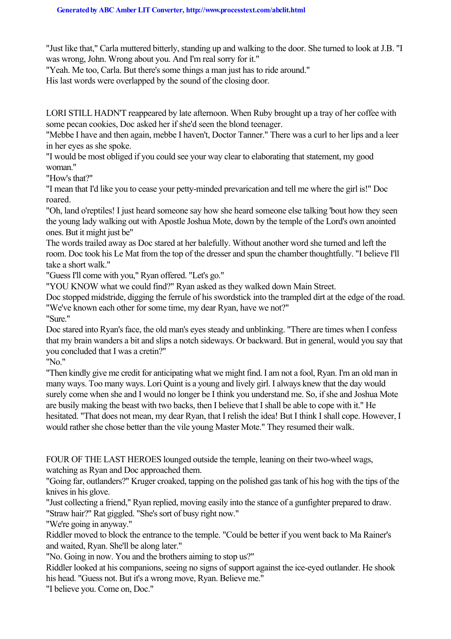"Just like that," Carla muttered bitterly, standing up and walking to the door. She turned to look at J.B. "I was wrong, John. Wrong about you. And I'm real sorry for it."

"Yeah. Me too, Carla. But there's some things a man just has to ride around."

His last words were overlapped by the sound of the closing door.

LORI STILL HADN'T reappeared by late afternoon. When Ruby brought up a tray of her coffee with some pecan cookies, Doc asked her if she'd seen the blond teenager.

"Mebbe I have and then again, mebbe I haven't, Doctor Tanner." There was a curl to her lips and a leer in her eyes as she spoke.

"I would be most obliged if you could see your way clear to elaborating that statement, my good woman"

"How's that?"

"I mean that I'd like you to cease your petty-minded prevarication and tell me where the girl is!" Doc roared.

"Oh, land o'reptiles! I just heard someone say how she heard someone else talking 'bout how they seen the young lady walking out with Apostle Joshua Mote, down by the temple of the Lord's own anointed ones. But it might just be"

The words trailed away as Doc stared at her balefully. Without another word she turned and left the room. Doc took his Le Mat from the top of the dresser and spun the chamber thoughtfully. "I believe I'll take a short walk."

"Guess I'll come with you," Ryan offered. "Let's go."

"YOU KNOW what we could find?" Ryan asked as they walked down Main Street.

Doc stopped midstride, digging the ferrule of his swordstick into the trampled dirt at the edge of the road. "We've known each other for some time, my dear Ryan, have we not?"

"Sure."

Doc stared into Ryan's face, the old man's eyes steady and unblinking. "There are times when I confess that my brain wanders a bit and slips a notch sideways. Or backward. But in general, would you say that you concluded that I was a cretin?"

"No."

"Then kindly give me credit for anticipating what we might find. I am not a fool, Ryan. I'm an old man in many ways. Too many ways. Lori Quint is a young and lively girl. I always knew that the day would surely come when she and I would no longer be I think you understand me. So, if she and Joshua Mote are busily making the beast with two backs, then I believe that I shall be able to cope with it." He hesitated. "That does not mean, my dear Ryan, that I relish the idea! But I think I shall cope. However, I would rather she chose better than the vile young Master Mote." They resumed their walk.

FOUR OF THE LAST HEROES lounged outside the temple, leaning on their two-wheel wags,

watching as Ryan and Doc approached them.

"Going far, outlanders?" Kruger croaked, tapping on the polished gas tank of his hog with the tips of the knives in his glove.

"Just collecting a friend," Ryan replied, moving easily into the stance of a gunfighter prepared to draw. "Straw hair?" Rat giggled. "She's sort of busy right now."

"We're going in anyway."

Riddler moved to block the entrance to the temple. "Could be better if you went back to Ma Rainer's and waited, Ryan. She'll be along later."

"No. Going in now. You and the brothers aiming to stop us?"

Riddler looked at his companions, seeing no signs of support against the ice-eyed outlander. He shook his head. "Guess not. But it's a wrong move, Ryan. Believe me."

"I believe you. Come on, Doc."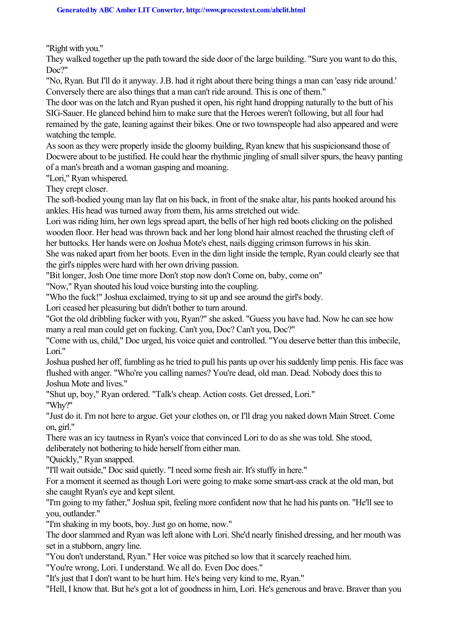"Right with you."

They walked together up the path toward the side door of the large building. "Sure you want to do this, Doc?"

"No, Ryan. But I'll do it anyway. J.B. had it right about there being things a man can 'easy ride around.' Conversely there are also things that a man can't ride around. This is one of them."

The door was on the latch and Ryan pushed it open, his right hand dropping naturally to the butt of his SIG-Sauer. He glanced behind him to make sure that the Heroes weren't following, but all four had remained by the gate, leaning against their bikes. One or two townspeople had also appeared and were watching the temple.

As soon as they were properly inside the gloomy building, Ryan knew that his suspicionsand those of Docwere about to be justified. He could hear the rhythmic jingling of small silver spurs, the heavy panting of a man's breath and a woman gasping and moaning.

"Lori," Ryan whispered.

They crept closer.

The soft-bodied young man lay flat on his back, in front of the snake altar, his pants hooked around his ankles. His head was turned away from them, his arms stretched out wide.

Lori was riding him, her own legs spread apart, the bells of her high red boots clicking on the polished wooden floor. Her head was thrown back and her long blond hair almost reached the thrusting cleft of her buttocks. Her hands were on Joshua Mote's chest, nails digging crimson furrows in his skin.

She was naked apart from her boots. Even in the dim light inside the temple, Ryan could clearly see that the girl's nipples were hard with her own driving passion.

"Bit longer, Josh One time more Don't stop now don't Come on, baby, come on"

"Now," Ryan shouted his loud voice bursting into the coupling.

"Who the fuck!" Joshua exclaimed, trying to sit up and see around the girl's body.

Lori ceased her pleasuring but didn't bother to turn around.

"Got the old dribbling fucker with you, Ryan?" she asked. "Guess you have had. Now he can see how many a real man could get on fucking. Can't you, Doc? Can't you, Doc?"

"Come with us, child," Doc urged, his voice quiet and controlled. "You deserve better than this imbecile, Lori."

Joshua pushed her off, fumbling as he tried to pull his pants up over his suddenly limp penis. His face was flushed with anger. "Who're you calling names? You're dead, old man. Dead. Nobody does this to Joshua Mote and lives."

"Shut up, boy," Ryan ordered. "Talk's cheap. Action costs. Get dressed, Lori." "Why?"

"Just do it. I'm not here to argue. Get your clothes on, or I'll drag you naked down Main Street. Come on, girl."

There was an icy tautness in Ryan's voice that convinced Lori to do as she was told. She stood, deliberately not bothering to hide herself from either man.

"Quickly," Ryan snapped.

"I'll wait outside," Doc said quietly. "I need some fresh air. It's stuffy in here."

For a moment it seemed as though Lori were going to make some smart-ass crack at the old man, but she caught Ryan's eye and kept silent.

"I'm going to my father," Joshua spit, feeling more confident now that he had his pants on. "He'll see to you, outlander."

"I'm shaking in my boots, boy. Just go on home, now."

The door slammed and Ryan was left alone with Lori. She'd nearly finished dressing, and her mouth was set in a stubborn, angry line.

"You don't understand, Ryan." Her voice was pitched so low that it scarcely reached him.

"You're wrong, Lori. I understand. We all do. Even Doc does."

"It's just that I don't want to be hurt him. He's being very kind to me, Ryan."

"Hell, I know that. But he's got a lot of goodness in him, Lori. He's generous and brave. Braver than you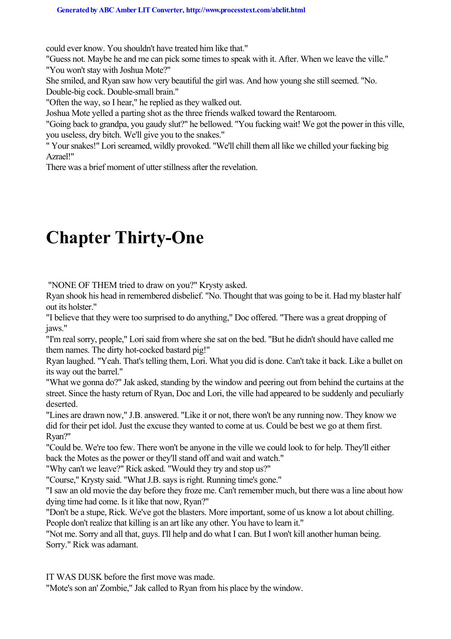could ever know. You shouldn't have treated him like that."

"Guess not. Maybe he and me can pick some times to speak with it. After. When we leave the ville." "You won't stay with Joshua Mote?"

She smiled, and Ryan saw how very beautiful the girl was. And how young she still seemed. "No. Double-big cock. Double-small brain."

"Often the way, so I hear," he replied as they walked out.

Joshua Mote yelled a parting shot as the three friends walked toward the Rentaroom.

"Going back to grandpa, you gaudy slut?" he bellowed. "You fucking wait! We got the power in this ville, you useless, dry bitch. We'll give you to the snakes."

" Your snakes!" Lori screamed, wildly provoked. "We'll chill them all like we chilled your fucking big Azrael!"

There was a brief moment of utter stillness after the revelation.

# **Chapter Thirty-One**

"NONE OF THEM tried to draw on you?" Krysty asked.

Ryan shook his head in remembered disbelief. "No. Thought that was going to be it. Had my blaster half out its holster."

"I believe that they were too surprised to do anything," Doc offered. "There was a great dropping of jaws."

"I'm real sorry, people," Lori said from where she sat on the bed. "But he didn't should have called me them names. The dirty hot-cocked bastard pig!"

Ryan laughed. "Yeah. That's telling them, Lori. What you did is done. Can't take it back. Like a bullet on its way out the barrel."

"What we gonna do?" Jak asked, standing by the window and peering out from behind the curtains at the street. Since the hasty return of Ryan, Doc and Lori, the ville had appeared to be suddenly and peculiarly deserted.

"Lines are drawn now," J.B. answered. "Like it or not, there won't be any running now. They know we did for their pet idol. Just the excuse they wanted to come at us. Could be best we go at them first. Ryan?"

"Could be. We're too few. There won't be anyone in the ville we could look to for help. They'll either back the Motes as the power or they'll stand off and wait and watch."

"Why can't we leave?" Rick asked. "Would they try and stop us?"

"Course," Krysty said. "What J.B. says is right. Running time's gone."

"I saw an old movie the day before they froze me. Can't remember much, but there was a line about how dying time had come. Is it like that now, Ryan?"

"Don't be a stupe, Rick. We've got the blasters. More important, some of us know a lot about chilling. People don't realize that killing is an art like any other. You have to learn it."

"Not me. Sorry and all that, guys. I'll help and do what I can. But I won't kill another human being. Sorry." Rick was adamant.

IT WAS DUSK before the first move was made.

"Mote's son an' Zombie," Jak called to Ryan from his place by the window.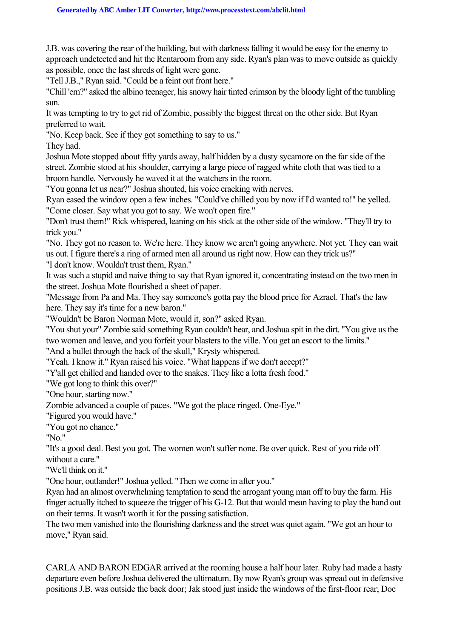J.B. was covering the rear of the building, but with darkness falling it would be easy for the enemy to approach undetected and hit the Rentaroom from any side. Ryan's plan was to move outside as quickly as possible, once the last shreds of light were gone.

"Tell J.B.," Ryan said. "Could be a feint out front here."

"Chill 'em?" asked the albino teenager, his snowy hair tinted crimson by the bloody light of the tumbling sun.

It was tempting to try to get rid of Zombie, possibly the biggest threat on the other side. But Ryan preferred to wait.

"No. Keep back. See if they got something to say to us."

They had.

Joshua Mote stopped about fifty yards away, half hidden by a dusty sycamore on the far side of the street. Zombie stood at his shoulder, carrying a large piece of ragged white cloth that was tied to a broom handle. Nervously he waved it at the watchers in the room.

"You gonna let us near?" Joshua shouted, his voice cracking with nerves.

Ryan eased the window open a few inches. "Could've chilled you by now if I'd wanted to!" he yelled. "Come closer. Say what you got to say. We won't open fire."

"Don't trust them!" Rick whispered, leaning on his stick at the other side of the window. "They'll try to trick you."

"No. They got no reason to. We're here. They know we aren't going anywhere. Not yet. They can wait us out. I figure there's a ring of armed men all around us right now. How can they trick us?" "I don't know. Wouldn't trust them, Ryan."

It was such a stupid and naive thing to say that Ryan ignored it, concentrating instead on the two men in the street. Joshua Mote flourished a sheet of paper.

"Message from Pa and Ma. They say someone's gotta pay the blood price for Azrael. That's the law here. They say it's time for a new baron."

"Wouldn't be Baron Norman Mote, would it, son?" asked Ryan.

"You shut your" Zombie said something Ryan couldn't hear, and Joshua spit in the dirt. "You give us the two women and leave, and you forfeit your blasters to the ville. You get an escort to the limits."

"And a bullet through the back of the skull," Krysty whispered.

"Yeah. I know it." Ryan raised his voice. "What happens if we don't accept?"

"Y'all get chilled and handed over to the snakes. They like a lotta fresh food."

"We got long to think this over?"

"One hour, starting now."

Zombie advanced a couple of paces. "We got the place ringed, One-Eye."

"Figured you would have."

"You got no chance."

"No."

"It's a good deal. Best you got. The women won't suffer none. Be over quick. Rest of you ride off without a care."

"We'll think on it."

"One hour, outlander!" Joshua yelled. "Then we come in after you."

Ryan had an almost overwhelming temptation to send the arrogant young man off to buy the farm. His finger actually itched to squeeze the trigger of his G-12. But that would mean having to play the hand out on their terms. It wasn't worth it for the passing satisfaction.

The two men vanished into the flourishing darkness and the street was quiet again. "We got an hour to move," Ryan said.

CARLA AND BARON EDGAR arrived at the rooming house a half hour later. Ruby had made a hasty departure even before Joshua delivered the ultimatum. By now Ryan's group was spread out in defensive positions J.B. was outside the back door; Jak stood just inside the windows of the first-floor rear; Doc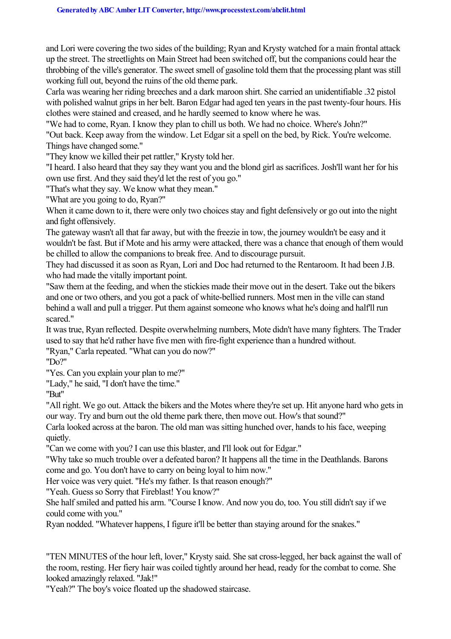and Lori were covering the two sides of the building; Ryan and Krysty watched for a main frontal attack up the street. The streetlights on Main Street had been switched off, but the companions could hear the throbbing of the ville's generator. The sweet smell of gasoline told them that the processing plant was still working full out, beyond the ruins of the old theme park.

Carla was wearing her riding breeches and a dark maroon shirt. She carried an unidentifiable .32 pistol with polished walnut grips in her belt. Baron Edgar had aged ten years in the past twenty-four hours. His clothes were stained and creased, and he hardly seemed to know where he was.

"We had to come, Ryan. I know they plan to chill us both. We had no choice. Where's John?"

"Out back. Keep away from the window. Let Edgar sit a spell on the bed, by Rick. You're welcome. Things have changed some."

"They know we killed their pet rattler," Krysty told her.

"I heard. I also heard that they say they want you and the blond girl as sacrifices. Josh'll want her for his own use first. And they said they'd let the rest of you go."

"That's what they say. We know what they mean."

"What are you going to do, Ryan?"

When it came down to it, there were only two choices stay and fight defensively or go out into the night and fight offensively.

The gateway wasn't all that far away, but with the freezie in tow, the journey wouldn't be easy and it wouldn't be fast. But if Mote and his army were attacked, there was a chance that enough of them would be chilled to allow the companions to break free. And to discourage pursuit.

They had discussed it as soon as Ryan, Lori and Doc had returned to the Rentaroom. It had been J.B. who had made the vitally important point.

"Saw them at the feeding, and when the stickies made their move out in the desert. Take out the bikers and one or two others, and you got a pack of white-bellied runners. Most men in the ville can stand behind a wall and pull a trigger. Put them against someone who knows what he's doing and half'll run scared."

It was true, Ryan reflected. Despite overwhelming numbers, Mote didn't have many fighters. The Trader used to say that he'd rather have five men with fire-fight experience than a hundred without.

"Ryan," Carla repeated. "What can you do now?"

"Do?"

"Yes. Can you explain your plan to me?"

"Lady," he said, "I don't have the time."

"But"

"All right. We go out. Attack the bikers and the Motes where they're set up. Hit anyone hard who gets in our way. Try and burn out the old theme park there, then move out. How's that sound?"

Carla looked across at the baron. The old man was sitting hunched over, hands to his face, weeping quietly.

"Can we come with you? I can use this blaster, and I'll look out for Edgar."

"Why take so much trouble over a defeated baron? It happens all the time in the Deathlands. Barons come and go. You don't have to carry on being loyal to him now."

Her voice was very quiet. "He's my father. Is that reason enough?"

"Yeah. Guess so Sorry that Fireblast! You know?"

She half smiled and patted his arm. "Course I know. And now you do, too. You still didn't say if we could come with you."

Ryan nodded. "Whatever happens, I figure it'll be better than staying around for the snakes."

"TEN MINUTES of the hour left, lover," Krysty said. She sat cross-legged, her back against the wall of the room, resting. Her fiery hair was coiled tightly around her head, ready for the combat to come. She looked amazingly relaxed. "Jak!"

"Yeah?" The boy's voice floated up the shadowed staircase.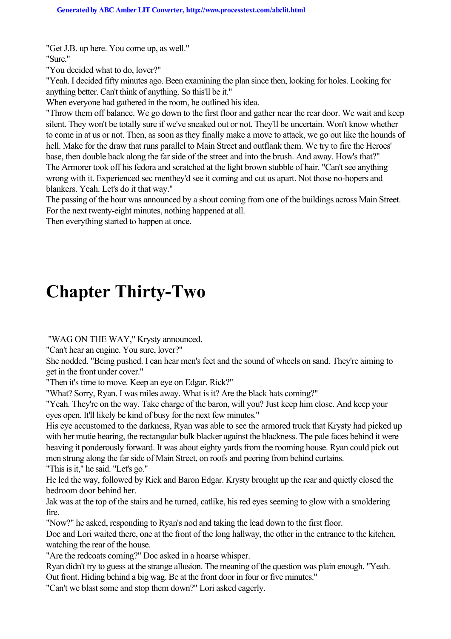"Get J.B. up here. You come up, as well."

"Sure."

"You decided what to do, lover?"

"Yeah. I decided fifty minutes ago. Been examining the plan since then, looking for holes. Looking for anything better. Can't think of anything. So this'll be it."

When everyone had gathered in the room, he outlined his idea.

"Throw them off balance. We go down to the first floor and gather near the rear door. We wait and keep silent. They won't be totally sure if we've sneaked out or not. They'll be uncertain. Won't know whether to come in at us or not. Then, as soon as they finally make a move to attack, we go out like the hounds of hell. Make for the draw that runs parallel to Main Street and outflank them. We try to fire the Heroes' base, then double back along the far side of the street and into the brush. And away. How's that?" The Armorer took off his fedora and scratched at the light brown stubble of hair. "Can't see anything wrong with it. Experienced sec menthey'd see it coming and cut us apart. Not those no-hopers and blankers. Yeah. Let's do it that way."

The passing of the hour was announced by a shout coming from one of the buildings across Main Street. For the next twenty-eight minutes, nothing happened at all.

Then everything started to happen at once.

### **Chapter Thirty-Two**

"WAG ON THE WAY," Krysty announced.

"Can't hear an engine. You sure, lover?"

She nodded. "Being pushed. I can hear men's feet and the sound of wheels on sand. They're aiming to get in the front under cover."

"Then it's time to move. Keep an eye on Edgar. Rick?"

"What? Sorry, Ryan. I was miles away. What is it? Are the black hats coming?"

"Yeah. They're on the way. Take charge of the baron, will you? Just keep him close. And keep your eyes open. It'll likely be kind of busy for the next few minutes."

His eye accustomed to the darkness, Ryan was able to see the armored truck that Krysty had picked up with her mutie hearing, the rectangular bulk blacker against the blackness. The pale faces behind it were heaving it ponderously forward. It was about eighty yards from the rooming house. Ryan could pick out men strung along the far side of Main Street, on roofs and peering from behind curtains.

"This is it," he said. "Let's go."

He led the way, followed by Rick and Baron Edgar. Krysty brought up the rear and quietly closed the bedroom door behind her.

Jak was at the top of the stairs and he turned, catlike, his red eyes seeming to glow with a smoldering fire.

"Now?" he asked, responding to Ryan's nod and taking the lead down to the first floor.

Doc and Lori waited there, one at the front of the long hallway, the other in the entrance to the kitchen, watching the rear of the house.

"Are the redcoats coming?" Doc asked in a hoarse whisper.

Ryan didn't try to guess at the strange allusion. The meaning of the question was plain enough. "Yeah. Out front. Hiding behind a big wag. Be at the front door in four or five minutes."

"Can't we blast some and stop them down?" Lori asked eagerly.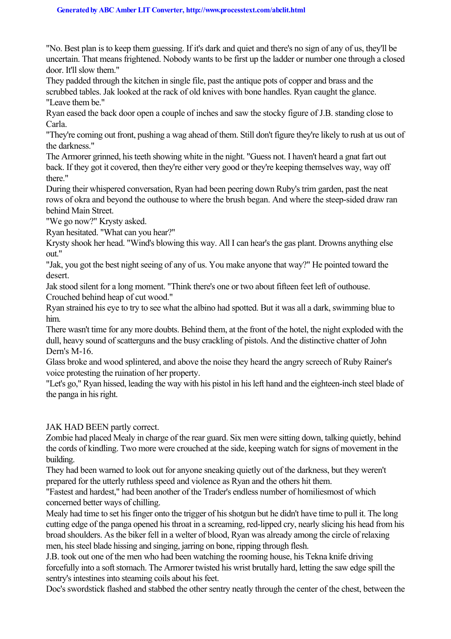"No. Best plan is to keep them guessing. If it's dark and quiet and there's no sign of any of us, they'll be uncertain. That means frightened. Nobody wants to be first up the ladder or number one through a closed door. It'll slow them."

They padded through the kitchen in single file, past the antique pots of copper and brass and the scrubbed tables. Jak looked at the rack of old knives with bone handles. Ryan caught the glance. "Leave them be."

Ryan eased the back door open a couple of inches and saw the stocky figure of J.B. standing close to Carla.

"They're coming out front, pushing a wag ahead of them. Still don't figure they're likely to rush at us out of the darkness."

The Armorer grinned, his teeth showing white in the night. "Guess not. I haven't heard a gnat fart out back. If they got it covered, then they're either very good or they're keeping themselves way, way off there."

During their whispered conversation, Ryan had been peering down Ruby's trim garden, past the neat rows of okra and beyond the outhouse to where the brush began. And where the steep-sided draw ran behind Main Street.

"We go now?" Krysty asked.

Ryan hesitated. "What can you hear?"

Krysty shook her head. "Wind's blowing this way. All I can hear's the gas plant. Drowns anything else out."

"Jak, you got the best night seeing of any of us. You make anyone that way?" He pointed toward the desert.

Jak stood silent for a long moment. "Think there's one or two about fifteen feet left of outhouse. Crouched behind heap of cut wood."

Ryan strained his eye to try to see what the albino had spotted. But it was all a dark, swimming blue to him.

There wasn't time for any more doubts. Behind them, at the front of the hotel, the night exploded with the dull, heavy sound of scatterguns and the busy crackling of pistols. And the distinctive chatter of John Dern's M-16.

Glass broke and wood splintered, and above the noise they heard the angry screech of Ruby Rainer's voice protesting the ruination of her property.

"Let's go," Ryan hissed, leading the way with his pistol in his left hand and the eighteen-inch steel blade of the panga in his right.

#### JAK HAD BEEN partly correct.

Zombie had placed Mealy in charge of the rear guard. Six men were sitting down, talking quietly, behind the cords of kindling. Two more were crouched at the side, keeping watch for signs of movement in the building.

They had been warned to look out for anyone sneaking quietly out of the darkness, but they weren't prepared for the utterly ruthless speed and violence as Ryan and the others hit them.

"Fastest and hardest," had been another of the Trader's endless number of homiliesmost of which concerned better ways of chilling.

Mealy had time to set his finger onto the trigger of his shotgun but he didn't have time to pull it. The long cutting edge of the panga opened his throat in a screaming, red-lipped cry, nearly slicing his head from his broad shoulders. As the biker fell in a welter of blood, Ryan was already among the circle of relaxing men, his steel blade hissing and singing, jarring on bone, ripping through flesh.

J.B. took out one of the men who had been watching the rooming house, his Tekna knife driving forcefully into a soft stomach. The Armorer twisted his wrist brutally hard, letting the saw edge spill the sentry's intestines into steaming coils about his feet.

Doc's swordstick flashed and stabbed the other sentry neatly through the center of the chest, between the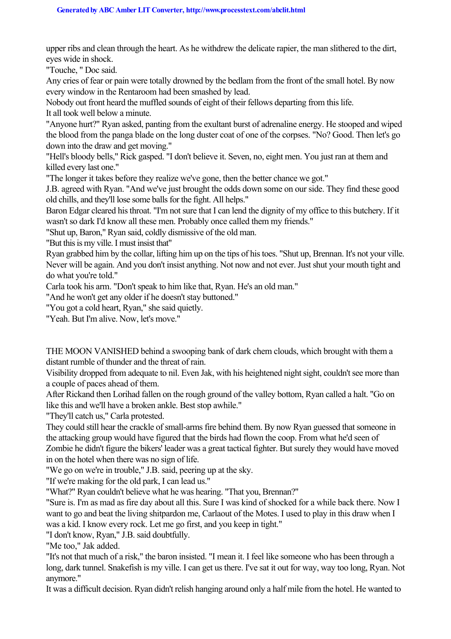upper ribs and clean through the heart. As he withdrew the delicate rapier, the man slithered to the dirt, eyes wide in shock.

"Touche, " Doc said.

Any cries of fear or pain were totally drowned by the bedlam from the front of the small hotel. By now every window in the Rentaroom had been smashed by lead.

Nobody out front heard the muffled sounds of eight of their fellows departing from this life.

It all took well below a minute.

"Anyone hurt?" Ryan asked, panting from the exultant burst of adrenaline energy. He stooped and wiped the blood from the panga blade on the long duster coat of one of the corpses. "No? Good. Then let's go down into the draw and get moving."

"Hell's bloody bells," Rick gasped. "I don't believe it. Seven, no, eight men. You just ran at them and killed every last one."

"The longer it takes before they realize we've gone, then the better chance we got."

J.B. agreed with Ryan. "And we've just brought the odds down some on our side. They find these good old chills, and they'll lose some balls for the fight. All helps."

Baron Edgar cleared his throat. "I'm not sure that I can lend the dignity of my office to this butchery. If it wasn't so dark I'd know all these men. Probably once called them my friends."

"Shut up, Baron," Ryan said, coldly dismissive of the old man.

"But this is my ville. I must insist that"

Ryan grabbed him by the collar, lifting him up on the tips of his toes. "Shut up, Brennan. It's not your ville. Never will be again. And you don't insist anything. Not now and not ever. Just shut your mouth tight and do what you're told."

Carla took his arm. "Don't speak to him like that, Ryan. He's an old man."

"And he won't get any older if he doesn't stay buttoned."

"You got a cold heart, Ryan," she said quietly.

"Yeah. But I'm alive. Now, let's move."

THE MOON VANISHED behind a swooping bank of dark chem clouds, which brought with them a distant rumble of thunder and the threat of rain.

Visibility dropped from adequate to nil. Even Jak, with his heightened night sight, couldn't see more than a couple of paces ahead of them.

After Rickand then Lorihad fallen on the rough ground of the valley bottom, Ryan called a halt. "Go on like this and we'll have a broken ankle. Best stop awhile."

"They'll catch us," Carla protested.

They could still hear the crackle of small-arms fire behind them. By now Ryan guessed that someone in the attacking group would have figured that the birds had flown the coop. From what he'd seen of Zombie he didn't figure the bikers' leader was a great tactical fighter. But surely they would have moved in on the hotel when there was no sign of life.

"We go on we're in trouble," J.B. said, peering up at the sky.

"If we're making for the old park, I can lead us."

"What?" Ryan couldn't believe what he was hearing. "That you, Brennan?"

"Sure is. I'm as mad as fire day about all this. Sure I was kind of shocked for a while back there. Now I want to go and beat the living shitpardon me, Carlaout of the Motes. I used to play in this draw when I was a kid. I know every rock. Let me go first, and you keep in tight."

"I don't know, Ryan," J.B. said doubtfully.

"Me too," Jak added.

"It's not that much of a risk," the baron insisted. "I mean it. I feel like someone who has been through a long, dark tunnel. Snakefish is my ville. I can get us there. I've sat it out for way, way too long, Ryan. Not anymore."

It was a difficult decision. Ryan didn't relish hanging around only a half mile from the hotel. He wanted to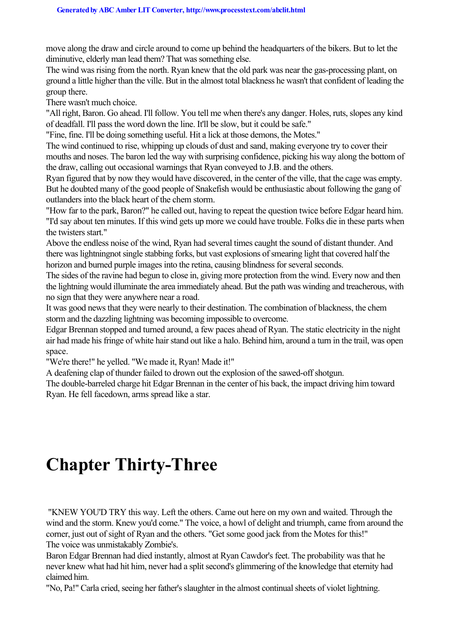move along the draw and circle around to come up behind the headquarters of the bikers. But to let the diminutive, elderly man lead them? That was something else.

The wind was rising from the north. Ryan knew that the old park was near the gas-processing plant, on ground a little higher than the ville. But in the almost total blackness he wasn't that confident of leading the group there.

There wasn't much choice.

"All right, Baron. Go ahead. I'll follow. You tell me when there's any danger. Holes, ruts, slopes any kind of deadfall. I'll pass the word down the line. It'll be slow, but it could be safe."

"Fine, fine. I'll be doing something useful. Hit a lick at those demons, the Motes."

The wind continued to rise, whipping up clouds of dust and sand, making everyone try to cover their mouths and noses. The baron led the way with surprising confidence, picking his way along the bottom of the draw, calling out occasional warnings that Ryan conveyed to J.B. and the others.

Ryan figured that by now they would have discovered, in the center of the ville, that the cage was empty. But he doubted many of the good people of Snakefish would be enthusiastic about following the gang of outlanders into the black heart of the chem storm.

"How far to the park, Baron?" he called out, having to repeat the question twice before Edgar heard him. "I'd say about ten minutes. If this wind gets up more we could have trouble. Folks die in these parts when the twisters start."

Above the endless noise of the wind, Ryan had several times caught the sound of distant thunder. And there was lightningnot single stabbing forks, but vast explosions of smearing light that covered half the horizon and burned purple images into the retina, causing blindness for several seconds.

The sides of the ravine had begun to close in, giving more protection from the wind. Every now and then the lightning would illuminate the area immediately ahead. But the path was winding and treacherous, with no sign that they were anywhere near a road.

It was good news that they were nearly to their destination. The combination of blackness, the chem storm and the dazzling lightning was becoming impossible to overcome.

Edgar Brennan stopped and turned around, a few paces ahead of Ryan. The static electricity in the night air had made his fringe of white hair stand out like a halo. Behind him, around a turn in the trail, was open space.

"We're there!" he yelled. "We made it, Ryan! Made it!"

A deafening clap of thunder failed to drown out the explosion of the sawed-off shotgun.

The double-barreled charge hit Edgar Brennan in the center of his back, the impact driving him toward Ryan. He fell facedown, arms spread like a star.

## **Chapter Thirty-Three**

 "KNEW YOU'D TRY this way. Left the others. Came out here on my own and waited. Through the wind and the storm. Knew you'd come." The voice, a howl of delight and triumph, came from around the corner, just out of sight of Ryan and the others. "Get some good jack from the Motes for this!" The voice was unmistakably Zombie's.

Baron Edgar Brennan had died instantly, almost at Ryan Cawdor's feet. The probability was that he never knew what had hit him, never had a split second's glimmering of the knowledge that eternity had claimed him.

"No, Pa!" Carla cried, seeing her father's slaughter in the almost continual sheets of violet lightning.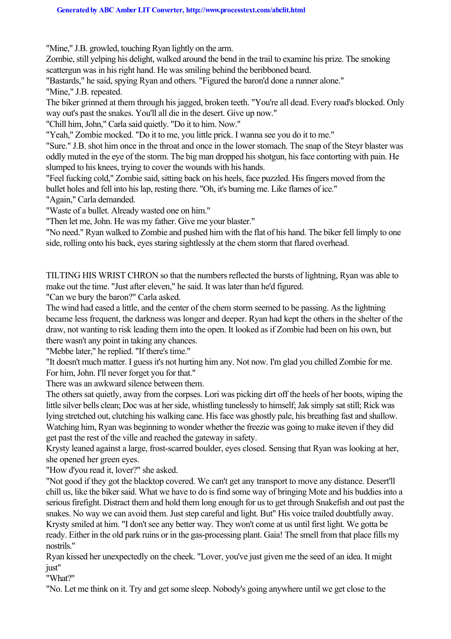"Mine," J.B. growled, touching Ryan lightly on the arm.

Zombie, still yelping his delight, walked around the bend in the trail to examine his prize. The smoking scattergun was in his right hand. He was smiling behind the beribboned beard.

"Bastards," he said, spying Ryan and others. "Figured the baron'd done a runner alone." "Mine," J.B. repeated.

The biker grinned at them through his jagged, broken teeth. "You're all dead. Every road's blocked. Only way out's past the snakes. You'll all die in the desert. Give up now."

"Chill him, John," Carla said quietly. "Do it to him. Now."

"Yeah," Zombie mocked. "Do it to me, you little prick. I wanna see you do it to me."

"Sure." J.B. shot him once in the throat and once in the lower stomach. The snap of the Steyr blaster was oddly muted in the eye of the storm. The big man dropped his shotgun, his face contorting with pain. He slumped to his knees, trying to cover the wounds with his hands.

"Feel fucking cold," Zombie said, sitting back on his heels, face puzzled. His fingers moved from the bullet holes and fell into his lap, resting there. "Oh, it's burning me. Like flames of ice."

"Again," Carla demanded.

"Waste of a bullet. Already wasted one on him."

"Then let me, John. He was my father. Give me your blaster."

"No need." Ryan walked to Zombie and pushed him with the flat of his hand. The biker fell limply to one side, rolling onto his back, eyes staring sightlessly at the chem storm that flared overhead.

TILTING HIS WRIST CHRON so that the numbers reflected the bursts of lightning, Ryan was able to make out the time. "Just after eleven," he said. It was later than he'd figured.

"Can we bury the baron?" Carla asked.

The wind had eased a little, and the center of the chem storm seemed to be passing. As the lightning became less frequent, the darkness was longer and deeper. Ryan had kept the others in the shelter of the draw, not wanting to risk leading them into the open. It looked as if Zombie had been on his own, but there wasn't any point in taking any chances.

"Mebbe later," he replied. "If there's time."

"It doesn't much matter. I guess it's not hurting him any. Not now. I'm glad you chilled Zombie for me. For him, John. I'll never forget you for that."

There was an awkward silence between them.

The others sat quietly, away from the corpses. Lori was picking dirt off the heels of her boots, wiping the little silver bells clean; Doc was at her side, whistling tunelessly to himself; Jak simply sat still; Rick was lying stretched out, clutching his walking cane. His face was ghostly pale, his breathing fast and shallow. Watching him, Ryan was beginning to wonder whether the freezie was going to make iteven if they did get past the rest of the ville and reached the gateway in safety.

Krysty leaned against a large, frost-scarred boulder, eyes closed. Sensing that Ryan was looking at her, she opened her green eyes.

"How d'you read it, lover?" she asked.

"Not good if they got the blacktop covered. We can't get any transport to move any distance. Desert'll chill us, like the biker said. What we have to do is find some way of bringing Mote and his buddies into a serious firefight. Distract them and hold them long enough for us to get through Snakefish and out past the snakes. No way we can avoid them. Just step careful and light. But" His voice trailed doubtfully away. Krysty smiled at him. "I don't see any better way. They won't come at us until first light. We gotta be ready. Either in the old park ruins or in the gas-processing plant. Gaia! The smell from that place fills my nostrils."

Ryan kissed her unexpectedly on the cheek. "Lover, you've just given me the seed of an idea. It might just"

"What?"

"No. Let me think on it. Try and get some sleep. Nobody's going anywhere until we get close to the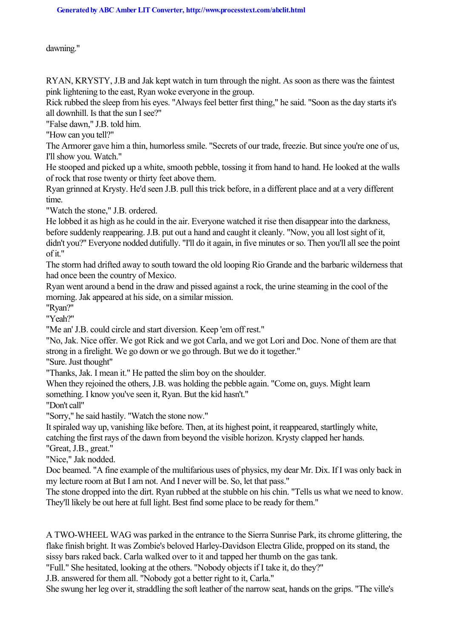dawning."

RYAN, KRYSTY, J.B and Jak kept watch in turn through the night. As soon as there was the faintest pink lightening to the east, Ryan woke everyone in the group.

Rick rubbed the sleep from his eyes. "Always feel better first thing," he said. "Soon as the day starts it's all downhill. Is that the sun I see?"

"False dawn," J.B. told him.

"How can you tell?"

The Armorer gave him a thin, humorless smile. "Secrets of our trade, freezie. But since you're one of us, I'll show you. Watch."

He stooped and picked up a white, smooth pebble, tossing it from hand to hand. He looked at the walls of rock that rose twenty or thirty feet above them.

Ryan grinned at Krysty. He'd seen J.B. pull this trick before, in a different place and at a very different time.

"Watch the stone," J.B. ordered.

He lobbed it as high as he could in the air. Everyone watched it rise then disappear into the darkness, before suddenly reappearing. J.B. put out a hand and caught it cleanly. "Now, you all lost sight of it, didn't you?" Everyone nodded dutifully. "I'll do it again, in five minutes or so. Then you'll all see the point of it."

The storm had drifted away to south toward the old looping Rio Grande and the barbaric wilderness that had once been the country of Mexico.

Ryan went around a bend in the draw and pissed against a rock, the urine steaming in the cool of the morning. Jak appeared at his side, on a similar mission.

"Ryan?"

"Yeah?"

"Me an' J.B. could circle and start diversion. Keep 'em off rest."

"No, Jak. Nice offer. We got Rick and we got Carla, and we got Lori and Doc. None of them are that strong in a firelight. We go down or we go through. But we do it together."

"Sure. Just thought"

"Thanks, Jak. I mean it." He patted the slim boy on the shoulder.

When they rejoined the others, J.B. was holding the pebble again. "Come on, guys. Might learn something. I know you've seen it, Ryan. But the kid hasn't."

"Don't call"

"Sorry," he said hastily. "Watch the stone now."

It spiraled way up, vanishing like before. Then, at its highest point, it reappeared, startlingly white, catching the first rays of the dawn from beyond the visible horizon. Krysty clapped her hands.

"Great, J.B., great."

"Nice," Jak nodded.

Doc beamed. "A fine example of the multifarious uses of physics, my dear Mr. Dix. If I was only back in my lecture room at But I am not. And I never will be. So, let that pass."

The stone dropped into the dirt. Ryan rubbed at the stubble on his chin. "Tells us what we need to know. They'll likely be out here at full light. Best find some place to be ready for them."

A TWO-WHEEL WAG was parked in the entrance to the Sierra Sunrise Park, its chrome glittering, the flake finish bright. It was Zombie's beloved Harley-Davidson Electra Glide, propped on its stand, the sissy bars raked back. Carla walked over to it and tapped her thumb on the gas tank.

"Full." She hesitated, looking at the others. "Nobody objects if I take it, do they?"

J.B. answered for them all. "Nobody got a better right to it, Carla."

She swung her leg over it, straddling the soft leather of the narrow seat, hands on the grips. "The ville's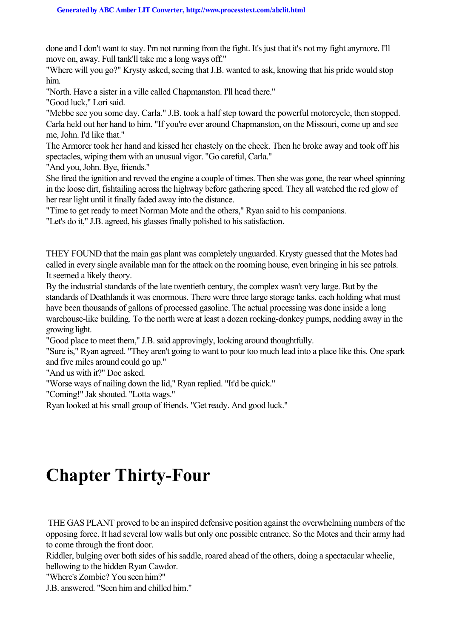done and I don't want to stay. I'm not running from the fight. It's just that it's not my fight anymore. I'll move on, away. Full tank'll take me a long ways off."

"Where will you go?" Krysty asked, seeing that J.B. wanted to ask, knowing that his pride would stop him.

"North. Have a sister in a ville called Chapmanston. I'll head there."

"Good luck," Lori said.

"Mebbe see you some day, Carla." J.B. took a half step toward the powerful motorcycle, then stopped. Carla held out her hand to him. "If you're ever around Chapmanston, on the Missouri, come up and see me, John. I'd like that."

The Armorer took her hand and kissed her chastely on the cheek. Then he broke away and took off his spectacles, wiping them with an unusual vigor. "Go careful, Carla."

"And you, John. Bye, friends."

She fired the ignition and revved the engine a couple of times. Then she was gone, the rear wheel spinning in the loose dirt, fishtailing across the highway before gathering speed. They all watched the red glow of her rear light until it finally faded away into the distance.

"Time to get ready to meet Norman Mote and the others," Ryan said to his companions.

"Let's do it," J.B. agreed, his glasses finally polished to his satisfaction.

THEY FOUND that the main gas plant was completely unguarded. Krysty guessed that the Motes had called in every single available man for the attack on the rooming house, even bringing in his sec patrols. It seemed a likely theory.

By the industrial standards of the late twentieth century, the complex wasn't very large. But by the standards of Deathlands it was enormous. There were three large storage tanks, each holding what must have been thousands of gallons of processed gasoline. The actual processing was done inside a long warehouse-like building. To the north were at least a dozen rocking-donkey pumps, nodding away in the growing light.

"Good place to meet them," J.B. said approvingly, looking around thoughtfully.

"Sure is," Ryan agreed. "They aren't going to want to pour too much lead into a place like this. One spark and five miles around could go up."

"And us with it?" Doc asked.

"Worse ways of nailing down the lid," Ryan replied. "It'd be quick."

"Coming!" Jak shouted. "Lotta wags."

Ryan looked at his small group of friends. "Get ready. And good luck."

# **Chapter Thirty-Four**

 THE GAS PLANT proved to be an inspired defensive position against the overwhelming numbers of the opposing force. It had several low walls but only one possible entrance. So the Motes and their army had to come through the front door.

Riddler, bulging over both sides of his saddle, roared ahead of the others, doing a spectacular wheelie, bellowing to the hidden Ryan Cawdor.

"Where's Zombie? You seen him?"

J.B. answered. "Seen him and chilled him."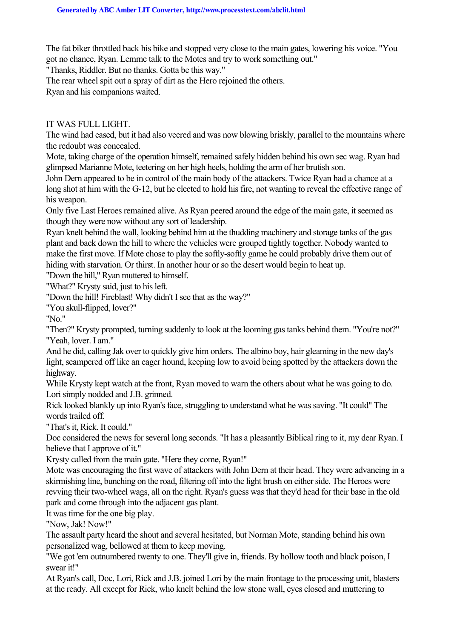The fat biker throttled back his bike and stopped very close to the main gates, lowering his voice. "You got no chance, Ryan. Lemme talk to the Motes and try to work something out."

"Thanks, Riddler. But no thanks. Gotta be this way."

The rear wheel spit out a spray of dirt as the Hero rejoined the others.

Ryan and his companions waited.

#### IT WAS FULL LIGHT.

The wind had eased, but it had also veered and was now blowing briskly, parallel to the mountains where the redoubt was concealed.

Mote, taking charge of the operation himself, remained safely hidden behind his own sec wag. Ryan had glimpsed Marianne Mote, teetering on her high heels, holding the arm of her brutish son.

John Dern appeared to be in control of the main body of the attackers. Twice Ryan had a chance at a long shot at him with the G-12, but he elected to hold his fire, not wanting to reveal the effective range of his weapon.

Only five Last Heroes remained alive. As Ryan peered around the edge of the main gate, it seemed as though they were now without any sort of leadership.

Ryan knelt behind the wall, looking behind him at the thudding machinery and storage tanks of the gas plant and back down the hill to where the vehicles were grouped tightly together. Nobody wanted to make the first move. If Mote chose to play the softly-softly game he could probably drive them out of hiding with starvation. Or thirst. In another hour or so the desert would begin to heat up.

"Down the hill," Ryan muttered to himself.

"What?" Krysty said, just to his left.

"Down the hill! Fireblast! Why didn't I see that as the way?"

"You skull-flipped, lover?"

"No."

"Then?" Krysty prompted, turning suddenly to look at the looming gas tanks behind them. "You're not?" "Yeah, lover. I am."

And he did, calling Jak over to quickly give him orders. The albino boy, hair gleaming in the new day's light, scampered off like an eager hound, keeping low to avoid being spotted by the attackers down the highway.

While Krysty kept watch at the front, Ryan moved to warn the others about what he was going to do. Lori simply nodded and J.B. grinned.

Rick looked blankly up into Ryan's face, struggling to understand what he was saving. "It could" The words trailed off.

"That's it, Rick. It could."

Doc considered the news for several long seconds. "It has a pleasantly Biblical ring to it, my dear Ryan. I believe that I approve of it."

Krysty called from the main gate. "Here they come, Ryan!"

Mote was encouraging the first wave of attackers with John Dern at their head. They were advancing in a skirmishing line, bunching on the road, filtering off into the light brush on either side. The Heroes were revving their two-wheel wags, all on the right. Ryan's guess was that they'd head for their base in the old park and come through into the adjacent gas plant.

It was time for the one big play.

"Now, Jak! Now!"

The assault party heard the shout and several hesitated, but Norman Mote, standing behind his own personalized wag, bellowed at them to keep moving.

"We got 'em outnumbered twenty to one. They'll give in, friends. By hollow tooth and black poison, I swear it!"

At Ryan's call, Doc, Lori, Rick and J.B. joined Lori by the main frontage to the processing unit, blasters at the ready. All except for Rick, who knelt behind the low stone wall, eyes closed and muttering to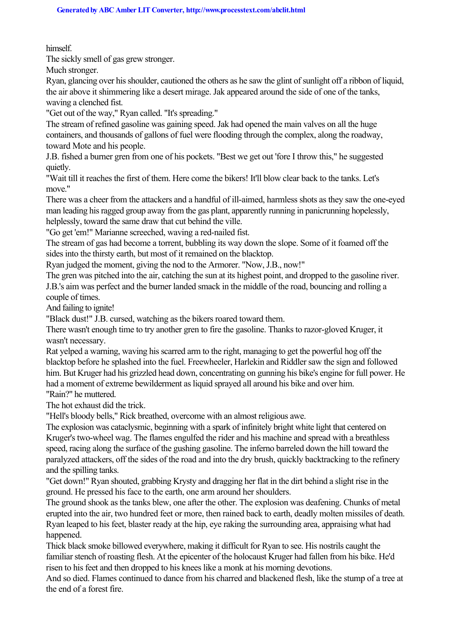himself.

The sickly smell of gas grew stronger.

Much stronger.

Ryan, glancing over his shoulder, cautioned the others as he saw the glint of sunlight off a ribbon of liquid, the air above it shimmering like a desert mirage. Jak appeared around the side of one of the tanks, waving a clenched fist.

"Get out of the way," Ryan called. "It's spreading."

The stream of refined gasoline was gaining speed. Jak had opened the main valves on all the huge containers, and thousands of gallons of fuel were flooding through the complex, along the roadway, toward Mote and his people.

J.B. fished a burner gren from one of his pockets. "Best we get out 'fore I throw this," he suggested quietly.

"Wait till it reaches the first of them. Here come the bikers! It'll blow clear back to the tanks. Let's move."

There was a cheer from the attackers and a handful of ill-aimed, harmless shots as they saw the one-eyed man leading his ragged group away from the gas plant, apparently running in panicrunning hopelessly, helplessly, toward the same draw that cut behind the ville.

"Go get 'em!" Marianne screeched, waving a red-nailed fist.

The stream of gas had become a torrent, bubbling its way down the slope. Some of it foamed off the sides into the thirsty earth, but most of it remained on the blacktop.

Ryan judged the moment, giving the nod to the Armorer. "Now, J.B., now!"

The gren was pitched into the air, catching the sun at its highest point, and dropped to the gasoline river. J.B.'s aim was perfect and the burner landed smack in the middle of the road, bouncing and rolling a couple of times.

And failing to ignite!

"Black dust!" J.B. cursed, watching as the bikers roared toward them.

There wasn't enough time to try another gren to fire the gasoline. Thanks to razor-gloved Kruger, it wasn't necessary.

Rat yelped a warning, waving his scarred arm to the right, managing to get the powerful hog off the blacktop before he splashed into the fuel. Freewheeler, Harlekin and Riddler saw the sign and followed him. But Kruger had his grizzled head down, concentrating on gunning his bike's engine for full power. He had a moment of extreme bewilderment as liquid sprayed all around his bike and over him. "Rain?" he muttered.

The hot exhaust did the trick.

"Hell's bloody bells," Rick breathed, overcome with an almost religious awe.

The explosion was cataclysmic, beginning with a spark of infinitely bright white light that centered on Kruger's two-wheel wag. The flames engulfed the rider and his machine and spread with a breathless speed, racing along the surface of the gushing gasoline. The inferno barreled down the hill toward the paralyzed attackers, off the sides of the road and into the dry brush, quickly backtracking to the refinery and the spilling tanks.

"Get down!" Ryan shouted, grabbing Krysty and dragging her flat in the dirt behind a slight rise in the ground. He pressed his face to the earth, one arm around her shoulders.

The ground shook as the tanks blew, one after the other. The explosion was deafening. Chunks of metal erupted into the air, two hundred feet or more, then rained back to earth, deadly molten missiles of death. Ryan leaped to his feet, blaster ready at the hip, eye raking the surrounding area, appraising what had happened.

Thick black smoke billowed everywhere, making it difficult for Ryan to see. His nostrils caught the familiar stench of roasting flesh. At the epicenter of the holocaust Kruger had fallen from his bike. He'd risen to his feet and then dropped to his knees like a monk at his morning devotions.

And so died. Flames continued to dance from his charred and blackened flesh, like the stump of a tree at the end of a forest fire.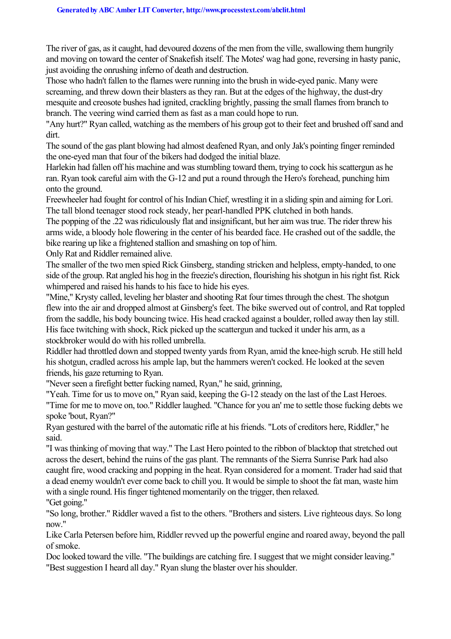The river of gas, as it caught, had devoured dozens of the men from the ville, swallowing them hungrily and moving on toward the center of Snakefish itself. The Motes' wag had gone, reversing in hasty panic, just avoiding the onrushing inferno of death and destruction.

Those who hadn't fallen to the flames were running into the brush in wide-eyed panic. Many were screaming, and threw down their blasters as they ran. But at the edges of the highway, the dust-dry mesquite and creosote bushes had ignited, crackling brightly, passing the small flames from branch to branch. The veering wind carried them as fast as a man could hope to run.

"Any hurt?" Ryan called, watching as the members of his group got to their feet and brushed off sand and dirt.

The sound of the gas plant blowing had almost deafened Ryan, and only Jak's pointing finger reminded the one-eyed man that four of the bikers had dodged the initial blaze.

Harlekin had fallen off his machine and was stumbling toward them, trying to cock his scattergun as he ran. Ryan took careful aim with the G-12 and put a round through the Hero's forehead, punching him onto the ground.

Freewheeler had fought for control of his Indian Chief, wrestling it in a sliding spin and aiming for Lori. The tall blond teenager stood rock steady, her pearl-handled PPK clutched in both hands.

The popping of the .22 was ridiculously flat and insignificant, but her aim was true. The rider threw his arms wide, a bloody hole flowering in the center of his bearded face. He crashed out of the saddle, the bike rearing up like a frightened stallion and smashing on top of him.

Only Rat and Riddler remained alive.

The smaller of the two men spied Rick Ginsberg, standing stricken and helpless, empty-handed, to one side of the group. Rat angled his hog in the freezie's direction, flourishing his shotgun in his right fist. Rick whimpered and raised his hands to his face to hide his eyes.

"Mine," Krysty called, leveling her blaster and shooting Rat four times through the chest. The shotgun flew into the air and dropped almost at Ginsberg's feet. The bike swerved out of control, and Rat toppled from the saddle, his body bouncing twice. His head cracked against a boulder, rolled away then lay still. His face twitching with shock, Rick picked up the scattergun and tucked it under his arm, as a stockbroker would do with his rolled umbrella.

Riddler had throttled down and stopped twenty yards from Ryan, amid the knee-high scrub. He still held his shotgun, cradled across his ample lap, but the hammers weren't cocked. He looked at the seven friends, his gaze returning to Ryan.

"Never seen a firefight better fucking named, Ryan," he said, grinning,

"Yeah. Time for us to move on," Ryan said, keeping the G-12 steady on the last of the Last Heroes. "Time for me to move on, too." Riddler laughed. "Chance for you an' me to settle those fucking debts we spoke 'bout, Ryan?"

Ryan gestured with the barrel of the automatic rifle at his friends. "Lots of creditors here, Riddler," he said.

"I was thinking of moving that way." The Last Hero pointed to the ribbon of blacktop that stretched out across the desert, behind the ruins of the gas plant. The remnants of the Sierra Sunrise Park had also caught fire, wood cracking and popping in the heat. Ryan considered for a moment. Trader had said that a dead enemy wouldn't ever come back to chill you. It would be simple to shoot the fat man, waste him with a single round. His finger tightened momentarily on the trigger, then relaxed. "Get going."

"So long, brother." Riddler waved a fist to the others. "Brothers and sisters. Live righteous days. So long now."

Like Carla Petersen before him, Riddler revved up the powerful engine and roared away, beyond the pall of smoke.

Doc looked toward the ville. "The buildings are catching fire. I suggest that we might consider leaving." "Best suggestion I heard all day." Ryan slung the blaster over his shoulder.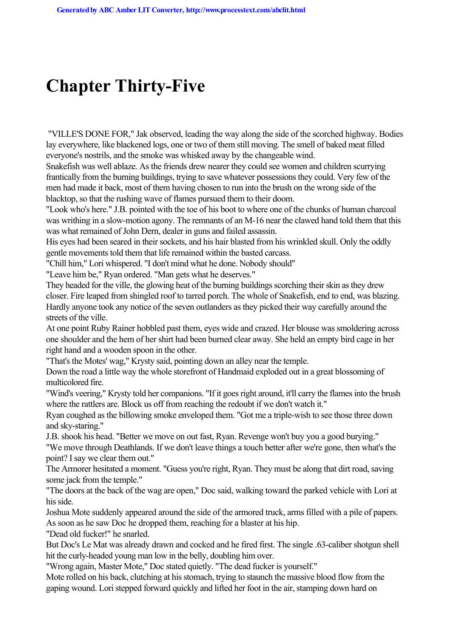### **Chapter Thirty-Five**

 "VILLE'S DONE FOR," Jak observed, leading the way along the side of the scorched highway. Bodies lay everywhere, like blackened logs, one or two of them still moving. The smell of baked meat filled everyone's nostrils, and the smoke was whisked away by the changeable wind.

Snakefish was well ablaze. As the friends drew nearer they could see women and children scurrying frantically from the burning buildings, trying to save whatever possessions they could. Very few of the men had made it back, most of them having chosen to run into the brush on the wrong side of the blacktop, so that the rushing wave of flames pursued them to their doom.

"Look who's here." J.B. pointed with the toe of his boot to where one of the chunks of human charcoal was writhing in a slow-motion agony. The remnants of an M-16 near the clawed hand told them that this was what remained of John Dern, dealer in guns and failed assassin.

His eyes had been seared in their sockets, and his hair blasted from his wrinkled skull. Only the oddly gentle movements told them that life remained within the basted carcass.

"Chill him," Lori whispered. "I don't mind what he done. Nobody should"

"Leave him be," Ryan ordered. "Man gets what he deserves."

They headed for the ville, the glowing heat of the burning buildings scorching their skin as they drew closer. Fire leaped from shingled roof to tarred porch. The whole of Snakefish, end to end, was blazing. Hardly anyone took any notice of the seven outlanders as they picked their way carefully around the streets of the ville.

At one point Ruby Rainer hobbled past them, eyes wide and crazed. Her blouse was smoldering across one shoulder and the hem of her shirt had been burned clear away. She held an empty bird cage in her right hand and a wooden spoon in the other.

"That's the Motes' wag," Krysty said, pointing down an alley near the temple.

Down the road a little way the whole storefront of Handmaid exploded out in a great blossoming of multicolored fire.

"Wind's veering," Krysty told her companions. "If it goes right around, it'll carry the flames into the brush where the rattlers are. Block us off from reaching the redoubt if we don't watch it."

Ryan coughed as the billowing smoke enveloped them. "Got me a triple-wish to see those three down and sky-staring."

J.B. shook his head. "Better we move on out fast, Ryan. Revenge won't buy you a good burying." "We move through Deathlands. If we don't leave things a touch better after we're gone, then what's the point? I say we clear them out."

The Armorer hesitated a moment. "Guess you're right, Ryan. They must be along that dirt road, saving some jack from the temple."

"The doors at the back of the wag are open," Doc said, walking toward the parked vehicle with Lori at his side.

Joshua Mote suddenly appeared around the side of the armored truck, arms filled with a pile of papers. As soon as he saw Doc he dropped them, reaching for a blaster at his hip.

"Dead old fucker!" he snarled.

But Doc's Le Mat was already drawn and cocked and he fired first. The single .63-caliber shotgun shell hit the curly-headed young man low in the belly, doubling him over.

"Wrong again, Master Mote," Doc stated quietly. "The dead fucker is yourself."

Mote rolled on his back, clutching at his stomach, trying to staunch the massive blood flow from the gaping wound. Lori stepped forward quickly and lifted her foot in the air, stamping down hard on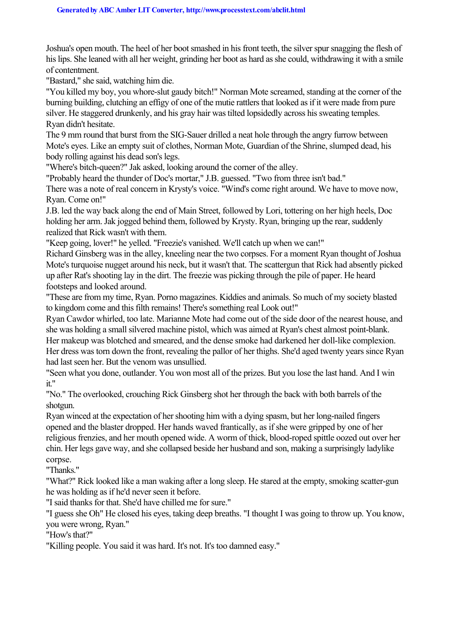Joshua's open mouth. The heel of her boot smashed in his front teeth, the silver spur snagging the flesh of his lips. She leaned with all her weight, grinding her boot as hard as she could, withdrawing it with a smile of contentment.

"Bastard," she said, watching him die.

"You killed my boy, you whore-slut gaudy bitch!" Norman Mote screamed, standing at the corner of the burning building, clutching an effigy of one of the mutie rattlers that looked as if it were made from pure silver. He staggered drunkenly, and his gray hair was tilted lopsidedly across his sweating temples. Ryan didn't hesitate.

The 9 mm round that burst from the SIG-Sauer drilled a neat hole through the angry furrow between Mote's eyes. Like an empty suit of clothes, Norman Mote, Guardian of the Shrine, slumped dead, his body rolling against his dead son's legs.

"Where's bitch-queen?" Jak asked, looking around the corner of the alley.

"Probably heard the thunder of Doc's mortar," J.B. guessed. "Two from three isn't bad."

There was a note of real concern in Krysty's voice. "Wind's come right around. We have to move now, Ryan. Come on!"

J.B. led the way back along the end of Main Street, followed by Lori, tottering on her high heels, Doc holding her arm. Jak jogged behind them, followed by Krysty. Ryan, bringing up the rear, suddenly realized that Rick wasn't with them.

"Keep going, lover!" he yelled. "Freezie's vanished. We'll catch up when we can!"

Richard Ginsberg was in the alley, kneeling near the two corpses. For a moment Ryan thought of Joshua Mote's turquoise nugget around his neck, but it wasn't that. The scattergun that Rick had absently picked up after Rat's shooting lay in the dirt. The freezie was picking through the pile of paper. He heard footsteps and looked around.

"These are from my time, Ryan. Porno magazines. Kiddies and animals. So much of my society blasted to kingdom come and this filth remains! There's something real Look out!"

Ryan Cawdor whirled, too late. Marianne Mote had come out of the side door of the nearest house, and she was holding a small silvered machine pistol, which was aimed at Ryan's chest almost point-blank. Her makeup was blotched and smeared, and the dense smoke had darkened her doll-like complexion. Her dress was torn down the front, revealing the pallor of her thighs. She'd aged twenty years since Ryan had last seen her. But the venom was unsullied.

"Seen what you done, outlander. You won most all of the prizes. But you lose the last hand. And I win it."

"No." The overlooked, crouching Rick Ginsberg shot her through the back with both barrels of the shotgun.

Ryan winced at the expectation of her shooting him with a dying spasm, but her long-nailed fingers opened and the blaster dropped. Her hands waved frantically, as if she were gripped by one of her religious frenzies, and her mouth opened wide. A worm of thick, blood-roped spittle oozed out over her chin. Her legs gave way, and she collapsed beside her husband and son, making a surprisingly ladylike corpse.

"Thanks."

"What?" Rick looked like a man waking after a long sleep. He stared at the empty, smoking scatter-gun he was holding as if he'd never seen it before.

"I said thanks for that. She'd have chilled me for sure."

"I guess she Oh" He closed his eyes, taking deep breaths. "I thought I was going to throw up. You know, you were wrong, Ryan."

"How's that?"

"Killing people. You said it was hard. It's not. It's too damned easy."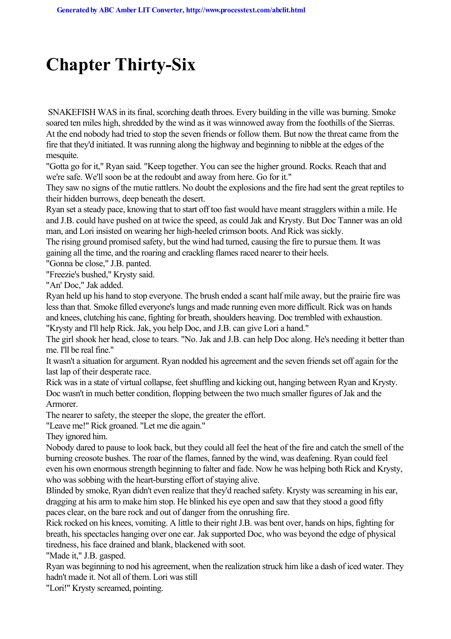# **Chapter Thirty-Six**

 SNAKEFISH WAS in its final, scorching death throes. Every building in the ville was burning. Smoke soared ten miles high, shredded by the wind as it was winnowed away from the foothills of the Sierras. At the end nobody had tried to stop the seven friends or follow them. But now the threat came from the fire that they'd initiated. It was running along the highway and beginning to nibble at the edges of the mesquite.

"Gotta go for it," Ryan said. "Keep together. You can see the higher ground. Rocks. Reach that and we're safe. We'll soon be at the redoubt and away from here. Go for it."

They saw no signs of the mutie rattlers. No doubt the explosions and the fire had sent the great reptiles to their hidden burrows, deep beneath the desert.

Ryan set a steady pace, knowing that to start off too fast would have meant stragglers within a mile. He and J.B. could have pushed on at twice the speed, as could Jak and Krysty. But Doc Tanner was an old man, and Lori insisted on wearing her high-heeled crimson boots. And Rick was sickly.

The rising ground promised safety, but the wind had turned, causing the fire to pursue them. It was gaining all the time, and the roaring and crackling flames raced nearer to their heels.

"Gonna be close," J.B. panted.

"Freezie's bushed," Krysty said.

"An' Doc," Jak added.

Ryan held up his hand to stop everyone. The brush ended a scant half mile away, but the prairie fire was less than that. Smoke filled everyone's lungs and made running even more difficult. Rick was on hands and knees, clutching his cane, fighting for breath, shoulders heaving. Doc trembled with exhaustion.

"Krysty and I'll help Rick. Jak, you help Doc, and J.B. can give Lori a hand."

The girl shook her head, close to tears. "No. Jak and J.B. can help Doc along. He's needing it better than me. I'll be real fine."

It wasn't a situation for argument. Ryan nodded his agreement and the seven friends set off again for the last lap of their desperate race.

Rick was in a state of virtual collapse, feet shuffling and kicking out, hanging between Ryan and Krysty. Doc wasn't in much better condition, flopping between the two much smaller figures of Jak and the Armorer.

The nearer to safety, the steeper the slope, the greater the effort.

"Leave me!" Rick groaned. "Let me die again."

They ignored him.

Nobody dared to pause to look back, but they could all feel the heat of the fire and catch the smell of the burning creosote bushes. The roar of the flames, fanned by the wind, was deafening. Ryan could feel even his own enormous strength beginning to falter and fade. Now he was helping both Rick and Krysty, who was sobbing with the heart-bursting effort of staying alive.

Blinded by smoke, Ryan didn't even realize that they'd reached safety. Krysty was screaming in his ear, dragging at his arm to make him stop. He blinked his eye open and saw that they stood a good fifty paces clear, on the bare rock and out of danger from the onrushing fire.

Rick rocked on his knees, vomiting. A little to their right J.B. was bent over, hands on hips, fighting for breath, his spectacles hanging over one ear. Jak supported Doc, who was beyond the edge of physical tiredness, his face drained and blank, blackened with soot.

"Made it," J.B. gasped.

Ryan was beginning to nod his agreement, when the realization struck him like a dash of iced water. They hadn't made it. Not all of them. Lori was still

"Lori!" Krysty screamed, pointing.